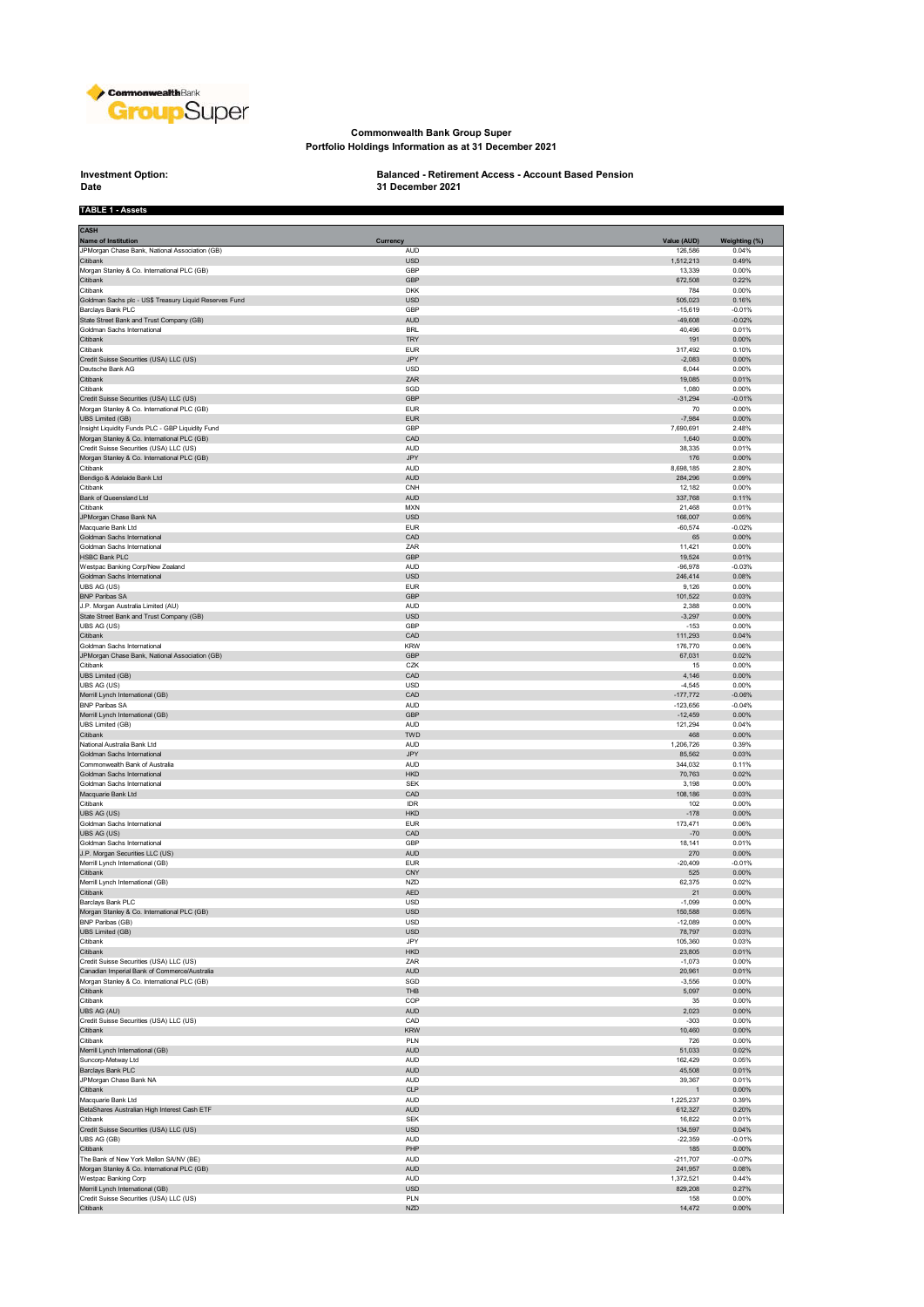

#### **Commonwealth Bank Group Super Portfolio Holdings Information as at 31 December 2021**

# **Investment Option:**<br>Date

**TABLE 1 - Assets**

## **Investment Option: Balanced - Retirement Access - Account Based Pension 31 December 2021**

| <b>CASH</b><br>Name of Institution                                                    | Currency                 | Value (AUD)           | Weighting (%)     |
|---------------------------------------------------------------------------------------|--------------------------|-----------------------|-------------------|
| JPMorgan Chase Bank, National Association (GB)<br>Citibank                            | <b>AUD</b><br><b>USD</b> | 126,586<br>1,512,213  | 0.04%<br>0.49%    |
| Morgan Stanley & Co. International PLC (GB)                                           | GBP                      | 13,339                | 0.00%             |
| Citibank                                                                              | GBP                      | 672,508               | 0.22%             |
| Citibank                                                                              | <b>DKK</b>               | 784                   | 0.00%             |
| Goldman Sachs plc - US\$ Treasury Liquid Reserves Fund                                | USD                      | 505,023               | 0.16%             |
| Barclays Bank PLC                                                                     | GBP                      | $-15,619$             | $-0.01%$          |
| State Street Bank and Trust Company (GB)                                              | <b>AUD</b>               | $-49,608$             | $-0.02%$          |
| Goldman Sachs International                                                           | <b>BRL</b>               | 40,496                | 0.01%             |
| Citibank<br>Citibank                                                                  | <b>TRY</b><br><b>EUR</b> | 191<br>317,492        | 0.00%<br>0.10%    |
| Credit Suisse Securities (USA) LLC (US)                                               | <b>JPY</b>               | $-2,083$              | 0.00%             |
| Deutsche Bank AG                                                                      | <b>USD</b>               | 6,044                 | 0.00%             |
| Citibank                                                                              | ZAR                      | 19,085                | 0.01%             |
| Citibank                                                                              | SGD                      | 1,080                 | 0.00%             |
| Credit Suisse Securities (USA) LLC (US)                                               | GBP                      | $-31,294$             | $-0.01%$          |
| Morgan Stanley & Co. International PLC (GB)                                           | <b>EUR</b>               | 70                    | 0.00%             |
| UBS Limited (GB)<br>Insight Liquidity Funds PLC - GBP Liquidity Fund                  | <b>EUR</b><br>GBP        | $-7,984$<br>7,690,691 | 0.00%<br>2.48%    |
| Morgan Stanley & Co. International PLC (GB)                                           | CAD                      | 1,640                 | $0.00\%$          |
| Credit Suisse Securities (USA) LLC (US)                                               | <b>AUD</b>               | 38,335                | 0.01%             |
| Morgan Stanley & Co. International PLC (GB)                                           | <b>JPY</b>               | 176                   | $0.00\%$          |
| Citibank                                                                              | <b>AUD</b>               | 8,698,185             | 2.80%             |
| Bendigo & Adelaide Bank Ltd                                                           | AUD                      | 284,296               | 0.09%             |
| Citibank                                                                              | CNH                      | 12,182                | 0.00%             |
| Bank of Queensland Ltd                                                                | AUD                      | 337,768               | 0.11%             |
| Citibank<br>JPMorgan Chase Bank NA                                                    | <b>MXN</b><br><b>USD</b> | 21,468                | 0.01%<br>0.05%    |
| Macquarie Bank Ltd                                                                    | <b>EUR</b>               | 166,007<br>$-60,574$  | $-0.02%$          |
| Goldman Sachs International                                                           | CAD                      | 65                    | 0.00%             |
| Goldman Sachs International                                                           | ZAR                      | 11,421                | 0.00%             |
| <b>HSBC Bank PLC</b>                                                                  | <b>GBP</b>               | 19,524                | 0.01%             |
| Westpac Banking Corp/New Zealand                                                      | AUD                      | $-96,978$             | $-0.03%$          |
| Goldman Sachs International                                                           | <b>USD</b>               | 246,414               | 0.08%             |
| UBS AG (US)<br><b>BNP Paribas SA</b>                                                  | <b>EUR</b><br><b>GBP</b> | 9,126<br>101,522      | 0.00%<br>0.03%    |
| J.P. Morgan Australia Limited (AU)                                                    | <b>AUD</b>               | 2,388                 | 0.00%             |
| State Street Bank and Trust Company (GB)                                              | <b>USD</b>               | $-3,297$              | 0.00%             |
| UBS AG (US)                                                                           | GBP                      | $-153$                | 0.00%             |
| Citibank                                                                              | CAD                      | 111,293               | 0.04%             |
| Goldman Sachs International                                                           | <b>KRW</b>               | 176,770               | 0.06%             |
| JPMorgan Chase Bank, National Association (GB)                                        | GBP                      | 67,031                | 0.02%             |
| Citibank                                                                              | CZK<br>CAD               | 15                    | 0.00%<br>0.00%    |
| UBS Limited (GB)<br>UBS AG (US)                                                       | <b>USD</b>               | 4,146<br>$-4,545$     | 0.00%             |
| Merrill Lynch International (GB)                                                      | CAD                      | $-177,772$            | $-0.06%$          |
| <b>BNP Paribas SA</b>                                                                 | AUD                      | $-123,656$            | $-0.04%$          |
| Merrill Lynch International (GB)                                                      | <b>GBP</b>               | $-12,459$             | 0.00%             |
| UBS Limited (GB)                                                                      | AUD                      | 121,294               | 0.04%             |
| Citibank                                                                              | TWD                      | 468                   | 0.00%             |
| National Australia Bank Ltd<br>Goldman Sachs International                            | AUD<br>JPY               | 1,206,726<br>85,562   | 0.39%<br>0.03%    |
| Commonwealth Bank of Australia                                                        | <b>AUD</b>               | 344,032               | 0.11%             |
| Goldman Sachs International                                                           | <b>HKD</b>               | 70,763                | 0.02%             |
| Goldman Sachs International                                                           | <b>SEK</b>               | 3,198                 | 0.00%             |
| Macquarie Bank Ltd                                                                    | CAD                      | 108,186               | 0.03%             |
| Citibank                                                                              | IDR                      | 102                   | 0.00%             |
| UBS AG (US)                                                                           | <b>HKD</b>               | $-178$                | 0.00%             |
| Goldman Sachs International<br>UBS AG (US)                                            | <b>EUR</b><br>CAD        | 173,471<br>$-70$      | 0.06%<br>0.00%    |
| Goldman Sachs International                                                           | GBP                      | 18,141                | 0.01%             |
| J.P. Morgan Securities LLC (US)                                                       | AUD                      | 270                   | 0.00%             |
| Merrill Lynch International (GB)                                                      | <b>EUR</b>               | $-20,409$             | $-0.01%$          |
| Citibank                                                                              | CNY                      | 525                   | 0.00%             |
| Merrill Lynch International (GB)                                                      | <b>NZD</b>               | 62,375                | 0.02%             |
| Citibank                                                                              | <b>AED</b>               | 21                    | 0.00%             |
| Barclays Bank PLC<br>Morgan Stanley & Co. International PLC (GB)                      | <b>USD</b><br><b>USD</b> | $-1,099$              | 0.00%             |
| <b>BNP Paribas (GB)</b>                                                               | <b>USD</b>               | 150,588<br>$-12,089$  | 0.05%<br>0.00%    |
| UBS Limited (GB)                                                                      | USD                      | 78,797                | 0.03%             |
| Citibank                                                                              | JPY                      | 105,360               | 0.03%             |
| Citibank                                                                              | <b>HKD</b>               | 23,805                | 0.01%             |
| Credit Suisse Securities (USA) LLC (US)                                               | ZAR                      | $-1,073$              | 0.00%             |
| Canadian Imperial Bank of Commerce/Australia                                          | AUD                      | 20,961                | 0.01%             |
| Morgan Stanley & Co. International PLC (GB)                                           | SGD                      | $-3,556$              | 0.00%             |
| Citibank<br>Citibank                                                                  | THB<br>COP               | 5,097<br>35           | $0.00\%$<br>0.00% |
| UBS AG (AU)                                                                           | <b>AUD</b>               | 2,023                 | $0.00\%$          |
| Credit Suisse Securities (USA) LLC (US)                                               | CAD                      | $-303$                | 0.00%             |
| Citibank                                                                              | <b>KRW</b>               | 10,460                | 0.00%             |
| Citibank                                                                              | PLN                      | 726                   | 0.00%             |
| Merrill Lynch International (GB)                                                      | <b>AUD</b>               | 51,033                | 0.02%             |
| Suncorp-Metway Ltd                                                                    | AUD                      | 162,429               | 0.05%             |
| Barclays Bank PLC<br>JPMorgan Chase Bank NA                                           | AUD<br><b>AUD</b>        | 45,508<br>39,367      | 0.01%<br>0.01%    |
| Citibank                                                                              | CLP                      | $\mathbf{1}$          | $0.00\%$          |
| Macquarie Bank Ltd                                                                    | <b>AUD</b>               | 1,225,237             | 0.39%             |
| BetaShares Australian High Interest Cash ETF                                          | AUD                      | 612,327               | 0.20%             |
| Citibank                                                                              | <b>SEK</b>               | 16,822                | 0.01%             |
| Credit Suisse Securities (USA) LLC (US)                                               | <b>USD</b>               | 134,597               | 0.04%             |
| UBS AG (GB)                                                                           | AUD                      | $-22,359$             | $-0.01%$          |
| Citibank                                                                              | PHP                      | 185                   | 0.00%             |
| The Bank of New York Mellon SA/NV (BE)<br>Morgan Stanley & Co. International PLC (GB) | AUD<br><b>AUD</b>        | $-211,707$<br>241,957 | $-0.07%$<br>0.08% |
| Westpac Banking Corp                                                                  | <b>AUD</b>               | 1,372,521             | 0.44%             |
| Merrill Lynch International (GB)                                                      | USD                      | 829,208               | 0.27%             |
| Credit Suisse Securities (USA) LLC (US)                                               | PLN                      | 158                   | 0.00%             |
| Citibank                                                                              | <b>NZD</b>               | 14,472                | $0.00\%$          |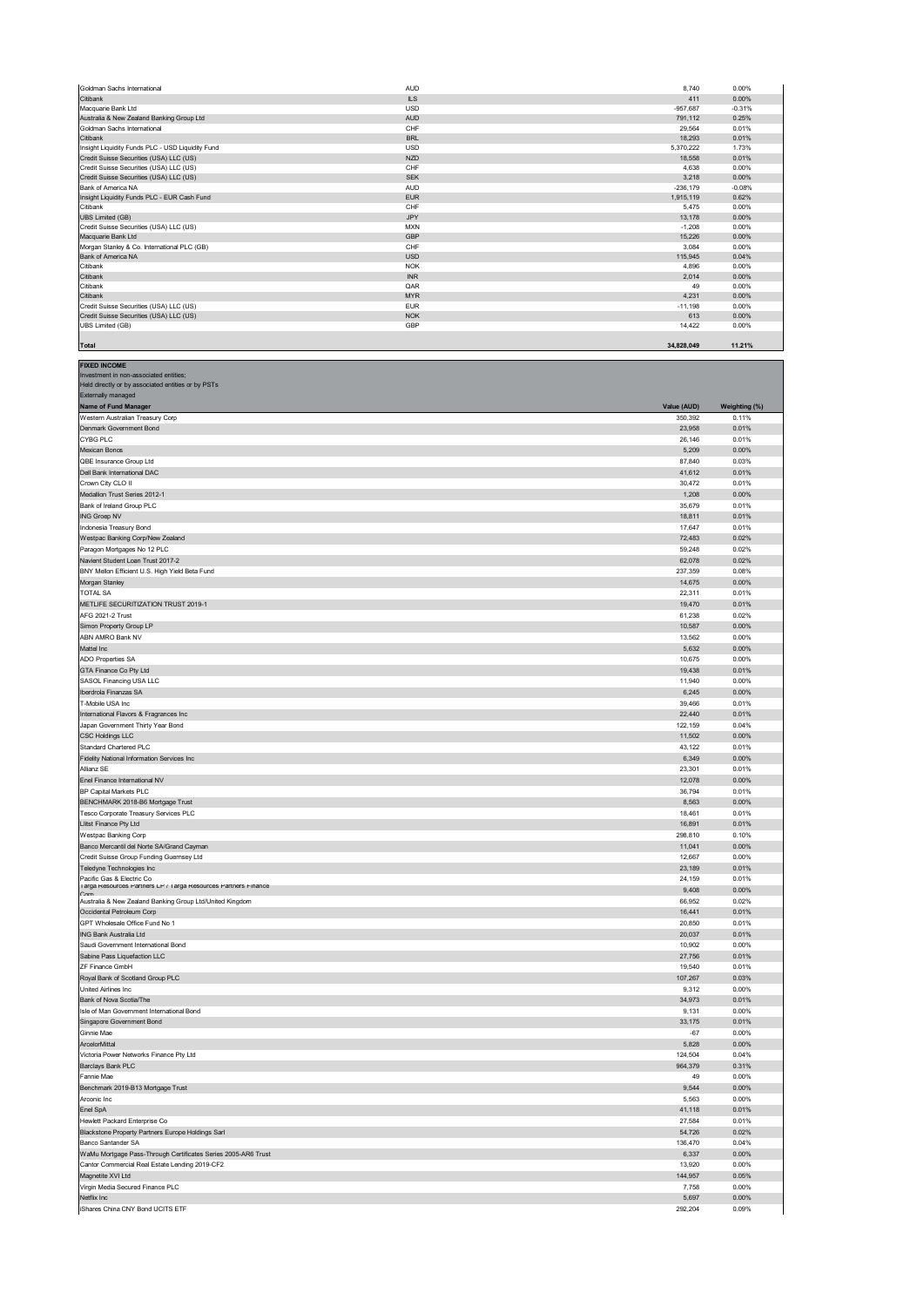| Goldman Sachs International                      | <b>AUD</b> | 8.740      | 0.00%    |
|--------------------------------------------------|------------|------------|----------|
| Citibank                                         | <b>ILS</b> | 411        | 0.00%    |
| Macquarie Bank Ltd                               | <b>USD</b> | $-957.687$ | $-0.31%$ |
| Australia & New Zealand Banking Group Ltd        | <b>AUD</b> | 791.112    | 0.25%    |
| Goldman Sachs International                      | CHF        | 29.564     | 0.01%    |
| Citibank                                         | <b>BRL</b> | 18,293     | 0.01%    |
| Insight Liquidity Funds PLC - USD Liquidity Fund | <b>USD</b> | 5,370,222  | 1.73%    |
| Credit Suisse Securities (USA) LLC (US)          | <b>NZD</b> | 18,558     | 0.01%    |
| Credit Suisse Securities (USA) LLC (US)          | CHF        | 4.638      | 0.00%    |
| Credit Suisse Securities (USA) LLC (US)          | <b>SEK</b> | 3,218      | 0.00%    |
| Bank of America NA                               | <b>AUD</b> | $-236.179$ | $-0.08%$ |
| Insight Liquidity Funds PLC - EUR Cash Fund      | <b>EUR</b> | 1,915,119  | 0.62%    |
| Citibank                                         | CHF        | 5.475      | 0.00%    |
| <b>UBS Limited (GB)</b>                          | <b>JPY</b> | 13.178     | 0.00%    |
| Credit Suisse Securities (USA) LLC (US)          | <b>MXN</b> | $-1.208$   | 0.00%    |
| Macquarie Bank Ltd                               | GBP        | 15,226     | 0.00%    |
| Morgan Stanley & Co. International PLC (GB)      | CHF        | 3,084      | 0.00%    |
| Bank of America NA                               | <b>USD</b> | 115,945    | 0.04%    |
| Citibank                                         | <b>NOK</b> | 4,896      | 0.00%    |
| Citibank                                         | <b>INR</b> | 2.014      | 0.00%    |
| Citibank                                         | QAR        | 49         | 0.00%    |
| Citibank                                         | <b>MYR</b> | 4.231      | 0.00%    |
| Credit Suisse Securities (USA) LLC (US)          | <b>EUR</b> | $-11,198$  | 0.00%    |
| Credit Suisse Securities (USA) LLC (US)          | <b>NOK</b> | 613        | 0.00%    |
| <b>UBS Limited (GB)</b>                          | GBP        | 14,422     | 0.00%    |
|                                                  |            |            |          |
| Total                                            |            | 34,828,049 | 11.21%   |

| Held directly or by associated entities or by PSTs                                          |                  |                   |
|---------------------------------------------------------------------------------------------|------------------|-------------------|
| <b>Externally managed</b><br>Name of Fund Manager                                           | Value (AUD)      | Weighting (%)     |
| Western Australian Treasury Corp                                                            | 350,392          | 0.11%             |
| Denmark Government Bond                                                                     | 23,958           | 0.01%             |
| CYBG PLC                                                                                    | 26,146           | 0.01%             |
| Mexican Bonos                                                                               | 5,209            | $0.00\%$          |
| QBE Insurance Group Ltd                                                                     | 87,840           | 0.03%             |
| Dell Bank International DAC                                                                 | 41,612           | 0.01%             |
| Crown City CLO II                                                                           | 30,472           | 0.01%             |
| Medallion Trust Series 2012-1<br>Bank of Ireland Group PLC                                  | 1,208<br>35,679  | 0.00%<br>0.01%    |
| <b>ING Groep NV</b>                                                                         | 18,811           | 0.01%             |
| Indonesia Treasury Bond                                                                     | 17,647           | 0.01%             |
| Westpac Banking Corp/New Zealand                                                            | 72,483           | 0.02%             |
| Paragon Mortgages No 12 PLC                                                                 | 59,248           | 0.02%             |
| Navient Student Loan Trust 2017-2                                                           | 62,078           | 0.02%             |
| BNY Mellon Efficient U.S. High Yield Beta Fund                                              | 237,359          | 0.08%             |
| Morgan Stanley                                                                              | 14,675           | 0.00%             |
| <b>TOTAL SA</b><br>METLIFE SECURITIZATION TRUST 2019-1                                      | 22,311<br>19,470 | 0.01%<br>0.01%    |
| AFG 2021-2 Trust                                                                            | 61,238           | 0.02%             |
| Simon Property Group LP                                                                     | 10,587           | 0.00%             |
| ABN AMRO Bank NV                                                                            | 13,562           | 0.00%             |
| Mattel Inc                                                                                  | 5,632            | 0.00%             |
| ADO Properties SA                                                                           | 10,675           | 0.00%             |
| GTA Finance Co Pty Ltd                                                                      | 19,438           | 0.01%             |
| SASOL Financing USA LLC                                                                     | 11,940           | 0.00%             |
| Iberdrola Finanzas SA<br>T-Mobile USA Inc                                                   | 6,245            | 0.00%<br>0.01%    |
| International Flavors & Fragrances Inc                                                      | 39,466<br>22,440 | 0.01%             |
| Japan Government Thirty Year Bond                                                           | 122,159          | 0.04%             |
| <b>CSC Holdings LLC</b>                                                                     | 11,502           | 0.00%             |
| Standard Chartered PLC                                                                      | 43,122           | 0.01%             |
| Fidelity National Information Services Inc                                                  | 6,349            | 0.00%             |
| Allianz SE                                                                                  | 23,301           | 0.01%             |
| Enel Finance International NV                                                               | 12,078           | 0.00%             |
| BP Capital Markets PLC                                                                      | 36,794           | 0.01%             |
| BENCHMARK 2018-B6 Mortgage Trust<br>Tesco Corporate Treasury Services PLC                   | 8,563<br>18,461  | 0.00%<br>0.01%    |
| Llitst Finance Pty Ltd                                                                      | 16,891           | 0.01%             |
| Westpac Banking Corp                                                                        | 298,810          | 0.10%             |
| Banco Mercantil del Norte SA/Grand Cayman                                                   | 11,041           | $0.00\%$          |
| Credit Suisse Group Funding Guernsey Ltd                                                    | 12,667           | 0.00%             |
| Teledyne Technologies Inc                                                                   | 23,189           | 0.01%             |
| Pacific Gas & Electric Co<br>Targa Resources Partners LP / Targa Resources Partners Finance | 24,159           | 0.01%             |
| Corr                                                                                        | 9,408            | 0.00%             |
| Australia & New Zealand Banking Group Ltd/United Kingdom<br>Occidental Petroleum Corp       | 66,952<br>16,441 | 0.02%<br>0.01%    |
| GPT Wholesale Office Fund No 1                                                              | 20,850           | 0.01%             |
| ING Bank Australia Ltd                                                                      | 20,037           | 0.01%             |
| Saudi Government International Bond                                                         | 10,902           | 0.00%             |
| Sabine Pass Liquefaction LLC                                                                | 27,756           | 0.01%             |
| ZF Finance GmbH                                                                             | 19,540           | 0.01%             |
| Royal Bank of Scotland Group PLC                                                            | 107,267          | 0.03%             |
| <b>United Airlines Inc.</b><br>Bank of Nova Scotia/The                                      | 9,312<br>34,973  | 0.00%<br>0.01%    |
| Isle of Man Government International Bond                                                   | 9,131            | 0.00%             |
| Singapore Government Bond                                                                   | 33,175           | 0.01%             |
| Ginnie Mae                                                                                  | $-67$            | 0.00%             |
| ArcelorMittal                                                                               | 5,828            | 0.00%             |
| Victoria Power Networks Finance Pty Ltd                                                     | 124,504          | 0.04%             |
| Barclays Bank PLC                                                                           | 964,379          | 0.31%             |
| Fannie Mae                                                                                  | 49               | 0.00%             |
| Benchmark 2019-B13 Mortgage Trust<br>Arconic Inc                                            | 9,544<br>5,563   | $0.00\%$<br>0.00% |
| Enel SpA                                                                                    | 41,118           | 0.01%             |
| Hewlett Packard Enterprise Co                                                               | 27,584           | 0.01%             |
| Blackstone Property Partners Europe Holdings Sarl                                           | 54,726           | 0.02%             |
| Banco Santander SA                                                                          | 136,470          | 0.04%             |
| WaMu Mortgage Pass-Through Certificates Series 2005-AR6 Trust                               | 6,337            | $0.00\%$          |
| Cantor Commercial Real Estate Lending 2019-CF2                                              | 13,920           | 0.00%             |
| Magnetite XVI Ltd                                                                           | 144,957          | 0.05%             |
| Virgin Media Secured Finance PLC                                                            | 7,758            | 0.00%             |

Netflix Inc 5,697 0.00% من 5,697 0.00% من 5,697 0.00% من 5,697 0.00% من 5,697 0.00% من 5,697 0.00% من 5,697 0.<br>المرحلة المرحلة المرحلة 292,204 292,204 0.09% من ترجم المرحلة المرحلة المرحلة المرحلة المرحلة المرحلة 292,204

**FIXED INCOME** ent in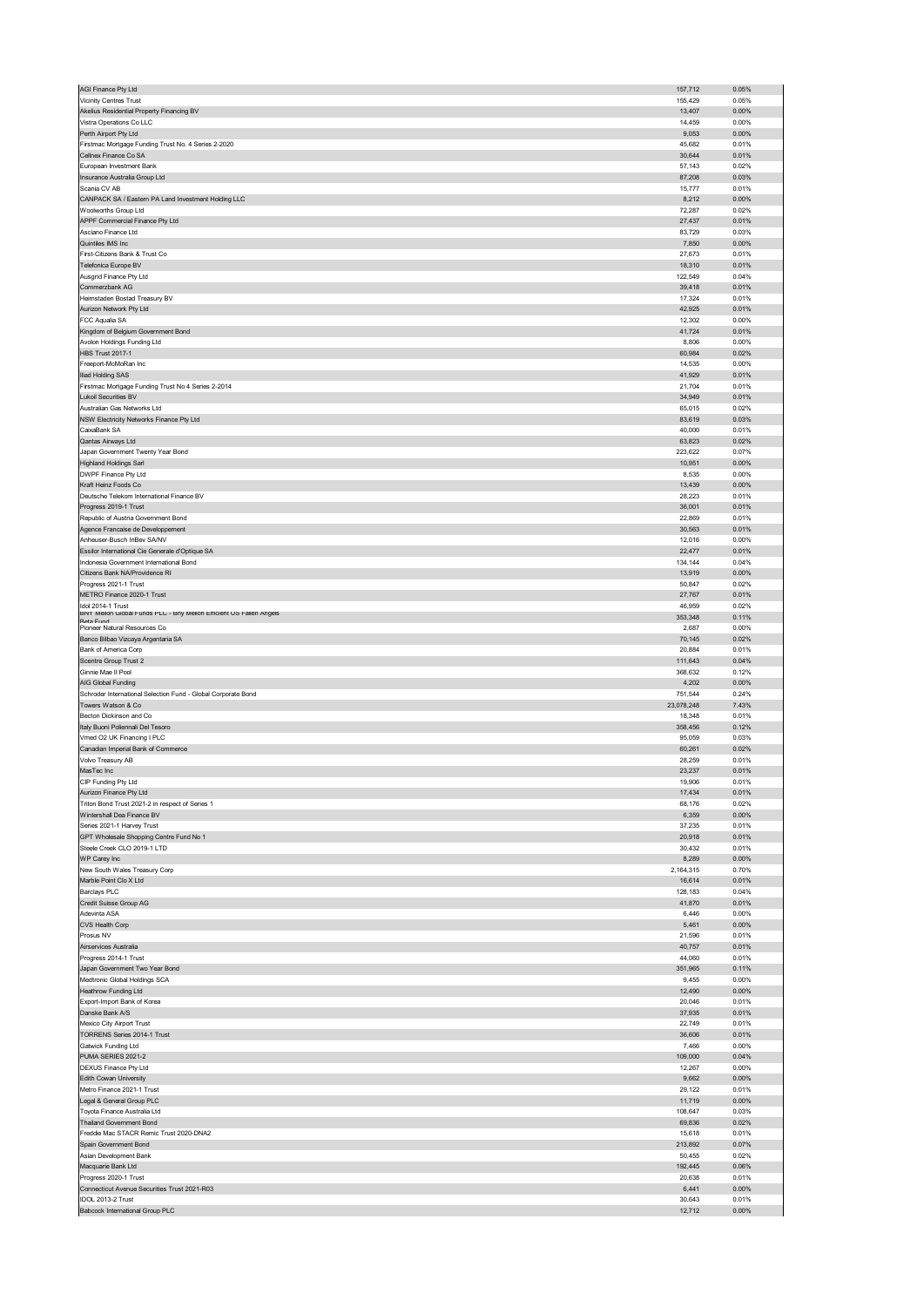| AGI Finance Pty Ltd                                                              | 157,712           | 0.05%             |
|----------------------------------------------------------------------------------|-------------------|-------------------|
| Vicinity Centres Trust                                                           | 155,429           | 0.05%             |
| Akelius Residential Property Financing BV<br>Vistra Operations Co LLC            | 13,407<br>14,459  | $0.00\%$<br>0.00% |
| Perth Airport Pty Ltd                                                            | 9,053             | 0.00%             |
| Firstmac Mortgage Funding Trust No. 4 Series 2-2020                              | 45,682            | 0.01%             |
| Cellnex Finance Co SA                                                            | 30,644            | 0.01%             |
| European Investment Bank                                                         | 57,143            | 0.02%             |
| Insurance Australia Group Ltd                                                    | 87,208            | 0.03%             |
| Scania CV AB<br>CANPACK SA / Eastern PA Land Investment Holding LLC              | 15,777<br>8,212   | 0.01%<br>0.00%    |
| Woolworths Group Ltd                                                             | 72,287            | 0.02%             |
| APPF Commercial Finance Pty Ltd                                                  | 27,437            | 0.01%             |
| Asciano Finance Ltd                                                              | 83,729            | 0.03%             |
| Quintiles IMS Inc                                                                | 7,850             | 0.00%             |
| First-Citizens Bank & Trust Co                                                   | 27,673            | 0.01%             |
| Telefonica Europe BV<br>Ausgrid Finance Pty Ltd                                  | 18,310<br>122,549 | 0.01%<br>0.04%    |
| Commerzbank AG                                                                   | 39,418            | 0.01%             |
| Heimstaden Bostad Treasury BV                                                    | 17,324            | 0.01%             |
| Aurizon Network Pty Ltd                                                          | 42,925            | 0.01%             |
| FCC Aqualia SA                                                                   | 12,302            | 0.00%             |
| Kingdom of Belgium Government Bond                                               | 41,724            | 0.01%             |
| Avolon Holdings Funding Ltd<br><b>HBS Trust 2017-1</b>                           | 8,806<br>60,984   | 0.00%<br>0.02%    |
| Freeport-McMoRan Inc                                                             | 14,535            | 0.00%             |
| Iliad Holding SAS                                                                | 41,929            | 0.01%             |
| Firstmac Mortgage Funding Trust No 4 Series 2-2014                               | 21,704            | 0.01%             |
| <b>Lukoil Securities BV</b>                                                      | 34,949            | 0.01%             |
| Australian Gas Networks Ltd                                                      | 65,015            | 0.02%             |
| NSW Electricity Networks Finance Pty Ltd<br>CaixaBank SA                         | 83,619<br>40,000  | 0.03%<br>0.01%    |
| Qantas Airways Ltd                                                               | 63,823            | 0.02%             |
| Japan Government Twenty Year Bond                                                | 223,622           | 0.07%             |
| <b>Highland Holdings Sarl</b>                                                    | 10,951            | 0.00%             |
| DWPF Finance Pty Ltd                                                             | 8,535             | 0.00%             |
| Kraft Heinz Foods Co<br>Deutsche Telekom International Finance BV                | 13,439            | 0.00%             |
| Progress 2019-1 Trust                                                            | 28,223<br>36,001  | 0.01%<br>0.01%    |
| Republic of Austria Government Bond                                              | 22,869            | 0.01%             |
| Agence Francaise de Developpement                                                | 30,563            | 0.01%             |
| Anheuser-Busch InBev SA/NV                                                       | 12,016            | 0.00%             |
| Essilor International Cie Generale d'Optique SA                                  | 22,477            | 0.01%             |
| Indonesia Government International Bond                                          | 134,144           | 0.04%             |
| Citizens Bank NA/Providence RI<br>Progress 2021-1 Trust                          | 13,919<br>50,847  | 0.00%<br>0.02%    |
| METRO Finance 2020-1 Trust                                                       | 27,767            | 0.01%             |
| Idol 2014-1 Trust                                                                | 46,959            | 0.02%             |
| BNY Mellon Global Funds PLC - Bny Mellon Efficient US Fallen Angels<br>Reta Fund | 353,348           | 0.11%             |
| Pioneer Natural Resources Co                                                     | 2,687             | 0.00%             |
| Banco Bilbao Vizcaya Argentaria SA                                               | 70,145            | 0.02%             |
|                                                                                  |                   |                   |
| Bank of America Corp                                                             | 20,884            | 0.01%             |
| Scentre Group Trust 2                                                            | 111,643           | 0.04%             |
| Ginnie Mae II Pool<br>AIG Global Funding                                         | 368,632<br>4,202  | 0.12%<br>0.00%    |
| Schroder International Selection Fund - Global Corporate Bond                    | 751,544           | 0.24%             |
| Towers Watson & Co                                                               | 23,078,248        | 7.43%             |
| Becton Dickinson and Co                                                          | 18,348            | 0.01%             |
| Italy Buoni Poliennali Del Tesoro                                                | 358,456           | 0.12%             |
| Vmed O2 UK Financing I PLC<br>Canadian Imperial Bank of Commerce                 | 95,059<br>60,261  | 0.03%<br>0.02%    |
| Volvo Treasury AB                                                                | 28,259            | 0.01%             |
| MasTec Inc                                                                       | 23,237            | 0.01%             |
| CIP Funaing Pty Ltd                                                              | 19,900            | <b>0.01%</b>      |
| Aurizon Finance Pty Ltd                                                          | 17,434            | 0.01%             |
| Triton Bond Trust 2021-2 in respect of Series 1                                  | 68,176            | 0.02%             |
| Wintershall Dea Finance BV<br>Series 2021-1 Harvey Trust                         | 6,359<br>37,235   | $0.00\%$<br>0.01% |
| GPT Wholesale Shopping Centre Fund No 1                                          | 20,918            | 0.01%             |
| Steele Creek CLO 2019-1 LTD                                                      | 30,432            | 0.01%             |
| WP Carey Inc                                                                     | 8,289             | $0.00\%$          |
| New South Wales Treasury Corp                                                    | 2,164,315         | 0.70%             |
| Marble Point Clo X Ltd<br><b>Barclays PLC</b>                                    | 16,614<br>128,183 | 0.01%<br>0.04%    |
| Credit Suisse Group AG                                                           | 41,870            | 0.01%             |
| Adevinta ASA                                                                     | 6,446             | 0.00%             |
| CVS Health Corp                                                                  | 5,461             | $0.00\%$          |
| Prosus NV                                                                        | 21,596            | 0.01%             |
| Airservices Australia                                                            | 40,757            | 0.01%             |
| Progress 2014-1 Trust<br>Japan Government Two Year Bond                          | 44,060<br>351,965 | 0.01%<br>0.11%    |
| Medtronic Global Holdings SCA                                                    | 9,455             | 0.00%             |
| Heathrow Funding Ltd                                                             | 12,490            | 0.00%             |
| Export-Import Bank of Korea                                                      | 20,046            | 0.01%             |
| Danske Bank A/S                                                                  | 37,935            | 0.01%             |
| Mexico City Airport Trust<br>TORRENS Series 2014-1 Trust                         | 22,749<br>36,606  | 0.01%<br>0.01%    |
| Gatwick Funding Ltd                                                              | 7,466             | 0.00%             |
| PUMA SERIES 2021-2                                                               | 109,000           | 0.04%             |
| DEXUS Finance Pty Ltd                                                            | 12,267            | 0.00%             |
| Edith Cowan University                                                           | 9,662             | $0.00\%$          |
| Metro Finance 2021-1 Trust                                                       | 29,122            | 0.01%             |
| Legal & General Group PLC<br>Toyota Finance Australia Ltd                        | 11,719<br>108,647 | $0.00\%$<br>0.03% |
| Thailand Government Bond                                                         | 69,836            | 0.02%             |
| Freddie Mac STACR Remic Trust 2020-DNA2                                          | 15,618            | 0.01%             |
| Spain Government Bond                                                            | 213,892           | 0.07%             |
| Asian Development Bank                                                           | 50,455            | 0.02%             |
| Macquarie Bank Ltd<br>Progress 2020-1 Trust                                      | 192,445<br>20,638 | 0.06%<br>0.01%    |
| Connecticut Avenue Securities Trust 2021-R03                                     | 6,441             | $0.00\%$          |
| IDOL 2013-2 Trust<br>Babcock International Group PLC                             | 30,643<br>12,712  | 0.01%<br>$0.00\%$ |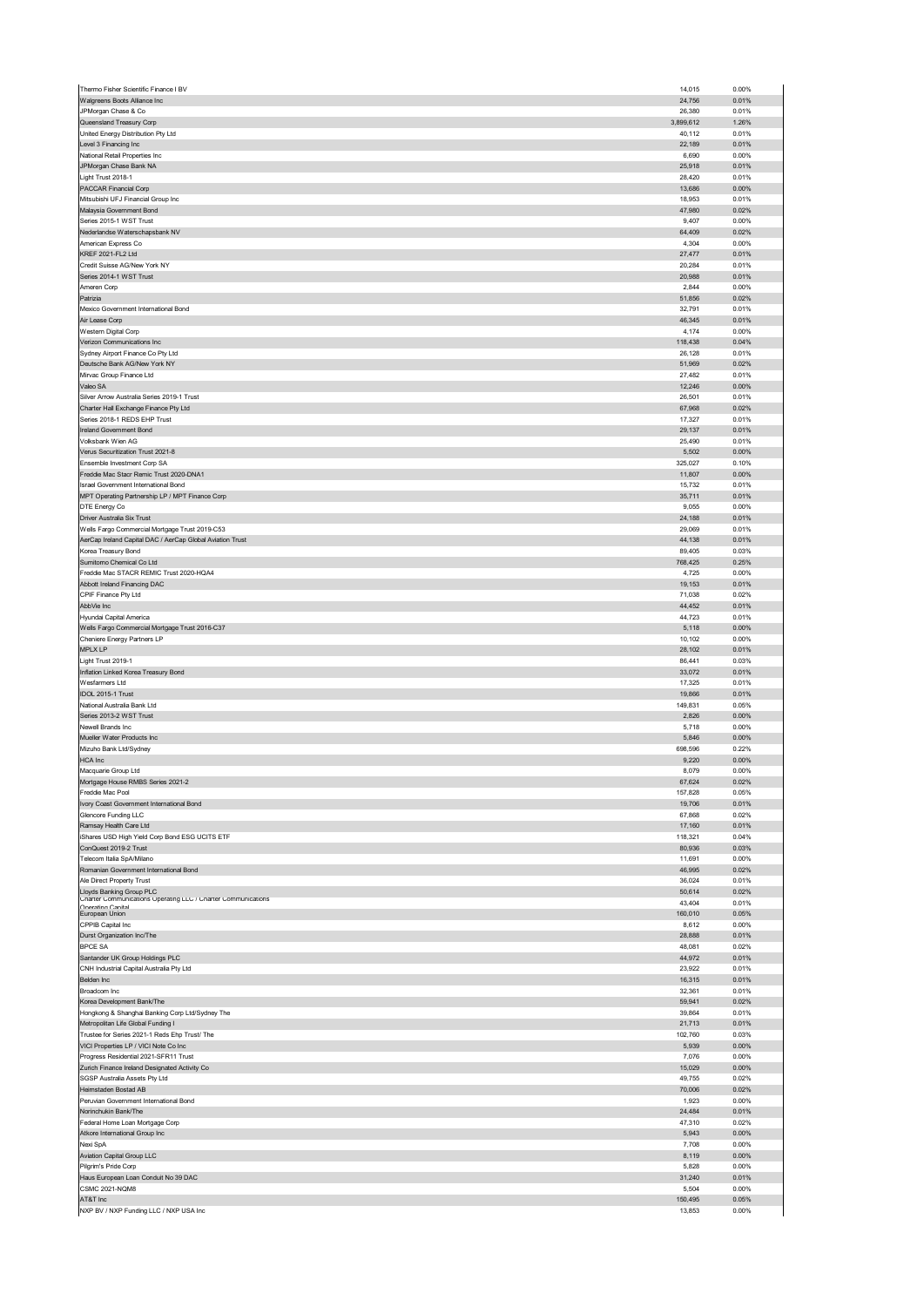| Thermo Fisher Scientific Finance I BV                                                     | 14,015              | 0.00%          |
|-------------------------------------------------------------------------------------------|---------------------|----------------|
| Walgreens Boots Alliance Inc                                                              | 24,756              | 0.01%          |
| JPMorgan Chase & Co                                                                       | 26,380              | 0.01%          |
| Queensland Treasury Corp<br>United Energy Distribution Pty Ltd                            | 3,899,612<br>40,112 | 1.26%<br>0.01% |
| Level 3 Financing Inc                                                                     | 22,189              | 0.01%          |
| National Retail Properties Inc                                                            | 6,690               | 0.00%          |
| JPMorgan Chase Bank NA                                                                    | 25,918              | 0.01%          |
| Light Trust 2018-1                                                                        | 28,420              | 0.01%          |
| PACCAR Financial Corp                                                                     | 13,686              | 0.00%          |
| Mitsubishi UFJ Financial Group Inc                                                        | 18,953              | 0.01%          |
| Malaysia Government Bond                                                                  | 47,980              | 0.02%          |
| Series 2015-1 WST Trust                                                                   | 9,407               | 0.00%          |
| Nederlandse Waterschapsbank NV                                                            | 64,409              | 0.02%          |
| American Express Co<br>KREF 2021-FL2 Ltd                                                  | 4,304<br>27,477     | 0.00%<br>0.01% |
| Credit Suisse AG/New York NY                                                              | 20,284              | 0.01%          |
| Series 2014-1 WST Trust                                                                   | 20,988              | 0.01%          |
| Ameren Corp                                                                               | 2,844               | 0.00%          |
| Patrizia                                                                                  | 51,856              | 0.02%          |
| Mexico Government International Bond                                                      | 32,791              | 0.01%          |
| Air Lease Corp                                                                            | 46,345              | 0.01%          |
| Western Digital Corp                                                                      | 4,174               | 0.00%          |
| Verizon Communications Inc                                                                | 118,438             | 0.04%          |
| Sydney Airport Finance Co Pty Ltd                                                         | 26,128              | 0.01%          |
| Deutsche Bank AG/New York NY                                                              | 51,969              | 0.02%          |
| Mirvac Group Finance Ltd<br>Valeo SA                                                      | 27,482              | 0.01%          |
| Silver Arrow Australia Series 2019-1 Trust                                                | 12,246<br>26,501    | 0.00%<br>0.01% |
| Charter Hall Exchange Finance Pty Ltd                                                     | 67,968              | 0.02%          |
| Series 2018-1 REDS EHP Trust                                                              | 17,327              | 0.01%          |
| Ireland Government Bond                                                                   | 29,137              | 0.01%          |
| Volksbank Wien AG                                                                         | 25,490              | 0.01%          |
| Verus Securitization Trust 2021-8                                                         | 5,502               | 0.00%          |
| Ensemble Investment Corp SA                                                               | 325,027             | 0.10%          |
| Freddie Mac Stacr Remic Trust 2020-DNA1                                                   | 11,807              | 0.00%          |
| Israel Government International Bond                                                      | 15,732              | 0.01%          |
| MPT Operating Partnership LP / MPT Finance Corp                                           | 35,711              | 0.01%          |
| DTE Energy Co                                                                             | 9,055               | 0.00%          |
| Driver Australia Six Trust                                                                | 24,188              | 0.01%          |
| Wells Fargo Commercial Mortgage Trust 2019-C53                                            | 29,069              | 0.01%          |
| AerCap Ireland Capital DAC / AerCap Global Aviation Trust                                 | 44,138              | 0.01%          |
| Korea Treasury Bond<br>Sumitomo Chemical Co Ltd                                           | 89,405<br>768,425   | 0.03%<br>0.25% |
| Freddie Mac STACR REMIC Trust 2020-HQA4                                                   | 4,725               | 0.00%          |
| Abbott Ireland Financing DAC                                                              | 19,153              | 0.01%          |
| CPIF Finance Pty Ltd                                                                      | 71,038              | 0.02%          |
| AbbVie Inc                                                                                | 44,452              | 0.01%          |
| Hyundai Capital America                                                                   | 44,723              | 0.01%          |
| Wells Fargo Commercial Mortgage Trust 2016-C37                                            | 5,118               | 0.00%          |
| Cheniere Energy Partners LP                                                               | 10,102              | 0.00%          |
|                                                                                           |                     |                |
| MPLX LP                                                                                   | 28,102              | 0.01%          |
| Light Trust 2019-1                                                                        | 86,441              | 0.03%          |
| Inflation Linked Korea Treasury Bond                                                      | 33,072              | 0.01%          |
| Wesfarmers Ltd                                                                            | 17,325              | 0.01%          |
| IDOL 2015-1 Trust                                                                         | 19,866              | 0.01%          |
| National Australia Bank Ltd                                                               | 149,831             | 0.05%          |
| Series 2013-2 WST Trust                                                                   | 2,826               | 0.00%          |
| Newell Brands Inc                                                                         | 5,718               | 0.00%          |
| Mueller Water Products Inc<br>Mizuho Bank Ltd/Sydney                                      | 5,846<br>698,596    | 0.00%<br>0.22% |
| <b>HCA</b> Inc                                                                            | 9,220               | 0.00%          |
| Macquarie Group Ltd                                                                       | 8,079               | 0.00%          |
| Mortgage House RMBS Series 2021-2                                                         | b/, b <sub>24</sub> | <b>0.02%</b>   |
| Freddie Mac Pool                                                                          | 157,828             | 0.05%          |
| Ivory Coast Government International Bond                                                 | 19,706              | 0.01%          |
| Glencore Funding LLC                                                                      | 67,868              | 0.02%          |
| Ramsay Health Care Ltd                                                                    | 17,160              | 0.01%          |
| iShares USD High Yield Corp Bond ESG UCITS ETF                                            | 118,321             | 0.04%          |
| ConQuest 2019-2 Trust                                                                     | 80,936              | 0.03%          |
| Telecom Italia SpA/Milano                                                                 | 11,691<br>46,995    | 0.00%<br>0.02% |
| Romanian Government International Bond<br>Ale Direct Property Trust                       | 36,024              | 0.01%          |
|                                                                                           | 50,614              | 0.02%          |
| Lloyds Banking Group PLC<br>Unarter Communications Operating LLU / Unarter Communications | 43,404              | 0.01%          |
| Onerating Canital<br>European Union                                                       | 160,010             | 0.05%          |
| CPPIB Capital Inc                                                                         | 8,612               | 0.00%          |
| Durst Organization Inc/The                                                                | 28,888              | 0.01%          |
| <b>BPCE SA</b>                                                                            | 48,081              | 0.02%          |
| Santander UK Group Holdings PLC                                                           | 44,972              | 0.01%          |
| CNH Industrial Capital Australia Pty Ltd                                                  | 23,922              | 0.01%          |
| Belden Inc                                                                                | 16,315              | 0.01%          |
| Broadcom Inc<br>Korea Development Bank/The                                                | 32,361<br>59,941    | 0.01%<br>0.02% |
| Hongkong & Shanghai Banking Corp Ltd/Sydney The                                           | 39,864              | 0.01%          |
| Metropolitan Life Global Funding I                                                        | 21,713              | 0.01%          |
| Trustee for Series 2021-1 Reds Ehp Trust/ The                                             | 102,760             | 0.03%          |
| VICI Properties LP / VICI Note Co Inc                                                     | 5,939               | 0.00%          |
| Progress Residential 2021-SFR11 Trust                                                     | 7,076               | 0.00%          |
| Zurich Finance Ireland Designated Activity Co                                             | 15,029              | 0.00%          |
| SGSP Australia Assets Pty Ltd                                                             | 49,755              | 0.02%          |
| Heimstaden Bostad AB                                                                      | 70,006              | 0.02%          |
| Peruvian Government International Bond                                                    | 1,923               | 0.00%          |
| Norinchukin Bank/The                                                                      | 24,484              | 0.01%          |
| Federal Home Loan Mortgage Corp                                                           | 47,310              | 0.02%          |
| Atkore International Group Inc<br>Nexi SpA                                                | 5,943               | 0.00%<br>0.00% |
| Aviation Capital Group LLC                                                                | 7,708<br>8,119      | 0.00%          |
| Pilgrim's Pride Corp                                                                      | 5,828               | 0.00%          |
| Haus European Loan Conduit No 39 DAC                                                      | 31,240              | 0.01%          |
| <b>CSMC 2021-NQM8</b>                                                                     | 5,504               | 0.00%          |
| AT&T Inc<br>NXP BV / NXP Funding LLC / NXP USA Inc                                        | 150,495<br>13,853   | 0.05%<br>0.00% |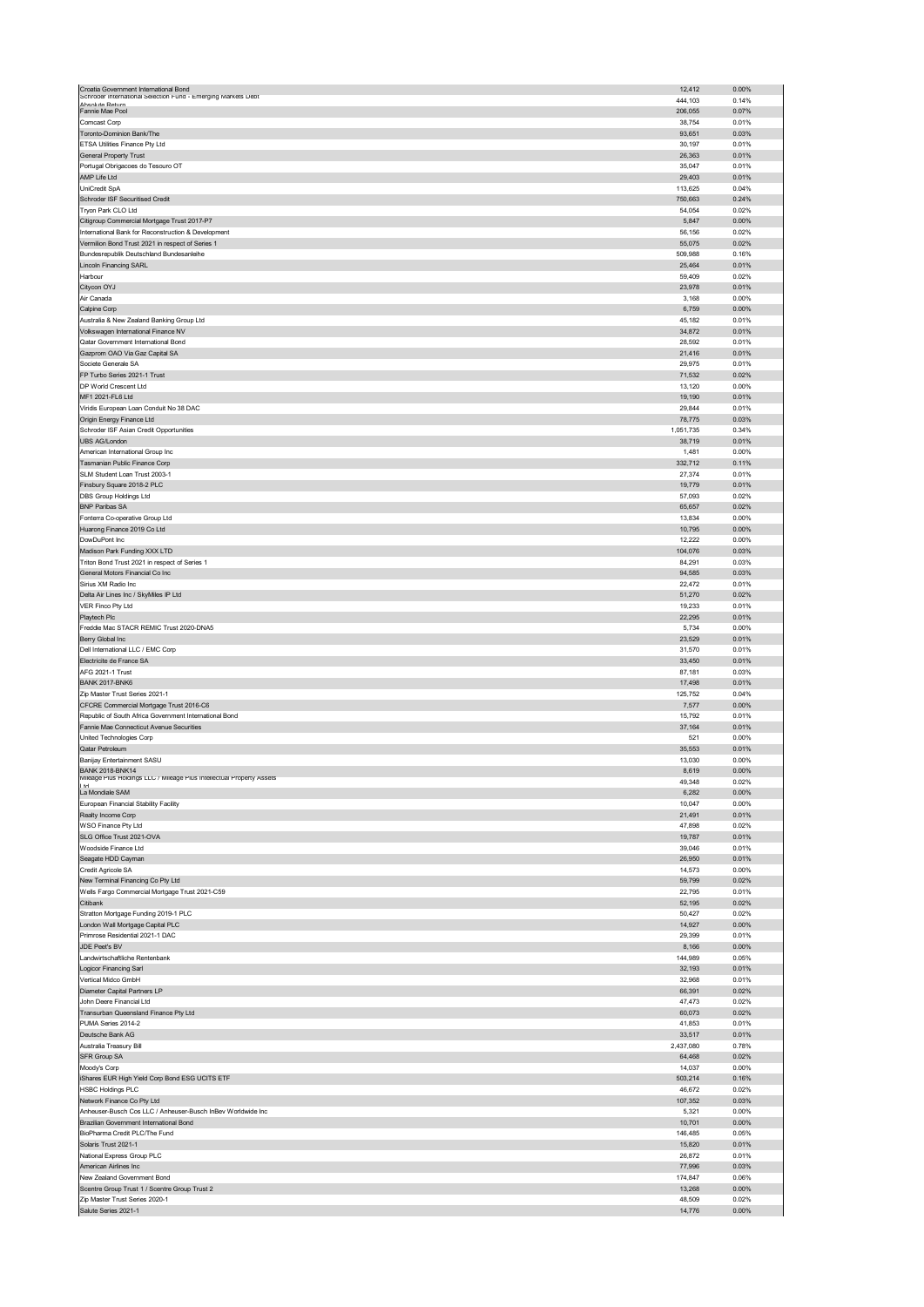| Croatia Government International Bond                                  | 12,412           | 0.00%          |
|------------------------------------------------------------------------|------------------|----------------|
| Schroder international Selection Fund - Emerging Markets Debt          |                  |                |
| Ahenlute Return                                                        | 444,103          | 0.14%          |
| Fannie Mae Pool                                                        | 206,055          | 0.07%          |
| Comcast Corp                                                           | 38,754           | 0.01%          |
| Toronto-Dominion Bank/The                                              | 93,651           | 0.03%          |
| ETSA Utilities Finance Pty Ltd                                         | 30,197           | 0.01%          |
| General Property Trust                                                 | 26,363           | 0.01%          |
| Portugal Obrigacoes do Tesouro OT                                      | 35,047           | 0.01%          |
| AMP Life Ltd                                                           | 29,403           | 0.01%          |
| UniCredit SpA                                                          | 113,625          | 0.04%          |
| Schroder ISF Securitised Credit                                        | 750,663          | 0.24%          |
| Tryon Park CLO Ltd                                                     | 54,054           | 0.02%          |
| Citigroup Commercial Mortgage Trust 2017-P7                            | 5,847            | 0.00%          |
| International Bank for Reconstruction & Development                    | 56,156           | 0.02%          |
| Vermilion Bond Trust 2021 in respect of Series 1                       | 55,075           | 0.02%          |
| Bundesrepublik Deutschland Bundesanleihe                               | 509,988          | 0.16%          |
| Lincoln Financing SARL                                                 | 25,464           | 0.01%          |
| Harbour                                                                | 59,409           | 0.02%          |
| Citycon OYJ                                                            | 23,978           | 0.01%          |
| Air Canada                                                             | 3,168            | 0.00%          |
| Calpine Corp                                                           | 6,759            | 0.00%          |
| Australia & New Zealand Banking Group Ltd                              | 45,182           | 0.01%          |
| Volkswagen International Finance NV                                    | 34,872           | 0.01%          |
|                                                                        |                  |                |
| Qatar Government International Bond                                    | 28,592           | 0.01%          |
| Gazprom OAO Via Gaz Capital SA                                         | 21,416           | 0.01%          |
| Societe Generale SA                                                    | 29,975           | 0.01%          |
| FP Turbo Series 2021-1 Trust                                           | 71,532           | 0.02%          |
| DP World Crescent Ltd                                                  | 13,120           | 0.00%          |
| MF1 2021-FL6 Ltd                                                       | 19,190           | 0.01%          |
| Viridis European Loan Conduit No 38 DAC                                | 29,844           | 0.01%          |
| Origin Energy Finance Ltd                                              | 78,775           | 0.03%          |
| Schroder ISF Asian Credit Opportunities                                | 1,051,735        | 0.34%          |
| <b>UBS AG/London</b>                                                   | 38,719           | 0.01%          |
| American International Group Inc                                       | 1,481            | 0.00%          |
| Tasmanian Public Finance Corp                                          | 332,712          | 0.11%          |
| SLM Student Loan Trust 2003-1                                          | 27,374           | 0.01%          |
| Finsbury Square 2018-2 PLC                                             | 19,779           | 0.01%          |
| DBS Group Holdings Ltd                                                 | 57,093           | 0.02%          |
|                                                                        |                  |                |
| <b>BNP Paribas SA</b>                                                  | 65,657           | 0.02%          |
| Fonterra Co-operative Group Ltd                                        | 13,834           | 0.00%          |
| Huarong Finance 2019 Co Ltd                                            | 10,795           | $0.00\%$       |
| DowDuPont Inc                                                          | 12,222           | 0.00%          |
| Madison Park Funding XXX LTD                                           | 104,076          | 0.03%          |
| Triton Bond Trust 2021 in respect of Series 1                          | 84,291           | 0.03%          |
| General Motors Financial Co Inc                                        | 94,585           | 0.03%          |
| Sirius XM Radio Inc                                                    | 22,472           | 0.01%          |
| Delta Air Lines Inc / SkyMiles IP Ltd                                  | 51,270           | 0.02%          |
| VER Finco Pty Ltd                                                      | 19,233           | 0.01%          |
| Playtech Plc                                                           | 22,295           | 0.01%          |
| Freddie Mac STACR REMIC Trust 2020-DNA5                                | 5,734            | 0.00%          |
|                                                                        | 23,529           | 0.01%          |
|                                                                        |                  |                |
| Berry Global Inc                                                       |                  |                |
| Dell International LLC / EMC Corp                                      | 31,570           | 0.01%          |
| Electricite de France SA                                               | 33,450           | 0.01%          |
| AFG 2021-1 Trust                                                       | 87,181           | 0.03%          |
| <b>BANK 2017-BNK6</b>                                                  | 17,498           | 0.01%          |
| Zip Master Trust Series 2021-1                                         | 125,752          | 0.04%          |
| CFCRE Commercial Mortgage Trust 2016-C6                                | 7,577            | 0.00%          |
| Republic of South Africa Government International Bond                 | 15,792           | 0.01%          |
| Fannie Mae Connecticut Avenue Securities                               | 37,164           | 0.01%          |
| United Technologies Corp                                               | 521              | 0.00%          |
| Qatar Petroleum                                                        | 35,553           | 0.01%          |
| Banijay Entertainment SASU                                             | 13,030           | 0.00%          |
| <b>BANK 2018-BNK14</b>                                                 | 8,619            | 0.00%          |
| L / Mileage Plus Intellectual Property Assets<br>Mileage Plus Holdings | 49,348           | 0.02%          |
| $^{\rm{hd}}$<br>La Mondiale SAM                                        | 6,282            | 0.00%          |
| European Financial Stability Facility                                  |                  |                |
| Realty Income Corp                                                     | 10,047<br>21,491 | 0.00%<br>0.01% |
|                                                                        |                  |                |
| WSO Finance Pty Ltd                                                    | 47,898           | 0.02%          |
| SLG Office Trust 2021-OVA                                              | 19,787           | 0.01%          |
| Woodside Finance Ltd                                                   | 39,046           | 0.01%          |
| Seagate HDD Cayman                                                     | 26,950           | 0.01%          |
| Credit Agricole SA                                                     | 14,573           | 0.00%          |
| New Terminal Financing Co Pty Ltd                                      | 59,799           | 0.02%          |
| Wells Fargo Commercial Mortgage Trust 2021-C59                         | 22,795           | 0.01%          |
| Citibank                                                               | 52,195           | 0.02%          |
| Stratton Mortgage Funding 2019-1 PLC                                   | 50,427           | 0.02%          |
| London Wall Mortgage Capital PLC                                       | 14,927           | $0.00\%$       |
| Primrose Residential 2021-1 DAC                                        | 29,399           | 0.01%          |
| JDE Peet's BV                                                          | 8,166            | $0.00\%$       |
| Landwirtschaftliche Rentenbank                                         | 144,989          | 0.05%          |
| Logicor Financing Sarl                                                 | 32,193           | 0.01%          |
| Vertical Midco GmbH                                                    | 32,968           | 0.01%          |
| Diameter Capital Partners LP                                           | 66,391           | 0.02%          |
| John Deere Financial Ltd                                               | 47,473           | 0.02%          |
| Transurban Queensland Finance Pty Ltd                                  | 60,073           | 0.02%          |
| PUMA Series 2014-2                                                     | 41,853           | 0.01%          |
| Deutsche Bank AG                                                       | 33,517           | 0.01%          |
| Australia Treasury Bill                                                | 2,437,080        | 0.78%          |
|                                                                        |                  |                |
| SFR Group SA                                                           | 64,468<br>14,037 | 0.02%<br>0.00% |
| Moody's Corp                                                           |                  |                |
| Shares EUR High Yield Corp Bond ESG UCITS ETF                          | 503,214          | 0.16%          |
| <b>HSBC Holdings PLC</b>                                               | 46,672           | 0.02%          |
| Network Finance Co Pty Ltd                                             | 107,352          | 0.03%          |
| Anheuser-Busch Cos LLC / Anheuser-Busch InBev Worldwide Inc            | 5,321            | 0.00%          |
| Brazilian Government International Bond                                | 10,701           | $0.00\%$       |
| BioPharma Credit PLC/The Fund                                          | 146,485          | 0.05%          |
| Solaris Trust 2021-1                                                   | 15,820           | 0.01%          |
| National Express Group PLC                                             | 26,872           | 0.01%          |
| American Airlines Inc                                                  | 77,996           | 0.03%          |
| New Zealand Government Bond                                            | 174,847          | 0.06%          |
| Scentre Group Trust 1 / Scentre Group Trust 2                          | 13,268           | $0.00\%$       |
| Zip Master Trust Series 2020-1                                         | 48,509           | 0.02%          |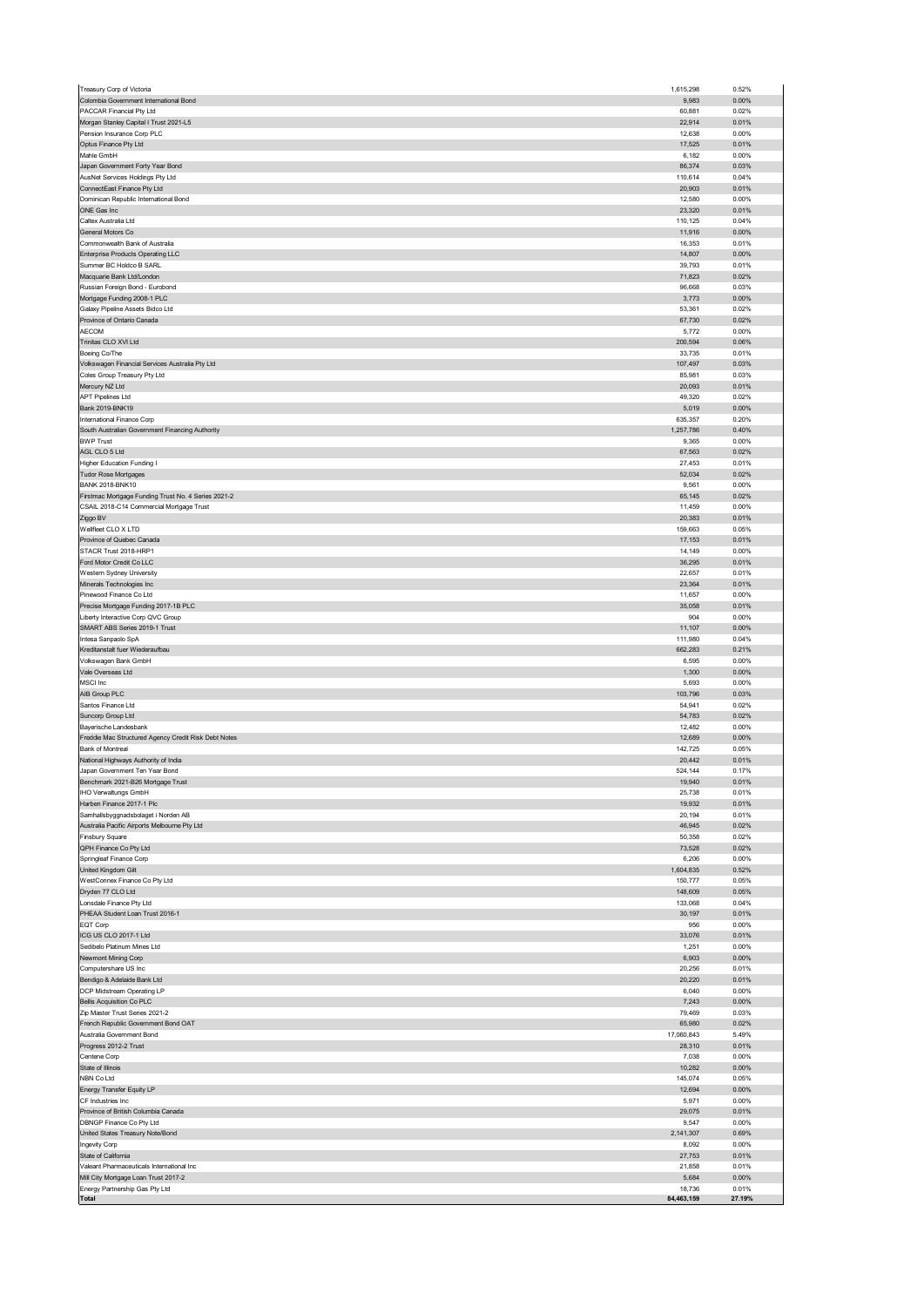| Treasury Corp of Victoria                                        | 1,615,298            | 0.52%           |
|------------------------------------------------------------------|----------------------|-----------------|
| Colombia Government International Bond                           | 9,983                | 0.00%           |
| PACCAR Financial Pty Ltd                                         | 60,881               | 0.02%           |
| Morgan Stanley Capital I Trust 2021-L5                           | 22,914               | 0.01%           |
| Pension Insurance Corp PLC                                       | 12,638               | 0.00%           |
| Optus Finance Pty Ltd                                            | 17,525               | 0.01%           |
| Mahle GmbH                                                       | 6,182                | 0.00%           |
| Japan Government Forty Year Bond                                 | 86,374               | 0.03%           |
| AusNet Services Holdings Pty Ltd                                 | 110,614              | 0.04%           |
| ConnectEast Finance Pty Ltd                                      | 20,903               | 0.01%           |
| Dominican Republic International Bond                            | 12,580               | 0.00%           |
| ONE Gas Inc                                                      | 23,320               | 0.01%           |
| Caltex Australia Ltd                                             | 110,125              | 0.04%           |
| General Motors Co                                                | 11,916               | 0.00%           |
| Commonwealth Bank of Australia                                   | 16,353               | 0.01%           |
| <b>Enterprise Products Operating LLC</b>                         | 14,807               | $0.00\%$        |
| Summer BC Holdco B SARL                                          | 39,793               | 0.01%           |
| Macquarie Bank Ltd/London                                        | 71,823               | 0.02%           |
| Russian Foreign Bond - Eurobond                                  | 96,668               | 0.03%           |
| Mortgage Funding 2008-1 PLC                                      | 3,773                | $0.00\%$        |
| Galaxy Pipeline Assets Bidco Ltd                                 | 53,361               | 0.02%           |
| Province of Ontario Canada                                       | 67,730               | 0.02%           |
| AECOM                                                            | 5,772                | 0.00%           |
| Trinitas CLO XVI Ltd                                             | 200,594              | 0.06%           |
| Boeing Co/The                                                    | 33,735               | 0.01%           |
| Volkswagen Financial Services Australia Pty Ltd                  | 107,497              | 0.03%           |
| Coles Group Treasury Pty Ltd                                     | 85,981               | 0.03%           |
| Mercury NZ Ltd                                                   | 20,093               | 0.01%           |
| <b>APT Pipelines Ltd</b>                                         | 49,320               | 0.02%           |
| Bank 2019-BNK19                                                  | 5,019                | 0.00%           |
| International Finance Corp                                       | 635,357              | 0.20%           |
| South Australian Government Financing Authority                  | 1,257,786            | 0.40%           |
| <b>BWP Trust</b>                                                 | 9,365                | 0.00%           |
| AGL CLO 5 Ltd                                                    | 67,563               | 0.02%           |
| <b>Higher Education Funding I</b>                                | 27,453               | 0.01%           |
| Tudor Rose Mortgages                                             | 52,034               | 0.02%           |
| <b>BANK 2018-BNK10</b>                                           | 9,561                | 0.00%           |
| Firstmac Mortgage Funding Trust No. 4 Series 2021-2              | 65,145               | 0.02%           |
| CSAIL 2018-C14 Commercial Mortgage Trust                         | 11,459               | 0.00%           |
| Ziggo BV                                                         | 20,383               | 0.01%           |
| Wellfleet CLO X LTD                                              | 159,663              | 0.05%           |
| Province of Quebec Canada                                        | 17,153               | 0.01%           |
| STACR Trust 2018-HRP1                                            |                      | 0.00%           |
| Ford Motor Credit Co LLC                                         | 14,149<br>36,295     | 0.01%           |
| Western Sydney University                                        | 22,657               | 0.01%           |
|                                                                  |                      |                 |
| Minerals Technologies Inc                                        | 23,364               | 0.01%           |
| Pinewood Finance Co Ltd                                          | 11,657               | 0.00%           |
| Precise Mortgage Funding 2017-1B PLC                             | 35,058               | 0.01%           |
| Liberty Interactive Corp QVC Group                               | 904                  | 0.00%           |
| SMART ABS Series 2019-1 Trust                                    | 11,107               | 0.00%           |
| Intesa Sanpaolo SpA                                              | 111,980              | 0.04%           |
|                                                                  |                      |                 |
| Kreditanstalt fuer Wiederaufbau                                  | 662,283              | 0.21%           |
| Volkswagen Bank GmbH                                             | 6,595                | 0.00%           |
| Vale Overseas Ltd                                                | 1,300                | 0.00%           |
| MSCI Inc                                                         | 5,693                | 0.00%           |
| AIB Group PLC                                                    | 103,796              | 0.03%           |
| Santos Finance Ltd                                               | 54,941               | 0.02%           |
| Suncorp Group Ltd                                                | 54,783               | 0.02%           |
| Bayerische Landesbank                                            | 12,482               | 0.00%           |
| Freddie Mac Structured Agency Credit Risk Debt Notes             | 12,689               | 0.00%           |
| Bank of Montreal                                                 | 142,725              | 0.05%           |
| National Highways Authority of India                             | 20,442               | 0.01%           |
| Japan Government Ten Year Bond                                   | 524,144              | 0.17%           |
| enchmark 2021-B26 Mor                                            | 19,940               | 0.01%           |
|                                                                  | 25,738               | 0.01%           |
| IHO Verwaltungs GmbH<br>Harben Finance 2017-1 Plc                | 19,932               | 0.01%           |
| Samhallsbyggnadsbolaget i Norden AB                              | 20,194               | 0.01%           |
| Australia Pacific Airports Melbourne Pty Ltd                     | 46,945               | 0.02%           |
| Finsbury Square                                                  | 50,358               | 0.02%           |
| QPH Finance Co Pty Ltd                                           | 73,528               | 0.02%           |
| Springleaf Finance Corp                                          | 6,206                | 0.00%           |
| United Kingdom Gilt                                              | 1,604,835            | 0.52%           |
| WestConnex Finance Co Pty Ltd                                    | 150,777              | 0.05%           |
| Dryden 77 CLO Ltd                                                | 148,609              | 0.05%           |
| Lonsdale Finance Pty Ltd                                         | 133,068              | 0.04%           |
| PHEAA Student Loan Trust 2016-1                                  | 30,197               | 0.01%           |
| EQT Corp                                                         | 956                  | 0.00%           |
| ICG US CLO 2017-1 Ltd                                            | 33,076               | 0.01%           |
| Sedibelo Platinum Mines Ltd                                      | 1,251                | 0.00%           |
| Newmont Mining Corp                                              | 6,903                | $0.00\%$        |
| Computershare US Inc                                             | 20,256               | 0.01%           |
| Bendigo & Adelaide Bank Ltd                                      | 20,220               | 0.01%           |
| DCP Midstream Operating LP                                       | 6,040                | 0.00%           |
| <b>Bellis Acquisition Co PLC</b>                                 | 7,243                | $0.00\%$        |
| Zip Master Trust Series 2021-2                                   | 79,469               | 0.03%           |
|                                                                  |                      | 0.02%           |
| French Republic Government Bond OAT<br>Australia Government Bond | 65,980               | 5.49%           |
| Progress 2012-2 Trust                                            | 17,060,843<br>28,310 | 0.01%           |
|                                                                  |                      |                 |
| Centene Corp                                                     | 7,038                | 0.00%           |
| State of Illinois                                                | 10,282               | $0.00\%$        |
| NBN Co Ltd                                                       | 145,074              | 0.05%           |
| Energy Transfer Equity LP                                        | 12,694               | $0.00\%$        |
| CF Industries Inc                                                | 5,971                | 0.00%           |
| Province of British Columbia Canada                              | 29,075               | 0.01%           |
| DBNGP Finance Co Pty Ltd                                         | 9,547                | 0.00%           |
| United States Treasury Note/Bond                                 | 2,141,307            | 0.69%           |
| Ingevity Corp                                                    | 8,092                | 0.00%           |
| State of California                                              | 27,753               | 0.01%           |
| Valeant Pharmaceuticals International Inc                        | 21,858               | 0.01%           |
| Mill City Mortgage Loan Trust 2017-2                             | 5,684                | $0.00\%$        |
| Energy Partnership Gas Pty Ltd<br>Total                          | 18,736<br>84,463,159 | 0.01%<br>27.19% |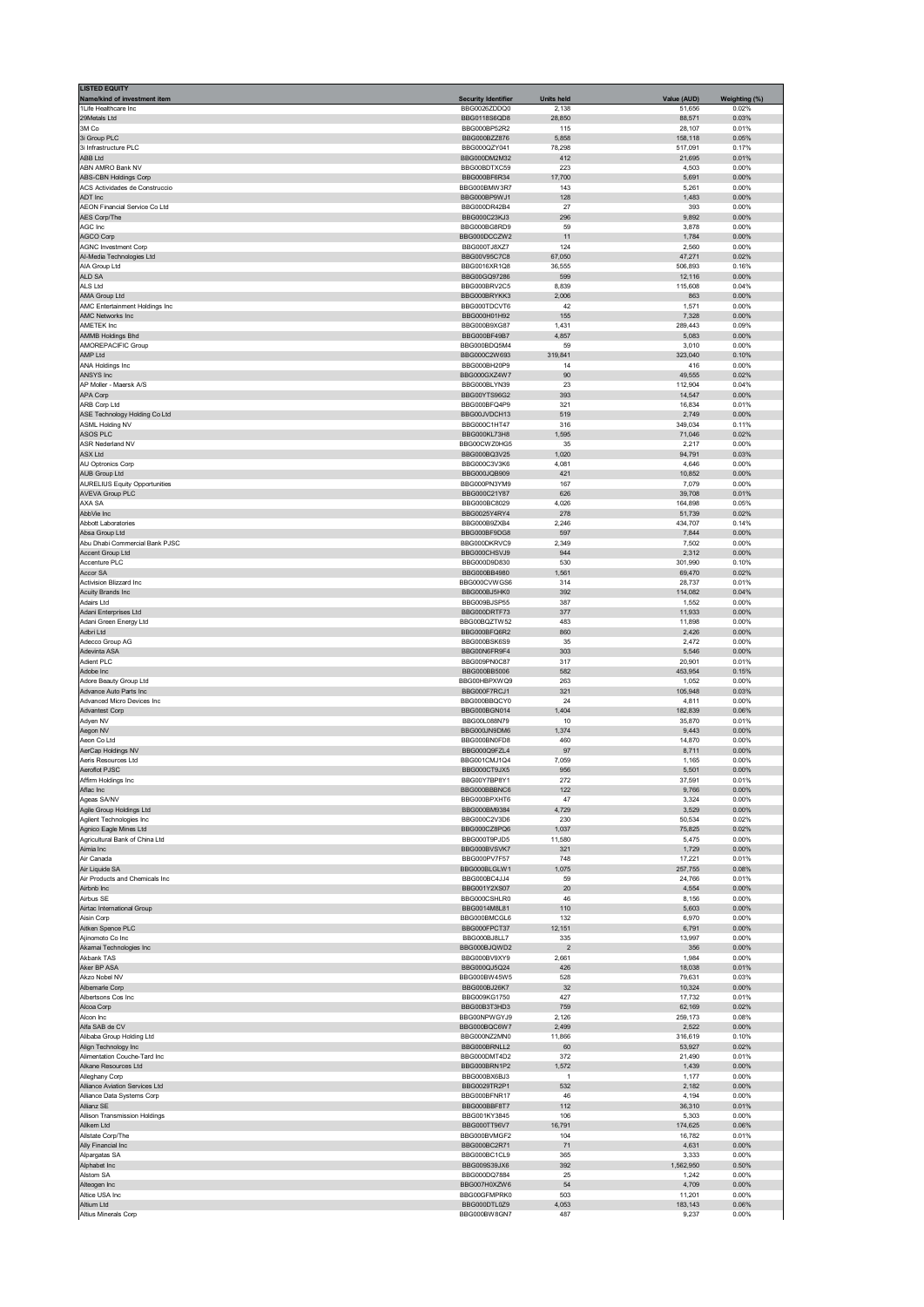| <b>LISTED EQUITY</b><br>Name/kind of investment item           | <b>Security Identifier</b>   | <b>Units held</b>       | Value (AUD)        | Weighting (%)  |
|----------------------------------------------------------------|------------------------------|-------------------------|--------------------|----------------|
| 1Life Healthcare Inc                                           | BBG0026ZDDQ0                 | 2,138                   | 51,656             | 0.02%          |
| 29Metals Ltd<br>3M Co                                          | BBG0118S6QD8<br>BBG000BP52R2 | 28,850<br>115           | 88,571<br>28,107   | 0.03%<br>0.01% |
| 3i Group PLC                                                   | BBG000BZZ876                 | 5,858                   | 158,118            | 0.05%          |
| 3i Infrastructure PLC<br><b>ABB Ltd</b>                        | BBG000QZY041<br>BBG000DM2M32 | 78,298<br>412           | 517,091<br>21,695  | 0.17%<br>0.01% |
| ABN AMRO Bank NV                                               | BBG00BDTXC59                 | 223                     | 4,503              | 0.00%          |
| <b>ABS-CBN Holdings Corp</b><br>ACS Actividades de Construccio | BBG000BF6R34<br>BBG000BMW3R7 | 17,700<br>143           | 5,691<br>5,261     | 0.00%<br>0.00% |
| ADT Inc                                                        | BBG000BP9WJ1                 | 128                     | 1,483              | 0.00%          |
| AEON Financial Service Co Ltd<br>AES Corp/The                  | BBG000DR42B4<br>BBG000C23KJ3 | 27<br>296               | 393<br>9,892       | 0.00%<br>0.00% |
| AGC Inc                                                        | BBG000BG8RD9                 | 59                      | 3,878              | 0.00%          |
| AGCO Corp<br><b>AGNC Investment Corp</b>                       | BBG000DCCZW2<br>BBG000TJ8XZ7 | 11<br>124               | 1,784<br>2,560     | 0.00%<br>0.00% |
| Al-Media Technologies Ltd                                      | BBG00V95C7C8                 | 67,050                  | 47,271             | 0.02%          |
| AIA Group Ltd<br>ALD SA                                        | BBG0016XR1Q8<br>BBG00GO97286 | 36,555<br>599           | 506,893<br>12,116  | 0.16%<br>0.00% |
| ALS Ltd                                                        | BBG000BRV2C5                 | 8,839                   | 115,608            | 0.04%          |
| AMA Group Ltd                                                  | BBG000BRYKK3                 | 2,006                   | 863                | 0.00%          |
| AMC Entertainment Holdings Inc<br>AMC Networks Inc             | BBG000TDCVT6<br>BBG000H01H92 | 42<br>155               | 1,571<br>7,328     | 0.00%<br>0.00% |
| AMETEK Inc                                                     | BBG000B9XG87                 | 1,431                   | 289,443            | 0.09%          |
| AMMB Holdings Bhd<br>AMOREPACIFIC Group                        | BBG000BF49B7<br>BBG000BDQ5M4 | 4,857<br>59             | 5,083<br>3,010     | 0.00%<br>0.00% |
| AMP Ltd                                                        | BBG000C2W693                 | 319,841                 | 323,040            | 0.10%          |
| ANA Holdings Inc<br>ANSYS Inc                                  | BBG000BH20P9<br>BBG000GXZ4W7 | 14<br>90                | 416<br>49,555      | 0.00%<br>0.02% |
| AP Moller - Maersk A/S                                         | BBG000BLYN39                 | 23                      | 112,904            | 0.04%          |
| APA Corp<br>ARB Corp Ltd                                       | BBG00YTS96G2<br>BBG000BFQ4P9 | 393<br>321              | 14,547<br>16,834   | 0.00%<br>0.01% |
| ASE Technology Holding Co Ltd                                  | BBG00JVDCH13                 | 519                     | 2,749              | 0.00%          |
| ASML Holding NV                                                | BBG000C1HT47                 | 316                     | 349,034            | 0.11%          |
| ASOS PLC<br><b>ASR Nederland NV</b>                            | BBG000KL73H8<br>BBG00CWZ0HG5 | 1,595<br>35             | 71,046<br>2,217    | 0.02%<br>0.00% |
| ASX Ltd                                                        | BBG000BQ3V25                 | 1,020                   | 94,791             | 0.03%          |
| AU Optronics Corp<br><b>AUB Group Ltd</b>                      | BBG000C3V3K6<br>BBG000JQB909 | 4,081<br>421            | 4,646<br>10,852    | 0.00%<br>0.00% |
| <b>AURELIUS Equity Opportunities</b>                           | BBG000PN3YM9                 | 167                     | 7,079              | 0.00%          |
| <b>AVEVA Group PLC</b><br>AXA SA                               | BBG000C21Y87<br>BBG000BC8029 | 626<br>4,026            | 39,708<br>164,898  | 0.01%<br>0.05% |
| AbbVie Inc                                                     | BBG0025Y4RY4                 | 278                     | 51,739             | 0.02%          |
| Abbott Laboratories                                            | BBG000B9ZXB4                 | 2,246                   | 434,707            | 0.14%          |
| Absa Group Ltd<br>Abu Dhabi Commercial Bank PJSC               | BBG000BF9DG8<br>BBG000DKRVC9 | 597<br>2,349            | 7,844<br>7,502     | 0.00%<br>0.00% |
| Accent Group Ltd                                               | BBG000CHSVJ9                 | 944                     | 2,312              | 0.00%          |
| Accenture PLC<br>Accor SA                                      | BBG000D9D830<br>BBG000BB4980 | 530<br>1,561            | 301,990<br>69,470  | 0.10%<br>0.02% |
| Activision Blizzard Inc                                        | BBG000CVWGS6                 | 314                     | 28,737             | 0.01%          |
| Acuity Brands Inc<br>Adairs Ltd                                | BBG000BJ5HK0<br>BBG009BJSP55 | 392<br>387              | 114,082<br>1,552   | 0.04%<br>0.00% |
| Adani Enterprises Ltd                                          | BBG000DRTF73                 | 377                     | 11,933             | 0.00%          |
| Adani Green Energy Ltd                                         | BBG00BQZTW52                 | 483                     | 11,898             | 0.00%          |
| Adbri Ltd<br>Adecco Group AG                                   | BBG000BFQ6R2<br>BBG000BSK6S9 | 860<br>35               | 2,426<br>2,472     | 0.00%<br>0.00% |
| Adevinta ASA                                                   | BBG00N6FR9F4                 | 303                     | 5,546              | 0.00%          |
| Adient PLC<br>Adobe Inc                                        | BBG009PN0C87<br>BBG000BB5006 | 317<br>582              | 20,901<br>453,954  | 0.01%<br>0.15% |
| Adore Beauty Group Ltd                                         | BBG00HBPXWQ9                 | 263                     | 1,052              | 0.00%          |
| Advance Auto Parts Inc.<br>Advanced Micro Devices Inc          | BBG000F7RCJ1<br>BBG000BBQCY0 | 321<br>24               | 105,948<br>4,811   | 0.03%<br>0.00% |
| <b>Advantest Corp</b>                                          | BBG000BGN014                 | 1,404                   | 182,839            | 0.06%          |
| Adyen NV                                                       | BBG00L088N79<br>BBG000JN9DM6 | 10                      | 35,870             | 0.01%          |
| Aegon NV<br>Aeon Co Ltd                                        | BBG000BN0FD8                 | 1,374<br>460            | 9,443<br>14,870    | 0.00%<br>0.00% |
| AerCap Holdings NV                                             | BBG000Q9FZL4                 | 97                      | 8,711              | 0.00%          |
| Aeris Resources Ltd<br>Aeroflot PJSC                           | BBG001CMJ1Q4<br>BBG000CT9JX5 | 7,059<br>956            | 1,165<br>5,501     | 0.00%<br>0.00% |
| Affirm Holdings Inc                                            | <b>BRC00V7BD8V1</b>          | 272                     | 37 591             | 0.01%          |
| Aflac Inc<br>Ageas SA/NV                                       | BBG000BBBNC6<br>BBG000BPXHT6 | 122<br>47               | 9,766<br>3,324     | 0.00%<br>0.00% |
| Agile Group Holdings Ltd                                       | BBG000BM9384                 | 4,729                   | 3,529              | 0.00%          |
| Agilent Technologies Inc                                       | BBG000C2V3D6<br>BBG000CZ8PQ6 | 230                     | 50,534             | 0.02%          |
| Agnico Eagle Mines Ltd<br>Agricultural Bank of China Ltd       | BBG000T9PJD5                 | 1,037<br>11,580         | 75,825<br>5,475    | 0.02%<br>0.00% |
| Aimia Inc                                                      | BBG000BVSVK7                 | 321                     | 1,729              | 0.00%          |
| Air Canada<br>Air Liquide SA                                   | BBG000PV7F57<br>BBG000BLGLW1 | 748<br>1,075            | 17,221<br>257,755  | 0.01%<br>0.08% |
| Air Products and Chemicals Inc                                 | BBG000BC4JJ4                 | 59                      | 24,766             | 0.01%          |
| Airbnb Inc<br>Airbus SE                                        | BBG001Y2XS07<br>BBG000CSHLR0 | 20<br>46                | 4,554<br>8,156     | 0.00%<br>0.00% |
| Airtac International Group                                     | BBG0014M8L81                 | 110                     | 5,603              | 0.00%          |
| Aisin Corp<br>Aitken Spence PLC                                | BBG000BMCGL6<br>BBG000FPCT37 | 132<br>12,151           | 6,970<br>6,791     | 0.00%<br>0.00% |
| Ajinomoto Co Inc                                               | BBG000BJ8LL7                 | 335                     | 13,997             | 0.00%          |
| Akamai Technologies Inc                                        | BBG000BJQWD2                 | $\overline{\mathbf{c}}$ | 356                | 0.00%          |
| Akbank TAS<br>Aker BP ASA                                      | BBG000BV9XY9<br>BBG000QJ5Q24 | 2,661<br>426            | 1,984<br>18,038    | 0.00%<br>0.01% |
| Akzo Nobel NV                                                  | BBG000BW45W5                 | 528                     | 79,631             | 0.03%          |
| Albemarle Corp<br>Albertsons Cos Inc                           | BBG000BJ26K7<br>BBG009KG1750 | 32<br>427               | 10,324<br>17,732   | 0.00%<br>0.01% |
| Alcoa Corp                                                     | BBG00B3T3HD3                 | 759                     | 62,169             | 0.02%          |
| Alcon Inc.<br>Alfa SAB de CV                                   | BBG00NPWGYJ9                 | 2,126<br>2,499          | 259,173            | 0.08%<br>0.00% |
| Alibaba Group Holding Ltd                                      | BBG000BQC6W7<br>BBG000NZ2MN0 | 11,866                  | 2,522<br>316,619   | 0.10%          |
| Align Technology Inc                                           | BBG000BRNLL2                 | 60                      | 53,927             | 0.02%          |
| Alimentation Couche-Tard Inc<br>Alkane Resources Ltd           | BBG000DMT4D2<br>BBG000BRN1P2 | 372<br>1,572            | 21,490<br>1,439    | 0.01%<br>0.00% |
| Alleghany Corp                                                 | BBG000BX6BJ3                 | 1                       | 1,177              | 0.00%          |
| Alliance Aviation Services Ltd<br>Alliance Data Systems Corp   | BBG0029TR2P1<br>BBG000BFNR17 | 532<br>46               | 2,182<br>4,194     | 0.00%<br>0.00% |
| Allianz SE                                                     | BBG000BBF8T7                 | 112                     | 36,310             | 0.01%          |
| Allison Transmission Holdings                                  | BBG001KY3845                 | 106                     | 5,303              | 0.00%          |
| Allkem Ltd<br>Allstate Corp/The                                | BBG000TT96V7<br>BBG000BVMGF2 | 16,791<br>104           | 174,625<br>16,782  | 0.06%<br>0.01% |
| Ally Financial Inc                                             | BBG000BC2R71                 | 71                      | 4,631              | 0.00%          |
| Alpargatas SA<br>Alphabet Inc                                  | BBG000BC1CL9<br>BBG009S39JX6 | 365<br>392              | 3,333<br>1,562,950 | 0.00%<br>0.50% |
| Alstom SA                                                      | BBG000DQ7884                 | 25                      | 1,242              | 0.00%          |
| Alteogen Inc<br>Altice USA Inc                                 | BBG007H0XZW6<br>BBG00GFMPRK0 | 54<br>503               | 4,709<br>11,201    | 0.00%<br>0.00% |
| Altium Ltd                                                     | BBG000DTL0Z9                 | 4,053                   | 183,143            | 0.06%          |
| Altius Minerals Corp                                           | BBG000BW8GN7                 | 487                     | 9,237              | 0.00%          |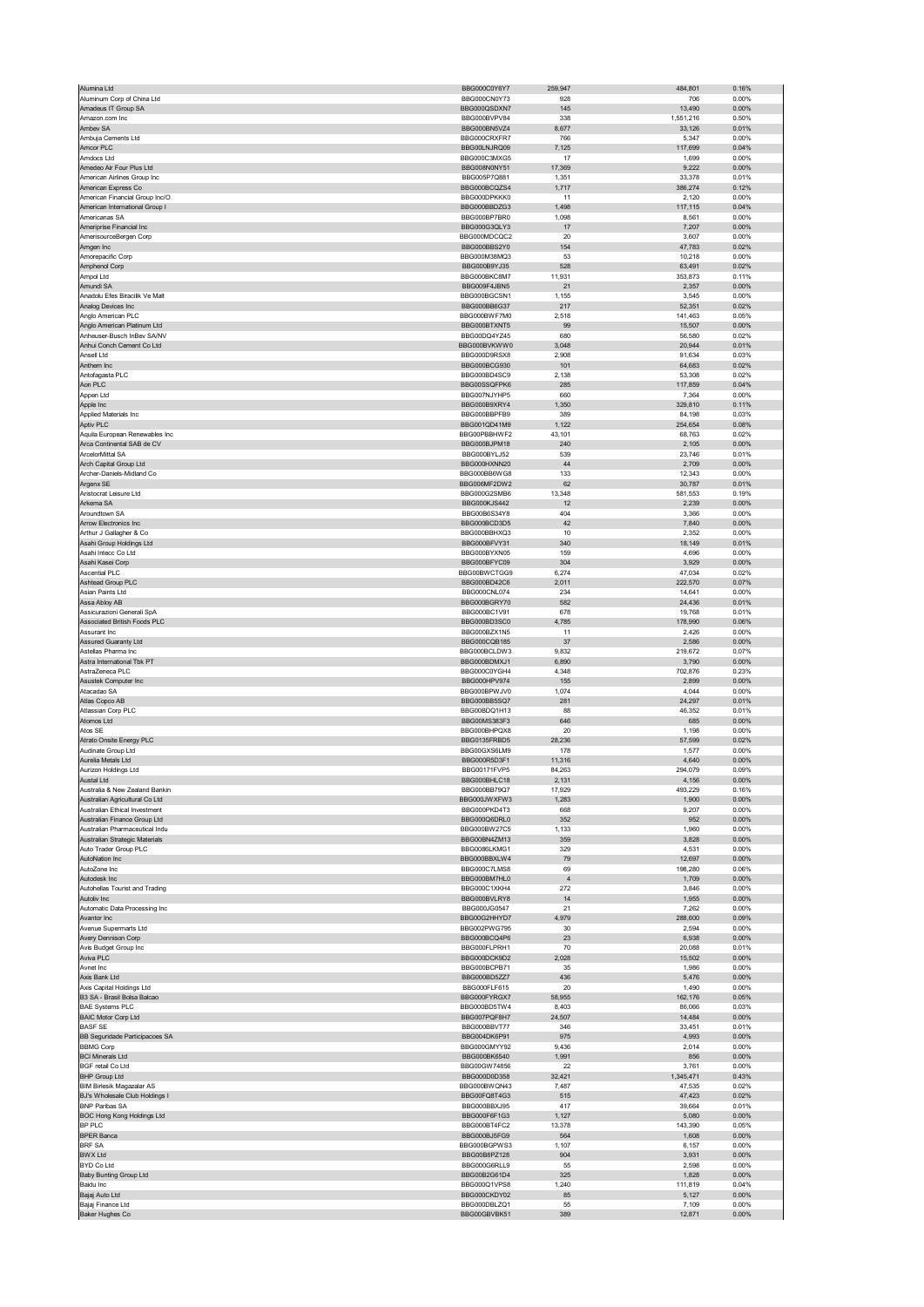| Alumina Ltd                                                      | BBG000C0Y6Y7                 | 259,947         | 484,801             | 0.16%             |
|------------------------------------------------------------------|------------------------------|-----------------|---------------------|-------------------|
| Aluminum Corp of China Ltd                                       | BBG000CN0Y73                 | 928             | 706                 | 0.00%             |
| Amadeus IT Group SA<br>Amazon.com Inc                            | BBG000QSDXN7<br>BBG000BVPV84 | 145<br>338      | 13,490<br>1,551,216 | $0.00\%$<br>0.50% |
| Ambev SA                                                         | BBG000BN5VZ4                 | 8,677           | 33,126              | 0.01%             |
| Ambuja Cements Ltd                                               | BBG000CRXFR7                 | 766             | 5,347               | 0.00%             |
| Amcor PLC                                                        | BBG00LNJRQ09                 | 7,125           | 117,699             | 0.04%             |
| Amdocs Ltd                                                       | BBG000C3MXG5                 | 17              | 1,699               | 0.00%             |
| Amedeo Air Four Plus Ltd<br>American Airlines Group Inc          | BBG008N0NY51<br>BBG005P7Q881 | 17,369<br>1,351 | 9,222<br>33,378     | 0.00%<br>0.01%    |
| American Express Co                                              | BBG000BCQZS4                 | 1,717           | 386,274             | 0.12%             |
| American Financial Group Inc/O                                   | BBG000DPKKK0                 | 11              | 2,120               | 0.00%             |
| American International Group I                                   | BBG000BBDZG3                 | 1,498           | 117,115             | 0.04%             |
| Americanas SA                                                    | BBG000BP7BR0                 | 1,098           | 8,561               | 0.00%             |
| Ameriprise Financial Inc                                         | BBG000G3QLY3<br>BBG000MDCQC2 | 17<br>20        | 7,207<br>3,607      | $0.00\%$<br>0.00% |
| AmerisourceBergen Corp<br>Amgen Inc                              | BBG000BBS2Y0                 | 154             | 47,783              | 0.02%             |
| Amorepacific Corp                                                | BBG000M38MQ3                 | 53              | 10,218              | 0.00%             |
| Amphenol Corp                                                    | BBG000B9YJ35                 | 528             | 63,491              | 0.02%             |
| Ampol Ltd                                                        | BBG000BKC8M7                 | 11,931          | 353,873             | 0.11%             |
| Amundi SA                                                        | BBG009F4JBN5                 | 21              | 2,357               | $0.00\%$          |
| Anadolu Efes Biracilik Ve Malt<br>Analog Devices Inc             | BBG000BGCSN1<br>BBG000BB6G37 | 1,155<br>217    | 3,545<br>52,351     | 0.00%<br>0.02%    |
| Anglo American PLC                                               | BBG000BWF7M0                 | 2,518           | 141,463             | 0.05%             |
| Anglo American Platinum Ltd                                      | BBG000BTXNT5                 | 99              | 15,507              | 0.00%             |
| Anheuser-Busch InBev SA/NV                                       | BBG00DQ4YZ45                 | 680             | 56,580              | 0.02%             |
| Anhui Conch Cement Co Ltd<br>Ansell Ltd                          | BBG000BVKWW0<br>BBG000D9RSX8 | 3,048<br>2,908  | 20,944<br>91,634    | 0.01%<br>0.03%    |
| Anthem Inc                                                       | BBG000BCG930                 | 101             | 64,683              | 0.02%             |
| Antofagasta PLC                                                  | BBG000BD4SC9                 | 2,138           | 53,308              | 0.02%             |
| Aon PLC                                                          | BBG00SSQFPK6                 | 285             | 117,859             | 0.04%             |
| Appen Ltd                                                        | BBG007NJYHP5<br>BBG000B9XRY4 | 660             | 7,364               | 0.00%             |
| Apple Inc<br>Applied Materials Inc                               | BBG000BBPFB9                 | 1,350<br>389    | 329,810<br>84,198   | 0.11%<br>0.03%    |
| Aptiv PLC                                                        | BBG001QD41M9                 | 1,122           | 254,654             | 0.08%             |
| Aquila European Renewables Inc                                   | BBG00PBBHWF2                 | 43,101          | 68,763              | 0.02%             |
| Arca Continental SAB de CV                                       | BBG000BJPM18                 | 240             | 2,105               | $0.00\%$          |
| ArcelorMittal SA                                                 | BBG000BYLJ52                 | 539             | 23,746              | 0.01%             |
| Arch Capital Group Ltd<br>Archer-Daniels-Midland Co              | BBG000HXNN20<br>BBG000BB6WG8 | 44<br>133       | 2,709<br>12,343     | 0.00%<br>0.00%    |
| Argenx SE                                                        | BBG006MF2DW2                 | 62              | 30,787              | 0.01%             |
| Aristocrat Leisure Ltd                                           | BBG000G2SMB6                 | 13,348          | 581,553             | 0.19%             |
| Arkema SA                                                        | BBG000KJS442                 | 12              | 2,239               | 0.00%             |
| Aroundtown SA                                                    | BBG00B6S34Y8                 | 404             | 3,366               | 0.00%             |
| Arrow Electronics Inc<br>Arthur J Gallagher & Co                 | BBG000BCD3D5<br>BBG000BBHXQ3 | 42              | 7,840               | 0.00%             |
| Asahi Group Holdings Ltd                                         | BBG000BFVY31                 | 10<br>340       | 2,352<br>18,149     | 0.00%<br>0.01%    |
| Asahi Intecc Co Ltd                                              | BBG000BYXN05                 | 159             | 4,696               | 0.00%             |
| Asahi Kasei Corp                                                 | BBG000BFYC09                 | 304             | 3,929               | 0.00%             |
| <b>Ascential PLC</b>                                             | BBG00BWCTGG9                 | 6,274           | 47,034              | 0.02%             |
| Ashtead Group PLC                                                | BBG000BD42C6                 | 2,011           | 222,570             | 0.07%             |
| Asian Paints Ltd<br>Assa Abloy AB                                | BBG000CNL074<br>BBG000BGRY70 | 234<br>582      | 14,641<br>24,436    | 0.00%<br>0.01%    |
| Assicurazioni Generali SpA                                       | BBG000BC1V91                 | 678             | 19,768              | 0.01%             |
| Associated British Foods PLC                                     | BBG000BD3SC0                 | 4,785           | 178,990             | 0.06%             |
| Assurant Inc                                                     | BBG000BZX1N5                 | 11              | 2,426               | 0.00%             |
| <b>Assured Guaranty Ltd</b>                                      | BBG000CQB185                 | 37              | 2,586               | 0.00%<br>0.07%    |
|                                                                  |                              |                 |                     |                   |
| Astellas Pharma Inc                                              | BBG000BCLDW3                 | 9,832           | 219,672             |                   |
| Astra International Tbk PT                                       | BBG000BDMXJ1                 | 6,890           | 3,790               | 0.00%             |
| AstraZeneca PLC<br>Asustek Computer Inc                          | BBG000C0YGH4<br>BBG000HPV974 | 4,348<br>155    | 702,876<br>2,899    | 0.23%<br>$0.00\%$ |
| Atacadao SA                                                      | BBG000BPW.IV0                | 1,074           | 4,044               | 0.00%             |
| Atlas Copco AB                                                   | BBG000BB5SQ7                 | 281             | 24,297              | 0.01%             |
| Atlassian Corp PLC                                               | BBG00BDQ1H13                 | 88              | 46,352              | 0.01%             |
| Atomos Ltd<br>Atos SE                                            | BBG00MS383F3<br>BBG000BHPOX8 | 646<br>20       | 685<br>1.198        | $0.00\%$<br>0.00% |
| Atrato Onsite Energy PLC                                         | BBG0135FRBD5                 | 28,236          | 57,599              | 0.02%             |
| Audinate Group Ltd                                               | BBG00GXS6LM9                 | 178             | 1,577               | 0.00%             |
| Aurelia Metals Ltd                                               | BBG000R5D3F1                 | 11,316          | 4,640               | 0.00%             |
| Aurizon Holdings Ltd                                             | BBG00171FVP5<br>BBG000BHLC18 | 84,263          | 294,079             | 0.09%<br>n nn%    |
|                                                                  |                              | 2.131           | 4.156               |                   |
| Australia & New Zealand Bankin<br>Australian Agricultural Co Ltd | BBG000BB79Q7<br>BBG000JWXFW3 | 17,929<br>1,283 | 493,229<br>1,900    | 0.16%<br>0.00%    |
| Australian Ethical Investment                                    | BBG000PKD4T3                 | 668             | 9,207               | 0.00%             |
| Australian Finance Group Ltd                                     | BBG000Q6DRL0                 | 352             | 952                 | 0.00%             |
| Australian Pharmaceutical Indu<br>Australian Strategic Materials | BBG000BW27C5                 | 1,133           | 1,960               | 0.00%             |
| Auto Trader Group PLC                                            | BBG00BN4ZM13<br>BBG0086LKMG1 | 359<br>329      | 3,828<br>4,531      | 0.00%<br>0.00%    |
| AutoNation Inc                                                   | BBG000BBXLW4                 | 79              | 12,697              | 0.00%             |
| AutoZone Inc                                                     | BBG000C7LMS8                 | 69              | 198,280             | 0.06%             |
| Autodesk Inc                                                     | BBG000BM7HL0                 | $\overline{4}$  | 1,709               | $0.00\%$          |
| Autohellas Tourist and Trading<br>Autoliv Inc                    | BBG000C1XKH4<br>BBG000BVLRY8 | 272<br>14       | 3,846<br>1,955      | 0.00%<br>0.00%    |
| Automatic Data Processing Inc                                    | BBG000JG0547                 | 21              | 7,262               | 0.00%             |
| Avantor Inc                                                      | BBG00G2HHYD7                 | 4,979           | 288,600             | 0.09%             |
| Avenue Supermarts Ltd                                            | BBG002PWG795                 | 30              | 2,594               | 0.00%             |
| Avery Dennison Corp                                              | BBG000BCQ4P6                 | 23              | 6,938               | $0.00\%$          |
| Avis Budget Group Inc<br>Aviva PLC                               | BBG000FLPRH1<br>BBG000DCK9D2 | 70<br>2,028     | 20,088<br>15,502    | 0.01%<br>0.00%    |
| Avnet Inc                                                        | BBG000BCPB71                 | 35              | 1,986               | 0.00%             |
| Axis Bank Ltd                                                    | BBG000BD5ZZ7                 | 436             | 5,476               | 0.00%             |
| Axis Capital Holdings Ltd                                        | BBG000FLF615                 | 20              | 1,490               | 0.00%             |
| B3 SA - Brasil Bolsa Balcao<br><b>BAE Systems PLC</b>            | BBG000FYRGX7<br>BBG000BD5TW4 | 58,955<br>8,403 | 162,176<br>86,066   | 0.05%<br>0.03%    |
| <b>BAIC Motor Corp Ltd</b>                                       | BBG007PQF8H7                 | 24,507          | 14,484              | 0.00%             |
| <b>BASF SE</b>                                                   | BBG000BBVT77                 | 346             | 33,451              | 0.01%             |
| BB Seguridade Participacoes SA                                   | BBG004DK6P91                 | 975             | 4,993               | 0.00%             |
| <b>BBMG Corp</b>                                                 | BBG000GMYY92                 | 9,436           | 2,014               | 0.00%             |
| <b>BCI Minerals Ltd</b><br><b>BGF</b> retail Co Ltd              | BBG000BK6540<br>BBG00GW74856 | 1,991<br>22     | 856<br>3,761        | 0.00%<br>0.00%    |
| <b>BHP Group Ltd</b>                                             | BBG000D0D358                 | 32,421          | 1,345,471           | 0.43%             |
| <b>BIM Birlesik Magazalar AS</b>                                 | BBG000BWQN43                 | 7,487           | 47,535              | 0.02%             |
| BJ's Wholesale Club Holdings I                                   | BBG00FQ8T4G3                 | 515             | 47,423              | 0.02%             |
| <b>BNP Paribas SA</b>                                            | BBG000BBXJ95                 | 417             | 39,664              | 0.01%             |
| BOC Hong Kong Holdings Ltd<br>BP PLC                             | BBG000F6F1G3<br>BBG000BT4FC2 | 1,127<br>13,378 | 5,080<br>143,390    | 0.00%<br>0.05%    |
| <b>BPER Banca</b>                                                | BBG000BJ5FG9                 | 564             | 1,608               | 0.00%             |
| <b>BRF SA</b>                                                    | BBG000BGPWS3                 | 1,107           | 6,157               | 0.00%             |
| <b>BWX Ltd</b>                                                   | BBG00B8PZ128                 | 904             | 3,931               | 0.00%             |
| BYD Co Ltd                                                       | BBG000G6RLL9<br>BBG00B2G61D4 | 55              | 2,598               | 0.00%             |
| <b>Baby Bunting Group Ltd</b><br>Baidu Inc                       | BBG000Q1VPS8                 | 325<br>1,240    | 1,828<br>111,819    | 0.00%<br>0.04%    |
| Bajaj Auto Ltd                                                   | BBG000CKDY02                 | 85              | 5,127               | 0.00%             |
| Bajaj Finance Ltd<br><b>Baker Hughes Co</b>                      | BBG000DBLZQ1<br>BBG00GBVBK51 | 55<br>389       | 7,109<br>12,871     | 0.00%<br>$0.00\%$ |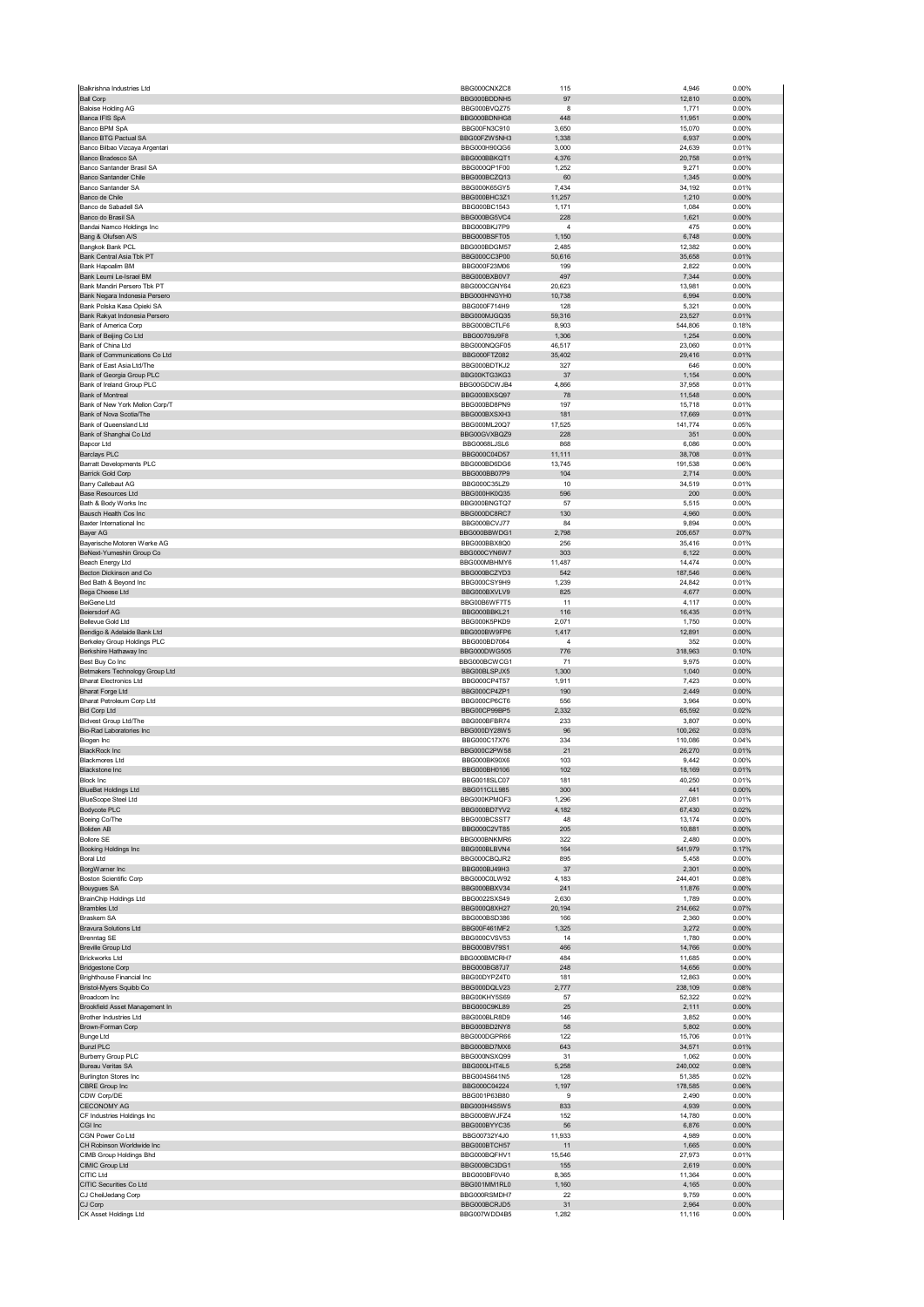| <b>Ball Corp</b>                 | BBG000CNXZC8                 | 115            | 4,946           | 0.00%             |
|----------------------------------|------------------------------|----------------|-----------------|-------------------|
|                                  | BBG000BDDNH5                 | 97             | 12,810          | 0.00%             |
| <b>Baloise Holding AG</b>        | BBG000BVQZ75                 | 8              | 1,771           | 0.00%             |
| Banca IFIS SpA                   | BBG000BDNHG8                 | 448            | 11,951          | 0.00%             |
| <b>Banco BPM SpA</b>             | BBG00FN3C910                 | 3,650          | 15,070          | 0.00%             |
| Banco BTG Pactual SA             | BBG00FZW5NH3                 | 1,338          | 6,937           | 0.00%             |
| Banco Bilbao Vizcaya Argentari   | BBG000H90QG6                 | 3,000          | 24,639          | 0.01%             |
| Banco Bradesco SA                | BBG000BBKQT1                 | 4,376          | 20,758          | 0.01%             |
| Banco Santander Brasil SA        | BBG000QP1F00                 | 1,252          | 9,271           | 0.00%             |
| Banco Santander Chile            | BBG000BCZQ13                 | 60             | 1,345           | 0.00%             |
| Banco Santander SA               | BBG000K65GY5                 | 7,434          | 34,192          | 0.01%             |
| Banco de Chile                   | BBG000BHC3Z1                 | 11,257         | 1,210           | 0.00%             |
| Banco de Sabadell SA             | BBG000BC1543                 | 1,171          | 1,084           | 0.00%             |
| Banco do Brasil SA               | BBG000BG5VC4                 | 228            | 1,621           | 0.00%             |
| Bandai Namco Holdings Inc        | BBG000BKJ7P9                 | $\overline{4}$ | 475             | 0.00%             |
| Bang & Olufsen A/S               | BBG000BSFT05                 | 1,150          | 6,748           | 0.00%             |
| Bangkok Bank PCL                 | BBG000BDGM57                 | 2,485          | 12,382          | 0.00%             |
| Bank Central Asia Tbk PT         | BBG000CC3P00                 | 50,616         | 35,658          | 0.01%             |
| Bank Hapoalim BM                 | BBG000F23M06                 | 199            | 2,822           | 0.00%             |
| Bank Leumi Le-Israel BM          | BBG000BXB0V7                 | 497            | 7,344           | 0.00%             |
| Bank Mandiri Persero Tbk PT      | BBG000CGNY64                 | 20,623         | 13,981          | 0.00%             |
| Bank Negara Indonesia Persero    | BBG000HNGYH0                 | 10,738         | 6,994           | 0.00%             |
| Bank Polska Kasa Opieki SA       | BBG000F714H9                 | 128            | 5,321           | 0.00%             |
| Bank Rakyat Indonesia Persero    | BBG000MJGQ35                 | 59,316         | 23,527          | 0.01%             |
| Bank of America Corp             | BBG000BCTLF6                 | 8,903          | 544,806         | 0.18%             |
| Bank of Beijing Co Ltd           | BBG00709J9F8                 | 1,306          | 1,254           | 0.00%             |
| Bank of China Ltd                | BBG000NQGF05                 | 46,517         | 23,060          | 0.01%             |
| Bank of Communications Co Ltd    | BBG000FTZ082                 | 35,402         | 29,416          | 0.01%             |
| Bank of East Asia Ltd/The        | BBG000BDTKJ2                 | 327            | 646             | 0.00%             |
| Bank of Georgia Group PLC        | BBG00KTG3KG3                 | 37             | 1,154           | 0.00%             |
| Bank of Ireland Group PLC        | BBG00GDCWJB4                 | 4,866          | 37,958          | 0.01%             |
| Bank of Montreal                 | BBG000BXSQ97                 | 78             | 11,548          | 0.00%             |
| Bank of New York Mellon Corp/T   | BBG000BD8PN9                 | 197            | 15,718          | 0.01%             |
| Bank of Nova Scotia/The          | BBG000BXSXH3                 | 181            | 17,669          | 0.01%             |
| Bank of Queensland Ltd           | BBG000ML20Q7                 | 17,525         | 141,774         | 0.05%             |
| Bank of Shanghai Co Ltd          | BBG00GVXBQZ9                 | 228            | 351             | 0.00%             |
| Bapcor Ltd                       | BBG0068LJSL6                 | 868            | 6,086           | 0.00%             |
| <b>Barclays PLC</b>              | BBG000C04D57                 | 11,111         | 38,708          | 0.01%             |
| <b>Barratt Developments PLC</b>  | BBG000BD6DG6                 | 13,745         | 191,538         | 0.06%             |
| Barrick Gold Corp                | BBG000BB07P9                 | 104            | 2,714           | 0.00%             |
| Barry Callebaut AG               | BBG000C35LZ9                 | 10             | 34,519          | 0.01%             |
| <b>Base Resources Ltd</b>        | BBG000HK0Q35                 | 596            | 200             | 0.00%             |
| Bath & Body Works Inc            | BBG000BNGTQ7                 | 57             | 5,515           | 0.00%             |
| Bausch Health Cos Inc            | BBG000DC8RC7                 | 130            | 4,960           | 0.00%             |
| Baxter International Inc         | BBG000BCVJ77                 | 84             | 9,894           | 0.00%             |
| Bayer AG                         | BBG000BBWDG1                 | 2,798          | 205,657         | 0.07%             |
| Bayerische Motoren Werke AG      | BBG000BBX8Q0                 | 256            | 35,416          | 0.01%             |
| BeNext-Yumeshin Group Co         | BBG000CYN6W7                 | 303            | 6,122           | 0.00%             |
| Beach Energy Ltd                 | BBG000MBHMY6                 | 11,487         | 14,474          | 0.00%             |
| Becton Dickinson and Co          | BBG000BCZYD3                 | 542            | 187,546         | 0.06%             |
| Bed Bath & Beyond Inc            | BBG000CSY9H9                 | 1,239          | 24,842          | 0.01%             |
| Bega Cheese Ltd                  | BBG000BXVLV9                 | 825            | 4,677           | 0.00%             |
| BeiGene Ltd                      | BBG00B6WF7T5                 | 11             | 4,117           | 0.00%             |
| <b>Beiersdorf AG</b>             | BBG000BBKL21                 | 116            | 16,435          | 0.01%             |
| Bellevue Gold Ltd                | BBG000K5PKD9                 | 2,071          | 1,750           | 0.00%             |
| Bendigo & Adelaide Bank Ltd      | BBG000BW9FP6                 | 1,417          | 12,891          | 0.00%             |
| Berkeley Group Holdings PLC      | BBG000BD7064                 | 4              | 352             | 0.00%             |
| Berkshire Hathaway Inc           | BBG000DWG505                 | 776            | 318,963         | 0.10%             |
| Best Buy Co Inc                  | BBG000BCWCG1                 | 71             | 9,975           | 0.00%             |
| Betmakers Technology Group Ltd   | BBG00BLSPJX5                 | 1,300          | 1,040           | 0.00%             |
| <b>Bharat Electronics Ltd</b>    | BBG000CP4T57                 | 1,911          | 7,423           | 0.00%             |
| <b>Bharat Forge Ltd</b>          | BBG000CP4ZP1                 | 190            | 2,449           | 0.00%             |
| Bharat Petroleum Corp Ltd        | BBG000CP6CT6                 | 556            | 3,964           | 0.00%             |
| <b>Bid Corp Ltd</b>              | BBG00CP99BP5                 | 2,332          | 65,592          | 0.02%             |
| Bidvest Group Ltd/The            | BBG000BFBR74                 | 233            | 3,807           | 0.00%             |
| Bio-Rad Laboratories Inc         |                              |                | 100,262         | 0.03%             |
|                                  | BBG000DY28W5                 | 96             |                 |                   |
| Biogen Inc                       | BBG000C17X76                 | 334            | 110,086         | 0.04%             |
| <b>BlackRock Inc</b>             | BBG000C2PW58                 | 21             | 26,270          | 0.01%             |
| <b>Blackmores Ltd</b>            | BBG000BK90X6                 | 103            | 9,442           | 0.00%             |
| <b>Blackstone Inc</b>            | BBG000BH0106                 | 102            | 18,169          | 0.01%             |
| <b>Block Inc.</b>                | BBG0018SLC07                 | 181            | 40.250          | 0.01%             |
| <b>BlueBet Holdings Ltd</b>      | <b>BBG011CLL985</b>          | 300            | 441             | 0.00%             |
| <b>BlueScope Steel Ltd</b>       | BBG000KPMQF3                 | 1,296          | 27,081          | 0.01%             |
| Bodycote PLC                     | BBG000BD7YV2                 | 4,182          | 67,430          | 0.02%             |
| Boeing Co/The                    | BBG000BCSST7                 | 48             | 13,174          | 0.00%             |
| <b>Boliden AB</b>                | BBG000C2VT85                 | 205            | 10,881          | 0.00%             |
| <b>Bollore SE</b>                | BBG000BNKMR6                 | 322            | 2,480           | 0.00%             |
| Booking Holdings Inc             | BBG000BLBVN4                 | 164            | 541,979         | 0.17%             |
| Boral Ltd                        | BBG000CBQJR2                 | 895            | 5,458           | 0.00%             |
| BorgWarner Inc                   | BBG000BJ49H3                 | 37             | 2,301           | 0.00%             |
| <b>Boston Scientific Corp</b>    | BBG000C0LW92                 | 4,183          | 244,401         | 0.08%             |
| <b>Bouygues SA</b>               | BBG000BBXV34                 | 241            | 11,876          | 0.00%             |
| BrainChip Holdings Ltd           | BBG0022SXS49                 | 2,630          | 1,789           | 0.00%             |
| <b>Brambles Ltd</b>              | BBG000Q8XH27                 | 20,194         | 214,662         | 0.07%             |
| Braskem SA                       | BBG000BSD386                 | 166            | 2,360           | 0.00%             |
| Bravura Solutions Ltd            | BBG00F461MF2                 | 1,325          | 3,272           | 0.00%             |
| <b>Brenntag SE</b>               | BBG000CVSV53                 | 14             | 1,780           | 0.00%             |
| <b>Breville Group Ltd</b>        | BBG000BV79S1                 | 466            | 14,766          | $0.00\%$          |
| <b>Brickworks Ltd</b>            | BBG000BMCRH7                 | 484            | 11,685          | 0.00%             |
| <b>Bridgestone Corp</b>          | BBG000BG87J7                 | 248            | 14,656          | 0.00%             |
| Brighthouse Financial Inc        | BBG00DYPZ4T0                 | 181            | 12,863          | 0.00%             |
| Bristol-Myers Squibb Co          | BBG000DQLV23                 | 2,777          | 238,109         | 0.08%             |
| Broadcom Inc                     | BBG00KHY5S69                 | 57             | 52,322          | 0.02%             |
| Brookfield Asset Management In   | BBG000C9KL89                 | 25             | 2,111           | 0.00%             |
| Brother Industries Ltd           | BBG000BLR8D9                 | 146            | 3,852           | 0.00%             |
| Brown-Forman Corp                | BBG000BD2NY8                 | 58             | 5,802           | 0.00%             |
| <b>Bunge Ltd</b>                 | BBG000DGPR66                 | 122            | 15,706          | 0.01%             |
| <b>Bunzl PLC</b>                 | BBG000BD7MX6                 | 643            | 34,571          | 0.01%             |
| <b>Burberry Group PLC</b>        | BBG000NSXQ99                 | 31             | 1,062           | 0.00%             |
| Bureau Veritas SA                | BBG000LHT4L5                 | 5,258          | 240,002         | 0.08%             |
| <b>Burlington Stores Inc.</b>    | BBG004S641N5                 | 128            | 51,385          | 0.02%             |
| CBRE Group Inc                   | BBG000C04224                 | 1,197          | 178,585         | 0.06%             |
| CDW Corp/DE                      | BBG001P63B80                 | 9              | 2,490           | 0.00%             |
| <b>CECONOMY AG</b>               | BBG000H4S5W5                 | 833            | 4,939           | 0.00%             |
| CF Industries Holdings Inc       | BBG000BWJFZ4                 | 152            | 14,780          | 0.00%             |
| CGI Inc                          | BBG000BYYC35                 | 56             | 6,876           | 0.00%             |
| CGN Power Co Ltd                 | BBG00732Y4J0                 | 11,933         | 4,989           | 0.00%             |
| CH Robinson Worldwide Inc        | BBG000BTCH57                 | 11             | 1,665           | $0.00\%$          |
| CIMB Group Holdings Bhd          | BBG000BQFHV1                 | 15,546         | 27,973          | 0.01%             |
| CIMIC Group Ltd                  | BBG000BC3DG1                 | 155            | 2,619           | 0.00%             |
| CITIC Ltd                        | BBG000BF0V40                 | 8,365          | 11,364          | 0.00%             |
| CITIC Securities Co Ltd          | BBG001MM1RL0                 | 1,160          | 4,165           | $0.00\%$          |
| CJ CheilJedang Corp              | BBG000RSMDH7                 | 22             | 9,759           | 0.00%             |
| CJ Corp<br>CK Asset Holdings Ltd | BBG000BCRJD5<br>BBG007WDD4B5 | 31<br>1,282    | 2,964<br>11,116 | $0.00\%$<br>0.00% |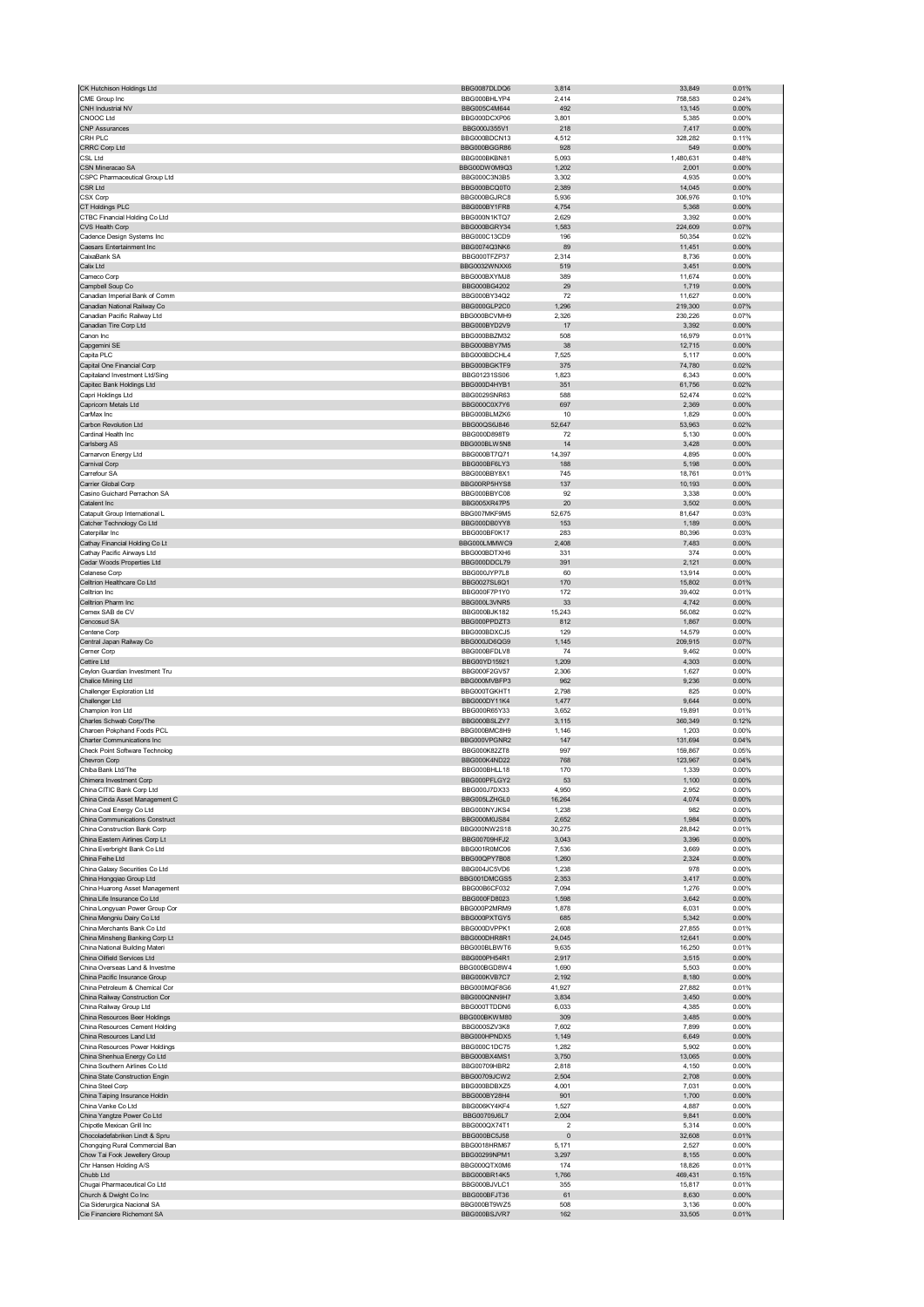| CK Hutchison Holdings Ltd                                      | BBG0087DLDQ6                 | 3,814            | 33,849           | 0.01%          |
|----------------------------------------------------------------|------------------------------|------------------|------------------|----------------|
| CME Group Inc                                                  | BBG000BHLYP4                 | 2,414            | 758,583          | 0.24%          |
| CNH Industrial NV                                              | BBG005C4M644                 | 492              | 13,145           | 0.00%          |
| CNOOC Ltd                                                      | BBG000DCXP06                 | 3,801            | 5,385            | 0.00%          |
| <b>CNP Assurances</b>                                          | BBG000J355V1                 | 218              | 7,417            | 0.00%          |
| CRH PLC                                                        | BBG000BDCN13                 | 4,512            | 328,282          | 0.11%          |
| <b>CRRC Corp Ltd</b><br>CSL Ltd                                | BBG000BGGR86<br>BBG000BKBN81 | 928<br>5,093     | 549<br>1,480,631 | 0.00%<br>0.48% |
| CSN Mineracao SA                                               | BBG00DW0M9Q3                 | 1,202            | 2,001            | 0.00%          |
| CSPC Pharmaceutical Group Ltd                                  | BBG000C3N3B5                 | 3,302            | 4,935            | 0.00%          |
| CSR Ltd                                                        | BBG000BCQ0T0                 | 2,389            | 14,045           | 0.00%          |
| CSX Corp                                                       | BBG000BGJRC8                 | 5,936            | 306,976          | 0.10%          |
| CT Holdings PLC                                                | BBG000BY1FR8                 | 4,754            | 5,368            | 0.00%          |
| CTBC Financial Holding Co Ltd                                  | BBG000N1KTQ7                 | 2,629            | 3,392            | 0.00%          |
| CVS Health Corp                                                | BBG000BGRY34                 | 1,583            | 224,609          | 0.07%          |
| Cadence Design Systems Inc.                                    | BBG000C13CD9                 | 196              | 50,354           | 0.02%          |
| Caesars Entertainment Inc<br>CaixaBank SA                      | BBG0074Q3NK6                 | 89               | 11,451           | 0.00%          |
| Calix Ltd                                                      | BBG000TFZP37<br>BBG0032WNXX6 | 2,314<br>519     | 8,736            | 0.00%<br>0.00% |
| Cameco Corp                                                    | BBG000BXYMJ8                 | 389              | 3,451<br>11,674  | 0.00%          |
| Campbell Soup Co                                               | BBG000BG4202                 | 29               | 1,719            | 0.00%          |
| Canadian Imperial Bank of Comm                                 | BBG000BY34Q2                 | 72               | 11,627           | 0.00%          |
| Canadian National Railway Co                                   | BBG000GLP2C0                 | 1,296            | 219,300          | 0.07%          |
| Canadian Pacific Railway Ltd                                   | BBG000BCVMH9                 | 2,326            | 230,226          | 0.07%          |
| Canadian Tire Corp Ltd                                         | BBG000BYD2V9                 | 17               | 3,392            | 0.00%          |
| Canon Inc                                                      | BBG000BBZM32                 | 508              | 16,979           | 0.01%          |
| Capgemini SE                                                   | BBG000BBY7M5                 | 38               | 12,715           | 0.00%          |
| Capita PLC<br>Capital One Financial Corp                       | BBG000BDCHL4<br>BBG000BGKTF9 | 7,525<br>375     | 5,117<br>74,780  | 0.00%<br>0.02% |
| Capitaland Investment Ltd/Sing                                 | BBG01231SS06                 | 1.823            | 6,343            | 0.00%          |
| Capitec Bank Holdings Ltd                                      | BBG000D4HYB1                 | 351              | 61,756           | 0.02%          |
| Capri Holdings Ltd                                             | BBG0029SNR63                 | 588              | 52,474           | 0.02%          |
| Capricorn Metals Ltd                                           | BBG000C0X7Y6                 | 697              | 2,369            | 0.00%          |
| CarMax Inc                                                     | BBG000BLMZK6                 | 10               | 1,829            | 0.00%          |
| Carbon Revolution Ltd                                          | BBG00QS6J846                 | 52,647           | 53,963           | 0.02%          |
| Cardinal Health Inc                                            | BBG000D898T9                 | 72               | 5,130            | 0.00%          |
| Carlsberg AS                                                   | BBG000BLW5N8                 | 14               | 3,428            | 0.00%          |
| Carnarvon Energy Ltd<br>Carnival Corp                          | BBG000BT7Q71<br>BBG000BF6LY3 | 14,397<br>188    | 4,895<br>5,198   | 0.00%<br>0.00% |
| Carrefour SA                                                   | BBG000BBY8X1                 | 745              | 18,761           | 0.01%          |
| Carrier Global Corp                                            | BBG00RP5HYS8                 | 137              | 10,193           | 0.00%          |
| Casino Guichard Perrachon SA                                   | BBG000BBYC08                 | 92               | 3,338            | 0.00%          |
| Catalent Inc                                                   | BBG005XR47P5                 | 20               | 3,502            | 0.00%          |
| Catapult Group International L                                 | BBG007MKF9M5                 | 52,675           | 81,647           | 0.03%          |
| Catcher Technology Co Ltd                                      | BBG000DB0YY8                 | 153              | 1,189            | 0.00%          |
| Caterpillar Inc                                                | BBG000BF0K17                 | 283              | 80,396           | 0.03%          |
| Cathay Financial Holding Co Lt                                 | BBG000LMMWC9                 | 2,408            | 7,483            | 0.00%          |
| Cathay Pacific Airways Ltd<br>Cedar Woods Properties Ltd       | BBG000BDTXH6<br>BBG000DDCL79 | 331<br>391       | 374<br>2,121     | 0.00%<br>0.00% |
| Celanese Corp                                                  | BBG000JYP7L8                 | 60               | 13,914           | 0.00%          |
| Celltrion Healthcare Co Ltd                                    | BBG0027SL6Q1                 | 170              | 15,802           | 0.01%          |
| Celltrion Inc                                                  | BBG000F7P1Y0                 | 172              | 39,402           | 0.01%          |
| Celltrion Pharm Inc                                            | BBG000L3VNR5                 | 33               | 4,742            | 0.00%          |
| Cemex SAB de CV                                                | BBG000BJK182                 | 15,243           | 56,082           | 0.02%          |
| Cencosud SA                                                    | BBG000PPDZT3                 | 812              | 1,867            | 0.00%          |
| Centene Corp                                                   | BBG000BDXCJ5                 | 129              | 14,579           | 0.00%          |
| Central Japan Railway Co                                       | BBG000JD6QG9                 | 1,145            | 209,915          | 0.07%          |
|                                                                |                              |                  |                  |                |
| Cerner Corp                                                    | BBG000BFDLV8<br>BBG00YD15921 | 74               | 9,462            | 0.00%          |
| Cettire Ltd                                                    |                              | 1,209            | 4,303            | 0.00%          |
| Ceylon Guardian Investment Tru<br>Chalice Mining Ltd           | BBG000F2GV57<br>BBG000MVBFP3 | 2,306<br>962     | 1,627<br>9,236   | 0.00%<br>0.00% |
| Challenger Exploration Ltd                                     | BBG000TGKHT1                 | 2,798            | 825              | 0.00%          |
| Challenger Ltd                                                 | BBG000DY11K4                 | 1,477            | 9,644            | 0.00%          |
| Champion Iron Ltd                                              | BBG000R65Y33                 | 3,652            | 19,891           | 0.01%          |
| Charles Schwab Corp/The                                        | BBG000BSLZY7                 | 3,115            | 360,349          | 0.12%          |
| Charoen Pokphand Foods PCL                                     | BBG000BMC8H9                 | 1,146            | 1,203            | 0.00%          |
| Charter Communications Inc                                     | BBG000VPGNR2                 | 147              | 131,694          | 0.04%          |
| Check Point Software Technolog<br>Chevron Corp                 | BBG000K82ZT8                 | 997              | 159,867          | 0.05%          |
| Chiba Bank Ltd/The                                             | BBG000K4ND22<br>BBG000BHLL18 | 768<br>170       | 123,967<br>1,339 | 0.04%<br>0.00% |
| Chimera Investment Corp                                        | BBG000PFLGY2                 | 53               | 1.100            | 0.00%          |
| China CITIC Bank Corp Ltd                                      | BBG000J7DX33                 | 4,950            | 2,952            | 0.00%          |
| China Cinda Asset Management C                                 | BBG005LZHGL0                 | 16,264           | 4,074            | 0.00%          |
| China Coal Energy Co Ltd                                       | BBG000NYJKS4                 | 1,238            | 982              | 0.00%          |
| China Communications Construct                                 | BBG000M0JS84                 | 2,652            | 1,984            | 0.00%          |
| China Construction Bank Corp                                   | BBG000NW2S18                 | 30,275           | 28,842           | 0.01%          |
| China Eastern Airlines Corp Lt<br>China Everbright Bank Co Ltd | BBG00709HFJ2<br>BBG001R0MC06 | 3,043<br>7,536   | 3,396<br>3,669   | 0.00%<br>0.00% |
| China Feihe Ltd                                                | BBG00QPY7B08                 | 1,260            | 2,324            | 0.00%          |
| China Galaxy Securities Co Ltd                                 | BBG004JC5VD6                 | 1,238            | 978              | 0.00%          |
| China Hongqiao Group Ltd                                       | BBG001DMCGS5                 | 2,353            | 3,417            | 0.00%          |
| China Huarong Asset Management                                 | BBG00B6CF032                 | 7,094            | 1,276            | 0.00%          |
| China Life Insurance Co Ltd                                    | BBG000FD8023                 | 1,598            | 3,642            | 0.00%          |
| China Longyuan Power Group Cor                                 | BBG000P2MRM9                 | 1,878            | 6,031            | 0.00%          |
| China Mengniu Dairy Co Ltd<br>China Merchants Bank Co Ltd      | BBG000PXTGY5<br>BBG000DVPPK1 | 685<br>2,608     | 5,342<br>27,855  | 0.00%<br>0.01% |
| China Minsheng Banking Corp Lt                                 | BBG000DHR8R1                 | 24,045           | 12,641           | 0.00%          |
| China National Building Materi                                 | BBG000BLBWT6                 | 9,635            | 16,250           | 0.01%          |
| China Oilfield Services Ltd                                    | BBG000PH54R1                 | 2,917            | 3,515            | 0.00%          |
| China Overseas Land & Investme                                 | BBG000BGD8W4                 | 1,690            | 5,503            | 0.00%          |
| China Pacific Insurance Group                                  | BBG000KVB7C7                 | 2,192            | 8,180            | 0.00%          |
| China Petroleum & Chemical Cor                                 | BBG000MQF8G6                 | 41,927           | 27,882           | 0.01%          |
| China Railway Construction Cor                                 | BBG000QNN9H7                 | 3,834            | 3,450            | 0.00%          |
| China Railway Group Ltd<br>China Resources Beer Holdings       | BBG000TTDDN6<br>BBG000BKWM80 | 6,033<br>309     | 4,385<br>3,485   | 0.00%<br>0.00% |
| China Resources Cement Holding                                 | BBG000SZV3K8                 | 7,602            | 7,899            | 0.00%          |
| China Resources Land Ltd                                       | BBG000HPNDX5                 | 1,149            | 6,649            | 0.00%          |
| China Resources Power Holdings                                 | BBG000C1DC75                 | 1,282            | 5,902            | 0.00%          |
| China Shenhua Energy Co Ltd                                    | BBG000BX4MS1                 | 3,750            | 13,065           | 0.00%          |
| China Southern Airlines Co Ltd                                 | BBG00709HBR2                 | 2,818            | 4,150            | 0.00%          |
| China State Construction Engin                                 | BBG00709JCW2                 | 2,504            | 2,708            | 0.00%          |
| China Steel Corp                                               | BBG000BDBXZ5                 | 4,001            | 7,031            | 0.00%          |
| China Taiping Insurance Holdin<br>China Vanke Co Ltd           | BBG000BY28H4<br>BBG006KY4KF4 | 901<br>1,527     | 1,700<br>4,887   | 0.00%<br>0.00% |
| China Yangtze Power Co Ltd                                     | BBG00709J6L7                 | 2,004            | 9,841            | 0.00%          |
| Chipotle Mexican Grill Inc                                     | BBG000QX74T1                 | $\overline{2}$   | 5,314            | 0.00%          |
| Chocoladefabriken Lindt & Spru                                 | BBG000BC5J58                 | $\pmb{0}$        | 32,608           | 0.01%          |
| Chongqing Rural Commercial Ban                                 | <b>BBG0018HRM67</b>          | 5,171            | 2,527            | 0.00%          |
| Chow Tai Fook Jewellery Group                                  | BBG00299NPM1                 | 3,297            | 8,155            | 0.00%          |
| Chr Hansen Holding A/S                                         | BBG000QTX0M6                 | 174              | 18,826           | 0.01%          |
| Chubb Ltd                                                      | BBG000BR14K5                 | 1,766            | 469,431          | 0.15%          |
| Chugai Pharmaceutical Co Ltd                                   | BBG000BJVLC1                 | 355              | 15,817           | 0.01%<br>0.00% |
| Church & Dwight Co Inc<br>Cia Siderurgica Nacional SA          | BBG000BFJT36<br>BBG000BT9WZ5 | 61<br>508<br>162 | 8,630<br>3,136   | 0.00%          |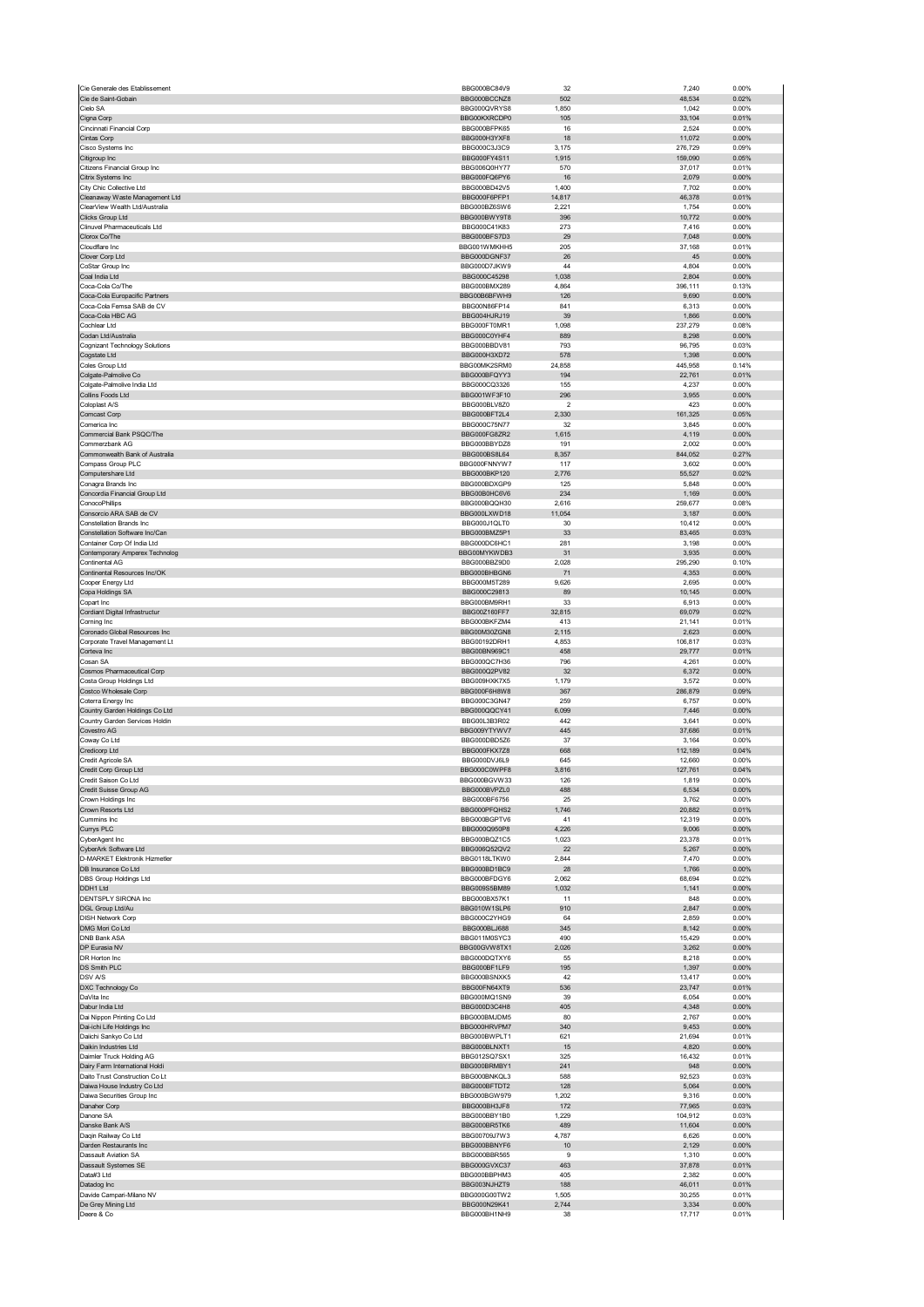| Cie de Saint-Gobain                                   | BBG000BC84V9                 | 32                      | 7,240            | 0.00%          |
|-------------------------------------------------------|------------------------------|-------------------------|------------------|----------------|
|                                                       | BBG000BCCNZ8                 | 502                     | 48,534           | 0.02%          |
| Cielo SA                                              | BBG000QVRYS8                 | 1,850                   | 1,042            | 0.00%          |
| Cigna Corp                                            | BBG00KXRCDP0                 | 105                     | 33,104           | 0.01%          |
| Cincinnati Financial Corp<br>Cintas Corp              | BBG000BFPK65<br>BBG000H3YXF8 | 16<br>18                | 2,524<br>11,072  | 0.00%<br>0.00% |
| Cisco Systems Inc                                     | BBG000C3J3C9                 | 3,175                   | 276,729          | 0.09%          |
| Citigroup Inc                                         | BBG000FY4S11                 | 1,915                   | 159,090          | 0.05%          |
| Citizens Financial Group Inc                          | BBG006Q0HY77                 | 570                     | 37,017           | 0.01%          |
| Citrix Systems Inc                                    | BBG000FQ6PY6                 | 16                      | 2,079            | 0.00%          |
| City Chic Collective Ltd                              | BBG000BD42V5                 | 1,400                   | 7,702            | 0.00%          |
| Cleanaway Waste Management Ltd                        | BBG000F6PFP1                 | 14,817                  | 46,378           | 0.01%          |
| ClearView Wealth Ltd/Australia                        | BBG000BZ6SW6                 | 2,221                   | 1,754            | 0.00%          |
| <b>Clicks Group Ltd</b>                               | BBG000BWY9T8                 | 396                     | 10,772           | 0.00%          |
| Clinuvel Pharmaceuticals Ltd                          | BBG000C41K83                 | 273                     | 7,416            | 0.00%          |
| Clorox Co/The<br>Cloudflare Inc                       | BBG000BFS7D3                 | 29<br>205               | 7,048<br>37,168  | 0.00%<br>0.01% |
| Clover Corp Ltd                                       | BBG001WMKHH5<br>BBG000DGNF37 | 26                      | 45               | 0.00%          |
| CoStar Group Inc                                      | BBG000D7JKW9                 | 44                      | 4,804            | 0.00%          |
| Coal India Ltd                                        | BBG000C45298                 | 1,038                   | 2,804            | 0.00%          |
| Coca-Cola Co/The                                      | BBG000BMX289                 | 4,864                   | 396,111          | 0.13%          |
| Coca-Cola Europacific Partners                        | BBG00B6BFWH9                 | 126                     | 9,690            | 0.00%          |
| Coca-Cola Femsa SAB de CV                             | BBG00N86FP14                 | 841                     | 6,313            | 0.00%          |
| Coca-Cola HBC AG                                      | BBG004HJRJ19                 | 39                      | 1,866            | 0.00%          |
| Cochlear Ltd                                          | BBG000FT0MR1                 | 1,098                   | 237,279          | 0.08%          |
| Codan Ltd/Australia                                   | BBG000C0YHF4<br>BBG000BBDV81 | 889<br>793              | 8,298<br>96,795  | 0.00%<br>0.03% |
| <b>Cognizant Technology Solutions</b><br>Cogstate Ltd | BBG000H3XD72                 | 578                     | 1,398            | 0.00%          |
| Coles Group Ltd                                       | BBG00MK2SRM0                 | 24,858                  | 445,958          | 0.14%          |
| Colgate-Palmolive Co                                  | BBG000BFQYY3                 | 194                     | 22,761           | 0.01%          |
| Colgate-Palmolive India Ltd                           | BBG000CQ3326                 | 155                     | 4,237            | 0.00%          |
| Collins Foods Ltd                                     | BBG001WF3F10                 | 296                     | 3,955            | 0.00%          |
| Coloplast A/S                                         | BBG000BLV8Z0                 | $\overline{\mathbf{c}}$ | 423              | 0.00%          |
| Comcast Corp                                          | BBG000BFT2L4                 | 2,330                   | 161,325          | 0.05%          |
| Comerica Inc                                          | BBG000C75N77                 | 32                      | 3,845            | 0.00%          |
| Commercial Bank PSQC/The                              | BBG000FG8ZR2                 | 1,615                   | 4,119            | 0.00%          |
| Commerzbank AG<br>Commonwealth Bank of Australia      | BBG000BBYDZ8<br>BBG000BS8L64 | 191<br>8,357            | 2,002<br>844,052 | 0.00%<br>0.27% |
| Compass Group PLC                                     | BBG000FNNYW7                 | 117                     | 3.602            | 0.00%          |
| Computershare Ltd                                     | BBG000BKP120                 | 2,776                   | 55,527           | 0.02%          |
| Conagra Brands Inc                                    | BBG000BDXGP9                 | 125                     | 5,848            | 0.00%          |
| Concordia Financial Group Ltd                         | BBG00B0HC6V6                 | 234                     | 1,169            | 0.00%          |
| ConocoPhillips                                        | BBG000BQQH30                 | 2,616                   | 259,677          | 0.08%          |
| Consorcio ARA SAB de CV                               | BBG000LXWD18                 | 11,054                  | 3,187            | 0.00%          |
| <b>Constellation Brands Inc</b>                       | BBG000J1QLT0                 | 30                      | 10,412           | 0.00%          |
| Constellation Software Inc/Can                        | BBG000BMZ5P1                 | 33                      | 83,465           | 0.03%          |
| Container Corp Of India Ltd                           | BBG000DC6HC1                 | 281                     | 3,198            | 0.00%          |
| Contemporary Amperex Technolog                        | BBG00MYKWDB3                 | 31                      | 3,935            | 0.00%          |
| Continental AG<br>Continental Resources Inc/OK        | BBG000BBZ9D0<br>BBG000BHBGN6 | 2,028<br>71             | 295,290<br>4,353 | 0.10%<br>0.00% |
| Cooper Energy Ltd                                     | BBG000M5T289                 | 9,626                   | 2,695            | 0.00%          |
| Copa Holdings SA                                      | BBG000C29813                 | 89                      | 10,145           | 0.00%          |
| Copart Inc                                            | BBG000BM9RH1                 | 33                      | 6,913            | 0.00%          |
| Cordiant Digital Infrastructur                        | BBG00Z160FF7                 | 32,815                  | 69,079           | 0.02%          |
| Corning Inc                                           | BBG000BKFZM4                 | 413                     | 21,141           | 0.01%          |
| Coronado Global Resources Inc                         | BBG00M30ZGN8                 | 2,115                   | 2,623            | 0.00%          |
| Corporate Travel Management Lt                        | BBG00192DRH1                 | 4,853                   | 106,817          | 0.03%          |
| Corteva Inc<br>Cosan SA                               | BBG00BN969C1<br>BBG000QC7H36 | 458<br>796              | 29,777<br>4,261  | 0.01%<br>0.00% |
| Cosmos Pharmaceutical Corp                            | BBG000Q2PV82                 | 32                      | 6,372            | 0.00%          |
| Costa Group Holdings Ltd                              | BBG009HXK7X5                 | 1,179                   | 3,572            | 0.00%          |
| Costco Wholesale Corp                                 | BBG000F6H8W8                 | 367                     | 286,879          | 0.09%          |
| Coterra Energy Inc                                    | BBG000C3GN47                 | 259                     | 6,757            | 0.00%          |
| Country Garden Holdings Co Ltd                        | BBG000QQCY41                 | 6,099                   | 7,446            | 0.00%          |
| Country Garden Services Holdin                        | BBG00L3B3R02                 | 442                     | 3,641            | 0.00%          |
| Covestro AG                                           | BBG009YTYWV7                 | 445                     | 37,686           | 0.01%          |
| Coway Co Ltd                                          |                              |                         | 3,164            | 0.00%          |
|                                                       | BBG000DBD5Z6                 | 37                      |                  |                |
| Credicorp Ltd                                         | BBG000FKX778                 | 668                     | 112,189          | 0.04%          |
| Credit Agricole SA                                    | BBG000DV.I6L9                | 645                     | 12,660           | 0.00%          |
| Credit Corp Group Ltd<br>Credit Saison Co Ltd         | BBG000C0WPF8<br>BBG000BGVW33 | 3,816<br>126            | 127,761<br>1.819 | 0.04%<br>0.00% |
| Credit Suisse Group AG                                | BBG000BVPZL0                 | 488                     | 6,534            | 0.00%          |
| Crown Holdings Inc                                    | BBG000BF6756                 | 25                      | 3,762            | 0.00%          |
| Crown Resorts Ltd                                     | BBG000PFQHS2                 | 1,746                   | 20,882           | 0.01%          |
| Cummins Inc                                           | BBG000BGPTV6                 | 41                      | 12,319           | 0.00%          |
| Currys PLC                                            | BBG000Q950P8                 | 4,226                   | 9,006            | 0.00%          |
| CyberAgent Inc                                        | BBG000BQZ1C5                 | 1,023                   | 23,378           | 0.01%          |
| CyberArk Software Ltd                                 | BBG006Q52QV2                 | 22                      | 5,267            | 0.00%          |
| D-MARKET Elektronik Hizmetler<br>DB Insurance Co Ltd  | BBG0118LTKW0<br>BBG000BD1BC9 | 2,844<br>28             | 7,470<br>1,766   | 0.00%<br>0.00% |
| DBS Group Holdings Ltd                                | BBG000BFDGY6                 | 2,062                   | 68,694           | 0.02%          |
| DDH1 Ltd                                              | BBG009S5BM89                 | 1,032                   | 1,141            | 0.00%          |
| DENTSPLY SIRONA Inc                                   | BBG000BX57K1                 | 11                      | 848              | 0.00%          |
| DGL Group Ltd/Au                                      | BBG010W1SLP6                 | 910                     | 2,847            | 0.00%          |
| <b>DISH Network Corp</b>                              | BBG000C2YHG9                 | 64                      | 2,859            | 0.00%          |
| DMG Mori Co Ltd                                       | BBG000BLJ688                 | 345                     | 8,142            | 0.00%          |
| <b>DNB Bank ASA</b>                                   | BBG011M0SYC3                 | 490                     | 15,429           | 0.00%          |
| DP Eurasia NV<br>DR Horton Inc                        | BBG00GVW8TX1<br>BBG000DQTXY6 | 2,026<br>55             | 3,262<br>8,218   | 0.00%<br>0.00% |
| DS Smith PLC                                          | BBG000BF1LF9                 | 195                     | 1,397            | 0.00%          |
| <b>DSV A/S</b>                                        | BBG000BSNXK5                 | 42                      | 13,417           | 0.00%          |
| DXC Technology Co                                     | BBG00FN64XT9                 | 536                     | 23,747           | 0.01%          |
| DaVita Inc.                                           | BBG000MQ1SN9                 | 39                      | 6,054            | 0.00%          |
| Dabur India Ltd                                       | BBG000D3C4H8                 | 405                     | 4,348            | 0.00%          |
| Dai Nippon Printing Co Ltd                            | BBG000BMJDM5                 | 80                      | 2,767            | 0.00%          |
| Dai-ichi Life Holdings Inc                            | BBG000HRVPM7                 | 340                     | 9,453            | 0.00%          |
| Daiichi Sankyo Co Ltd                                 | BBG000BWPLT1                 | 621                     | 21,694<br>4,820  | 0.01%<br>0.00% |
| Daikin Industries Ltd<br>Daimler Truck Holding AG     | BBG000BLNXT1<br>BBG012SQ7SX1 | 15<br>325               | 16,432           | 0.01%          |
| Dairy Farm International Holdi                        | BBG000BRMBY1                 | 241                     | 948              | 0.00%          |
| Daito Trust Construction Co Lt                        | BBG000BNKQL3                 | 588                     | 92,523           | 0.03%          |
| Daiwa House Industry Co Ltd                           | BBG000BFTDT2                 | 128                     | 5,064            | 0.00%          |
| Daiwa Securities Group Inc                            | BBG000BGW979                 | 1,202                   | 9,316            | 0.00%          |
| Danaher Corp                                          | BBG000BH3JF8                 | 172                     | 77,965           | 0.03%          |
| Danone SA                                             | BBG000BBY1B0                 | 1,229                   | 104,912          | 0.03%          |
| Danske Bank A/S                                       | BBG000BR5TK6                 | 489                     | 11,604           | 0.00%          |
| Daqin Railway Co Ltd<br>Darden Restaurants Inc        | BBG00709J7W3<br>BBG000BBNYF6 | 4,787<br>10             | 6,626<br>2,129   | 0.00%<br>0.00% |
| <b>Dassault Aviation SA</b>                           | BBG000BBR565                 | 9                       | 1,310            | 0.00%          |
| Dassault Systemes SE                                  | BBG000GVXC37                 | 463                     | 37,878           | 0.01%          |
| Data#3 Ltd                                            | BBG000BBPHM3                 | 405                     | 2,382            | 0.00%          |
| Datadog Inc                                           | BBG003NJHZT9                 | 188                     | 46,011           | 0.01%          |
| Davide Campari-Milano NV                              | BBG000G00TW2                 | 1,505                   | 30,255           | 0.01%          |
| De Grey Mining Ltd<br>Deere & Co                      | BBG000N29K41<br>BBG000BH1NH9 | 2,744<br>38             | 3,334<br>17,717  | 0.00%<br>0.01% |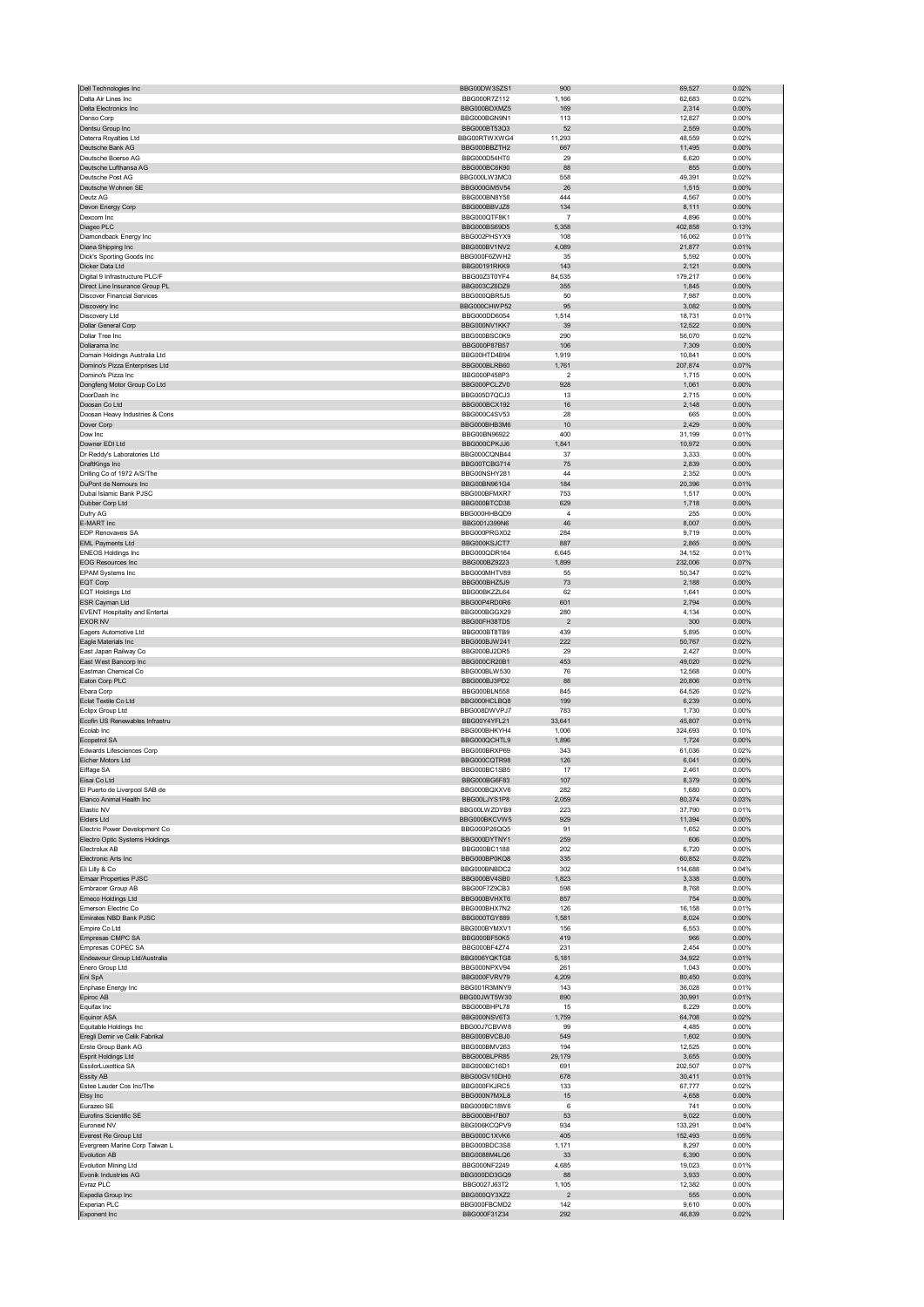| Dell Technologies Inc                               | BBG00DW3SZS1                 | 900             | 69,527            | 0.02%          |
|-----------------------------------------------------|------------------------------|-----------------|-------------------|----------------|
| Delta Air Lines Inc                                 | BBG000R7Z112                 | 1,166           | 62,683            | 0.02%          |
| Delta Electronics Inc<br>Denso Corp                 | BBG000BDXMZ5<br>BBG000BGN9N1 | 169<br>113      | 2,314<br>12,827   | 0.00%<br>0.00% |
| Dentsu Group Inc                                    | BBG000BT53Q3                 | 52              | 2,559             | $0.00\%$       |
| Deterra Royalties Ltd                               | BBG00RTWXWG4                 | 11,293          | 48,559            | 0.02%          |
| Deutsche Bank AG                                    | BBG000BBZTH2                 | 667             | 11,495            | $0.00\%$       |
| Deutsche Boerse AG                                  | BBG000D54HT0                 | 29              | 6,620             | 0.00%          |
| Deutsche Lufthansa AG<br>Deutsche Post AG           | BBG000BC6K90<br>BBG000LW3MC0 | 88<br>558       | 855<br>49,391     | 0.00%<br>0.02% |
| Deutsche Wohnen SE                                  | BBG000GM5V54                 | 26              | 1,515             | 0.00%          |
| Deutz AG                                            | BBG000BN8Y58                 | 444             | 4,567             | 0.00%          |
| Devon Energy Corp                                   | BBG000BBVJZ8                 | 134             | 8,111             | 0.00%          |
| Dexcom Inc                                          | BBG000QTF8K1                 | $\overline{7}$  | 4,896             | 0.00%          |
| Diageo PLC                                          | BBG000BS69D5<br>BBG002PHSYX9 | 5,358<br>108    | 402,858           | 0.13%<br>0.01% |
| Diamondback Energy Inc<br>Diana Shipping Inc        | BBG000BV1NV2                 | 4,089           | 16,062<br>21,877  | 0.01%          |
| Dick's Sporting Goods Inc                           | BBG000F6ZWH2                 | 35              | 5,592             | 0.00%          |
| Dicker Data Ltd                                     | <b>BBG00191RKK9</b>          | 143             | 2,121             | 0.00%          |
| Digital 9 Infrastructure PLC/F                      | BBG00Z3T0YF4                 | 84,535          | 179,217           | 0.06%          |
| Direct Line Insurance Group PL                      | BBG003CZ6DZ9                 | 355             | 1,845             | 0.00%          |
| <b>Discover Financial Services</b><br>Discovery Inc | BBG000QBR5J5<br>BBG000CHWP52 | 50<br>95        | 7,987<br>3,082    | 0.00%<br>0.00% |
| Discovery Ltd                                       | BBG000DD6054                 | 1,514           | 18,731            | 0.01%          |
| Dollar General Corp                                 | BBG000NV1KK7                 | 39              | 12,522            | 0.00%          |
| Dollar Tree Inc                                     | BBG000BSC0K9                 | 290             | 56,070            | 0.02%          |
| Dollarama Inc<br>Domain Holdings Australia Ltd      | BBG000P87B57<br>BBG00HTD4B94 | 106<br>1,919    | 7,309<br>10,841   | 0.00%<br>0.00% |
| Domino's Pizza Enterprises Ltd                      | BBG000BLRB60                 | 1,761           | 207,874           | 0.07%          |
| Domino's Pizza Inc                                  | BBG000P458P3                 | $\overline{2}$  | 1,715             | 0.00%          |
| Dongfeng Motor Group Co Ltd                         | BBG000PCLZV0                 | 928             | 1,061             | 0.00%          |
| DoorDash Inc                                        | BBG005D7QCJ3                 | 13              | 2,715             | 0.00%          |
| Doosan Co Ltd<br>Doosan Heavy Industries & Cons     | BBG000BCX192<br>BBG000C4SV53 | 16<br>28        | 2,148<br>665      | 0.00%<br>0.00% |
| Dover Corp                                          | BBG000BHB3M6                 | 10              | 2,429             | 0.00%          |
| Dow Inc                                             | BBG00BN96922                 | 400             | 31,199            | 0.01%          |
| Downer EDI Ltd                                      | BBG000CPKJJ6                 | 1,841           | 10,972            | 0.00%          |
| Dr Reddy's Laboratories Ltd                         | BBG000CQNB44                 | 37              | 3,333             | 0.00%          |
| DraftKings Inc<br>Drilling Co of 1972 A/S/The       | BBG00TCBG714                 | 75              | 2,839             | 0.00%          |
| DuPont de Nemours Inc                               | BBG00NSHY281<br>BBG00BN961G4 | 44<br>184       | 2,352<br>20,396   | 0.00%<br>0.01% |
| Dubai Islamic Bank PJSC                             | BBG000BFMXR7                 | 753             | 1,517             | 0.00%          |
| Dubber Corp Ltd                                     | BBG000BTCD38                 | 629             | 1,718             | 0.00%          |
| Dufry AG                                            | BBG000HHBQD9                 | 4               | 255               | 0.00%          |
| E-MART Inc                                          | BBG001J399N6                 | 46              | 8,007             | 0.00%<br>0.00% |
| EDP Renovaveis SA<br><b>EML Payments Ltd</b>        | BBG000PRGX02<br>BBG000KSJCT7 | 284<br>887      | 9,719<br>2,865    | 0.00%          |
| <b>ENEOS Holdings Inc</b>                           | BBG000QDR164                 | 6,645           | 34,152            | 0.01%          |
| <b>EOG Resources Inc</b>                            | BBG000BZ9223                 | 1,899           | 232,006           | 0.07%          |
| EPAM Systems Inc                                    | BBG000MHTV89                 | 55              | 50,347            | 0.02%          |
| EQT Corp                                            | BBG000BHZ5J9                 | 73              | 2,188             | 0.00%          |
| <b>EQT Holdings Ltd</b><br>ESR Cayman Ltd           | BBG00BKZZL64<br>BBG00P4RD0R6 | 62<br>601       | 1,641<br>2,794    | 0.00%<br>0.00% |
| <b>EVENT Hospitality and Entertai</b>               | BBG000BGGX29                 | 280             | 4,134             | 0.00%          |
| <b>EXOR NV</b>                                      | BBG00FH38TD5                 | $\overline{c}$  | 300               | 0.00%          |
| Eagers Automotive Ltd                               | BBG000BT8TB9                 | 439             | 5,895             | 0.00%          |
| Eagle Materials Inc                                 | BBG000BJW241<br>BBG000BJ2DR5 | 222<br>29       | 50,767<br>2,427   | 0.02%<br>0.00% |
| East Japan Railway Co                               |                              |                 |                   |                |
|                                                     |                              |                 |                   |                |
| East West Bancorp Inc<br>Eastman Chemical Co        | BBG000CR20B1<br>BBG000BLW530 | 453<br>76       | 49,020<br>12,568  | 0.02%<br>0.00% |
| Eaton Corp PLC                                      | BBG000BJ3PD2                 | 88              | 20,806            | 0.01%          |
| Ebara Corp                                          | BBG000BLN558                 | 845             | 64,526            | 0.02%          |
| Eclat Textile Co Ltd                                | BBG000HCLBQ8                 | 199             | 6,239             | 0.00%          |
| Eclipx Group Ltd                                    | BBG008DWVPJ7                 | 783             | 1,730             | 0.00%          |
| Ecofin US Renewables Infrastru<br>Ecolab Inc        | BBG00Y4YFL21<br>BBG000BHKYH4 | 33,641<br>1,006 | 45,807<br>324,693 | 0.01%<br>0.10% |
| Ecopetrol SA                                        | BBG000QCHTL9                 | 1,896           | 1,724             | 0.00%          |
| Edwards Lifesciences Corp                           | BBG000BRXP69                 | 343             | 61,036            | 0.02%          |
| Eicher Motors Ltd                                   | BBG000CQTR98                 | 126             | 6,041             | 0.00%          |
| Eiffage SA<br>sai Coltr                             | BBG000BC1SB5<br>BBG000BG6E83 | 17              | 2,461<br>8.370    | 0.00%<br>n nn% |
| El Puerto de Liverpool SAB de                       | BBG000BQXXV6                 | 282             | 1,680             | 0.00%          |
| Elanco Animal Health Inc                            | BBG00LJYS1P8                 | 2,059           | 80,374            | 0.03%          |
| Elastic NV                                          | BBG00LWZDYB9                 | 223             | 37,790            | 0.01%          |
| Elders Ltd                                          | BBG000BKCVW5                 | 929             | 11,394            | 0.00%          |
| Electric Power Development Co                       | BBG000P26QQ5                 | 91              | 1,652             | 0.00%          |
| Electro Optic Systems Holdings<br>Electrolux AB     | BBG000DYTNY1<br>BBG000BC1188 | 259<br>202      | 606<br>6,720      | 0.00%<br>0.00% |
| Electronic Arts Inc                                 | BBG000BP0KQ8                 | 335             | 60,852            | 0.02%          |
| Eli Lilly & Co                                      | BBG000BNBDC2                 | 302             | 114,688           | 0.04%          |
| <b>Emaar Properties PJSC</b>                        | BBG000BV4SB0<br>BBG00F7Z9CB3 | 1,823           | 3,338             | 0.00%          |
| Embracer Group AB<br>Emeco Holdings Ltd             | BBG000BVHXT6                 | 598<br>857      | 8,768<br>754      | 0.00%<br>0.00% |
| Emerson Electric Co                                 | BBG000BHX7N2                 | 126             | 16,158            | 0.01%          |
| Emirates NBD Bank PJSC                              | BBG000TGY889                 | 1,581           | 8,024             | 0.00%          |
| Empire Co Ltd                                       | BBG000BYMXV1                 | 156             | 6,553             | 0.00%          |
| Empresas CMPC SA                                    | BBG000BF50K5                 | 419<br>231      | 966               | 0.00%          |
| Empresas COPEC SA<br>Endeavour Group Ltd/Australia  | BBG000BF4Z74<br>BBG006YQKTG8 | 5,181           | 2,454<br>34,922   | 0.00%<br>0.01% |
| Enero Group Ltd                                     | BBG000NPXV94                 | 261             | 1,043             | 0.00%          |
| Eni SpA                                             | BBG000FVRV79                 | 4,209           | 80,450            | 0.03%          |
| Enphase Energy Inc                                  | BBG001R3MNY9                 | 143             | 36,028            | 0.01%          |
| Epiroc AB<br>Equifax Inc                            | BBG00JWT5W30<br>BBG000BHPL78 | 890<br>15       | 30,991<br>6,229   | 0.01%<br>0.00% |
| <b>Equinor ASA</b>                                  | BBG000NSV6T3                 | 1,759           | 64,708            | 0.02%          |
| Equitable Holdings Inc                              | BBG00J7CBVW8                 | 99              | 4,485             | 0.00%          |
| Eregli Demir ve Celik Fabrikal                      | BBG000BVCBJ0                 | 549             | 1,602             | 0.00%          |
| Erste Group Bank AG<br>Esprit Holdings Ltd          | BBG000BMV263<br>BBG000BLPR85 | 194<br>29,179   | 12,525<br>3,655   | 0.00%<br>0.00% |
| EssilorLuxottica SA                                 | BBG000BC16D1                 | 691             | 202,507           | 0.07%          |
| Essity AB                                           | BBG00GV10DH0                 | 678             | 30,411            | 0.01%          |
| Estee Lauder Cos Inc/The                            | BBG000FKJRC5                 | 133             | 67,777            | 0.02%          |
| Etsy Inc                                            | BBG000N7MXL8                 | 15              | 4,658             | 0.00%          |
| Eurazeo SE                                          | BBG000BC18W6                 | 6               | 741               | 0.00%          |
| Eurofins Scientific SE<br>Euronext NV               | BBG000BH7B07<br>BBG006KCQPV9 | 53<br>934       | 9,022<br>133,291  | 0.00%<br>0.04% |
| Everest Re Group Ltd                                | BBG000C1XVK6                 | 405             | 152,493           | 0.05%          |
| Evergreen Marine Corp Taiwan L                      | BBG000BDC3S8                 | 1,171           | 8,297             | 0.00%          |
| Evolution AB                                        | BBG0088M4LQ6                 | 33              | 6,390             | 0.00%          |
| Evolution Mining Ltd<br>Evonik Industries AG        | BBG000NF2249<br>BBG000DD3GQ9 | 4,685<br>88     | 19,023<br>3,933   | 0.01%<br>0.00% |
| Evraz PLC                                           | BBG0027J63T2                 | 1,105           | 12,382            | 0.00%          |
| Expedia Group Inc                                   | BBG000QY3XZ2                 | $\overline{2}$  | 555               | 0.00%          |
| Experian PLC<br>Exponent Inc                        | BBG000FBCMD2<br>BBG000F31Z34 | 142<br>292      | 9,610<br>46,839   | 0.00%<br>0.02% |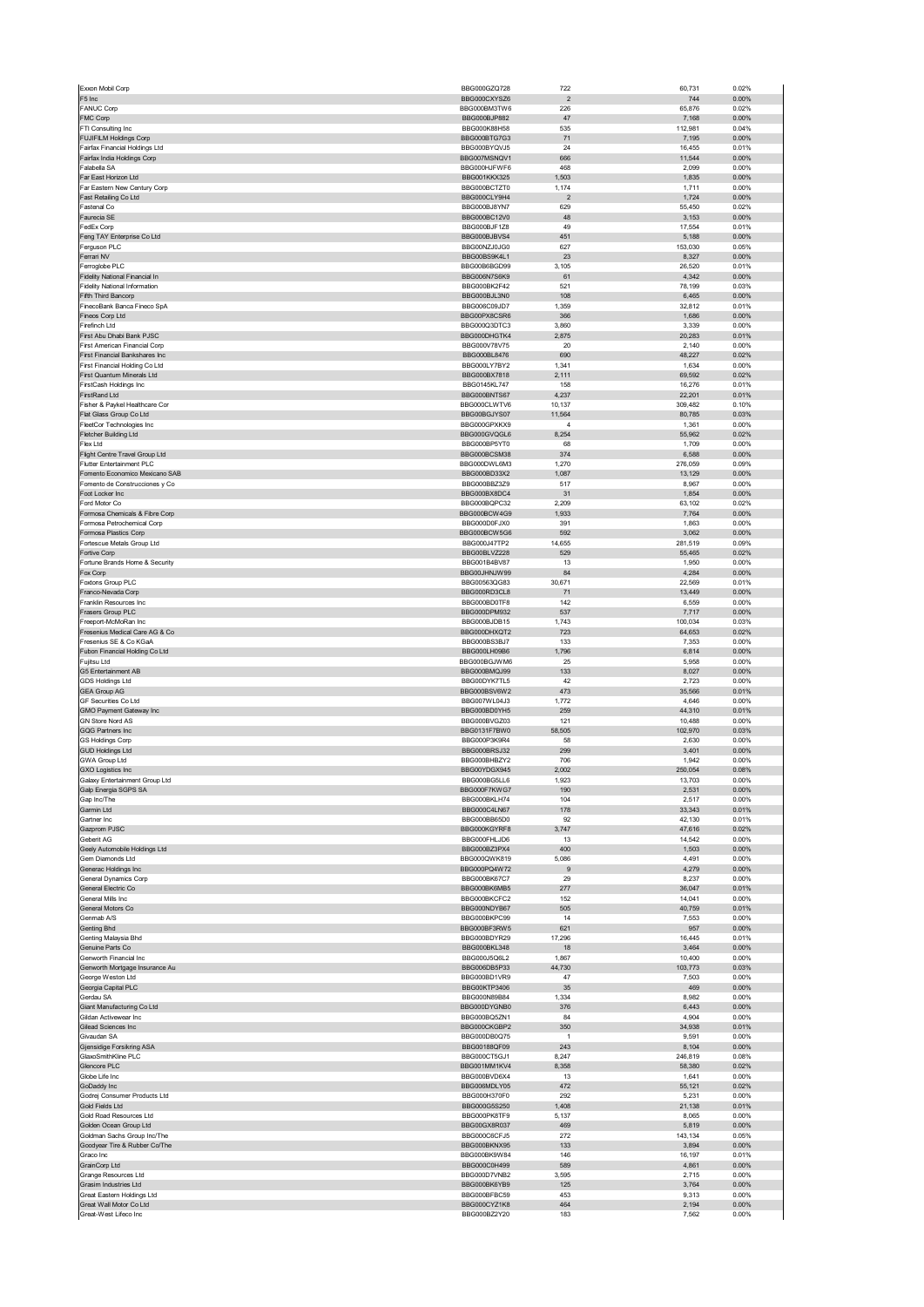|                                                               | BBG000GZQ728                 | 722                     | 60,731           | 0.02%          |
|---------------------------------------------------------------|------------------------------|-------------------------|------------------|----------------|
| F5 Inc                                                        | BBG000CXYSZ6                 | $\overline{\mathbf{c}}$ | 744              | 0.00%          |
| <b>FANUC Corp</b>                                             | BBG000BM3TW6                 | 226                     | 65,876           | 0.02%          |
| FMC Corp                                                      | BBG000BJP882                 | 47                      | 7,168            | 0.00%          |
| FTI Consulting Inc                                            | BBG000K88H58                 | 535                     | 112,981          | 0.04%          |
| FUJIFILM Holdings Corp                                        | BBG000BTG7G3                 | 71                      | 7,195            | 0.00%          |
| Fairfax Financial Holdings Ltd<br>Fairfax India Holdings Corp | BBG000BYQVJ5<br>BBG007MSNQV1 | 24<br>666               | 16,455<br>11,544 | 0.01%<br>0.00% |
| Falabella SA                                                  | BBG000HJFWF6                 | 468                     | 2,099            | 0.00%          |
| Far East Horizon Ltd                                          | BBG001KKX325                 | 1,503                   | 1,835            | 0.00%          |
| Far Eastern New Century Corp                                  | BBG000BCTZT0                 | 1,174                   | 1,711            | 0.00%          |
| Fast Retailing Co Ltd                                         | BBG000CLY9H4                 | $\overline{2}$          | 1,724            | 0.00%          |
| Fastenal Co                                                   | BBG000BJ8YN7                 | 629                     | 55,450           | 0.02%          |
| Faurecia SE                                                   | BBG000BC12V0                 | 48                      | 3,153            | 0.00%          |
| FedEx Corp<br>Feng TAY Enterprise Co Ltd                      | BBG000BJF1Z8                 | 49<br>451               | 17,554           | 0.01%<br>0.00% |
| Ferguson PLC                                                  | BBG000BJBVS4<br>BBG00NZJ0JG0 | 627                     | 5,188<br>153,030 | 0.05%          |
| Ferrari NV                                                    | BBG00BS9K4L1                 | 23                      | 8,327            | 0.00%          |
| Ferroglobe PLC                                                | BBG00B6BGD99                 | 3,105                   | 26,520           | 0.01%          |
| Fidelity National Financial In                                | BBG006N7S6K9                 | 61                      | 4,342            | 0.00%          |
| <b>Fidelity National Information</b>                          | BBG000BK2F42                 | 521                     | 78,199           | 0.03%          |
| Fifth Third Bancorp                                           | BBG000BJL3N0                 | 108                     | 6,465            | 0.00%          |
| FinecoBank Banca Fineco SpA                                   | BBG006C09JD7                 | 1,359                   | 32,812           | 0.01%          |
| Fineos Corp Ltd                                               | BBG00PX8CSR6                 | 366                     | 1,686            | 0.00%          |
| Firefinch Ltd<br>First Abu Dhabi Bank PJSC                    | BBG000Q3DTC3<br>BBG000DHGTK4 | 3,860<br>2,875          | 3,339<br>20,283  | 0.00%<br>0.01% |
| First American Financial Corp                                 | BBG000V78V75                 | 20                      | 2,140            | 0.00%          |
| First Financial Bankshares Inc                                | BBG000BL8476                 | 690                     | 48,227           | 0.02%          |
| First Financial Holding Co Ltd                                | BBG000LY7BY2                 | 1,341                   | 1,634            | 0.00%          |
| First Quantum Minerals Ltd                                    | BBG000BX7818                 | 2,111                   | 69,592           | 0.02%          |
| FirstCash Holdings Inc                                        | BBG0145KL747                 | 158                     | 16,276           | 0.01%          |
| FirstRand Ltd                                                 | BBG000BNTS67                 | 4,237                   | 22,201           | 0.01%          |
| Fisher & Paykel Healthcare Cor                                | BBG000CLWTV6                 | 10,137                  | 309,482          | 0.10%          |
| Flat Glass Group Co Ltd                                       | BBG00BGJYS07                 | 11,564                  | 80,785           | 0.03%          |
| FleetCor Technologies Inc<br>Fletcher Building Ltd            | BBG000GPXKX9<br>BBG000GVQGL6 | $\overline{4}$<br>8,254 | 1,361<br>55,962  | 0.00%<br>0.02% |
| Flex Ltd                                                      | BBG000BP5YT0                 | 68                      | 1,709            | 0.00%          |
| Flight Centre Travel Group Ltd                                | BBG000BCSM38                 | 374                     | 6,588            | 0.00%          |
| Flutter Entertainment PLC                                     | BBG000DWL6M3                 | 1,270                   | 276,059          | 0.09%          |
| Fomento Economico Mexicano SAB                                | BBG000BD33X2                 | 1,087                   | 13,129           | 0.00%          |
| Fomento de Construcciones y Co                                | BBG000BBZ3Z9                 | 517                     | 8,967            | 0.00%          |
| Foot Locker Inc                                               | BBG000BX8DC4                 | 31                      | 1,854            | 0.00%          |
| Ford Motor Co                                                 | BBG000BQPC32                 | 2,209                   | 63,102           | 0.02%          |
| Formosa Chemicals & Fibre Corp                                | BBG000BCW4G9                 | 1,933                   | 7,764            | 0.00%          |
| Formosa Petrochemical Corp<br>Formosa Plastics Corp           | BBG000D0FJX0<br>BBG000BCW5G6 | 391<br>592              | 1,863<br>3,062   | 0.00%<br>0.00% |
| Fortescue Metals Group Ltd                                    | BBG000J47TP2                 | 14,655                  | 281,519          | 0.09%          |
| Fortive Corp                                                  | BBG00BLVZ228                 | 529                     | 55,465           | 0.02%          |
| Fortune Brands Home & Security                                | BBG001B4BV87                 | 13                      | 1,950            | 0.00%          |
| Fox Corp                                                      | BBG00JHNJW99                 | 84                      | 4,284            | 0.00%          |
| Foxtons Group PLC                                             | BBG00563QG83                 | 30,671                  | 22,569           | 0.01%          |
| Franco-Nevada Corp<br>Franklin Resources Inc                  | BBG000RD3CL8<br>BBG000BD0TF8 | 71<br>142               | 13,449<br>6,559  | 0.00%<br>0.00% |
| Frasers Group PLC                                             | BBG000DPM932                 | 537                     | 7,717            | 0.00%          |
| Freeport-McMoRan Inc                                          | BBG000BJDB15                 | 1,743                   | 100,034          | 0.03%          |
| Fresenius Medical Care AG & Co                                | BBG000DHXQT2                 | 723                     | 64,653           | 0.02%          |
| Fresenius SE & Co KGaA                                        | BBG000BS3BJ7                 | 133                     | 7,353            | 0.00%          |
| Fubon Financial Holding Co Ltd                                | BBG000LH09B6                 | 1,796                   | 6,814            | 0.00%          |
| Fujitsu Ltd                                                   | BBG000BGJWM6                 | 25                      | 5,958            | 0.00%          |
| G5 Entertainment AB<br><b>GDS Holdings Ltd</b>                | BBG000BMQJ99<br>BBG00DYK7TL5 | 133<br>42               | 8,027<br>2,723   | 0.00%<br>0.00% |
| <b>GEA Group AG</b>                                           | BBG000BSV6W2                 | 473                     | 35,566           | 0.01%          |
| GF Securities Co Ltd                                          | BBG007WL04J3                 | 1,772                   | 4,646            | 0.00%          |
| GMO Payment Gateway Inc                                       | BBG000BD0YH5                 | 259                     | 44,310           | 0.01%          |
| <b>GN Store Nord AS</b>                                       | BBG000BVGZ03                 | 121                     | 10,488           | 0.00%          |
| GQG Partners Inc                                              | BBG0131F7BW0                 | 58,505                  | 102,970          | 0.03%          |
| <b>GS Holdings Corp</b>                                       | BBG000P3K9R4                 | 58                      | 2,630            | 0.00%          |
| <b>GUD Holdings Ltd</b><br><b>GWA Group Ltd</b>               | BBG000BRSJ32<br>BBG000BHBZY2 | 299<br>706              | 3,401<br>1,942   | 0.00%<br>0.00% |
| <b>GXO Logistics Inc</b>                                      | BBG00YDGX945                 | 2,002                   | 250,054          | 0.08%          |
| Galaxy Entertainment Group Ltd                                |                              |                         |                  |                |
|                                                               | BBG000BG5LL6                 | 1.923                   | 13703            | 0.00%          |
|                                                               | BBG000F7KWG7                 | 190                     | 2,531            | 0.00%          |
| Galp Energia SGPS SA<br>Gap Inc/The                           | BBG000BKLH74                 | 104                     | 2,517            | 0.00%          |
| Garmin Ltd                                                    | BBG000C4LN67                 | 178                     | 33,343           | 0.01%          |
| Gartner Inc                                                   | BBG000BB65D0                 | 92                      | 42,130           | 0.01%          |
| Gazprom PJSC                                                  | BBG000KGYRF8                 | 3,747                   | 47,616           | 0.02%          |
| Geberit AG                                                    | BBG000FHLJD6                 | 13                      | 14,542           | 0.00%          |
| Geely Automobile Holdings Ltd                                 | BBG000BZ3PX4                 | 400                     | 1,503            | 0.00%          |
| Gem Diamonds Ltd<br>Generac Holdings Inc                      | BBG000QWK819<br>BBG000PQ4W72 | 5,086<br>9              | 4,491<br>4,279   | 0.00%<br>0.00% |
| General Dynamics Corp                                         | BBG000BK67C7                 | 29                      | 8,237            | 0.00%          |
| General Electric Co                                           | BBG000BK6MB5                 | 277                     | 36,047           | 0.01%          |
| General Mills Inc                                             | BBG000BKCFC2                 | 152                     | 14,041           | 0.00%          |
| General Motors Co                                             | BBG000NDYB67                 | 505                     | 40,759           | 0.01%          |
| Genmab A/S                                                    | BBG000BKPC99                 | 14                      | 7,553            | 0.00%          |
| Genting Bhd                                                   | BBG000BF3RW5                 | 621                     | 957              | 0.00%          |
| Genting Malaysia Bhd<br>Genuine Parts Co                      | BBG000BDYR29<br>BBG000BKL348 | 17,296                  | 16,445           | 0.01%          |
| Genworth Financial Inc                                        | BBG000J5Q6L2                 | 18<br>1,867             | 3,464<br>10,400  | 0.00%<br>0.00% |
| Genworth Mortgage Insurance Au                                | BBG006DB5P33                 | 44,730                  | 103,773          | 0.03%          |
| George Weston Ltd                                             | BBG000BD1VR9                 | 47                      | 7,503            | 0.00%          |
| Georgia Capital PLC                                           | BBG00KTP3406                 | 35                      | 469              | 0.00%          |
| Gerdau SA                                                     | BBG000N89B84                 | 1,334                   | 8,982            | 0.00%          |
| Giant Manufacturing Co Ltd<br>Gildan Activewear Inc           | BBG000DYGNB0<br>BBG000BQ5ZN1 | 376<br>84               | 6,443<br>4,904   | 0.00%<br>0.00% |
| Gilead Sciences Inc                                           | BBG000CKGBP2                 | 350                     | 34,938           | 0.01%          |
| Givaudan SA                                                   | BBG000DB0Q75                 | $\overline{1}$          | 9,591            | 0.00%          |
| Gjensidige Forsikring ASA                                     | BBG00188QF09                 | 243                     | 8,104            | 0.00%          |
| GlaxoSmithKline PLC                                           | BBG000CT5GJ1                 | 8,247                   | 246,819          | 0.08%          |
| Glencore PLC                                                  | BBG001MM1KV4                 | 8,358                   | 58,380           | 0.02%          |
| Globe Life Inc                                                | BBG000BVD6X4                 | 13                      | 1,641            | 0.00%          |
| GoDaddy Inc<br>Godrej Consumer Products Ltd                   | BBG006MDLY05<br>BBG000H370F0 | 472<br>292              | 55,121<br>5,231  | 0.02%<br>0.00% |
| Gold Fields Ltd                                               | BBG000G5S250                 | 1,408                   | 21,138           | 0.01%          |
| Gold Road Resources Ltd                                       | BBG000PK8TF9                 | 5,137                   | 8,065            | 0.00%          |
| Golden Ocean Group Ltd                                        | BBG00GX8R037                 | 469                     | 5,819            | 0.00%          |
| Goldman Sachs Group Inc/The                                   | BBG000C6CFJ5                 | 272                     | 143,134          | 0.05%          |
| Goodyear Tire & Rubber Co/The                                 | BBG000BKNX95                 | 133                     | 3,894            | 0.00%          |
| Graco Inc<br>GrainCorp Ltd                                    | BBG000BK9W84<br>BBG000C0H499 | 146<br>589              | 16,197<br>4,861  | 0.01%<br>0.00% |
| Grange Resources Ltd                                          | BBG000D7VNB2                 | 3,595                   | 2,715            | 0.00%          |
| Grasim Industries Ltd                                         | BBG000BK6YB9                 | 125                     | 3,764            | 0.00%          |
| Great Eastern Holdings Ltd                                    | BBG000BFBC59                 | 453                     | 9,313            | 0.00%          |
| Great Wall Motor Co Ltd<br>Great-West Lifeco Inc              | BBG000CYZ1K8<br>BBG000BZ2Y20 | 464<br>183              | 2,194<br>7,562   | 0.00%<br>0.00% |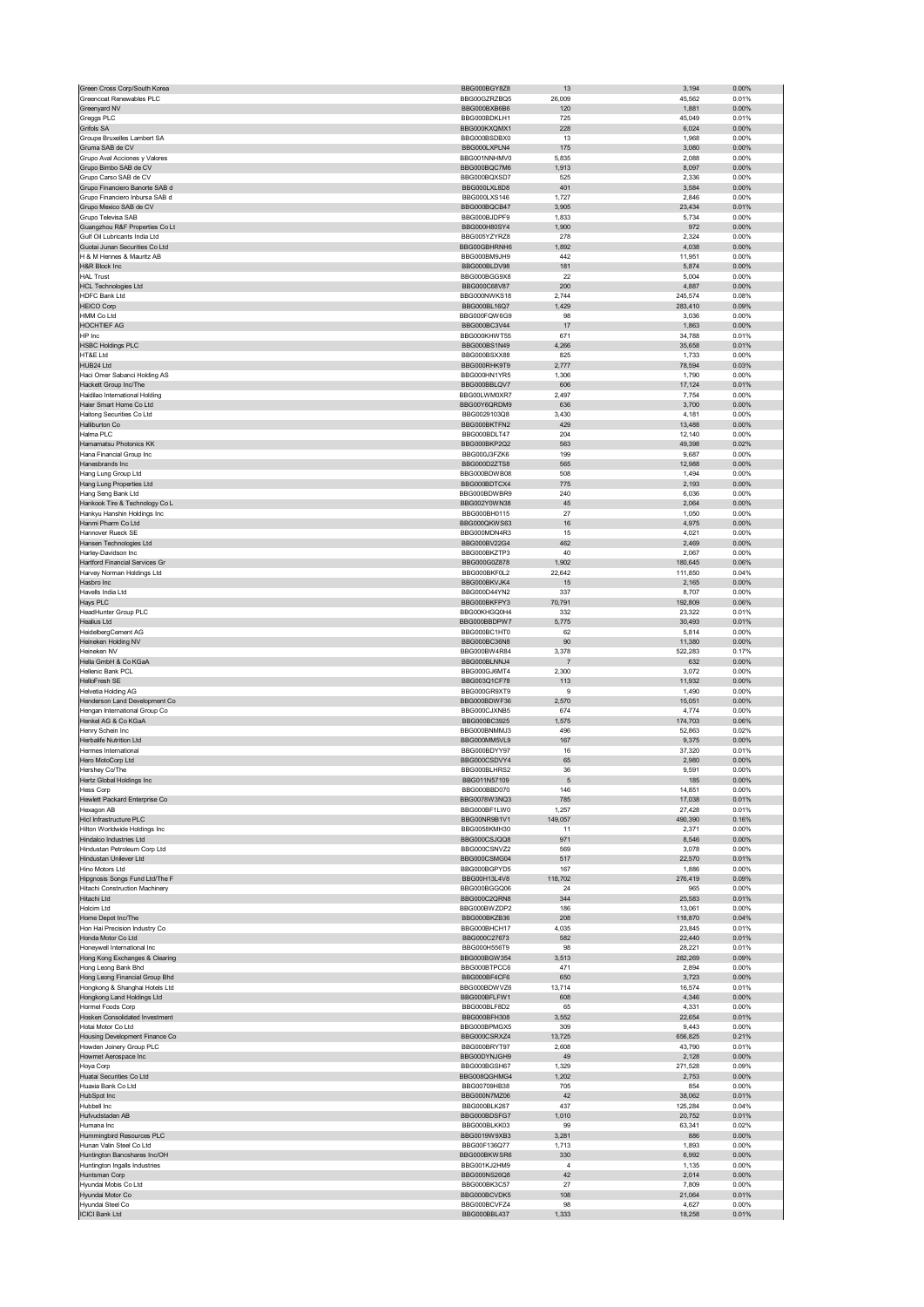| Green Cross Corp/South Korea                                     | BBG000BGY8Z8                 | 13             | 3,194            | 0.00%             |
|------------------------------------------------------------------|------------------------------|----------------|------------------|-------------------|
| Greencoat Renewables PLC                                         | BBG00GZRZBQ5                 | 26,009         | 45,562           | 0.01%             |
| Greenyard NV                                                     | BBG000BXB6B6                 | 120            | 1,881            | 0.00%             |
| Greggs PLC                                                       | BBG000BDKLH1                 | 725            | 45,049           | 0.01%             |
| Grifols SA                                                       | BBG000KXQMX1                 | 228            | 6,024            | 0.00%             |
| Groupe Bruxelles Lambert SA<br>Gruma SAB de CV                   | BBG000BSDBX0<br>BBG000LXPLN4 | 13<br>175      | 1,968<br>3,080   | 0.00%<br>0.00%    |
| Grupo Aval Acciones y Valores                                    | BBG001NNHMV0                 | 5,835          | 2,088            | 0.00%             |
| Grupo Bimbo SAB de CV                                            | BBG000BQC7M6                 | 1,913          | 8,097            | $0.00\%$          |
| Grupo Carso SAB de CV                                            | BBG000BQXSD7                 | 525            | 2,336            | 0.00%             |
| Grupo Financiero Banorte SAB d                                   | BBG000LXL8D8                 | 401            | 3,584            | 0.00%             |
| Grupo Financiero Inbursa SAB d                                   | BBG000LXS146                 | 1,727          | 2,846            | 0.00%             |
| Grupo Mexico SAB de CV                                           | BBG000BQCB47                 | 3,905          | 23,434           | 0.01%             |
| Grupo Televisa SAB                                               | BBG000BJDPF9                 | 1,833          | 5,734            | 0.00%             |
| Guangzhou R&F Properties Co Lt                                   | BBG000H80SY4                 | 1,900          | 972              | 0.00%             |
| Gulf Oil Lubricants India Ltd                                    | BBG005YZYRZ8                 | 278            | 2,324            | 0.00%             |
| Guotai Junan Securities Co Ltd                                   | BBG00GBHRNH6                 | 1,892          | 4,038            | 0.00%             |
| H & M Hennes & Mauritz AB                                        | BBG000BM9JH9                 | 442            | 11,951           | 0.00%             |
| H&R Block Inc                                                    | BBG000BLDV98                 | 181            | 5,874            | 0.00%             |
| <b>HAL Trust</b>                                                 | BBG000BGG9X8                 | 22             | 5,004            | 0.00%             |
| <b>HCL Technologies Ltd</b>                                      | BBG000C68V87                 | 200            | 4,887            | 0.00%             |
| HDFC Bank Ltd                                                    | BBG000NWKS18                 | 2,744          | 245,574          | 0.08%             |
| <b>HEICO Corp</b>                                                | BBG000BL16Q7                 | 1,429          | 283,410          | 0.09%             |
| HMM Co Ltd                                                       | BBG000FQW6G9                 | 98             | 3,036            | 0.00%             |
| HOCHTIEF AG                                                      | BBG000BC3V44                 | 17             | 1,863            | $0.00\%$          |
| HP Inc                                                           | BBG000KHWT55                 | 671            | 34,788           | 0.01%             |
| <b>HSBC Holdings PLC</b>                                         | BBG000BS1N49                 | 4,266          | 35,658           | 0.01%             |
| HT&E Ltd<br>HUB24 Ltd                                            | BBG000BSXX88<br>BBG000RHK9T9 | 825<br>2,777   | 1,733<br>78,594  | 0.00%<br>0.03%    |
| Haci Omer Sabanci Holding AS                                     | BBG000HN1YR5                 | 1,306          | 1,790            | 0.00%             |
| Hackett Group Inc/The                                            | BBG000BBLQV7                 | 606            | 17,124           | 0.01%             |
| Haidilao International Holding                                   | BBG00LWM0XR7                 | 2,497          | 7,754            | 0.00%             |
| Haier Smart Home Co Ltd                                          | BBG00Y6QRDM9                 | 636            | 3,700            | $0.00\%$          |
| Haitong Securities Co Ltd                                        | BBG0029103Q8                 | 3,430          | 4,181            | 0.00%             |
| Halliburton Co                                                   | BBG000BKTFN2                 | 429            | 13,488           | 0.00%             |
| Halma PLC                                                        | BBG000BDLT47                 | 204            | 12,140           | 0.00%             |
| Hamamatsu Photonics KK                                           | BBG000BKP2Q2                 | 563            | 49,398           | 0.02%             |
| Hana Financial Group Inc                                         | BBG000J3FZK6                 | 199            | 9,687            | 0.00%             |
| Hanesbrands Inc                                                  | BBG000D2ZTS8                 | 565            | 12,988           | 0.00%             |
| Hang Lung Group Ltd                                              | BBG000BDWB08                 | 508            | 1,494            | 0.00%             |
| Hang Lung Properties Ltd                                         | BBG000BDTCX4                 | 775            | 2,193            | 0.00%             |
| Hang Seng Bank Ltd                                               | BBG000BDWBR9                 | 240            | 6,036            | 0.00%             |
| Hankook Tire & Technology Co L                                   | BBG002Y0WN38                 | 45             | 2,064            | $0.00\%$          |
| Hankyu Hanshin Holdings Inc                                      | BBG000BH0115                 | 27             | 1,050            | 0.00%             |
| Hanmi Pharm Co Ltd                                               | BBG000QKWS63                 | 16             | 4,975            | 0.00%             |
| Hannover Rueck SE                                                | BBG000MDN4R3                 | 15             | 4,021            | 0.00%             |
| Hansen Technologies Ltd                                          | BBG000BV22G4                 | 462            | 2,469            | 0.00%             |
| Harley-Davidson Inc                                              | BBG000BKZTP3                 | 40             | 2,067            | 0.00%             |
| <b>Hartford Financial Services Gr</b>                            | BBG000G0Z878                 | 1,902          | 180,645          | 0.06%             |
| Harvey Norman Holdings Ltd                                       | BBG000BKF0L2                 | 22,642         | 111,850          | 0.04%             |
| Hasbro Inc                                                       | BBG000BKVJK4                 | 15             | 2,165            | 0.00%             |
| Havells India Ltd                                                | BBG000D44YN2                 | 337            | 8,707            | 0.00%             |
| Hays PLC<br>HeadHunter Group PLC                                 | BBG000BKFPY3                 | 70,791         | 192,809          | 0.06%<br>0.01%    |
| <b>Healius Ltd</b>                                               | BBG00KHGQ0H4<br>BBG000BBDPW7 | 332<br>5,775   | 23,322<br>30,493 | 0.01%             |
| HeidelbergCement AG                                              | BBG000BC1HT0                 | 62             | 5,814            | 0.00%             |
| Heineken Holding NV                                              | BBG000BC36N8                 | 90             | 11,380           | 0.00%             |
|                                                                  |                              |                |                  |                   |
|                                                                  |                              |                |                  |                   |
| Heineken NV                                                      | BBG000BW4R84<br>BBG000BLNNJ4 | 3,378          | 522,283          | 0.17%             |
| Hella GmbH & Co KGaA                                             |                              | $\overline{7}$ | 632              | $0.00\%$          |
| Hellenic Bank PCL                                                | BBG000GJ6MT4                 | 2,300          | 3,072            | 0.00%             |
| HelloFresh SE<br>Helvetia Holding AG                             | BBG003Q1CF78<br>BBG000GR9XT9 | 113<br>9       | 11,932<br>1,490  | 0.00%<br>0.00%    |
|                                                                  | BBG000BDWF36                 | 2,570          | 15,051           | 0.00%             |
| Henderson Land Development Co<br>Hengan International Group Co   | BBG000CJXNB5                 | 674            | 4,774            | 0.00%             |
| Henkel AG & Co KGaA                                              | BBG000BC3925                 | 1,575          | 174,703          | 0.06%             |
| Henry Schein Inc                                                 | BBG000BNMMJ3                 | 496            | 52,863           | 0.02%             |
| Herbalife Nutrition Ltd                                          | BBG000MM5VL9                 | 167            | 9,375            | 0.00%             |
| Hermes International                                             | BBG000BDYY97                 | 16             | 37,320           | 0.01%             |
| Hero MotoCorp Ltd                                                | BBG000CSDVY4                 | 65             | 2,980            | 0.00%             |
| Hershey Co/The                                                   | BBG000BLHRS2                 | 36             | 9,591            | 0.00%             |
| Hertz Global Holdings Inc                                        | BBG011N57109                 | 5              | 185              | 0.00%             |
| Hess Corp                                                        | BBG000BBD070                 | 146            | 14,851           | 0.00%             |
| Hewlett Packard Enterprise Co                                    | BBG0078W3NQ3                 | 785            | 17,038           | 0.01%             |
| Hexagon AB                                                       | BBG000BF1LW0                 | 1,257          | 27,428           | 0.01%             |
| Hicl Infrastructure PLC                                          | BBG00NR9B1V1                 | 149,057        | 490,390          | 0.16%             |
| Hilton Worldwide Holdings Inc                                    | BBG0058KMH30                 | 11             | 2,371            | 0.00%             |
| Hindalco Industries Ltd                                          | BBG000CSJQQ8                 | 971            | 8,546            | 0.00%             |
| Hindustan Petroleum Corp Ltd                                     | BBG000CSNVZ2<br>BBG000CSMG04 | 569            | 3,078            | 0.00%             |
| Hindustan Unilever Ltd<br>Hino Motors Ltd                        |                              | 517<br>167     | 22,570           | 0.01%             |
|                                                                  | BBG000BGPYD5<br>BBG00H13L4V8 | 118,702        | 1,886<br>276,419 | 0.00%<br>0.09%    |
| Hipgnosis Songs Fund Ltd/The F<br>Hitachi Construction Machinery | BBG000BGGQ06                 | 24             | 965              | 0.00%             |
| Hitachi Ltd                                                      | BBG000C2QRN8                 | 344            | 25,583           | 0.01%             |
| Holcim Ltd                                                       | BBG000BWZDP2                 | 186            | 13,061           | 0.00%             |
| Home Depot Inc/The                                               | BBG000BKZB36                 | 208            | 118,870          | 0.04%             |
| Hon Hai Precision Industry Co                                    | BBG000BHCH17                 | 4,035          | 23,845           | 0.01%             |
| Honda Motor Co Ltd                                               | BBG000C27673                 | 582            | 22,440           | 0.01%             |
| Honeywell International Inc.                                     | BBG000H556T9                 | 98             | 28,221           | 0.01%             |
| Hong Kong Exchanges & Clearing                                   | BBG000BGW354                 | 3,513          | 282,269          | 0.09%             |
| Hong Leong Bank Bhd                                              | BBG000BTPCC6                 | 471            | 2,894            | 0.00%             |
| Hong Leong Financial Group Bhd                                   | BBG000BF4CF6                 | 650            | 3,723            | 0.00%             |
| Hongkong & Shanghai Hotels Ltd                                   | BBG000BDWVZ6                 | 13,714         | 16,574           | 0.01%             |
| Hongkong Land Holdings Ltd                                       | BBG000BFLFW1                 | 608            | 4,346            | 0.00%             |
| Hormel Foods Corp                                                | BBG000BLF8D2                 | 65             | 4,331            | 0.00%             |
| Hosken Consolidated Investment<br>Hotai Motor Co Ltd             | BBG000BFH308<br>BBG000BPMGX5 | 3,552<br>309   | 22,654<br>9,443  | 0.01%<br>0.00%    |
|                                                                  |                              |                |                  |                   |
| Housing Development Finance Co                                   | BBG000CSRXZ4                 | 13,725         | 656,825          | 0.21%             |
| Howden Joinery Group PLC<br>Howmet Aerospace Inc                 | BBG000BRYT97<br>BBG00DYNJGH9 | 2,608<br>49    | 43,790<br>2,128  | 0.01%<br>$0.00\%$ |
| Hoya Corp                                                        | BBG000BGSH67                 | 1.329          | 271,528          | 0.09%             |
| Huatai Securities Co Ltd                                         | BBG008QGHMG4                 | 1,202          | 2,753            | 0.00%             |
| Huaxia Bank Co Ltd                                               | BBG00709HB38                 | 705            | 854              | 0.00%             |
| HubSpot Inc                                                      | BBG000N7MZ06                 | 42             | 38,062           | 0.01%             |
| Hubbell Inc                                                      | BBG000BLK267                 | 437            | 125,284          | 0.04%             |
| Hufvudstaden AB                                                  | BBG000BDSFG7                 | 1,010          | 20,752           | 0.01%             |
| Humana Inc                                                       | BBG000BLKK03                 | 99             | 63,341           | 0.02%             |
| Hummingbird Resources PLC                                        | BBG0019W9XB3                 | 3,281          | 886              | 0.00%             |
| Hunan Valin Steel Co Ltd                                         | BBG00F136Q77                 | 1,713          | 1,893            | 0.00%             |
| Huntington Bancshares Inc/OH                                     | BBG000BKWSR6                 | 330            | 6,992            | 0.00%             |
| Huntington Ingalls Industries                                    | BBG001KJ2HM9                 | 4              | 1,135            | 0.00%             |
| Huntsman Corp                                                    | BBG000NS26Q8                 | 42             | 2,014            | 0.00%             |
| Hyundai Mobis Co Ltd                                             | BBG000BK3C57                 | 27             | 7,809            | 0.00%             |
| Hyundai Motor Co                                                 | BBG000BCVDK5                 | 108<br>98      | 21,064           | 0.01%             |
| Hyundai Steel Co<br><b>ICICI Bank Ltd</b>                        | BBG000BCVFZ4<br>BBG000BBL437 | 1,333          | 4,627<br>18,258  | 0.00%<br>0.01%    |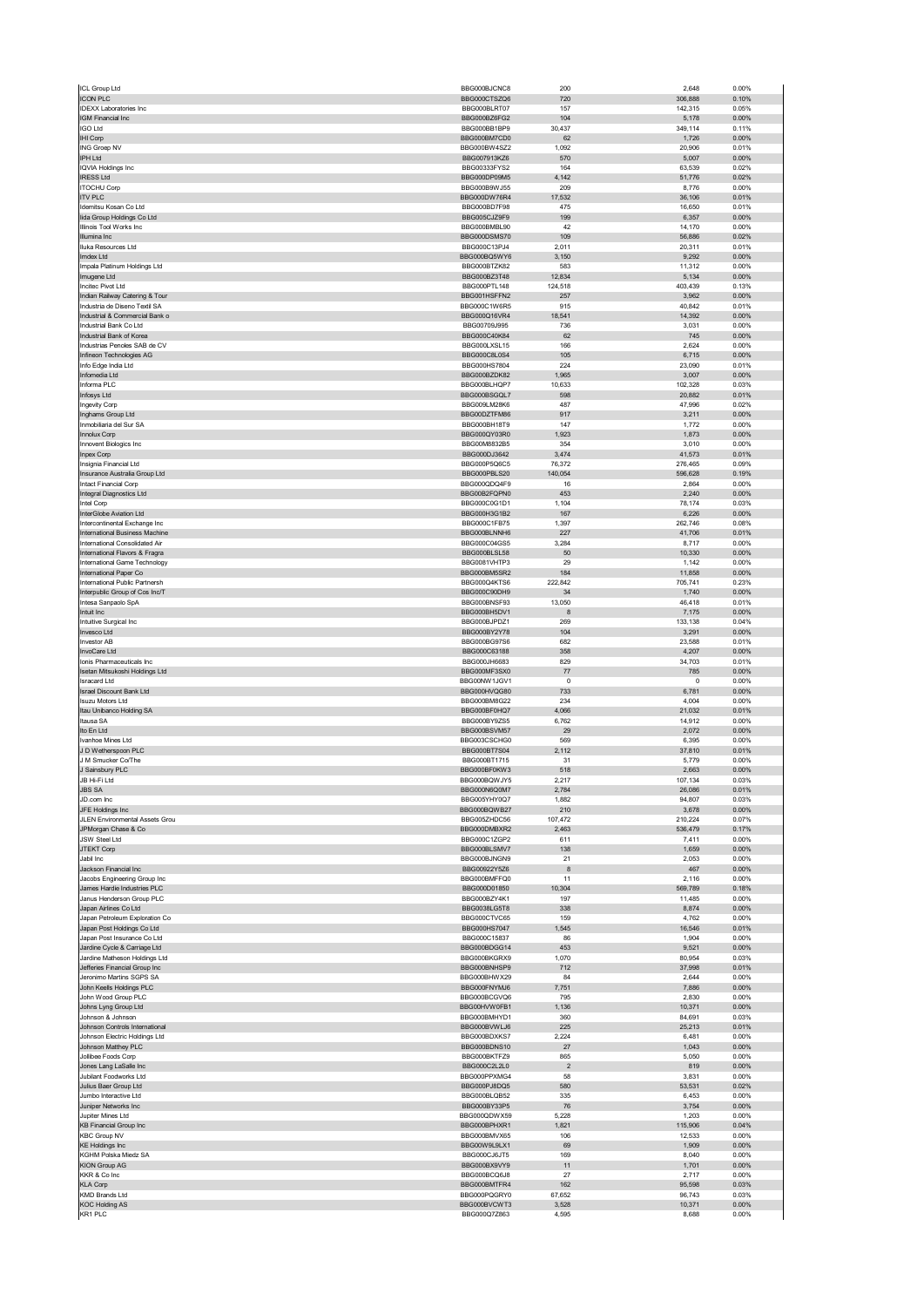| ICL Group Ltd                                                   | BBG000BJCNC8                  | 200             | 2.648            | 0.00%             |
|-----------------------------------------------------------------|-------------------------------|-----------------|------------------|-------------------|
| <b>ICON PLC</b>                                                 | BBG000CTSZQ6                  | 720             | 306,888          | 0.10%             |
| <b>IDEXX Laboratories Inc</b>                                   | BBG000BLRT07                  | 157             | 142,315          | 0.05%             |
| IGM Financial Inc                                               | BBG000BZ6FG2                  | 104             | 5,178            | $0.00\%$          |
| <b>IGO Ltd</b>                                                  | BBG000BB1BP9                  | 30,437          | 349,114          | 0.11%<br>$0.00\%$ |
| IHI Corp<br>ING Groep NV                                        | BBG000BM7CD0<br>BBG000BW4SZ2  | 62<br>1,092     | 1,726<br>20,906  | 0.01%             |
| IPH Ltd                                                         | BBG007913KZ6                  | 570             | 5,007            | 0.00%             |
| <b>IQVIA Holdings Inc</b>                                       | BBG00333FYS2                  | 164             | 63,539           | 0.02%             |
| <b>IRESS Ltd</b>                                                | BBG000DP09M5                  | 4,142           | 51,776           | 0.02%             |
| <b>ITOCHU Corp</b>                                              | BBG000B9WJ55                  | 209             | 8,776            | 0.00%             |
| <b>ITV PLC</b>                                                  | BBG000DW76R4                  | 17,532          | 36,106           | 0.01%             |
| Idemitsu Kosan Co Ltd                                           | BBG000BD7F98                  | 475             | 16,650           | 0.01%             |
| lida Group Holdings Co Ltd                                      | BBG005CJZ9F9                  | 199             | 6,357            | 0.00%             |
| Illinois Tool Works Inc                                         | BBG000BMBL90                  | 42              | 14,170           | 0.00%             |
| Illumina Inc<br>Iluka Resources Ltd                             | BBG000DSMS70<br>BBG000C13PJ4  | 109<br>2,011    | 56,886           | 0.02%<br>0.01%    |
| Imdex Ltd                                                       | BBG000BQ5WY6                  | 3,150           | 20,311<br>9,292  | 0.00%             |
| Impala Platinum Holdings Ltd                                    | BBG000BTZK82                  | 583             | 11,312           | 0.00%             |
| Imugene Ltd                                                     | BBG000BZ3T48                  | 12,834          | 5,134            | $0.00\%$          |
| Incitec Pivot Ltd                                               | BBG000PTL148                  | 124,518         | 403,439          | 0.13%             |
| Indian Railway Catering & Tour                                  | BBG001HSFFN2                  | 257             | 3,962            | 0.00%             |
| Industria de Diseno Textil SA                                   | BBG000C1W6R5                  | 915             | 40,842           | 0.01%             |
| Industrial & Commercial Bank o                                  | BBG000Q16VR4                  | 18,541          | 14,392           | 0.00%             |
| Industrial Bank Co Ltd                                          | BBG00709J995                  | 736             | 3,031            | 0.00%             |
| Industrial Bank of Korea                                        | BBG000C40K84                  | 62              | 745              | 0.00%             |
| Industrias Penoles SAB de CV<br>Infineon Technologies AG        | BBG000LXSL15<br>BBG000C8L0S4  | 166<br>105      | 2,624<br>6,715   | 0.00%<br>0.00%    |
| Info Edge India Ltd                                             | BBG000HS7804                  | 224             | 23,090           | 0.01%             |
| Infomedia Ltd                                                   | BBG000BZDK82                  | 1,965           | 3,007            | 0.00%             |
| Informa PLC                                                     | BBG000BLHQP7                  | 10,633          | 102,328          | 0.03%             |
| Infosys Ltd                                                     | BBG000BSGQL7                  | 598             | 20,882           | 0.01%             |
| Ingevity Corp                                                   | BBG009LM28K6                  | 487             | 47,996           | 0.02%             |
| Inghams Group Ltd                                               | BBG00DZTFM86                  | 917             | 3,211            | 0.00%             |
| Inmobiliaria del Sur SA                                         | BBG000BH18T9                  | 147             | 1,772            | 0.00%             |
| <b>Innolux Corp</b><br>Innovent Biologics Inc                   | BBG000QY03R0                  | 1,923           | 1,873            | 0.00%             |
| Inpex Corp                                                      | BBG00M8832B5<br>BBG000DJ3642  | 354<br>3,474    | 3,010<br>41,573  | 0.00%<br>0.01%    |
| Insignia Financial Ltd                                          | BBG000P5Q6C5                  | 76,372          | 276,465          | 0.09%             |
| Insurance Australia Group Ltd                                   | BBG000PBLS20                  | 140,054         | 596,628          | 0.19%             |
| <b>Intact Financial Corp</b>                                    | BBG000QDQ4F9                  | 16              | 2,864            | 0.00%             |
| Integral Diagnostics Ltd                                        | BBG00B2FOPN0                  | 453             | 2,240            | 0.00%             |
| Intel Corp                                                      | BBG000C0G1D1                  | 1,104           | 78,174           | 0.03%             |
| InterGlobe Aviation Ltd                                         | BBG000H3G1B2                  | 167             | 6,226            | 0.00%             |
| Intercontinental Exchange Inc                                   | BBG000C1FB75                  | 1,397           | 262,746          | 0.08%             |
| International Business Machine                                  | BBG000BLNNH6                  | 227             | 41,706           | 0.01%             |
| International Consolidated Air                                  | BBG000C04GS5                  | 3,284           | 8,717            | 0.00%             |
| International Flavors & Fragra<br>International Game Technology | BBG000BLSL58<br>BBG0081VHTP3  | 50<br>29        | 10,330<br>1,142  | 0.00%<br>0.00%    |
| International Paper Co                                          | BBG000BM5SR2                  | 184             | 11,858           | 0.00%             |
| International Public Partnersh                                  | BBG000Q4KTS6                  | 222,842         | 705,741          | 0.23%             |
| Interpublic Group of Cos Inc/T                                  | BBG000C90DH9                  | 34              | 1,740            | 0.00%             |
| Intesa Sanpaolo SpA                                             | BBG000BNSF93                  | 13,050          | 46,418           | 0.01%             |
| Intuit Inc                                                      | BBG000BH5DV1                  | 8               | 7,175            | 0.00%             |
| Intuitive Surgical Inc                                          | BBG000BJPDZ1                  | 269             | 133,138          | 0.04%             |
| Invesco Ltd                                                     | BBG000BY2Y78                  | 104             | 3,291            | $0.00\%$          |
|                                                                 |                               |                 | 23,588           | 0.01%             |
| Investor AB                                                     | BBG000BG97S6                  | 682             |                  |                   |
| InvoCare Ltd                                                    | BBG000C63188                  | 358             | 4,207            | 0.00%             |
| Ionis Pharmaceuticals Inc.                                      | BBG000JH6683                  | 829             | 34,703           | 0.01%             |
| Isetan Mitsukoshi Holdings Ltd                                  | BBG000MF3SX0                  | 77              | 785              | 0.00%             |
| <b>Isracard Ltd</b>                                             | BBG00NW1JGV1                  | 0               | 0                | 0.00%             |
| <b>Israel Discount Bank Ltd</b><br><b>Isuzu Motors Ltd</b>      | BBG000HVQG80<br>BBG000BM8G22  | 733<br>234      | 6,781<br>4,004   | $0.00\%$<br>0.00% |
| Itau Unibanco Holding SA                                        | BBG000BF0HQ7                  | 4,066           | 21,032           | 0.01%             |
| Itausa SA                                                       | BBG000BY9ZS5                  | 6,762           | 14,912           | 0.00%             |
| Ito En Ltd                                                      | BBG000BSVM57                  | 29              | 2,072            | $0.00\%$          |
| Ivanhoe Mines Ltd                                               | BBG003CSCHG0                  | 569             | 6,395            | 0.00%             |
| J D Wetherspoon PLC                                             | <b>BBG000BT7S04</b>           | 2,112           | 37,810           | 0.01%             |
| J M Smucker Co/The                                              | BBG000BT1715                  | 31              | 5,779            | 0.00%             |
| J Sainsbury PLC<br>IR HLFi Ltd.                                 | BBG000BF0KW3<br>BBG000BOW.IY5 | 518<br>2217     | 2,663<br>07 134  | 0.00%<br>0.03%    |
| <b>JBS SA</b>                                                   | BBG000N6Q0M7                  | 2,784           | 26,086           | 0.01%             |
| JD.com Inc                                                      | BBG005YHY0Q7                  | 1,882           | 94,807           | 0.03%             |
| JFE Holdings Inc                                                | BBG000BQWB27                  | 210             | 3,678            | 0.00%             |
| JLEN Environmental Assets Grou                                  | BBG005ZHDC56                  | 107,472         | 210,224          | 0.07%             |
| JPMorgan Chase & Co                                             | BBG000DMBXR2                  | 2,463           | 536,479          | 0.17%             |
| JSW Steel Ltd                                                   | BBG000C1ZGP2                  | 611             | 7,411            | 0.00%             |
| JTEKT Corp<br>Jabil Inc                                         | BBG000BLSMV7                  | 138<br>21       | 1,659            | $0.00\%$          |
| Jackson Financial Inc                                           | BBG000BJNGN9<br>BBG00922Y5Z6  | 8               | 2,053<br>467     | 0.00%<br>0.00%    |
| Jacobs Engineering Group Inc                                    | BBG000BMFFQ0                  | 11              | 2,116            | 0.00%             |
| James Hardie Industries PLC                                     | BBG000D01850                  | 10,304          | 569,789          | 0.18%             |
| Janus Henderson Group PLC                                       | BBG000BZY4K1                  | 197             | 11,485           | 0.00%             |
| Japan Airlines Co Ltd                                           | BBG0038LG5T8                  | 338             | 8,874            | $0.00\%$          |
| Japan Petroleum Exploration Co                                  | BBG000CTVC65                  | 159             | 4,762            | 0.00%             |
| Japan Post Holdings Co Ltd                                      | BBG000HS7047                  | 1,545           | 16,546           | 0.01%             |
| Japan Post Insurance Co Ltd<br>Jardine Cycle & Carriage Ltd     | BBG000C15837<br>BBG000BDGG14  | 86<br>453       | 1,904<br>9,521   | 0.00%<br>$0.00\%$ |
| Jardine Matheson Holdings Ltd                                   | BBG000BKGRX9                  | 1,070           | 80,954           | 0.03%             |
| Jefferies Financial Group Inc                                   | BBG000BNHSP9                  | 712             | 37,998           | 0.01%             |
| Jeronimo Martins SGPS SA                                        | BBG000BHWX29                  | 84              | 2,644            | 0.00%             |
| John Keells Holdings PLC                                        | BBG000FNYMJ6                  | 7,751           | 7,886            | 0.00%             |
| John Wood Group PLC                                             | BBG000BCGVQ6                  | 795             | 2,830            | 0.00%             |
| Johns Lyng Group Ltd                                            | BBG00HVW0FB1                  | 1,136           | 10,371           | 0.00%             |
| Johnson & Johnson                                               | BBG000BMHYD1                  | 360<br>225      | 84,691           | 0.03%<br>0.01%    |
| Johnson Controls International<br>Johnson Electric Holdings Ltd | BBG000BVWLJ6<br>BBG000BDXKS7  | 2,224           | 25,213<br>6,481  | 0.00%             |
| Johnson Matthey PLC                                             | BBG000BDNS10                  | 27              | 1,043            | 0.00%             |
| Jollibee Foods Corp                                             | BBG000BKTFZ9                  | 865             | 5,050            | 0.00%             |
| Jones Lang LaSalle Inc                                          | BBG000C2L2L0                  | $\overline{2}$  | 819              | 0.00%             |
| Jubilant Foodworks Ltd                                          | BBG000PPXMG4                  | 58              | 3,831            | 0.00%             |
| Julius Baer Group Ltd                                           | BBG000PJ8DQ5                  | 580             | 53,531           | 0.02%             |
| Jumbo Interactive Ltd                                           | BBG000BLQB52                  | 335             | 6,453            | 0.00%             |
| Juniper Networks Inc                                            | BBG000BY33P5                  | 76              | 3,754            | $0.00\%$          |
| Jupiter Mines Ltd                                               | BBG000QDWX59<br>BBG000BPHXR1  | 5,228<br>1,821  | 1,203<br>115,906 | 0.00%<br>0.04%    |
| KB Financial Group Inc<br><b>KBC Group NV</b>                   | BBG000BMVX65                  | 106             | 12,533           | 0.00%             |
| <b>KE Holdings Inc</b>                                          | BBG00W9L9LX1                  | 69              | 1,909            | 0.00%             |
| KGHM Polska Miedz SA                                            | BBG000CJ6JT5                  | 169             | 8,040            | 0.00%             |
| <b>KION Group AG</b>                                            | BBG000BX9VY9                  | 11              | 1,701            | 0.00%             |
| KKR & Co Inc                                                    | BBG000BCQ6J8                  | 27              | 2,717            | 0.00%             |
| <b>KLA Corp</b>                                                 | BBG000BMTFR4                  | 162             | 95,598           | 0.03%             |
| KMD Brands Ltd<br><b>KOC Holding AS</b>                         | BBG000PQGRY0<br>BBG000BVCWT3  | 67,652<br>3,528 | 96,743<br>10,371 | 0.03%<br>0.00%    |
| KR1 PLC                                                         | BBG000Q7Z863                  | 4,595           | 8,688            | 0.00%             |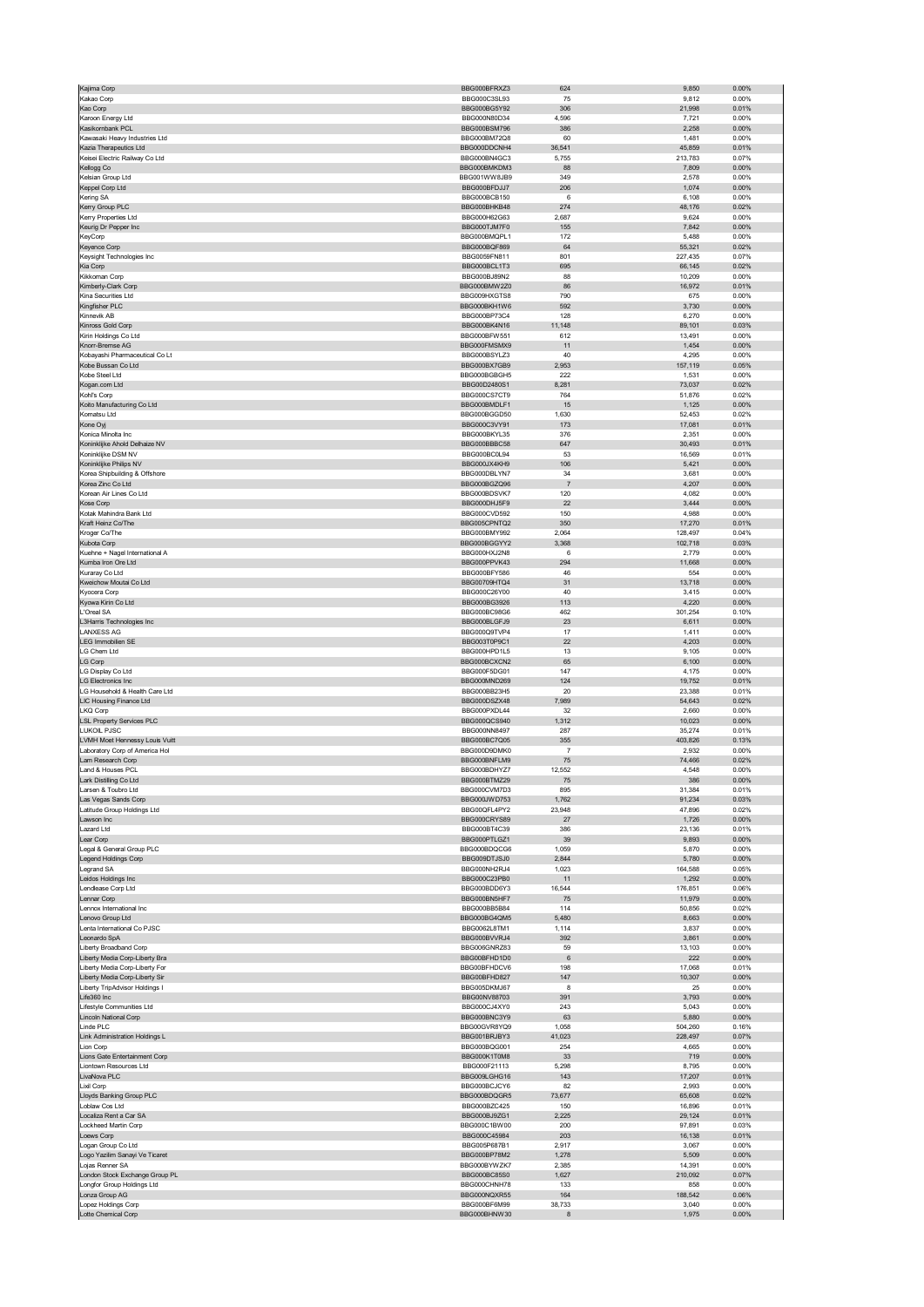| Kajima Corp                                              | BBG000BFRXZ3                 | 624             | 9,850              | 0.00%                   |
|----------------------------------------------------------|------------------------------|-----------------|--------------------|-------------------------|
| Kakao Corp                                               | BBG000C3SL93                 | 75              | 9,812              | 0.00%                   |
| Kao Corp                                                 | BBG000BG5Y92                 | 306             | 21,998             | 0.01%                   |
| Karoon Energy Ltd                                        | BBG000N80D34                 | 4,596           | 7,721              | 0.00%                   |
| Kasikornbank PCL                                         | BBG000BSM796                 | 386             | 2,258              | 0.00%                   |
| Kawasaki Heavy Industries Ltd                            | BBG000BM72Q8                 | 60              | 1,481              | 0.00%                   |
| Kazia Therapeutics Ltd<br>Keisei Electric Railway Co Ltd | BBG000DDCNH4<br>BBG000BN4GC3 | 36,541<br>5,755 | 45,859<br>213,783  | 0.01%<br>0.07%          |
| Kellogg Co                                               | BBG000BMKDM3                 | 88              | 7,809              | 0.00%                   |
| Kelsian Group Ltd                                        | BBG001WW8JB9                 | 349             | 2,578              | 0.00%                   |
| Keppel Corp Ltd                                          | BBG000BFDJJ7                 | 206             | 1,074              | 0.00%                   |
| Kering SA                                                | BBG000BCB150                 | 6               | 6,108              | 0.00%                   |
| Kerry Group PLC                                          | BBG000BHKB48                 | 274             | 48,176             | 0.02%                   |
| Kerry Properties Ltd                                     | BBG000H62G63                 | 2,687           | 9,624              | 0.00%                   |
| Keurig Dr Pepper Inc                                     | BBG000TJM7F0                 | 155             | 7,842              | 0.00%                   |
| KeyCorp                                                  | BBG000BMQPL1                 | 172             | 5,488              | 0.00%                   |
| Keyence Corp<br>Keysight Technologies Inc                | BBG000BQF869<br>BBG0059FN811 | 64<br>801       | 55,321<br>227,435  | 0.02%<br>0.07%          |
| Kia Corp                                                 | BBG000BCL1T3                 | 695             | 66,145             | 0.02%                   |
| Kikkoman Corp                                            | BBG000BJ89N2                 | 88              | 10,209             | 0.00%                   |
| Kimberly-Clark Corp                                      | BBG000BMW2Z0                 | 86              | 16,972             | 0.01%                   |
| Kina Securities Ltd                                      | BBG009HXGTS8                 | 790             | 675                | 0.00%                   |
| Kingfisher PLC                                           | BBG000BKH1W6                 | 592             | 3,730              | 0.00%                   |
| Kinnevik AB                                              | BBG000BP73C4                 | 128             | 6,270              | 0.00%                   |
| Kinross Gold Corp<br>Kirin Holdings Co Ltd               | BBG000BK4N16<br>BBG000BFW551 | 11,148<br>612   | 89,101<br>13,491   | 0.03%<br>0.00%          |
| Knorr-Bremse AG                                          | BBG000FMSMX9                 | 11              | 1,454              | 0.00%                   |
| Kobayashi Pharmaceutical Co Lt                           | BBG000BSYLZ3                 | 40              | 4,295              | 0.00%                   |
| Kobe Bussan Co Ltd                                       | BBG000BX7GB9                 | 2,953           | 157,119            | 0.05%                   |
| Kobe Steel Ltd                                           | BBG000BGBGH5                 | 222             | 1,531              | 0.00%                   |
| Kogan.com Ltd                                            | BBG00D2480S1                 | 8,281           | 73,037             | 0.02%                   |
| Kohľ's Corp                                              | BBG000CS7CT9                 | 764             | 51,876             | 0.02%                   |
| Koito Manufacturing Co Ltd                               | BBG000BMDLF1                 | 15              | 1,125              | 0.00%                   |
| Komatsu Ltd                                              | BBG000BGGD50                 | 1,630           | 52,453             | 0.02%                   |
| Kone Oyj                                                 | BBG000C3VY91                 | 173             | 17,081             | 0.01%                   |
| Konica Minolta Inc<br>Koninklijke Ahold Delhaize NV      | BBG000BKYL35<br>BBG000BBBC58 | 376<br>647      | 2,351<br>30,493    | 0.00%<br>0.01%          |
| Koninklijke DSM NV                                       | BBG000BC0L94                 | 53              | 16,569             | 0.01%                   |
| Koninklijke Philips NV                                   | BBG000JX4KH9                 | 106             | 5,421              | 0.00%                   |
| Korea Shipbuilding & Offshore                            | BBG000DBLYN7                 | 34              | 3,681              | 0.00%                   |
| Korea Zinc Co Ltd                                        | BBG000BGZQ96                 | $\overline{7}$  | 4,207              | 0.00%                   |
| Korean Air Lines Co Ltd                                  | BBG000BDSVK7                 | 120             | 4,082              | 0.00%                   |
| Kose Corp                                                | BBG000DHJ5F9                 | 22              | 3,444              | 0.00%                   |
| Kotak Mahindra Bank Ltd                                  | BBG000CVD592                 | 150             | 4,988              | 0.00%                   |
| Kraft Heinz Co/The                                       | BBG005CPNTQ2                 | 350             | 17,270             | 0.01%                   |
| Kroger Co/The<br>Kubota Corp                             | BBG000BMY992<br>BBG000BGGYY2 | 2,064<br>3,368  | 128,497<br>102,718 | 0.04%<br>0.03%          |
| Kuehne + Nagel International A                           | BBG000HXJ2N8                 | 6               | 2,779              | 0.00%                   |
| Kumba Iron Ore Ltd                                       | BBG000PPVK43                 | 294             | 11,668             | 0.00%                   |
| Kuraray Co Ltd                                           | BBG000BFY586                 | 46              | 554                | 0.00%                   |
| Kweichow Moutai Co Ltd                                   | BBG00709HTQ4                 | 31              | 13,718             | 0.00%                   |
| Kyocera Corp                                             | BBG000C26Y00                 | 40              | 3,415              | 0.00%                   |
| Kyowa Kirin Co Ltd                                       | BBG000BG3926                 | 113             | 4,220              | $0.00\%$                |
| L'Oreal SA                                               | BBG000BC98G6                 | 462             | 301,254            | 0.10%                   |
| L3Harris Technologies Inc<br><b>LANXESS AG</b>           | BBG000BLGFJ9<br>BBG000Q9TVP4 | 23<br>17        | 6,611<br>1,411     | 0.00%<br>0.00%          |
| LEG Immobilien SE                                        | BBG003T0P9C1                 | 22              | 4,203              | 0.00%                   |
| LG Chem Ltd                                              | BBG000HPD1L5                 | 13              | 9,105              | 0.00%                   |
| <b>LG Corp</b>                                           | BBG000BCXCN2                 | 65              | 6,100              | 0.00%                   |
| LG Display Co Ltd                                        | BBG000F5DG01                 | 147             | 4,175              | 0.00%                   |
| <b>LG Electronics Inc</b>                                | BBG000MND269                 | 124             | 19,752             | 0.01%                   |
| LG Household & Health Care Ltd                           | BBG000BB23H5                 | 20              | 23,388             | 0.01%                   |
| LIC Housing Finance Ltd                                  | BBG000DSZX48                 | 7,989           | 54,643             | 0.02%                   |
| LKQ Corp                                                 | BBG000PXDL44                 | 32              | 2,660              | 0.00%                   |
| <b>LSL Property Services PLC</b>                         | BBG000QCS940                 | 1,312           | 10,023             | 0.00%                   |
| <b>LUKOIL PJSC</b><br>LVMH Moet Hennessy Louis Vuitt     | BBG000NN8497<br>BBG000BC7Q05 | 287<br>355      | 35,274<br>403,826  | 0.01%<br>0.13%          |
| Laboratory Corp of America Hol                           | BBG000D9DMK0                 | $\overline{7}$  | 2,932              | 0.00%                   |
| Lam Research Corp                                        | BBG000BNFLM9                 | 75              | 74,466             | 0.02%                   |
| Land & Houses PCL                                        | BBG000BDHYZ7                 | 12,552          | 4,548              | 0.00%                   |
| ark Distilling Co Ltd.                                   | BBG000BTMZ29                 | $\sim$          | 386                | <b>U.UU%</b>            |
| Larsen & Toubro Ltd                                      | BBG000CVM7D3                 | 895             | 31,384             | 0.01%                   |
| Las Vegas Sands Corp                                     | BBG000JWD753                 | 1,762           | 91,234             | 0.03%                   |
| Latitude Group Holdings Ltd<br>Lawson Inc                | BBG00QFL4PY2<br>BBG000CRYS89 | 23,948          | 47,896             | 0.02%<br>0.00%          |
| Lazard Ltd                                               | BBG000BT4C39                 | 27<br>386       | 1,726<br>23,136    | 0.01%                   |
| Lear Corp                                                | BBG000PTLGZ1                 | 39              | 9,893              | 0.00%                   |
| Legal & General Group PLC                                | BBG000BDQCG6                 | 1,059           | 5,870              | 0.00%                   |
| Legend Holdings Corp                                     | BBG009DTJSJ0                 | 2,844           | 5,780              | $0.00\%$                |
| Legrand SA                                               | BBG000NH2RJ4                 | 1,023           | 164,588            | 0.05%                   |
| Leidos Holdings Inc                                      | BBG000C23PB0                 | 11              | 1,292              | 0.00%                   |
| Lendlease Corp Ltd                                       | BBG000BDD6Y3                 | 16,544          | 176,851            | 0.06%                   |
| Lennar Corp                                              | BBG000BN5HF7                 | 75              | 11,979             | 0.00%                   |
| Lennox International Inc<br>Lenovo Group Ltd             | BBG000BB5B84<br>BBG000BG4QM5 | 114<br>5,480    | 50,856<br>8,663    | 0.02%<br>$0.00\%$       |
| Lenta International Co PJSC                              | BBG0062L8TM1                 | 1,114           | 3,837              | 0.00%                   |
| Leonardo SpA                                             | BBG000BVVRJ4                 | 392             | 3,861              | 0.00%                   |
| Liberty Broadband Corp                                   | BBG006GNRZ83                 | 59              | 13,103             | 0.00%                   |
| Liberty Media Corp-Liberty Bra                           | BBG00BFHD1D0                 | $\,6\,$         | 222                | 0.00%                   |
| Liberty Media Corp-Liberty For                           | BBG00BFHDCV6                 | 198             | 17,068             | 0.01%                   |
| Liberty Media Corp-Liberty Sir                           |                              |                 |                    | 0.00%                   |
| Liberty TripAdvisor Holdings I<br>Life360 Inc            | BBG00BFHD827                 | 147             | 10,307             |                         |
| Lifestyle Communities Ltd                                | BBG005DKMJ67                 | 8               | 25                 | 0.00%                   |
|                                                          | BBG00NV88703                 | 391             | 3,793              | 0.00%                   |
|                                                          | BBG000CJ4XY0                 | 243             | 5,043              | 0.00%                   |
| Lincoln National Corp<br>Linde PLC                       | BBG000BNC3Y9<br>BBG00GVR8YQ9 | 63<br>1,058     | 5,880<br>504,260   | 0.00%<br>0.16%          |
| Link Administration Holdings L                           | BBG001BRJBY3                 | 41,023          | 228,497            | 0.07%                   |
| Lion Corp                                                | BBG000BQG001                 | 254             | 4,665              | 0.00%                   |
| Lions Gate Entertainment Corp                            | BBG000K1T0M8                 | 33              | 719                | 0.00%                   |
| Liontown Resources Ltd                                   | BBG000F21113                 | 5,298           | 8,795              | 0.00%                   |
| LivaNova PLC                                             | BBG009LGHG16                 | 143             | 17,207             | 0.01%                   |
| Lixil Corp                                               | BBG000BCJCY6                 | 82              | 2,993              | 0.00%                   |
| Lloyds Banking Group PLC                                 | BBG000BDQGR5                 | 73,677          | 65,608             | 0.02%                   |
| Loblaw Cos Ltd<br>Localiza Rent a Car SA                 | BBG000BZC425<br>BBG000BJ9ZG1 | 150<br>2,225    | 16,896<br>29,124   | 0.01%<br>0.01%          |
| Lockheed Martin Corp                                     | BBG000C1BW00                 | 200             | 97,891             | 0.03%                   |
| Loews Corp                                               | BBG000C45984                 | 203             | 16,138             | 0.01%                   |
| Logan Group Co Ltd                                       | BBG005P687B1                 | 2,917           | 3,067              | 0.00%                   |
| Logo Yazilim Sanayi Ve Ticaret                           | BBG000BP78M2                 | 1,278           | 5,509              | 0.00%                   |
| Lojas Renner SA                                          | BBG000BYWZK7                 | 2,385           | 14,391             | 0.00%                   |
| London Stock Exchange Group PL                           | BBG000BC85S0                 | 1,627           | 210,092            | 0.07%                   |
| Longfor Group Holdings Ltd                               | BBG000CHNH78<br>BBG000NQXR55 | 133             | 858                | 0.00%                   |
| Lonza Group AG<br>Lopez Holdings Corp                    | BBG000BF6M99<br>BBG000BHNW30 | 164<br>38,733   | 188,542<br>3,040   | 0.06%<br>0.00%<br>0.00% |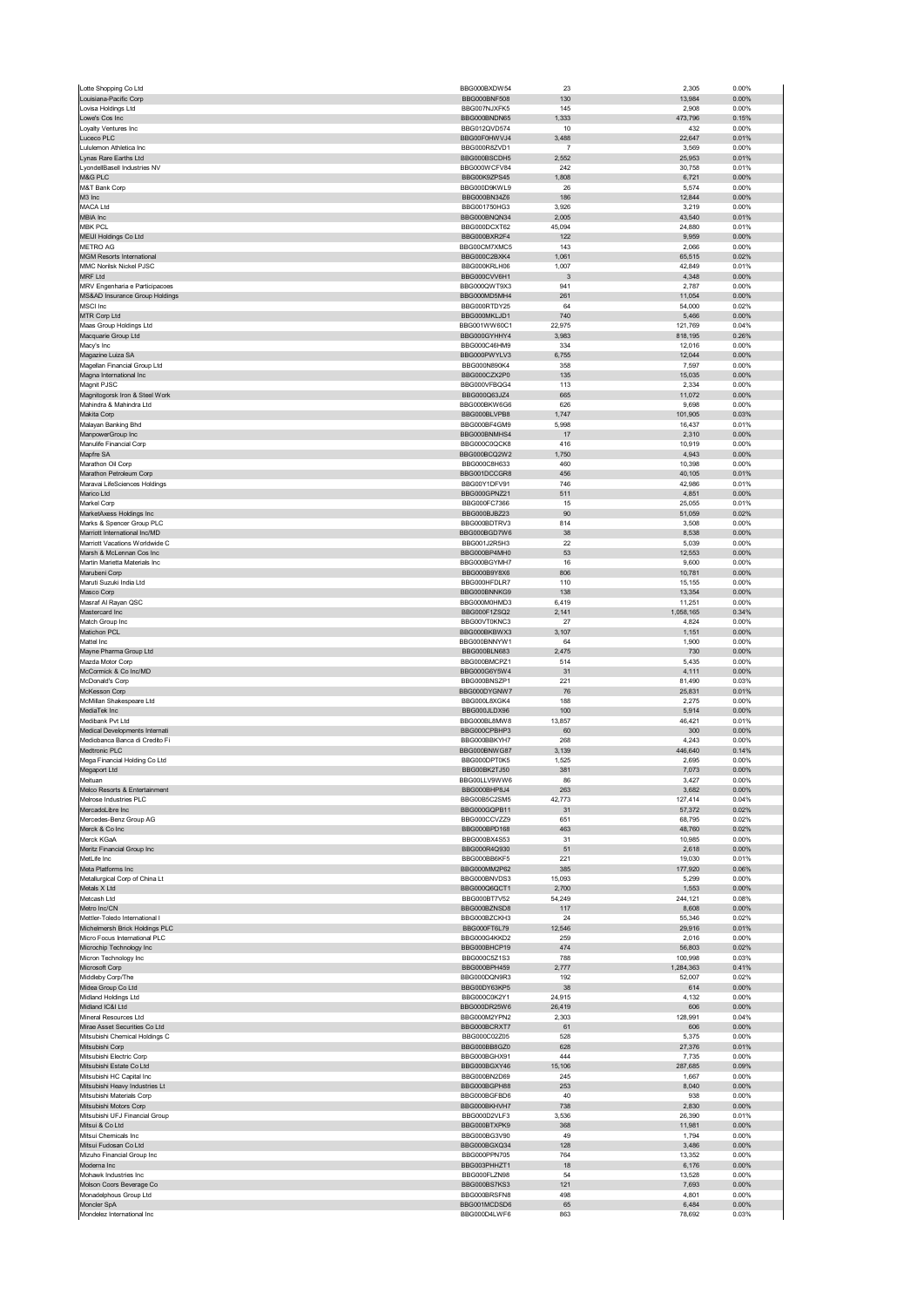|                                                            | BBG000BXDW54                 | 23              | 2,305               | 0.00%             |
|------------------------------------------------------------|------------------------------|-----------------|---------------------|-------------------|
| Louisiana-Pacific Corp                                     | <b>BBG000BNF508</b>          | 130             | 13,984              | 0.00%             |
| Lovisa Holdings Ltd                                        | BBG007NJXFK5                 | 145             | 2,908               | 0.00%             |
| Lowe's Cos Inc<br>Loyalty Ventures Inc                     | BBG000BNDN65<br>BBG012QVD574 | 1,333<br>10     | 473,796<br>432      | 0.15%<br>0.00%    |
| Luceco PLC                                                 | BBG00F0HWVJ4                 | 3,488           | 22,647              | 0.01%             |
| Lululemon Athletica Inc                                    | BBG000R8ZVD1                 | $\overline{7}$  | 3,569               | 0.00%             |
| Lynas Rare Earths Ltd                                      | BBG000BSCDH5                 | 2,552           | 25,953              | 0.01%             |
| LyondellBasell Industries NV                               | BBG000WCFV84                 | 242             | 30,758              | 0.01%             |
| M&G PLC                                                    | BBG00K9ZPS45                 | 1,808           | 6,721               | 0.00%             |
| M&T Bank Corp                                              | BBG000D9KWL9                 | 26              | 5,574               | 0.00%             |
| M3 Inc<br><b>MACA Ltd</b>                                  | BBG000BN34Z6<br>BBG001750HG3 | 186<br>3,926    | 12,844<br>3,219     | 0.00%<br>0.00%    |
| MBIA Inc                                                   | BBG000BNQN34                 | 2,005           | 43.540              | 0.01%             |
| <b>MBK PCL</b>                                             | BBG000DCXT62                 | 45,094          | 24,880              | 0.01%             |
| MEIJI Holdings Co Ltd                                      | BBG000BXR2F4                 | 122             | 9,959               | 0.00%             |
| <b>METRO AG</b>                                            | BBG00CM7XMC5                 | 143             | 2,066               | 0.00%             |
| <b>MGM Resorts International</b>                           | BBG000C2BXK4                 | 1,061           | 65,515              | 0.02%             |
| MMC Norilsk Nickel PJSC                                    | BBG000KRLH06                 | 1,007           | 42,849              | 0.01%             |
| <b>MRF Ltd</b><br>MRV Engenharia e Participacoes           | BBG000CVV6H1<br>BBG000QWT9X3 | 3<br>941        | 4,348<br>2,787      | $0.00\%$<br>0.00% |
| MS&AD Insurance Group Holdings                             | BBG000MD5MH4                 | 261             | 11,054              | $0.00\%$          |
| <b>MSCI</b> Inc                                            | BBG000RTDY25                 | 64              | 54,000              | 0.02%             |
| MTR Corp Ltd                                               | BBG000MKLJD1                 | 740             | 5,466               | 0.00%             |
| Maas Group Holdings Ltd                                    | BBG001WW60C1                 | 22,975          | 121,769             | 0.04%             |
| Macquarie Group Ltd                                        | BBG000GYHHY4                 | 3,983           | 818,195             | 0.26%             |
| Macy's Inc                                                 | BBG000C46HM9                 | 334             | 12,016              | 0.00%             |
| Magazine Luiza SA<br>Magellan Financial Group Ltd          | BBG000PWYLV3<br>BBG000N890K4 | 6,755<br>358    | 12,044<br>7,597     | 0.00%<br>0.00%    |
| Magna International Inc                                    | BBG000CZX2P0                 | 135             | 15,035              | 0.00%             |
| Magnit PJSC                                                | BBG000VFBQG4                 | 113             | 2,334               | 0.00%             |
| Magnitogorsk Iron & Steel Work                             | BBG000Q63JZ4                 | 665             | 11,072              | 0.00%             |
| Mahindra & Mahindra Ltd                                    | BBG000BKW6G6                 | 626             | 9,698               | 0.00%             |
| Makita Corp                                                | BBG000BLVPB8                 | 1,747           | 101,905             | 0.03%             |
| Malayan Banking Bhd                                        | BBG000BF4GM9                 | 5,998           | 16,437              | 0.01%             |
| ManpowerGroup Inc                                          | BBG000BNMHS4                 | 17              | 2,310               | 0.00%             |
| Manulife Financial Corp<br>Mapfre SA                       | BBG000C0QCK8<br>BBG000BCQ2W2 | 416<br>1,750    | 10,919<br>4,943     | 0.00%<br>0.00%    |
| Marathon Oil Corp                                          | BBG000C8H633                 | 460             | 10,398              | 0.00%             |
| Marathon Petroleum Corp                                    | BBG001DCCGR8                 | 456             | 40,105              | 0.01%             |
| Maravai LifeSciences Holdings                              | BBG00Y1DFV91                 | 746             | 42,986              | 0.01%             |
| Marico Ltd                                                 | BBG000GPNZ21                 | 511             | 4,851               | 0.00%             |
| Markel Corp                                                | BBG000FC7366                 | 15              | 25,055              | 0.01%             |
| MarketAxess Holdings Inc                                   | BBG000BJBZ23                 | 90              | 51,059              | 0.02%             |
| Marks & Spencer Group PLC<br>Marriott International Inc/MD | BBG000BDTRV3<br>BBG000BGD7W6 | 814<br>38       | 3,508<br>8,538      | 0.00%<br>0.00%    |
| Marriott Vacations Worldwide C                             | BBG001J2R5H3                 | 22              | 5,039               | 0.00%             |
| Marsh & McLennan Cos Inc                                   | BBG000BP4MH0                 | 53              | 12,553              | 0.00%             |
| Martin Marietta Materials Inc                              | BBG000BGYMH7                 | 16              | 9,600               | 0.00%             |
| Marubeni Corp                                              | BBG000B9Y8X6                 | 806             | 10,781              | 0.00%             |
| Maruti Suzuki India Ltd                                    | BBG000HFDLR7                 | 110             | 15,155              | 0.00%             |
| Masco Corp                                                 | BBG000BNNKG9                 | 138             | 13,354              | 0.00%             |
| Masraf Al Rayan QSC                                        | BBG000M0HMD3                 | 6,419           | 11,251              | 0.00%             |
| Mastercard Inc<br>Match Group Inc                          | BBG000F1ZSQ2<br>BBG00VT0KNC3 | 2,141<br>27     | 1,058,165<br>4,824  | 0.34%<br>0.00%    |
| Matichon PCL                                               | BBG000BKBWX3                 | 3,107           | 1,151               | 0.00%             |
| Mattel Inc                                                 | BBG000BNNYW1                 | 64              | 1,900               | 0.00%             |
| Mayne Pharma Group Ltd                                     | BBG000BLN683                 | 2,475           | 730                 | 0.00%             |
| Mazda Motor Corp                                           | BBG000BMCPZ1                 | 514             | 5,435               | 0.00%             |
| McCormick & Co Inc/MD                                      | BBG000G6Y5W4                 | 31              | 4,111               | 0.00%             |
| McDonald's Corp                                            | BBG000BNSZP1                 | 221             | 81,490              | 0.03%             |
| McKesson Corp                                              | BBG000DYGNW7                 | 76              | 25,831              | 0.01%             |
| McMillan Shakespeare Ltd                                   | BBG000L8XGK4                 | 188<br>100      | 2,275               | 0.00%<br>0.00%    |
| MediaTek Inc<br>Medibank Pvt Ltd                           | BBG000JLDX96<br>BBG000BL8MW8 | 13,857          | 5,914<br>46,421     | 0.01%             |
| Medical Developments Internati                             | BBG000CPBHP3                 | 60              | 300                 | 0.00%             |
| Mediobanca Banca di Credito Fi                             | BBG000BBKYH7                 | 268             | 4,243               | 0.00%             |
| Medtronic PLC                                              | BBG000BNWG87                 | 3,139           | 446,640             | 0.14%             |
| Mega Financial Holding Co Ltd                              | BBG000DPT0K5                 | 1,525           | 2,695               | 0.00%             |
| Megaport Ltd                                               | BBG00BK2TJ50                 |                 | 7,073               | 0.00%             |
|                                                            |                              | 381             |                     |                   |
| Meituan                                                    | BBG00LLV9WW6                 |                 | 3 4 2 7             | 0.00%             |
| Melco Resorts & Entertainment                              | BBG000BHP8J4                 | 263             | 3,682               | 0.00%             |
| Melrose Industries PLC                                     | BBG00B5C2SM5                 | 42,773          | 127,414             | 0.04%             |
| MercadoLibre Inc<br>Mercedes-Benz Group AG                 | BBG000GQPB11<br>BBG000CCVZZ9 | 31<br>651       | 57,372              | 0.02%<br>0.02%    |
| Merck & Co Inc                                             | BBG000BPD168                 | 463             | 68,795<br>48,760    | 0.02%             |
| Merck KGaA                                                 | BBG000BX4S53                 | 31              | 10,985              | 0.00%             |
| Meritz Financial Group Inc                                 | BBG000R4Q930                 | 51              | 2,618               | 0.00%             |
| MetLife Inc                                                | BBG000BB6KF5                 | 221             | 19,030              | 0.01%             |
| Meta Platforms Inc                                         | BBG000MM2P62                 | 385             | 177,920             | 0.06%             |
| Metallurgical Corp of China Lt                             | BBG000BNVDS3                 | 15,093          | 5,299               | 0.00%             |
| Metals X Ltd<br>Metcash Ltd                                | BBG000Q6QCT1<br>BBG000BT7V52 | 2,700<br>54,249 | 1,553<br>244,121    | $0.00\%$<br>0.08% |
| Metro Inc/CN                                               | BBG000BZNSD8                 | 117             | 8,608               | $0.00\%$          |
| Mettler-Toledo International I                             | BBG000BZCKH3                 | 24              | 55,346              | 0.02%             |
| Michelmersh Brick Holdings PLC                             | BBG000FT6L79                 | 12,546          | 29,916              | 0.01%             |
| Micro Focus International PLC                              | BBG000G4KKD2                 | 259             | 2,016               | 0.00%             |
| Microchip Technology Inc                                   | BBG000BHCP19                 | 474             | 56,803              | 0.02%             |
| Micron Technology Inc                                      | BBG000C5Z1S3                 | 788             | 100,998             | 0.03%             |
| Microsoft Corp<br>Middleby Corp/The                        | BBG000BPH459<br>BBG000DQN9R3 | 2,777<br>192    | 1,284,363<br>52,007 | 0.41%<br>0.02%    |
| Midea Group Co Ltd                                         | BBG00DY63KP5                 | 38              | 614                 | 0.00%             |
| Midland Holdings Ltd                                       | BBG000C0K2Y1                 | 24,915          | 4,132               | 0.00%             |
| Midland IC&I Ltd                                           | BBG000DR25W6                 | 26,419          | 606                 | 0.00%             |
| Mineral Resources Ltd                                      | BBG000M2YPN2                 | 2,303           | 128,991             | 0.04%             |
| Mirae Asset Securities Co Ltd                              | BBG000BCRXT7                 | 61              | 606                 | 0.00%             |
| Mitsubishi Chemical Holdings C                             | BBG000C02Z05                 | 528             | 5,375               | 0.00%             |
| Mitsubishi Corp<br>Mitsubishi Electric Corp                | BBG000BB8GZ0<br>BBG000BGHX91 | 628<br>444      | 27,376<br>7,735     | 0.01%<br>0.00%    |
| Mitsubishi Estate Co Ltd                                   | BBG000BGXY46                 | 15,106          | 287,685             | 0.09%             |
| Mitsubishi HC Capital Inc                                  | BBG000BN2D69                 | 245             | 1,667               | 0.00%             |
| Mitsubishi Heavy Industries Lt                             | BBG000BGPH88                 | 253             | 8,040               | 0.00%             |
| Mitsubishi Materials Corp                                  | BBG000BGFBD6                 | 40              | 938                 | 0.00%             |
| Mitsubishi Motors Corp                                     | BBG000BKHVH7                 | 738             | 2,830               | $0.00\%$          |
| Mitsubishi UFJ Financial Group                             | BBG000D2VLF3                 | 3,536           | 26,390              | 0.01%             |
| Mitsui & Co Ltd                                            | BBG000BTXPK9                 | 368             | 11,981              | 0.00%             |
| Mitsui Chemicals Inc<br>Mitsui Fudosan Co Ltd              | BBG000BG3V90<br>BBG000BGXQ34 | 49<br>128       | 1,794<br>3,486      | 0.00%<br>0.00%    |
| Mizuho Financial Group Inc                                 | BBG000PPN705                 | 764             | 13,352              | 0.00%             |
| Moderna Inc                                                | BBG003PHHZT1                 | 18              | 6,176               | 0.00%             |
| Mohawk Industries Inc                                      | BBG000FLZN98                 | 54              | 13,528              | 0.00%             |
| Molson Coors Beverage Co                                   | BBG000BS7KS3                 | 121             | 7,693               | 0.00%             |
| Monadelphous Group Ltd                                     | BBG000BRSFN8                 | 498             | 4,801               | 0.00%             |
| Moncler SpA<br>Mondelez International Inc                  | BBG001MCDSD6<br>BBG000D4LWF6 | 65<br>863       | 6,484<br>78,692     | $0.00\%$<br>0.03% |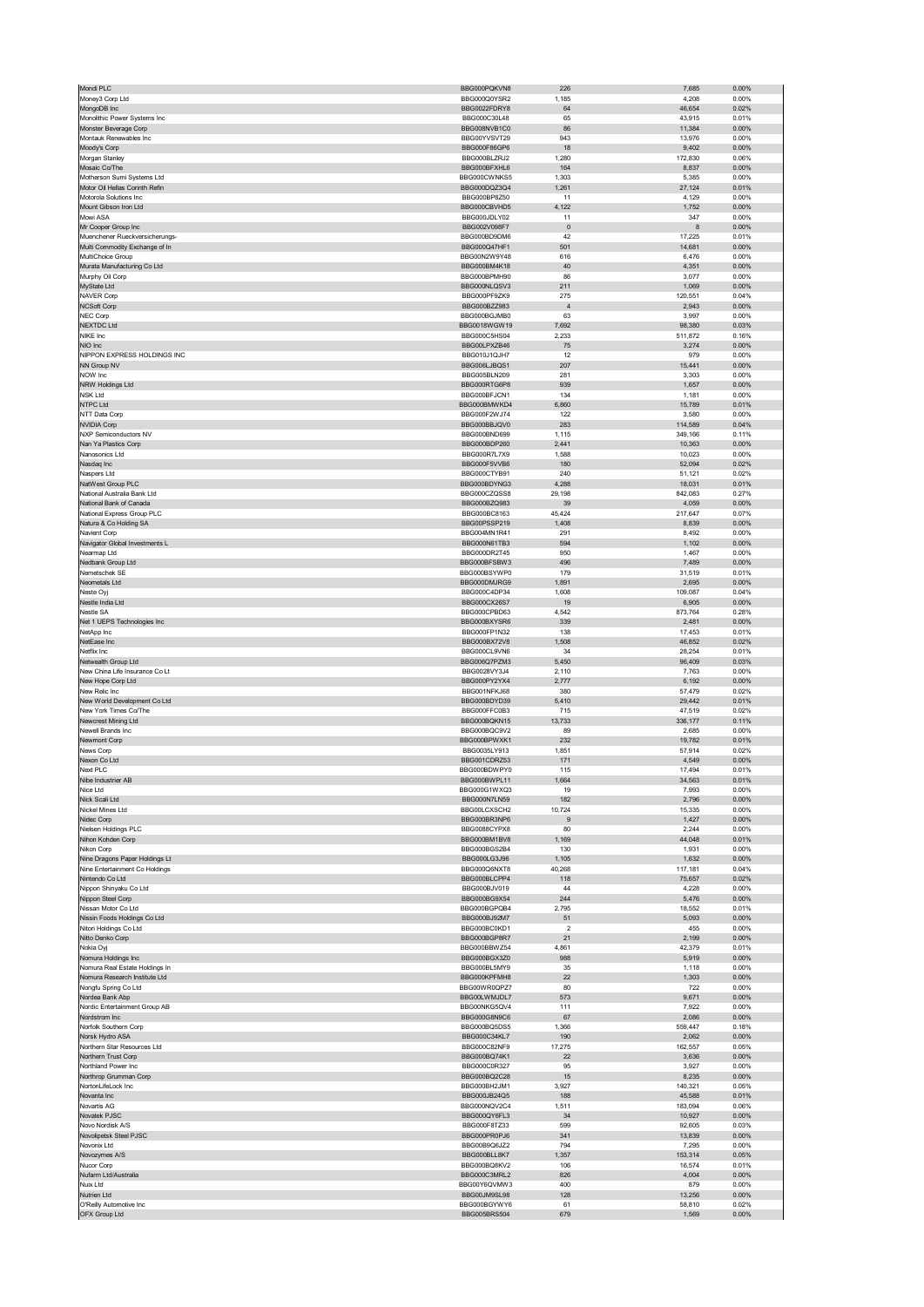| Mondi PLC                                                    | BBG000PQKVN8                 | 226            | 7,685            | 0.00%             |
|--------------------------------------------------------------|------------------------------|----------------|------------------|-------------------|
| Money3 Corp Ltd                                              | BBG000Q0YSR2                 | 1,185          | 4,208            | 0.00%             |
| MongoDB Inc                                                  | BBG0022FDRY8                 | 64             | 46,654           | 0.02%             |
| Monolithic Power Systems Inc                                 | BBG000C30L48                 | 65             | 43,915           | 0.01%             |
| Monster Beverage Corp                                        | BBG008NVB1C0                 | 86             | 11,384           | 0.00%             |
| Montauk Renewables Inc                                       | BBG00YVSVT29                 | 943            | 13,976           | 0.00%             |
| Moody's Corp                                                 | BBG000F86GP6                 | 18             | 9,402            | 0.00%             |
| Morgan Stanley                                               | BBG000BLZRJ2                 | 1,280          | 172,830          | 0.06%             |
| Mosaic Co/The                                                | BBG000BFXHL6<br>BBG000CWNKS5 | 164            | 8,837            | 0.00%             |
| Motherson Sumi Systems Ltd<br>Motor Oil Hellas Corinth Refin | BBG000DQZ3Q4                 | 1,303<br>1,261 | 5,385<br>27,124  | 0.00%<br>0.01%    |
| Motorola Solutions Inc                                       | BBG000BP8Z50                 | 11             | 4,129            | 0.00%             |
| Mount Gibson Iron Ltd                                        | BBG000CBVHD5                 | 4,122          | 1,752            | 0.00%             |
| Mowi ASA                                                     | BBG000JDLY02                 | 11             | 347              | 0.00%             |
| Mr Cooper Group Inc                                          | BBG002V098F7                 | $\mathbf 0$    | 8                | 0.00%             |
| Muenchener Rueckversicherungs-                               | BBG000BD9DM6                 | 42             | 17,225           | 0.01%             |
| Multi Commodity Exchange of In                               | BBG000Q47HF1                 | 501            | 14,681           | 0.00%             |
| MultiChoice Group                                            | BBG00N2W9Y48                 | 616            | 6,476            | 0.00%             |
| Murata Manufacturing Co Ltd                                  | BBG000BM4K18                 | 40             | 4,351            | 0.00%             |
| Murphy Oil Corp                                              | BBG000BPMH90                 | 86             | 3,077            | 0.00%             |
| MyState Ltd                                                  | BBG000NLQSV3                 | 211            | 1,069            | 0.00%             |
| <b>NAVER Corp</b>                                            | BBG000PF9ZK9                 | 275            | 120,551          | 0.04%             |
| <b>NCSoft Corp</b>                                           | BBG000BZZ983                 | $\overline{4}$ | 2,943            | $0.00\%$          |
| NEC Corp                                                     | BBG000BGJMB0                 | 63             | 3,997            | 0.00%             |
| <b>NEXTDC Ltd</b>                                            | BBG0018WGW19                 | 7,692          | 98,380           | 0.03%             |
| NIKE Inc                                                     | BBG000C5HS04                 | 2,233          | 511,872          | 0.16%             |
| NIO Inc                                                      | BBG00LPXZB46                 | 75             | 3,274            | 0.00%             |
| NIPPON EXPRESS HOLDINGS INC                                  | BBG010J1QJH7                 | 12             | 979              | 0.00%             |
| NN Group NV                                                  | BBG006LJBQS1                 | 207            | 15,441           | 0.00%             |
| NOW Inc<br>NRW Holdings Ltd                                  | BBG005BLN209<br>BBG000RTG6P8 | 281<br>939     | 3,303<br>1,657   | 0.00%<br>0.00%    |
| <b>NSK Ltd</b>                                               | BBG000BFJCN1                 | 134            | 1,181            | 0.00%             |
| <b>NTPC Ltd</b>                                              | BBG000BMWKD4                 | 6,860          | 15,789           | 0.01%             |
| NTT Data Corp                                                | BBG000F2WJ74                 | 122            | 3,580            | 0.00%             |
| <b>NVIDIA Corp</b>                                           | BBG000BBJQV0                 | 283            | 114,589          | 0.04%             |
| <b>NXP Semiconductors NV</b>                                 | BBG000BND699                 | 1,115          | 349,166          | 0.11%             |
| Nan Ya Plastics Corp                                         | BBG000BDP260                 | 2,441          | 10,363           | 0.00%             |
| Nanosonics Ltd                                               | BBG000R7L7X9                 | 1,588          | 10,023           | 0.00%             |
| Nasdaq Inc                                                   | BBG000F5VVB6                 | 180            | 52,094           | 0.02%             |
| Naspers Ltd                                                  | BBG000CTYB91                 | 240            | 51,121           | 0.02%             |
| NatWest Group PLC                                            | BBG000BDYNG3                 | 4,288          | 18,031           | 0.01%             |
| National Australia Bank Ltd                                  | BBG000CZQSS8                 | 29,198         | 842,083          | 0.27%             |
| National Bank of Canada                                      | BBG000BZQ983                 | 39             | 4,059            | 0.00%             |
| National Express Group PLC                                   | BBG000BC8163                 | 45,424         | 217,647          | 0.07%             |
| Natura & Co Holding SA                                       | BBG00PSSP219                 | 1,408          | 8,839            | 0.00%             |
| Navient Corp                                                 | BBG004MN1R41                 | 291            | 8,492            | 0.00%             |
| Navigator Global Investments L                               | BBG000N61TB3                 | 594            | 1,102            | $0.00\%$          |
| Nearmap Ltd                                                  | BBG000DR2T45                 | 950            | 1,467            | 0.00%             |
| Nedbank Group Ltd                                            | BBG000BFSBW3                 | 496            | 7,489            | 0.00%             |
| Nemetschek SE                                                | BBG000BSYWP0                 | 179            | 31,519           | 0.01%             |
| Neometals Ltd                                                | BBG000DMJRG9                 | 1,891          | 2,695            | 0.00%             |
| Neste Ovi                                                    | BBG000C4DP34                 | 1,608          | 109,087          | 0.04%             |
| Nestle India Ltd                                             | BBG000CX26S7                 | 19             | 6,905            | $0.00\%$          |
| Nestle SA                                                    | BBG000CPBD63                 | 4,542          | 873,764          | 0.28%             |
| Net 1 UEPS Technologies Inc                                  | BBG000BXYSR6                 | 339            | 2,481            | 0.00%<br>0.01%    |
| NetApp Inc<br>NetEase Inc                                    | BBG000FP1N32<br>BBG000BX72V8 | 138<br>1,508   | 17,453<br>46,852 | 0.02%             |
| Netflix Inc                                                  | BBG000CL9VN6                 |                | 28,254           | 0.01%             |
|                                                              |                              |                |                  |                   |
|                                                              |                              | 34             |                  |                   |
| Netwealth Group Ltd                                          | BBG006Q7PZM3                 | 5,450          | 96,409           | 0.03%             |
| New China Life Insurance Co Lt                               | BBG0028VY3J4                 | 2,110          | 7,763            | 0.00%             |
| New Hope Corp Ltd                                            | BBG000PY2YX4                 | 2,777          | 6,192            | 0.00%             |
| New Relic Inc                                                | BBG001NFKJ68                 | 380            | 57,479           | 0.02%             |
| New World Development Co Ltd<br>New York Times Co/The        | BBG000BDYD39<br>BBG000FFC0B3 | 5,410<br>715   | 29,442<br>47,519 | 0.01%<br>0.02%    |
| Newcrest Mining Ltd                                          | BBG000BOKN15                 | 13,733         | 336,177          | 0.11%             |
| Newell Brands Inc.                                           | BBG000BOC9V2                 | 89             | 2,685            | 0.00%             |
| Newmont Corp                                                 | BBG000BPWXK1                 | 232            | 19,782           | 0.01%             |
| News Corp                                                    | BBG0035LY913                 | 1,851          | 57,914           | 0.02%             |
| Nexon Co Ltd                                                 | BBG001CDRZ53                 | 171            | 4,549            | 0.00%             |
| Next PLC                                                     | BBG000BDWPY0                 | 115            | 17,494           | 0.01%             |
| upe ingi                                                     | BBG000BWPL11                 |                |                  | 0.01%             |
| Nice Ltd                                                     | BBG000G1WXQ3                 | 19             | 7,993            | 0.00%             |
| Nick Scali Ltd                                               | BBG000N7LN59                 | 182            | 2,796            | 0.00%             |
| Nickel Mines Ltd                                             | BBG00LCXSCH2                 | 10,724         | 15,335           | 0.00%             |
| Nidec Corp                                                   | BBG000BR3NP6                 | 9              | 1,427            | 0.00%             |
| Nielsen Holdings PLC                                         | BBG0088CYPX8                 | 80             | 2,244            | 0.00%             |
| Nihon Kohden Corp                                            | BBG000BM1BV8                 | 1,169          | 44,048           | 0.01%             |
| Nikon Corp                                                   | BBG000BGS2B4                 | 130            | 1,931            | 0.00%             |
| Nine Dragons Paper Holdings Lt                               | BBG000LG3J96                 | 1,105          | 1,632            | 0.00%             |
| Nine Entertainment Co Holdings<br>Nintendo Co Ltd            | BBG000Q6NXT8                 | 40,268         | 117,181          | 0.04%<br>0.02%    |
|                                                              | BBG000BLCPP4<br>BBG000BJV019 | 118<br>44      | 75,657           | 0.00%             |
| Nippon Shinyaku Co Ltd<br>Nippon Steel Corp                  | BBG000BG9X54                 | 244            | 4,228<br>5,476   | 0.00%             |
| Nissan Motor Co Ltd                                          | BBG000BGPQB4                 | 2,795          | 18,552           | 0.01%             |
| Nissin Foods Holdings Co Ltd                                 | BBG000BJ92M7                 | 51             | 5,093            | $0.00\%$          |
| Nitori Holdings Co Ltd                                       | BBG000BC0KD1                 | $\overline{2}$ | 455              | 0.00%             |
| Nitto Denko Corp                                             | BBG000BGP8R7                 | 21             | 2,199            | $0.00\%$          |
| Nokia Oyj                                                    | BBG000BBWZ54                 | 4,861          | 42,379           | 0.01%             |
| Nomura Holdings Inc                                          | BBG000BGX3Z0                 | 988            | 5,919            | $0.00\%$          |
| Nomura Real Estate Holdings In                               | BBG000BL5MY9                 | 35             | 1,118            | 0.00%             |
| Nomura Research Institute Ltd                                | BBG000KPFMH8                 | 22             | 1,303            | 0.00%             |
| Nongfu Spring Co Ltd                                         | BBG00WR0QPZ7                 | 80             | 722              | 0.00%             |
| Nordea Bank Abp                                              | BBG00LWMJDL7                 | 573            | 9,671            | $0.00\%$          |
| Nordic Entertainment Group AB                                | BBG00NKG5QV4                 | 111            | 7,922            | 0.00%             |
| Nordstrom Inc                                                | BBG000G8N9C6                 | 67             | 2,086            | 0.00%             |
| Norfolk Southern Corp                                        | BBG000BQ5DS5                 | 1,366          | 559,447          | 0.18%             |
| Norsk Hydro ASA<br>Northern Star Resources Ltd               | BBG000C34KL7<br>BBG000C82NF9 | 190            | 2,062            | $0.00\%$<br>0.05% |
|                                                              |                              | 17,275         | 162,557          |                   |
| Northern Trust Corp<br>Northland Power Inc                   | BBG000BQ74K1<br>BBG000C0R327 | 22<br>95       | 3,636<br>3,927   | 0.00%<br>0.00%    |
| Northrop Grumman Corp                                        | BBG000BQ2C28                 | 15             | 8,235            | 0.00%             |
| NortonLifeLock Inc                                           | BBG000BH2JM1                 | 3,927          | 140,321          | 0.05%             |
| Novanta Inc                                                  | BBG000JB24Q5                 | 188            | 45,588           | 0.01%             |
| Novartis AG                                                  | BBG000NQV2C4                 | 1,511          | 183,094          | 0.06%             |
| Novatek PJSC                                                 | BBG000QY6FL3                 | 34             | 10,927           | $0.00\%$          |
| Novo Nordisk A/S                                             | BBG000F8TZ33                 | 599            | 92,605           | 0.03%             |
| Novolipetsk Steel PJSC                                       | BBG000PR0PJ6                 | 341            | 13,839           | 0.00%             |
| Novonix Ltd                                                  | BBG00B9Q6JZ2                 | 794            | 7,295            | 0.00%             |
| Novozymes A/S                                                | BBG000BLL8K7                 | 1,357          | 153,314          | 0.05%             |
| Nucor Corp                                                   | BBG000BQ8KV2                 | 106            | 16,574           | 0.01%             |
| Nufarm Ltd/Australia                                         | BBG000C3MRL2                 | 826            | 4,004            | 0.00%             |
| Nuix Ltd                                                     | BBG00Y6QVMW3                 | 400            | 879              | 0.00%             |
| Nutrien Ltd                                                  | BBG00JM9SL98                 | 128            | 13,256           | $0.00\%$          |
| O'Reilly Automotive Inc<br>OFX Group Ltd                     | BBG000BGYWY6<br>BBG005BRS504 | 61<br>679      | 58,810<br>1,569  | 0.02%<br>0.00%    |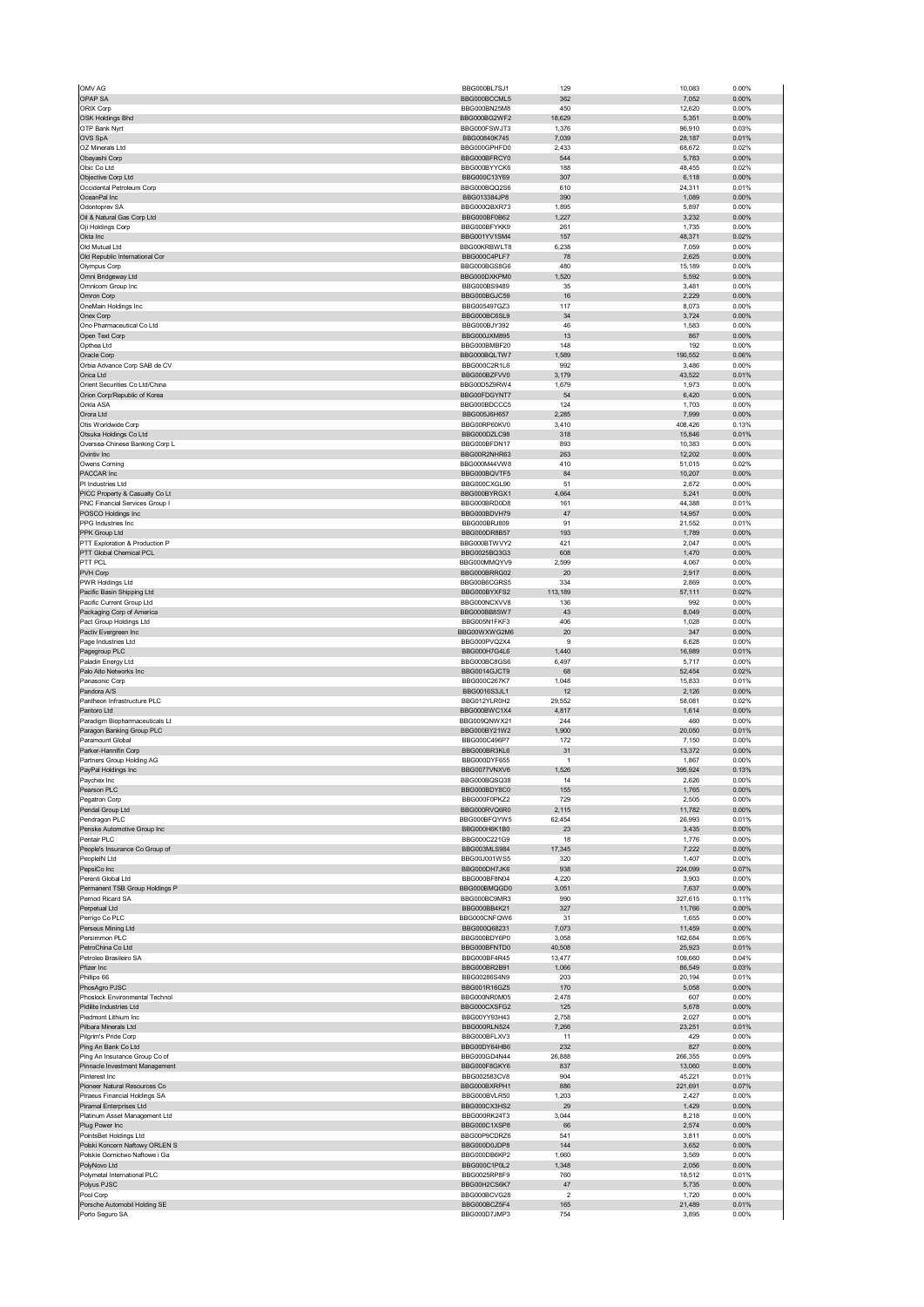|                                                                | BBG000BL7SJ1                 | 129                  | 10,083            | 0.00%             |
|----------------------------------------------------------------|------------------------------|----------------------|-------------------|-------------------|
| OPAP SA                                                        | BBG000BCCML5                 | 362                  | 7,052             | 0.00%             |
| ORIX Corp                                                      | BBG000BN25M8                 | 450                  | 12,620            | 0.00%             |
| OSK Holdings Bhd                                               | BBG000BG2WF2                 | 18,629               | 5,351             | 0.00%             |
| OTP Bank Nyrt                                                  | BBG000FSWJT3                 | 1,376                | 96,910            | 0.03%             |
| OVS SpA                                                        | BBG00840K745                 | 7,039                | 28,187            | 0.01%             |
| OZ Minerals Ltd<br>Obayashi Corp                               | BBG000GPHFD0<br>BBG000BFRCY0 | 2,433<br>544         | 68,672<br>5,783   | 0.02%<br>0.00%    |
| Obic Co Ltd                                                    | BBG000BYYCK6                 | 188                  | 48,455            | 0.02%             |
| Objective Corp Ltd                                             | BBG000C13Y69                 | 307                  | 6,118             | 0.00%             |
| Occidental Petroleum Corp                                      | BBG000BQQ2S6                 | 610                  | 24,311            | 0.01%             |
| OceanPal Inc                                                   | BBG013384JP8                 | 390                  | 1,089             | 0.00%             |
| Odontoprev SA                                                  | BBG000QBXR73                 | 1,895                | 5,897             | 0.00%             |
| Oil & Natural Gas Corp Ltd                                     | BBG000BF0B62                 | 1,227                | 3,232             | 0.00%             |
| Oji Holdings Corp                                              | BBG000BFYKK9                 | 261                  | 1.735             | 0.00%             |
| Okta Inc<br>Old Mutual Ltd                                     | BBG001YV1SM4<br>BBG00KRBWLT8 | 157<br>6,238         | 48,371<br>7,059   | 0.02%<br>0.00%    |
| Old Republic International Cor                                 | BBG000C4PLF7                 | 78                   | 2,625             | 0.00%             |
| Olympus Corp                                                   | BBG000BGS8G6                 | 480                  | 15,189            | 0.00%             |
| Omni Bridgeway Ltd                                             | BBG000DXKPM0                 | 1,520                | 5,592             | 0.00%             |
| Omnicom Group Inc                                              | BBG000BS9489                 | 35                   | 3,481             | 0.00%             |
| Omron Corp                                                     | BBG000BGJC59                 | $16\,$               | 2,229             | 0.00%             |
| OneMain Holdings Inc                                           | BBG005497GZ3                 | 117                  | 8,073             | 0.00%             |
| Onex Corp<br>Ono Pharmaceutical Co Ltd                         | BBG000BC6SL9<br>BBG000BJY392 | 34<br>46             | 3,724<br>1,583    | 0.00%<br>0.00%    |
| Open Text Corp                                                 | BBG000JXM895                 | 13                   | 867               | 0.00%             |
| Opthea Ltd                                                     | BBG000BMBF20                 | 148                  | 192               | 0.00%             |
| Oracle Corp                                                    | BBG000BQLTW7                 | 1,589                | 190,552           | 0.06%             |
| Orbia Advance Corp SAB de CV                                   | BBG000C2R1L6                 | 992                  | 3,486             | 0.00%             |
| Orica Ltd                                                      | BBG000BZFVV0                 | 3,179                | 43,522            | 0.01%             |
| Orient Securities Co Ltd/China<br>Orion Corp/Republic of Korea | BBG00D5Z9RW4<br>BBG00FDGYNT7 | 1,679<br>54          | 1,973<br>6,420    | 0.00%<br>0.00%    |
| Orkla ASA                                                      | BBG000BDCCC5                 | 124                  | 1,703             | 0.00%             |
| Orora Ltd                                                      | BBG005J6H657                 | 2,285                | 7,999             | 0.00%             |
| Otis Worldwide Corp                                            | BBG00RP60KV0                 | 3,410                | 408,426           | 0.13%             |
| Otsuka Holdings Co Ltd                                         | BBG000DZLC98                 | 318                  | 15,846            | 0.01%             |
| Oversea-Chinese Banking Corp L                                 | BBG000BFDN17                 | 893                  | 10,383            | 0.00%             |
| Ovintiv Inc                                                    | BBG00R2NHR63                 | 263                  | 12,202            | 0.00%             |
| Owens Corning<br>PACCAR Inc                                    | BBG000M44VW8<br>BBG000BOVTE5 | 410<br>84            | 51,015            | 0.02%<br>0.00%    |
| PI Industries Ltd                                              | BBG000CXGL90                 | 51                   | 10,207<br>2,872   | 0.00%             |
| PICC Property & Casualty Co Lt                                 | BBG000BYRGX1                 | 4,664                | 5,241             | 0.00%             |
| PNC Financial Services Group I                                 | BBG000BRD0D8                 | 161                  | 44,388            | 0.01%             |
| POSCO Holdings Inc                                             | BBG000BDVH79                 | 47                   | 14,957            | 0.00%             |
| PPG Industries Inc                                             | BBG000BRJ809                 | 91                   | 21,552            | 0.01%             |
| PPK Group Ltd                                                  | BBG000DR8B57                 | 193                  | 1,789             | 0.00%             |
| PTT Exploration & Production P                                 | BBG000BTWVY2                 | 421                  | 2,047             | 0.00%             |
| PTT Global Chemical PCL<br>PTT PCL                             | BBG0025BQ3G3                 | 608<br>2,599         | 1,470             | 0.00%             |
| PVH Corp                                                       | BBG000MMQYV9<br>BBG000BRRG02 | 20                   | 4,067<br>2,917    | 0.00%<br>0.00%    |
| PWR Holdings Ltd                                               | BBG00B6CGRS5                 | 334                  | 2,869             | 0.00%             |
| Pacific Basin Shipping Ltd                                     | BBG000BYXFS2                 | 113,189              | 57,111            | 0.02%             |
| Pacific Current Group Ltd                                      | BBG000NCXVV8                 | 136                  | 992               | 0.00%             |
| Packaging Corp of America                                      | BBG000BB8SW7                 | 43                   | 8,049             | 0.00%             |
| Pact Group Holdings Ltd                                        | BBG005N1FKF3                 | 406                  | 1,028             | 0.00%             |
| Pactiv Evergreen Inc<br>Page Industries Ltd                    | BBG00WXWG2M6<br>BBG000PVQ2X4 | 20<br>9              | 347<br>6,628      | 0.00%<br>0.00%    |
| Pagegroup PLC                                                  | BBG000H7G4L6                 | 1,440                | 16,989            | 0.01%             |
| Paladin Energy Ltd                                             | BBG000BC8GS6                 | 6,497                | 5,717             | 0.00%             |
| Palo Alto Networks Inc                                         | BBG0014GJCT9                 | 68                   | 52,454            | 0.02%             |
| Panasonic Corp                                                 | BBG000C267K7                 | 1,048                | 15,833            | 0.01%             |
| Pandora A/S                                                    | BBG0016S3JL1                 | 12                   | 2,126             | 0.00%             |
| Pantheon Infrastructure PLC                                    | BBG012YLR0H2                 | 29,552               | 58,081            | 0.02%             |
| Pantoro Ltd<br>Paradigm Biopharmaceuticals Lt                  | BBG000BWC1X4<br>BBG009QNWX21 | 4,817<br>244         | 1,614<br>460      | 0.00%<br>0.00%    |
| Paragon Banking Group PLC                                      | BBG000BY21W2                 | 1,900                | 20,050            | 0.01%             |
| Paramount Global                                               | BBG000C496P7                 | 172                  | 7,150             | 0.00%             |
| Parker-Hannifin Corp                                           | BBG000BR3KL6                 | 31                   | 13,372            | 0.00%             |
| Partners Group Holding AG                                      | BBG000DYF655                 | $\mathbf{1}$         | 1,867             | 0.00%             |
| PayPal Holdings Inc                                            | BBG0077VNXV6                 | 1,526                | 395,924           | 0.13%             |
| ауспех пк                                                      |                              |                      |                   |                   |
|                                                                | BBG000BQSQ38                 |                      | 2,020             | 0.00%             |
| Pearson PLC                                                    | BBG000BDY8C0                 | 155                  | 1,765             | $0.00\%$          |
| Pegatron Corp                                                  | BBG000F0PKZ2                 | 729                  | 2,505             | 0.00%             |
| Pendal Group Ltd                                               | BBG000RVQ6R0<br>BBG000BFQYW5 | 2,115                | 11,782            | 0.00%             |
| Pendragon PLC<br>Penske Automotive Group Inc                   |                              | 62,454               | 26,993            | 0.01%             |
| Pentair PLC                                                    | BBG000H6K1B0<br>BBG000C221G9 | 23<br>18             | 3,435<br>1,776    | $0.00\%$<br>0.00% |
| People's Insurance Co Group of                                 | BBG003MLS984                 | 17,345               | 7,222             | 0.00%             |
| PeopleIN Ltd                                                   | BBG00J001WS5                 | 320                  | 1,407             | 0.00%             |
| PepsiCo Inc                                                    | BBG000DH7JK6                 | 938                  | 224,099           | 0.07%             |
| Perenti Global Ltd                                             | BBG000BF8N04                 | 4,220                | 3,903             | 0.00%             |
| Permanent TSB Group Holdings P<br>Pernod Ricard SA             | BBG000BMQGD0<br>BBG000BC9MR3 | 3,051<br>990         | 7,637<br>327,615  | 0.00%<br>0.11%    |
| Perpetual Ltd                                                  | BBG000BB4K21                 | 327                  | 11,766            | 0.00%             |
| Perrigo Co PLC                                                 | BBG000CNFQW6                 | 31                   | 1,655             | 0.00%             |
| Perseus Mining Ltd                                             | BBG000Q68231                 | 7,073                | 11,459            | $0.00\%$          |
| Persimmon PLC                                                  | BBG000BDY6P0                 | 3,058                | 162,684           | 0.05%             |
| PetroChina Co Ltd                                              | BBG000BFNTD0<br>BBG000BF4R45 | 40,508               | 25,923            | 0.01%             |
| Petroleo Brasileiro SA<br>Pfizer Inc                           | BBG000BR2B91                 | 13,477<br>1,066      | 109,660<br>86,549 | 0.04%<br>0.03%    |
| Phillips 66                                                    | BBG00286S4N9                 | 203                  | 20,194            | 0.01%             |
| PhosAgro PJSC                                                  | BBG001R16GZ5                 | 170                  | 5,058             | 0.00%             |
| Phoslock Environmental Technol                                 | BBG000NR0M05                 | 2,478                | 607               | 0.00%             |
| Pidilite Industries Ltd                                        | BBG000CXSFG2                 | 125                  | 5,678             | 0.00%             |
| Piedmont Lithium Inc                                           | BBG00YY93H43                 | 2,758                | 2,027             | 0.00%             |
| Pilbara Minerals Ltd<br>Pilgrim's Pride Corp                   | BBG000RLN524<br>BBG000BFLXV3 | 7,266<br>11          | 23,251<br>429     | 0.01%<br>0.00%    |
| Ping An Bank Co Ltd                                            | BBG00DY64HB6                 | 232                  | 827               | 0.00%             |
| Ping An Insurance Group Co of                                  | BBG000GD4N44                 | 26,888               | 266,355           | 0.09%             |
| Pinnacle Investment Management                                 | BBG000F8GKY6                 | 837                  | 13,060            | 0.00%             |
| Pinterest Inc                                                  | BBG002583CV8                 | 904                  | 45,221            | 0.01%             |
| Pioneer Natural Resources Co                                   | BBG000BXRPH1                 | 886                  | 221,691           | 0.07%             |
| Piraeus Financial Holdings SA                                  | BBG000BVLR50                 | 1,203                | 2,427             | 0.00%             |
| Piramal Enterprises Ltd<br>Platinum Asset Management Ltd       | BBG000CX3HS2<br>BBG000RK24T3 | 29<br>3,044          | 1,429<br>8,218    | 0.00%<br>0.00%    |
| Plug Power Inc                                                 | BBG000C1XSP8                 | 66                   | 2,574             | 0.00%             |
| PointsBet Holdings Ltd                                         | BBG00P9CDRZ6                 | 541                  | 3,811             | 0.00%             |
| Polski Koncern Naftowy ORLEN S                                 | BBG000D0JDP8                 | 144                  | 3,652             | 0.00%             |
| Polskie Gornictwo Naftowe i Ga                                 | BBG000DB6KP2                 | 1,660                | 3,569             | 0.00%             |
| PolyNovo Ltd                                                   | BBG000C1P0L2                 | 1,348                | 2,056             | $0.00\%$          |
| Polymetal International PLC                                    | BBG0025RP8F9<br>BBG00H2CS6K7 | 760                  | 18,512            | 0.01%<br>0.00%    |
| Polyus PJSC<br>Pool Corp                                       | BBG000BCVG28                 | 47<br>$\overline{2}$ | 5,735<br>1,720    | 0.00%             |
| Porsche Automobil Holding SE<br>Porto Seguro SA                | BBG000BCZ5F4<br>BBG000D7JMP3 | 165<br>754           | 21,489<br>3,895   | 0.01%<br>0.00%    |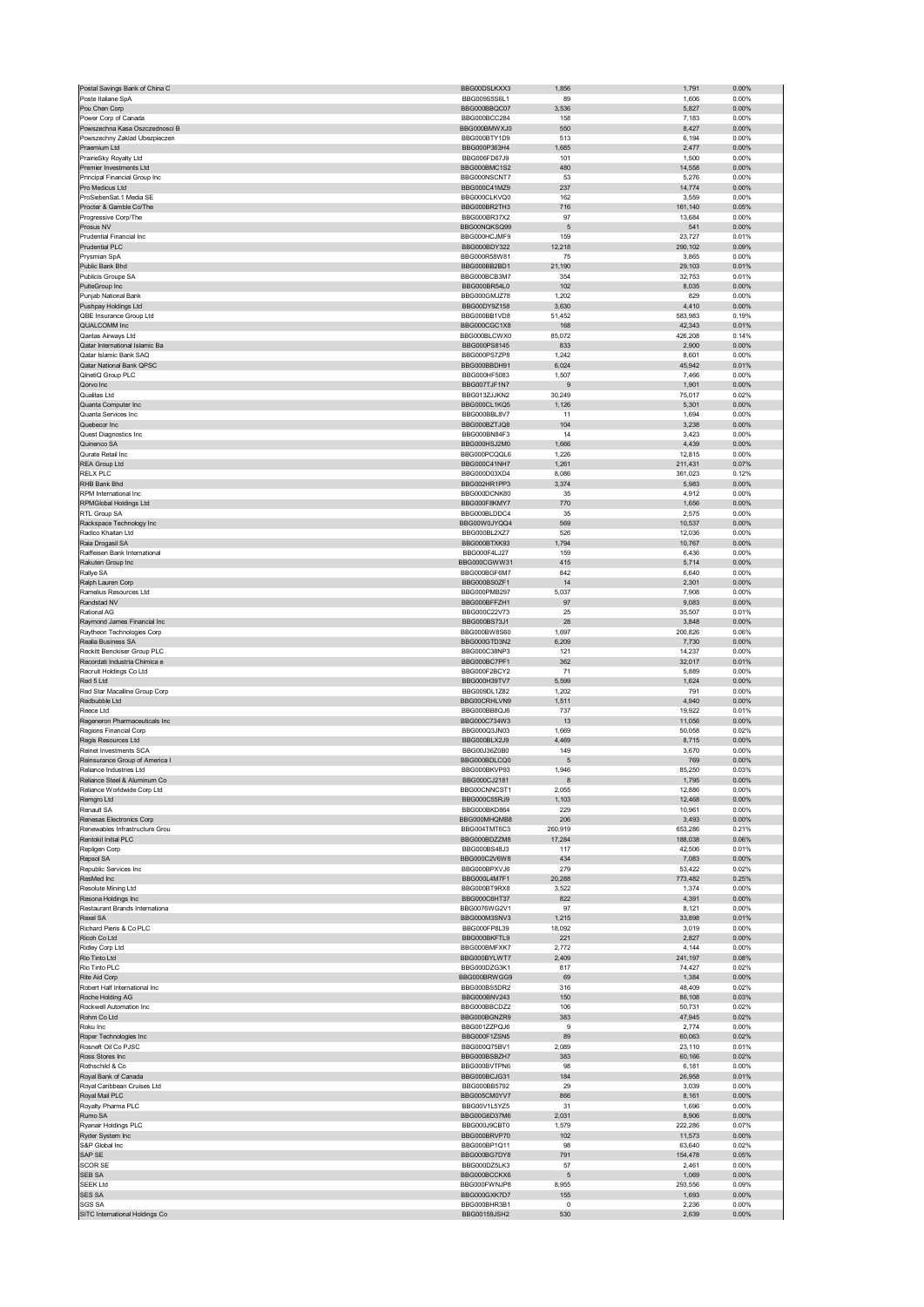| Postal Savings Bank of China C                               | BBG00DSLKXX3                 | 1,856                 | 1,791             | 0.00%             |
|--------------------------------------------------------------|------------------------------|-----------------------|-------------------|-------------------|
| Poste Italiane SpA                                           | BBG009S5S6L1                 | 89                    | 1,606             | 0.00%             |
| Pou Chen Corp                                                | BBG000BBQC07                 | 3,536                 | 5,827             | 0.00%             |
| Power Corp of Canada                                         | BBG000BCC284                 | 158                   | 7,183             | 0.00%             |
| Powszechna Kasa Oszczedności B                               | BBG000BMWXJ0                 | 550                   | 8,427             | 0.00%             |
| Powszechny Zaklad Ubezpieczen                                | BBG000BTY1D9                 | 513                   | 6,194             | 0.00%             |
| Praemium Ltd                                                 | BBG000P363H4                 | 1,685                 | 2,477             | 0.00%             |
| PrairieSky Royalty Ltd                                       | BBG006FD67J9<br>BBG000BMC1S2 | 101                   | 1,500             | 0.00%             |
| Premier Investments Ltd                                      |                              | 480                   | 14,558            | 0.00%             |
| Principal Financial Group Inc<br>Pro Medicus Ltd             | BBG000NSCNT7<br>BBG000C41MZ9 | 53<br>237             | 5,276             | 0.00%<br>0.00%    |
| ProSiebenSat.1 Media SE                                      | BBG000CLKVQ0                 | 162                   | 14,774<br>3,559   | 0.00%             |
| Procter & Gamble Co/The                                      | BBG000BR2TH3                 | 716                   | 161,140           | 0.05%             |
| Progressive Corp/The                                         | BBG000BR37X2                 | 97                    | 13,684            | 0.00%             |
| Prosus NV                                                    | BBG00NQKSQ99                 | 5                     | 541               | 0.00%             |
| Prudential Financial Inc.                                    | BBG000HCJMF9                 | 159                   | 23,727            | 0.01%             |
| <b>Prudential PLC</b>                                        | BBG000BDY322                 | 12,218                | 290,102           | 0.09%             |
| Prysmian SpA                                                 | BBG000R58W81                 | 75                    | 3,865             | 0.00%             |
| Public Bank Bhd                                              | BBG000BB2BD1                 | 21,190                | 29,103            | 0.01%             |
| Publicis Groupe SA                                           | BBG000BCB3M7                 | 354                   | 32,753            | 0.01%             |
| PulteGroup Inc                                               | BBG000BR54L0                 | 102                   | 8,035             | $0.00\%$          |
| Punjab National Bank                                         | BBG000GMJZ78                 | 1,202                 | 829               | 0.00%             |
| Pushpay Holdings Ltd                                         | BBG00DY9Z158                 | 3,630                 | 4,410             | 0.00%             |
| QBE Insurance Group Ltd                                      | BBG000BB1VD8                 | 51,452                | 583,983           | 0.19%             |
| QUALCOMM Inc                                                 | BBG000CGC1X8                 | 168                   | 42,343            | 0.01%             |
| Qantas Airways Ltd                                           | BBG000BLCWX0                 | 85,072                | 426,208           | 0.14%             |
| Qatar International Islamic Ba                               | BBG000PS8145                 | 833                   | 2,900             | 0.00%             |
| Qatar Islamic Bank SAQ                                       | BBG000PS7ZP8                 | 1,242                 | 8,601             | 0.00%             |
| Qatar National Bank QPSC                                     | BBG000BBDH91                 | 6,024                 | 45,942            | 0.01%             |
| QinetiQ Group PLC                                            | BBG000HF5083                 | 1,507                 | 7,466             | 0.00%             |
| Qorvo Inc<br>Qualitas Ltd                                    | BBG007TJF1N7<br>BBG013ZJJKN2 | 9<br>30,249           | 1,901             | 0.00%<br>0.02%    |
| Quanta Computer Inc                                          | BBG000CL1KQ5                 | 1,126                 | 75,017<br>5,301   | $0.00\%$          |
| Quanta Services Inc.                                         | BBG000BBL8V7                 | 11                    | 1,694             | 0.00%             |
| Quebecor Inc                                                 | BBG000BZTJQ8                 | 104                   | 3,238             | 0.00%             |
| Quest Diagnostics Inc                                        | BBG000BN84F3                 | 14                    | 3,423             | 0.00%             |
| Quinenco SA                                                  | BBG000HSJ2M0                 | 1,666                 | 4,439             | 0.00%             |
| Qurate Retail Inc.                                           | BBG000PCQQL6                 | 1,226                 | 12,815            | 0.00%             |
| REA Group Ltd                                                | BBG000C41NH7                 | 1,261                 | 211,431           | 0.07%             |
| <b>RELX PLC</b>                                              | BBG000D03XD4                 | 8,086                 | 361,023           | 0.12%             |
| RHB Bank Bhd                                                 | BBG002HR1PP3                 | 3,374                 | 5,983             | 0.00%             |
| RPM International Inc                                        | BBG000DCNK80                 | 35                    | 4,912             | 0.00%             |
| RPMGlobal Holdings Ltd                                       | BBG000F8KMY7                 | 770                   | 1,656             | 0.00%             |
| RTL Group SA                                                 | BBG000BLDDC4                 | 35                    | 2,575             | 0.00%             |
| Rackspace Technology Inc                                     | BBG00W0JYQQ4                 | 569                   | 10,537            | 0.00%             |
| Radico Khaitan Ltd                                           | BBG000BL2XZ7                 | 526                   | 12,036            | 0.00%             |
| Raia Drogasil SA                                             | BBG000BTXK93                 | 1,794                 | 10,767            | 0.00%             |
| Raiffeisen Bank International                                | BBG000F4LJ27                 | 159                   | 6,436             | 0.00%             |
| Rakuten Group Inc                                            | BBG000CGWW31                 | 415                   | 5,714             | $0.00\%$          |
| Rallye SA                                                    | BBG000BGF6M7                 | 842                   | 6,640             | 0.00%             |
| Ralph Lauren Corp                                            | BBG000BS0ZF1                 | 14                    | 2,301             | 0.00%             |
| Ramelius Resources Ltd<br>Randstad NV                        | BBG000PMB297<br>BBG000BFFZH1 | 5,037<br>97           | 7,908<br>9,083    | 0.00%<br>0.00%    |
| Rational AG                                                  | BBG000C22V73                 | 25                    | 35,507            | 0.01%             |
| Raymond James Financial Inc                                  | BBG000BS73J1                 | 28                    | 3,848             | $0.00\%$          |
| Raytheon Technologies Corp                                   | BBG000BW8S60                 | 1,697                 | 200,826           | 0.06%             |
| Realia Business SA                                           | BBG000GTD3N2                 | 6,209                 | 7,730             | 0.00%             |
|                                                              |                              |                       |                   |                   |
|                                                              |                              |                       |                   |                   |
| Reckitt Benckiser Group PLC<br>Recordati Industria Chimica e | BBG000C38NP3<br>BBG000BC7PF1 | 121<br>362            | 14,237            | 0.00%<br>0.01%    |
|                                                              | BBG000F2BCY2                 | 71                    | 32,017            | 0.00%             |
| Recruit Holdings Co Ltd<br>Red 5 Ltd                         | BBG000H39TV7                 | 5,599                 | 5,889<br>1,624    | 0.00%             |
| Red Star Macalline Group Corp                                | BBG009DL1Z82                 | 1,202                 | 791               | 0.00%             |
| Redbubble Ltd                                                | BBG00CRHLVN9                 | 1.511                 | 4,940             | 0.00%             |
| Reece Ltd                                                    | BBG000BB8QJ6                 | 737                   | 19,922            | 0.01%             |
| Regeneron Pharmaceuticals Inc                                | BBG000C734W3                 | 13                    | 11,056            | 0.00%             |
| Regions Financial Corp                                       | BBG000Q3JN03                 | 1,669                 | 50,058            | 0.02%             |
| Regis Resources Ltd                                          | BBG000BLX2J9                 | 4,469                 | 8,715             | 0.00%             |
| Reinet Investments SCA                                       | BBG00J36Z0B0                 | 149                   | 3,670             | 0.00%             |
| Reinsurance Group of America I                               | BBG000BDLCQ0                 | 5                     | 769               | 0.00%             |
| Reliance Industries Ltd                                      | BBG000BKVP93                 | 1,946                 | 85,250            | 0.03%             |
| Reliance Steel & Aluminum                                    | BBG000CJ2181                 |                       | 1.795             | 0.00%             |
| Reliance Worldwide Corp Ltd                                  | BBG00CNNCST1                 | 2,055                 | 12,886            | 0.00%             |
| Remgro Ltd                                                   | BBG000C55RJ9                 | 1,103                 | 12,468            | 0.00%             |
| Renault SA<br>Renesas Electronics Corp                       | BBG000BKD864<br>BBG000MHQMB8 | 229<br>206            | 10,961<br>3,493   | 0.00%<br>0.00%    |
| Renewables Infrastructure Grou                               | BBG004TMT6C3                 | 260,919               | 653,286           | 0.21%             |
| Rentokil Initial PLC                                         | BBG000BDZZM8                 | 17,284                | 188,038           | 0.06%             |
| Repligen Corp                                                | BBG000BS48J3                 | 117                   | 42,506            | 0.01%             |
| Repsol SA                                                    | BBG000C2V6W8                 | 434                   | 7,083             | 0.00%             |
| Republic Services Inc                                        | BBG000BPXVJ6                 | 279                   | 53,422            | 0.02%             |
| ResMed Inc                                                   | BBG000L4M7F1                 | 20,288                | 773,482           | 0.25%             |
| Resolute Mining Ltd                                          | BBG000BT9RX8                 | 3,522                 | 1,374             | 0.00%             |
| Resona Holdings Inc                                          | BBG000C6HT37                 | 822                   | 4,391             | 0.00%             |
| Restaurant Brands International                              | BBG0076WG2V1                 | 97                    | 8,121             | 0.00%             |
| Rexel SA                                                     | BBG000M3SNV3                 | 1,215                 | 33,898            | 0.01%             |
| Richard Pieris & Co PLC                                      | BBG000FP8L39                 | 18,092                | 3,019             | 0.00%             |
| Ricoh Co Ltd                                                 | BBG000BKFTL9                 | 221                   | 2,827<br>4.144    | $0.00\%$          |
| Ridley Corp Ltd                                              | BBG000BMFXK7                 | 2,772                 |                   | 0.00%             |
| Rio Tinto Ltd<br>Rio Tinto PLC                               | BBG000BYLWT7<br>BBG000DZG3K1 | 2,409<br>817          | 241,197<br>74,427 | 0.08%<br>0.02%    |
| Rite Aid Corp                                                | BBG000BRWGG9                 | 69                    | 1,384             | 0.00%             |
| Robert Half International Inc                                | BBG000BS5DR2                 | 316                   | 48,409            | 0.02%             |
| Roche Holding AG                                             | BBG000BNV243                 | 150                   | 86,108            | 0.03%             |
| Rockwell Automation Inc                                      | BBG000BBCDZ2                 | 106                   | 50,731            | 0.02%             |
| Rohm Co Ltd                                                  | BBG000BGNZR9                 | 383                   | 47,945            | 0.02%             |
| Roku Inc                                                     | BBG001ZZPQJ6                 | 9                     | 2,774             | 0.00%             |
| Roper Technologies Inc                                       | BBG000F1ZSN5                 | 89                    | 60,063            | 0.02%             |
| Rosneft Oil Co PJSC                                          | BBG000Q75BV1                 | 2,089                 | 23,110            | 0.01%             |
| Ross Stores Inc                                              | BBG000BSBZH7                 | 383                   | 60,166            | 0.02%             |
| Rothschild & Co                                              | BBG000BVTPN6                 | 98                    | 6,181             | 0.00%             |
| Royal Bank of Canada                                         | BBG000BCJG31                 | 184                   | 26,958            | 0.01%             |
| Royal Caribbean Cruises Ltd                                  | BBG000BB5792                 | 29                    | 3,039             | 0.00%             |
| Royal Mail PLC                                               | BBG005CM0YV7                 | 866                   | 8,161             | $0.00\%$          |
| Royalty Pharma PLC                                           | BBG00V1L5YZ5                 | 31                    | 1,696             | 0.00%             |
| Rumo SA                                                      | BBG00G6D37M6                 | 2,031                 | 8,906             | 0.00%             |
| Ryanair Holdings PLC                                         | BBG000J9CBT0                 | 1,579                 | 222,286           | 0.07%             |
| Ryder System Inc<br>S&P Global Inc                           | BBG000BRVP70<br>BBG000BP1Q11 | 102<br>98             | 11,573<br>63,640  | 0.00%<br>0.02%    |
| SAP SE                                                       | BBG000BG7DY8                 | 791                   | 154,478           | 0.05%             |
| <b>SCOR SE</b>                                               | BBG000DZ5LK3                 | 57                    | 2,461             | 0.00%             |
| SEB SA                                                       | BBG000BCCKX6                 | 5                     | 1,069             | $0.00\%$          |
| <b>SEEK Ltd</b>                                              | BBG000FWNJP8                 | 8,955                 | 293,556           | 0.09%             |
| <b>SES SA</b>                                                | BBG000GXK7D7                 | 155                   | 1,693             | 0.00%             |
| <b>SGS SA</b><br>SITC International Holdings Co              | BBG000BHR3B1<br>BBG00159JSH2 | $\overline{0}$<br>530 | 2,236<br>2,639    | 0.00%<br>$0.00\%$ |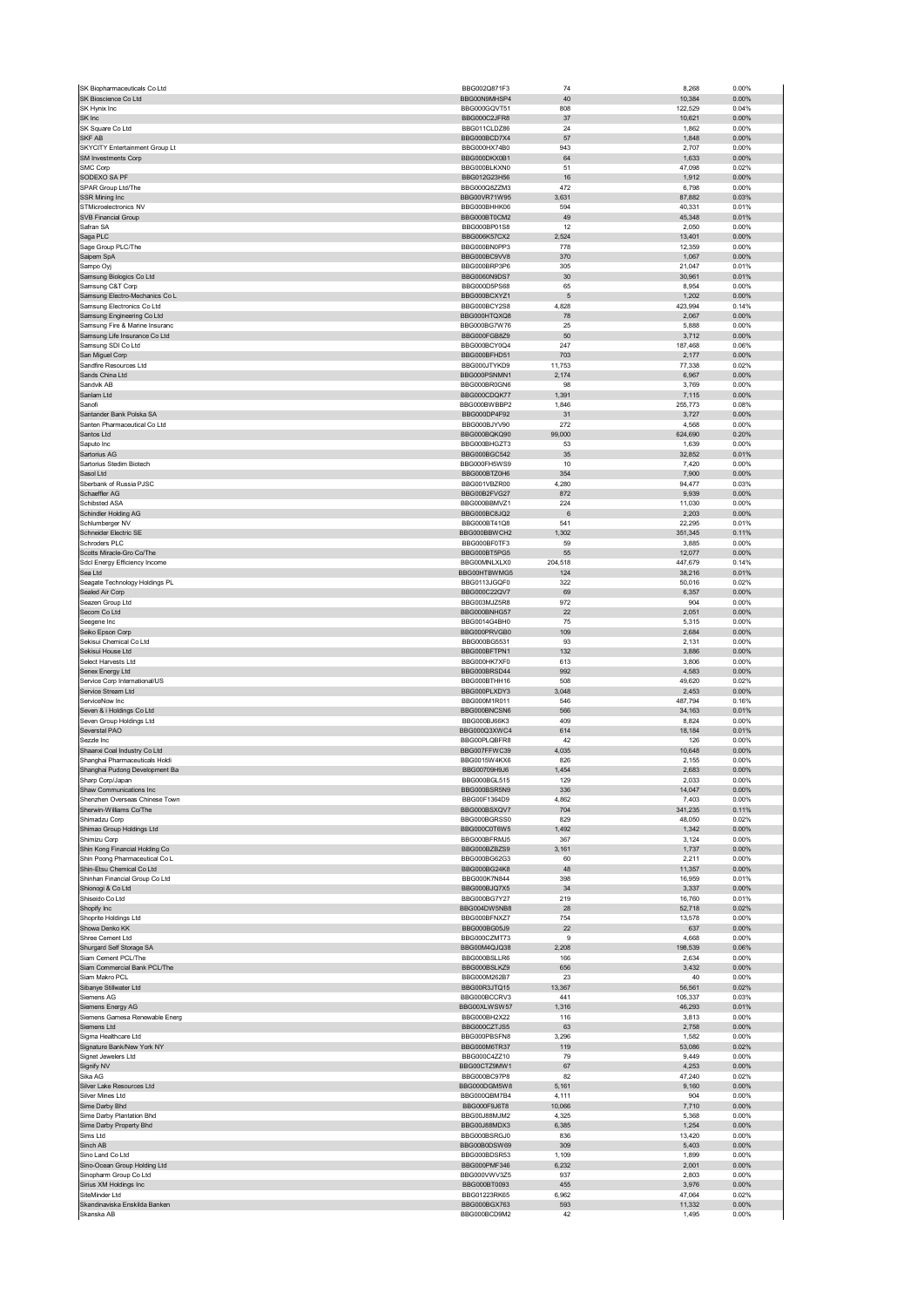| SK Biopharmaceuticals Co Ltd                                 | BBG002Q871F3                 | 74             | 8,268             | 0.00%          |
|--------------------------------------------------------------|------------------------------|----------------|-------------------|----------------|
| SK Bioscience Co Ltd                                         | BBG00N9MHSP4                 | 40             | 10,384            | 0.00%          |
| SK Hynix Inc                                                 | BBG000GQVT51                 | 808            | 122,529           | 0.04%          |
| SK Inc                                                       | BBG000C2JFR8                 | 37             | 10,621            | 0.00%          |
| SK Square Co Ltd<br>SKF AB                                   | BBG011CLDZ86<br>BBG000BCD7X4 | 24<br>57       | 1,862<br>1,848    | 0.00%<br>0.00% |
| SKYCITY Entertainment Group Lt                               | BBG000HX74B0                 | 943            | 2,707             | 0.00%          |
| SM Investments Corp                                          | BBG000DKX0B1                 | 64             | 1,633             | 0.00%          |
| SMC Corp                                                     | BBG000BLKXN0                 | 51             | 47,098            | 0.02%          |
| SODEXO SA PF                                                 | BBG012G23H56                 | 16             | 1,912             | 0.00%          |
| SPAR Group Ltd/The                                           | BBG000Q8ZZM3                 | 472            | 6,798             | 0.00%          |
| SSR Mining Inc                                               | BBG00VR71W95                 | 3,631          | 87,882            | 0.03%          |
| STMicroelectronics NV                                        | BBG000BHHK06                 | 594            | 40,331            | 0.01%          |
| <b>SVB Financial Group</b>                                   | BBG000BT0CM2                 | 49             | 45,348            | 0.01%          |
| Safran SA<br>Saga PLC                                        | BBG000BP01S8<br>BBG006K57CX2 | 12<br>2,524    | 2,050<br>13,401   | 0.00%<br>0.00% |
| Sage Group PLC/The                                           | BBG000BN0PP3                 | 778            | 12,359            | 0.00%          |
| Saipem SpA                                                   | BBG000BC9VV8                 | 370            | 1,067             | 0.00%          |
| Sampo Oyj                                                    | BBG000BRP3P6                 | 305            | 21,047            | 0.01%          |
| Samsung Biologics Co Ltd                                     | BBG0060N9DS7                 | 30             | 30,961            | 0.01%          |
| Samsung C&T Corp                                             | BBG000D5PS68                 | 65             | 8,954             | 0.00%          |
| Samsung Electro-Mechanics Co L                               | BBG000BCXYZ1                 | $\sqrt{5}$     | 1,202             | 0.00%          |
| Samsung Electronics Co Ltd                                   | BBG000BCY2S8                 | 4,828          | 423,994           | 0.14%<br>0.00% |
| Samsung Engineering Co Ltd<br>Samsung Fire & Marine Insuranc | BBG000HTQXQ8<br>BBG000BG7W76 | 78<br>25       | 2,067<br>5,888    | 0.00%          |
| Samsung Life Insurance Co Ltd                                | BBG000FGB8Z9                 | 50             | 3,712             | 0.00%          |
| Samsung SDI Co Ltd                                           | BBG000BCY0Q4                 | 247            | 187,468           | 0.06%          |
| San Miguel Corp                                              | BBG000BFHD51                 | 703            | 2,177             | 0.00%          |
| Sandfire Resources Ltd                                       | BBG000JTYKD9                 | 11,753         | 77,338            | 0.02%          |
| Sands China Ltd                                              | BBG000PSNMN1                 | 2,174          | 6,967             | 0.00%          |
| Sandvik AB                                                   | BBG000BR0GN6                 | 98             | 3,769             | 0.00%          |
| Sanlam Ltd                                                   | BBG000CDQK77                 | 1,391          | 7,115             | 0.00%          |
| Sanofi<br>Santander Bank Polska SA                           | BBG000BWBBP2<br>BBG000DP4F92 | 1,846<br>31    | 255,773<br>3,727  | 0.08%<br>0.00% |
| Santen Pharmaceutical Co Ltd                                 | BBG000BJYV90                 | 272            | 4,568             | 0.00%          |
| Santos Ltd                                                   | BBG000BQKQ90                 | 99,000         | 624,690           | 0.20%          |
| Saputo Inc                                                   | BBG000BHGZT3                 | 53             | 1,639             | 0.00%          |
| Sartorius AG                                                 | BBG000BGC542                 | 35             | 32,852            | 0.01%          |
| Sartorius Stedim Biotech                                     | BBG000FH5WS9                 | 10             | 7,420             | 0.00%          |
| Sasol Ltd                                                    | BBG000BTZ0H6                 | 354            | 7,900             | 0.00%          |
| Sberbank of Russia PJSC                                      | BBG001VBZR00                 | 4,280          | 94,477            | 0.03%          |
| Schaeffler AG<br>Schibsted ASA                               | BBG00B2FVG27<br>BBG000BBMVZ1 | 872<br>224     | 9,939<br>11,030   | 0.00%<br>0.00% |
| Schindler Holding AG                                         | BBG000BC8JQ2                 | 6              | 2,203             | 0.00%          |
| Schlumberger NV                                              | BBG000BT41Q8                 | 541            | 22,295            | 0.01%          |
| Schneider Electric SE                                        | BBG000BBWCH2                 | 1,302          | 351,345           | 0.11%          |
| Schroders PLC                                                | BBG000BF0TF3                 | 59             | 3,885             | 0.00%          |
| Scotts Miracle-Gro Co/The                                    | BBG000BT5PG5                 | 55             | 12,077            | 0.00%          |
| Sdcl Energy Efficiency Income                                | BBG00MNLXLX0                 | 204,518        | 447,679           | 0.14%          |
| Sea Ltd<br>Seagate Technology Holdings PL                    | BBG00HTBWMG5<br>BBG0113JGQF0 | 124<br>322     | 38,216<br>50,016  | 0.01%<br>0.02% |
| Sealed Air Corp                                              | BBG000C22QV7                 | 69             | 6,357             | 0.00%          |
| Seazen Group Ltd                                             | BBG003MJZ5R8                 | 972            | 904               | 0.00%          |
| Secom Co Ltd                                                 | BBG000BNHG57                 | 22             | 2,051             | 0.00%          |
| Seegene Inc                                                  | BBG0014G4BH0                 | 75             | 5,315             | 0.00%          |
| Seiko Epson Corp                                             | BBG000PRVGB0                 | 109            | 2,684             | 0.00%          |
| Sekisui Chemical Co Ltd                                      | BBG000BG5531                 | 93             | 2,131             | 0.00%          |
| Sekisui House Ltd<br>Select Harvests Ltd                     | BBG000BFTPN1<br>BBG000HK7XF0 | 132<br>613     | 3,886<br>3,806    | 0.00%<br>0.00% |
| Senex Energy Ltd                                             | BBG000BRSD44                 | 992            | 4,583             | 0.00%          |
| Service Corp International/US                                | BBG000BTHH16                 | 508            | 49,620            | 0.02%          |
| Service Stream Ltd                                           | BBG000PLXDY3                 | 3,048          | 2,453             | 0.00%          |
| ServiceNow Inc                                               | BBG000M1R011                 | 546            | 487,794           | 0.16%          |
| Seven & i Holdings Co Ltd                                    | BBG000BNCSN6                 | 566            | 34,163            | 0.01%          |
| Seven Group Holdings Ltd<br>Severstal PAO                    | BBG000BJ66K3<br>BBG000Q3XWC4 | 409<br>614     | 8,824<br>18,184   | 0.00%<br>0.01% |
| Sezzle Inc                                                   | BBG00PLQBFR8                 | 42             | 126               | 0.00%          |
| Shaanxi Coal Industry Co Ltd                                 | BBG007FFWC39                 | 4,035          | 10,648            | 0.00%          |
| Shanghai Pharmaceuticals Holdi                               | BBG0015W4KX6                 | 826            | 2,155             | 0.00%          |
| Shanghai Pudong Development Ba                               | BBG00709H9J6                 | 1,454          | 2,683             | 0.00%          |
| Sharp Corp/Japan                                             | BBG000BGL515<br>BBG000BSR5N9 | 129<br>336     | 2.033<br>14,047   | 0.00%<br>0.00% |
| Shaw Communications Inc<br>Shenzhen Overseas Chinese Town    | BBG00F1364D9                 | 4,862          | 7,403             | 0.00%          |
| Sherwin-Williams Co/The                                      | BBG000BSXQV7                 | 704            | 341,235           | 0.11%          |
| Shimadzu Corp                                                | BBG000BGRSS0                 | 829            | 48,050            | 0.02%          |
| Shimao Group Holdings Ltd                                    | BBG000C0T6W5                 | 1,492          | 1,342             | 0.00%          |
| Shimizu Corp                                                 | BBG000BFRMJ5                 | 367            | 3,124             | 0.00%          |
| Shin Kong Financial Holding Co                               | BBG000BZBZS9                 | 3,161          | 1,737             | 0.00%          |
| Shin Poong Pharmaceutical Co L<br>Shin-Etsu Chemical Co Ltd  | BBG000BG62G3<br>BBG000BG24K8 | 60<br>48       | 2,211<br>11,357   | 0.00%<br>0.00% |
| Shinhan Financial Group Co Ltd                               | BBG000K7N844                 | 398            | 16,959            | 0.01%          |
| Shionogi & Co Ltd                                            | BBG000BJQ7X5                 | 34             | 3,337             | 0.00%          |
| Shiseido Co Ltd                                              | BBG000BG7Y27                 | 219            | 16,760            | 0.01%          |
| Shopify Inc                                                  | BBG004DW5NB8                 | 28             | 52,718            | 0.02%          |
| Shoprite Holdings Ltd                                        | BBG000BFNXZ7                 | 754            | 13,578            | 0.00%          |
| Showa Denko KK<br>Shree Cement Ltd                           | BBG000BG05J9<br>BBG000CZMT73 | 22<br>9        | 637<br>4,668      | 0.00%<br>0.00% |
| Shurgard Self Storage SA                                     | BBG00M4QJQ38                 | 2,208          | 198,539           | 0.06%          |
| Siam Cement PCL/The                                          | BBG000BSLLR6                 | 166            | 2,634             | 0.00%          |
| Siam Commercial Bank PCL/The                                 | BBG000BSLKZ9                 | 656            | 3,432             | 0.00%          |
| Siam Makro PCL                                               | BBG000M262B7                 | 23             | 40                | 0.00%          |
| Sibanye Stillwater Ltd                                       | BBG00R3JTQ15                 | 13,367         | 56,561            | 0.02%          |
| Siemens AG<br>Siemens Energy AG                              | BBG000BCCRV3<br>BBG00XLWSW57 | 441<br>1,316   | 105.337<br>46,293 | 0.03%<br>0.01% |
| Siemens Gamesa Renewable Energ                               | BBG000BH2X22                 | 116            | 3,813             | 0.00%          |
| Siemens Ltd                                                  | BBG000CZTJS5                 | 63             | 2,758             | 0.00%          |
| Sigma Healthcare Ltd                                         | BBG000PBSFN8                 | 3,296          | 1,582             | 0.00%          |
| Signature Bank/New York NY                                   | BBG000M6TR37                 | 119            | 53,086            | 0.02%          |
| Signet Jewelers Ltd                                          | BBG000C4ZZ10                 | 79             | 9,449             | 0.00%          |
| Signify NV<br>Sika AG                                        | BBG00CTZ9MW1                 | 67<br>82       | 4,253<br>47,240   | 0.00%<br>0.02% |
| Silver Lake Resources Ltd                                    | BBG000BC97P8                 |                | 9,160             | 0.00%          |
|                                                              | BBG000DGM5W8                 |                |                   |                |
| Silver Mines Ltd                                             | BBG000QBM7B4                 | 5,161<br>4,111 | 904               | 0.00%          |
| Sime Darby Bhd                                               | BBG000F9J6T8                 | 10,066         | 7,710             | 0.00%          |
| Sime Darby Plantation Bhd                                    | BBG00J88MJM2                 | 4,325          | 5,368             | 0.00%          |
| Sime Darby Property Bhd                                      | BBG00J88MDX3                 | 6,385          | 1,254             | 0.00%          |
| Sims Ltd                                                     | BBG000BSRGJ0                 | 836            | 13,420            | 0.00%          |
| Sinch AB<br>Sino Land Co Ltd                                 | BBG00B0DSW69<br>BBG000BDSR53 | 309<br>1,109   | 5,403<br>1,899    | 0.00%<br>0.00% |
| Sino-Ocean Group Holding Ltd                                 | BBG000PMF346                 | 6,232          | 2,001             | 0.00%          |
| Sinopharm Group Co Ltd                                       | BBG000VWV3Z5                 | 937            | 2,803             | 0.00%          |
| Sirius XM Holdings Inc                                       | BBG000BT0093                 | 455            | 3,976             | 0.00%          |
| SiteMinder Ltd                                               | BBG01223RK65                 | 6,962          | 47,064            | 0.02%          |
| Skandinaviska Enskilda Banken<br>Skanska AB                  | BBG000BGX763<br>BBG000BCD9M2 | 593<br>42      | 11,332<br>1,495   | 0.00%<br>0.00% |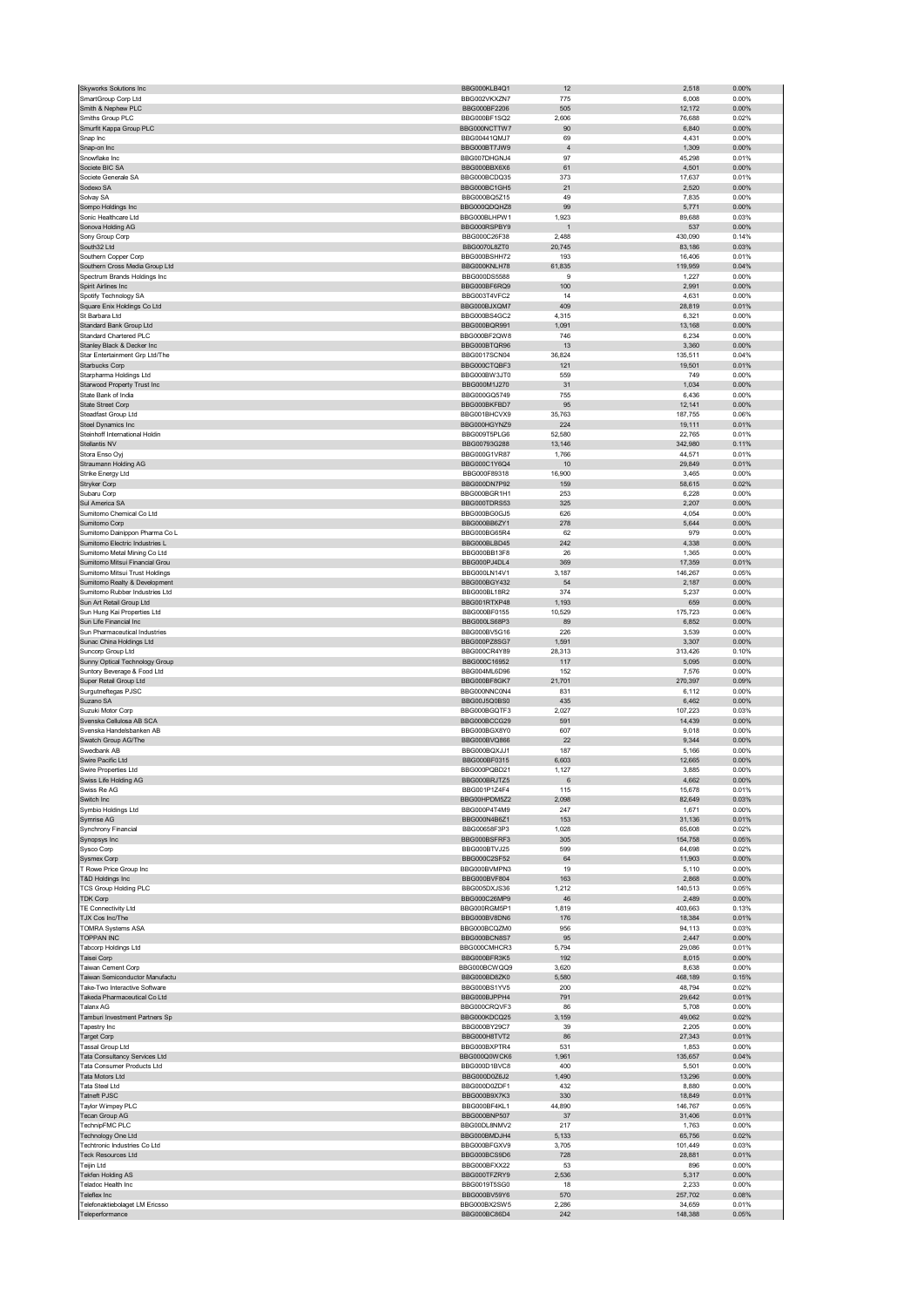| Skyworks Solutions Inc                                           | BBG000KLB4Q1                  | 12               | 2,518             | 0.00%             |
|------------------------------------------------------------------|-------------------------------|------------------|-------------------|-------------------|
| SmartGroup Corp Ltd<br>Smith & Nephew PLC                        | BBG002VKXZN7<br>BBG000BF2206  | 775<br>505       | 6,008<br>12,172   | 0.00%<br>0.00%    |
| Smiths Group PLC                                                 | BBG000BF1SQ2                  | 2,606            | 76,688            | 0.02%             |
| Smurfit Kappa Group PLC                                          | BBG000NCTTW7                  | 90               | 6,840             | 0.00%             |
| Snap Inc                                                         | BBG00441QMJ7                  | 69               | 4,431             | 0.00%             |
| Snap-on Inc<br>Snowflake Inc                                     | BBG000BT7JW9<br>BBG007DHGNJ4  | $\sqrt{4}$<br>97 | 1,309             | 0.00%<br>0.01%    |
| Societe BIC SA                                                   | BBG000BBX6X6                  | 61               | 45,298<br>4,501   | 0.00%             |
| Societe Generale SA                                              | BBG000BCDQ35                  | 373              | 17,637            | 0.01%             |
| Sodexo SA                                                        | BBG000BC1GH5                  | 21               | 2,520             | 0.00%             |
| Solvay SA                                                        | BBG000BQ5Z15                  | 49               | 7,835             | 0.00%             |
| Sompo Holdings Inc<br>Sonic Healthcare Ltd                       | BBG000QDQHZ8<br>BBG000BLHPW1  | 99<br>1,923      | 5,771<br>89,688   | 0.00%<br>0.03%    |
| Sonova Holding AG                                                | BBG000RSPBY9                  |                  | 537               | $0.00\%$          |
| Sony Group Corp                                                  | BBG000C26F38                  | 2,488            | 430,090           | 0.14%             |
| South32 Ltd                                                      | BBG0070L8ZT0                  | 20,745           | 83,186            | 0.03%             |
| Southern Copper Corp<br>Southern Cross Media Group Ltd           | BBG000BSHH72<br>BBG000KNLH78  | 193<br>61,835    | 16,406<br>119,959 | 0.01%<br>0.04%    |
| Spectrum Brands Holdings Inc                                     | BBG000DS5588                  | $\boldsymbol{9}$ | 1,227             | 0.00%             |
| Spirit Airlines Inc                                              | BBG000BF6RQ9                  | 100              | 2,991             | 0.00%             |
| Spotify Technology SA                                            | BBG003T4VFC2                  | 14               | 4,631             | 0.00%             |
| Square Enix Holdings Co Ltd                                      | BBG000BJXQM7                  | 409              | 28,819            | 0.01%             |
| St Barbara Ltd<br>Standard Bank Group Ltd                        | BBG000BS4GC2<br>BBG000BQR991  | 4,315<br>1,091   | 6,321<br>13,168   | 0.00%<br>0.00%    |
| Standard Chartered PLC                                           | BBG000BF2QW8                  | 746              | 6,234             | 0.00%             |
| Stanley Black & Decker Inc                                       | BBG000BTQR96                  | 13               | 3,360             | 0.00%             |
| Star Entertainment Grp Ltd/The                                   | BBG0017SCN04                  | 36,824           | 135,511           | 0.04%             |
| Starbucks Corp                                                   | BBG000CTQBF3                  | 121              | 19,501            | 0.01%             |
| Starpharma Holdings Ltd<br>Starwood Property Trust Inc           | BBG000BW3JT0<br>BBG000M1J270  | 559<br>31        | 749<br>1,034      | 0.00%<br>0.00%    |
| State Bank of India                                              | BBG000GQ5749                  | 755              | 6,436             | 0.00%             |
| State Street Corp                                                | BBG000BKFBD7                  | 95               | 12,141            | 0.00%             |
| Steadfast Group Ltd                                              | BBG001BHCVX9                  | 35,763           | 187,755           | 0.06%             |
| Steel Dynamics Inc                                               | BBG000HGYNZ9                  | 224              | 19,111            | 0.01%             |
| Steinhoff International Holdin<br>Stellantis NV                  | BBG009T5PLG6<br>BBG00793G288  | 52,580<br>13,146 | 22,765<br>342,980 | 0.01%<br>0.11%    |
| Stora Enso Oyj                                                   | BBG000G1VR87                  | 1,766            | 44,571            | 0.01%             |
| Straumann Holding AG                                             | BBG000C1Y6Q4                  | 10               | 29,849            | 0.01%             |
| Strike Energy Ltd                                                | BBG000F89318                  | 16,900           | 3,465             | 0.00%             |
| Stryker Corp                                                     | BBG000DN7P92                  | 159              | 58,615            | 0.02%             |
| Subaru Corp                                                      | BBG000BGR1H1                  | 253              | 6,228             | 0.00%             |
| Sul America SA<br>Sumitomo Chemical Co Ltd                       | BBG000TDRS53<br>BBG000BG0GJ5  | 325<br>626       | 2,207<br>4,054    | 0.00%<br>0.00%    |
| Sumitomo Corp                                                    | BBG000BB6ZY1                  | 278              | 5,644             | 0.00%             |
| Sumitomo Dainippon Pharma Co L                                   | BBG000BG65R4                  | 62               | 979               | 0.00%             |
| Sumitomo Electric Industries L                                   | BBG000BLBD45                  | 242              | 4,338             | 0.00%             |
| Sumitomo Metal Mining Co Ltd                                     | BBG000BB13F8                  | 26               | 1,365             | 0.00%             |
| Sumitomo Mitsui Financial Grou<br>Sumitomo Mitsui Trust Holdings | BBG000PJ4DL4<br>BBG000LN14V1  | 369<br>3,187     | 17,359            | 0.01%<br>0.05%    |
| Sumitomo Realty & Development                                    | BBG000BGY432                  | 54               | 146,267<br>2,187  | 0.00%             |
| Sumitomo Rubber Industries Ltd                                   | BBG000BL18R2                  | 374              | 5,237             | 0.00%             |
| Sun Art Retail Group Ltd                                         | BBG001RTXP48                  | 1,193            | 659               | 0.00%             |
| Sun Hung Kai Properties Ltd                                      | BBG000BF0155                  | 10,529           | 175,723           | 0.06%             |
| Sun Life Financial Inc                                           | BBG000LS68P3                  | 89               | 6,852             | 0.00%             |
| Sun Pharmaceutical Industries<br>Sunac China Holdings Ltd        | BBG000BV5G16<br>BBG000PZ8SG7  | 226<br>1,591     | 3,539<br>3,307    | 0.00%<br>0.00%    |
|                                                                  |                               |                  |                   |                   |
| Suncorp Group Ltd                                                | BBG000CR4Y89                  | 28,313           | 313,426           | 0.10%             |
| Sunny Optical Technology Group                                   | BBG000C16952                  | 117              | 5,095             | 0.00%             |
| Suntory Beverage & Food Ltd                                      | BBG004ML6D96                  | 152              | 7,576             | 0.00%             |
| Super Retail Group Ltd                                           | BBG000BF8GK7                  | 21,701           | 270,397           | 0.09%             |
| Surgutneftegas PJSC                                              | BBG000NNC0N4                  | 831              | 6,112             | 0.00%             |
| Suzano SA                                                        | BBG00J5Q0BS0                  | 435              | 6,462             | 0.00%             |
| Suzuki Motor Corp<br>Svenska Cellulosa AB SCA                    | BBG000BGQTF3<br>BBG000BCCG29  | 2,027<br>591     | 107,223<br>14,439 | 0.03%<br>$0.00\%$ |
| Svenska Handelsbanken AB                                         | BBG000BGX8Y0                  | 607              | 9,018             | 0.00%             |
| Swatch Group AG/The                                              | BBG000BVQ866                  | 22               | 9,344             | 0.00%             |
| Swedbank AB                                                      | BBG000BQXJJ1                  | 187              | 5,166             | 0.00%             |
| Swire Pacific Ltd                                                | BBG000BF0315                  | 6,603            | 12,665            | 0.00%             |
| Swire Properties Ltd<br>iss Life Holdina A                       | BBG000PQBD21<br>BRC000BP IT75 | 1,127            | 3,885<br>4.662    | 0.00%<br>n nn%    |
| Swiss Re AG                                                      | BBG001P1Z4F4                  | 115              | 15,678            | 0.01%             |
| Switch Inc                                                       | BBG00HPDM5Z2                  | 2,098            | 82,649            | 0.03%             |
| Symbio Holdings Ltd                                              | BBG000P4T4M9                  | 247              | 1,671             | 0.00%             |
| Symrise AG                                                       | BBG000N4B6Z1                  | 153              | 31,136            | 0.01%             |
| Synchrony Financial<br>Synopsys Inc                              | BBG00658F3P3<br>BBG000BSFRF3  | 1,028<br>305     | 65,608<br>154,758 | 0.02%<br>0.05%    |
| Sysco Corp                                                       | BBG000BTVJ25                  | 599              | 64,698            | 0.02%             |
| Sysmex Corp                                                      | BBG000C2SF52                  | 64               | 11,903            | 0.00%             |
| T Rowe Price Group Inc                                           | BBG000BVMPN3                  | 19               | 5,110             | 0.00%             |
| T&D Holdings Inc<br><b>TCS Group Holding PLC</b>                 | BBG000BVF804<br>BBG005DXJS36  | 163<br>1,212     | 2,868<br>140,513  | $0.00\%$<br>0.05% |
| <b>TDK Corp</b>                                                  | BBG000C26MP9                  | 46               | 2,489             | 0.00%             |
| TE Connectivity Ltd                                              | BBG000RGM5P1                  | 1,819            | 403,663           | 0.13%             |
| TJX Cos Inc/The                                                  | BBG000BV8DN6                  | 176              | 18,384            | 0.01%             |
| <b>TOMRA Systems ASA</b>                                         | BBG000BCQZM0<br>BBG000BCN8S7  | 956              | 94,113            | 0.03%             |
| <b>TOPPAN INC</b><br>Tabcorp Holdings Ltd                        | BBG000CMHCR3                  | 95<br>5,794      | 2,447<br>29,086   | 0.00%<br>0.01%    |
| Taisei Corp                                                      | BBG000BFR3K5                  | 192              | 8,015             | 0.00%             |
| Taiwan Cement Corp                                               | BBG000BCWQQ9                  | 3,620            | 8,638             | 0.00%             |
| Taiwan Semiconductor Manufactu                                   | BBG000BD87K0                  | 5,580            | 468,189           | 0.15%             |
| Take-Two Interactive Software                                    | BBG000BS1YV5                  | 200              | 48,794            | 0.02%             |
| Takeda Pharmaceutical Co Ltd<br><b>Talanx AG</b>                 | BBG000BJPPH4<br>BBG000CRQVF3  | 791<br>86        | 29,642<br>5,708   | 0.01%<br>0.00%    |
| Tamburi Investment Partners Sp                                   | BBG000KDCQ25                  | 3,159            | 49,062            | 0.02%             |
| Tapestry Inc                                                     | BBG000BY29C7                  | 39               | 2,205             | 0.00%             |
| Target Corp                                                      | BBG000H8TVT2                  | 86               | 27,343            | 0.01%             |
| Tassal Group Ltd                                                 | BBG000BXPTR4                  | 531              | 1,853             | 0.00%<br>0.04%    |
| Tata Consultancy Services Ltd<br>Tata Consumer Products Ltd      | BBG000Q0WCK6<br>BBG000D1BVC8  | 1,961<br>400     | 135,657<br>5,501  | 0.00%             |
| Tata Motors Ltd                                                  | BBG000D0Z6J2                  | 1,490            | 13,296            | 0.00%             |
| Tata Steel Ltd                                                   | BBG000D0ZDF1                  | 432              | 8,880             | 0.00%             |
| Tatneft PJSC                                                     | BBG000B9X7K3                  | 330              | 18,849            | 0.01%             |
| Taylor Wimpey PLC                                                | BBG000BF4KL1                  | 44,890           | 146,767           | 0.05%             |
| Tecan Group AG<br>TechnipFMC PLC                                 | BBG000BNP507<br>BBG00DL8NMV2  | 37<br>217        | 31,406<br>1,763   | 0.01%<br>0.00%    |
| Technology One Ltd                                               | BBG000BMDJH4                  | 5,133            | 65,756            | 0.02%             |
| Techtronic Industries Co Ltd                                     | BBG000BFGXV9                  | 3,705            | 101,449           | 0.03%             |
| <b>Teck Resources Ltd</b>                                        | BBG000BCS9D6                  | 728              | 28,881            | 0.01%             |
| Teijin Ltd                                                       | BBG000BFXX22                  | 53               | 896               | 0.00%             |
| Tekfen Holding AS                                                | BBG000TFZRY9                  | 2,536<br>18      | 5,317             | 0.00%<br>0.00%    |
| Teladoc Health Inc<br>Teleflex Inc                               | BBG0019T5SG0<br>BBG000BV59Y6  | 570              | 2,233<br>257,702  | 0.08%             |
| Telefonaktiebolaget LM Ericsso<br>Teleperformance                | BBG000BX2SW5<br>BBG000BC86D4  | 2,286<br>242     | 34,659<br>148,388 | 0.01%<br>0.05%    |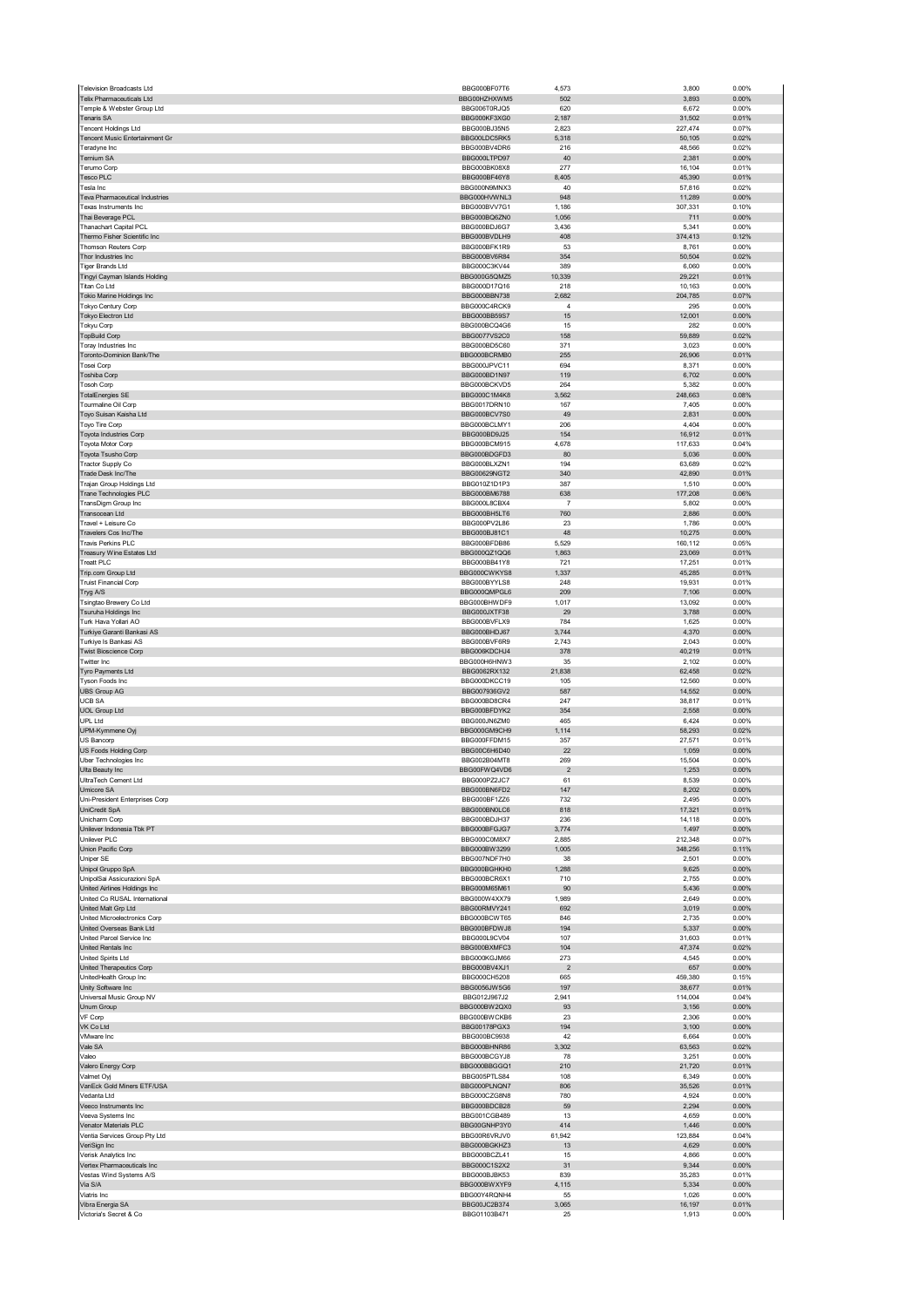| <b>Television Broadcasts Ltd</b>                            | BBG000BF07T6                 | 4,573                   | 3,800             | 0.00%             |
|-------------------------------------------------------------|------------------------------|-------------------------|-------------------|-------------------|
| Telix Pharmaceuticals Ltd<br>Temple & Webster Group Ltd     | BBG00HZHXWM5<br>BBG006T0RJQ5 | 502<br>620              | 3,893<br>6,672    | 0.00%<br>0.00%    |
| <b>Tenaris SA</b>                                           | BBG000KF3XG0                 | 2,187                   | 31,502            | 0.01%             |
| <b>Tencent Holdings Ltd</b>                                 | BBG000BJ35N5                 | 2,823                   | 227,474           | 0.07%             |
| Tencent Music Entertainment Gr                              | BBG00LDC5RK5                 | 5,318                   | 50,105            | 0.02%             |
| Teradyne Inc<br>Ternium SA                                  | BBG000BV4DR6<br>BBG000LTPD97 | 216<br>40               | 48,566<br>2,381   | 0.02%<br>0.00%    |
| Terumo Corp                                                 | BBG000BK08X8                 | 277                     | 16,104            | 0.01%             |
| <b>Tesco PLC</b>                                            | BBG000BF46Y8                 | 8,405                   | 45,390            | 0.01%             |
| Tesla Inc                                                   | BBG000N9MNX3                 | 40                      | 57,816            | 0.02%             |
| Teva Pharmaceutical Industries<br>Texas Instruments Inc.    | BBG000HVWNL3<br>BBG000BVV7G1 | 948<br>1.186            | 11,289<br>307,331 | 0.00%<br>0.10%    |
| Thai Beverage PCL                                           | BBG000BQ6ZN0                 | 1,056                   | 711               | 0.00%             |
| Thanachart Capital PCL                                      | BBG000BDJ6G7                 | 3,436                   | 5,341             | 0.00%             |
| Thermo Fisher Scientific Inc                                | BBG000BVDLH9                 | 408                     | 374,413           | 0.12%             |
| <b>Thomson Reuters Corp</b><br>Thor Industries Inc          | BBG000BFK1R9<br>BBG000BV6R84 | 53<br>354               | 8,761             | 0.00%<br>0.02%    |
| Tiger Brands Ltd                                            | BBG000C3KV44                 | 389                     | 50,504<br>6,060   | 0.00%             |
| Tingyi Cayman Islands Holding                               | BBG000G5QMZ5                 | 10,339                  | 29,221            | 0.01%             |
| Titan Co Ltd                                                | BBG000D17Q16                 | 218                     | 10,163            | 0.00%             |
| Tokio Marine Holdings Inc                                   | BBG000BBN738<br>BBG000C4RCK9 | 2,682<br>$\overline{4}$ | 204,785           | 0.07%<br>0.00%    |
| Tokyo Century Corp<br>Tokyo Electron Ltd                    | BBG000BB59S7                 | 15                      | 295<br>12,001     | 0.00%             |
| Tokyu Corp                                                  | BBG000BCQ4G6                 | 15                      | 282               | 0.00%             |
| <b>TopBuild Corp</b>                                        | <b>BBG0077VS2C0</b>          | 158                     | 59,889            | 0.02%             |
| Toray Industries Inc                                        | BBG000BD5C60                 | 371                     | 3,023             | 0.00%             |
| Toronto-Dominion Bank/The<br>Tosei Corp                     | BBG000BCRMB0<br>BBG000JPVC11 | 255<br>694              | 26,906<br>8,371   | 0.01%<br>0.00%    |
| Toshiba Corp                                                | BBG000BD1N97                 | 119                     | 6,702             | 0.00%             |
| <b>Tosoh Corp</b>                                           | BBG000BCKVD5                 | 264                     | 5,382             | 0.00%             |
| <b>TotalEnergies SE</b>                                     | BBG000C1M4K8                 | 3,562                   | 248,663           | 0.08%             |
| Tourmaline Oil Corp<br>Toyo Suisan Kaisha Ltd               | BBG0017DRN10<br>BBG000BCV7S0 | 167<br>49               | 7,405<br>2,831    | 0.00%<br>0.00%    |
| Toyo Tire Corp                                              | BBG000BCLMY1                 | 206                     | 4,404             | 0.00%             |
| Toyota Industries Corp                                      | BBG000BD9J25                 | 154                     | 16,912            | 0.01%             |
| Toyota Motor Corp                                           | BBG000BCM915                 | 4,678                   | 117,633           | 0.04%             |
| Toyota Tsusho Corp                                          | BBG000BDGFD3<br>BBG000BLXZN1 | 80<br>194               | 5,036<br>63,689   | 0.00%<br>0.02%    |
| Tractor Supply Co<br>Trade Desk Inc/The                     | BBG00629NGT2                 | 340                     | 42,890            | 0.01%             |
| Trajan Group Holdings Ltd                                   | BBG010Z1D1P3                 | 387                     | 1,510             | 0.00%             |
| Trane Technologies PLC                                      | BBG000BM6788                 | 638                     | 177,208           | 0.06%             |
| TransDigm Group Inc                                         | BBG000L8CBX4                 | $\overline{7}$          | 5,802             | 0.00%             |
| Transocean Ltd<br>Travel + Leisure Co                       | BBG000BH5LT6<br>BBG000PV2L86 | 760<br>23               | 2,886<br>1,786    | 0.00%<br>0.00%    |
| Travelers Cos Inc/The                                       | BBG000BJ81C1                 | 48                      | 10,275            | 0.00%             |
| Travis Perkins PLC                                          | BBG000BFDB86                 | 5,529                   | 160,112           | 0.05%             |
| Treasury Wine Estates Ltd                                   | BBG000QZ1QQ6                 | 1,863                   | 23,069            | 0.01%             |
| Treatt PLC                                                  | BBG000BB41Y8                 | 721                     | 17,251            | 0.01%             |
| Trip.com Group Ltd<br><b>Truist Financial Corp</b>          | BBG000CWKYS8<br>BBG000BYYLS8 | 1,337<br>248            | 45,285<br>19,931  | 0.01%<br>0.01%    |
| Tryg A/S                                                    | BBG000QMPGL6                 | 209                     | 7,106             | 0.00%             |
| Tsingtao Brewery Co Ltd                                     | BBG000BHWDF9                 | 1,017                   | 13,092            | 0.00%             |
| Tsuruha Holdings Inc                                        | BBG000JXTF38                 | 29                      | 3,788             | 0.00%             |
| Turk Hava Yollari AO                                        | BBG000BVFLX9                 | 784                     | 1,625             | 0.00%             |
| Turkiye Garanti Bankasi AS<br>Turkiye Is Bankasi AS         | BBG000BHDJ67<br>BBG000BVF6R9 | 3,744<br>2,743          | 4,370<br>2,043    | 0.00%<br>0.00%    |
| <b>Twist Bioscience Corp</b>                                | BBG006KDCHJ4                 | 378                     | 40,219            | 0.01%             |
| Twitter Inc.                                                | BBG000H6HNW3                 | 35                      | 2,102             | 0.00%             |
| Tyro Payments Ltd                                           | BBG0062RX132                 | 21,838                  | 62,458            | 0.02%             |
| Tyson Foods Inc                                             | BBG000DKCC19                 | 105                     | 12,560            | 0.00%             |
| <b>UBS Group AG</b><br><b>UCB SA</b>                        | BBG007936GV2<br>BBG000BD8CR4 | 587<br>247              | 14,552<br>38,817  | 0.00%<br>0.01%    |
| <b>UOL Group Ltd</b>                                        | BBG000BFDYK2                 | 354                     | 2,558             | 0.00%             |
| UPL Ltd                                                     | BBG000JN6ZM0                 | 465                     | 6,424             | 0.00%             |
| UPM-Kymmene Oyj                                             | BBG000GM9CH9                 | 1,114                   | 58,293            | 0.02%             |
| US Bancorp                                                  | BBG000FFDM15                 | 357                     | 27,571            | 0.01%             |
| US Foods Holding Corp                                       | BBG00C6H6D40<br>BBG002B04MT8 | 22<br>269               | 1,059<br>15,504   | 0.00%<br>0.00%    |
| Uber Technologies Inc<br>Ulta Beauty Inc                    | BBG00FWQ4VD6                 | $\overline{2}$          | 1,253             | 0.00%             |
| HitraTech Cement Ltd                                        | BBG000P72JC7                 | 61                      | 8.539             | 0.00%             |
| Umicore SA                                                  | BBG000BN6FD2                 | 147                     | 8,202             | 0.00%             |
| Uni-President Enterprises Corp                              | BBG000BF1ZZ6                 | 732                     | 2,495             | 0.00%             |
| UniCredit SpA<br>Unicharm Corp                              | BBG000BN0LC6<br>BBG000BDJH37 | 818<br>236              | 17,321<br>14,118  | 0.01%<br>0.00%    |
| Unilever Indonesia Tbk PT                                   | BBG000BFGJG7                 | 3,774                   | 1,497             |                   |
| Unilever PLC                                                |                              |                         |                   | 0.00%             |
| Union Pacific Corp                                          | BBG000C0M8X7                 | 2,885                   | 212,348           | 0.07%             |
|                                                             | BBG000BW3299                 | 1,005                   | 348,256           | 0.11%             |
| Uniper SE                                                   | BBG007NDF7H0                 | 38                      | 2,501             | 0.00%             |
| Unipol Gruppo SpA                                           | BBG000BGHKH0                 | 1,288                   | 9,625             | 0.00%             |
| UnipolSai Assicurazioni SpA<br>United Airlines Holdings Inc | BBG000BCR6X1<br>BBG000M65M61 | 710<br>90               | 2,755<br>5,436    | 0.00%<br>$0.00\%$ |
| United Co RUSAL International                               | BBG000W4XX79                 | 1,989                   | 2,649             | 0.00%             |
| United Malt Grp Ltd                                         | BBG00RMVY241                 | 692                     | 3,019             | $0.00\%$          |
| United Microelectronics Corp<br>United Overseas Bank Ltd    | BBG000BCWT65                 | 846                     | 2,735             | 0.00%             |
| United Parcel Service Inc                                   | BBG000BFDWJ8<br>BBG000L9CV04 | 194<br>107              | 5,337<br>31,603   | 0.00%<br>0.01%    |
| United Rentals Inc                                          | BBG000BXMFC3                 | 104                     | 47,374            | 0.02%             |
| United Spirits Ltd                                          | BBG000KGJM66                 | 273                     | 4,545             | 0.00%             |
| United Therapeutics Corp                                    | BBG000BV4XJ1                 | $\overline{2}$          | 657               | 0.00%             |
| UnitedHealth Group Inc<br>Unity Software Inc                | BBG000CH5208<br>BBG0056JW5G6 | 665<br>197              | 459,380<br>38,677 | 0.15%<br>0.01%    |
| Universal Music Group NV                                    | BBG012J967J2                 | 2,941                   | 114,004           | 0.04%             |
| Unum Group                                                  | BBG000BW2QX0                 | 93                      | 3,156             | 0.00%             |
| VF Corp                                                     | BBG000BWCKB6                 | 23                      | 2,306             | 0.00%             |
| VK Co Ltd                                                   | BBG00178PGX3                 | 194                     | 3,100             | 0.00%             |
| VMware Inc<br>Vale SA                                       | BBG000BC9938<br>BBG000BHNR86 | 42<br>3,302             | 6,664<br>63,563   | 0.00%<br>0.02%    |
| Valeo                                                       | BBG000BCGYJ8                 | 78                      | 3,251             | 0.00%             |
| Valero Energy Corp                                          | BBG000BBGGQ1                 | 210                     | 21,720            | 0.01%             |
| Valmet Oyj                                                  | BBG005PTLS84                 | 108                     | 6,349             | 0.00%             |
| VanEck Gold Miners ETF/USA                                  | BBG000PLNQN7                 | 806                     | 35,526            | 0.01%             |
| Vedanta Ltd<br>Veeco Instruments Inc                        | BBG000CZG8N8<br>BBG000BDCB28 | 780<br>59               | 4,924<br>2,294    | 0.00%<br>0.00%    |
| Veeva Systems Inc                                           | BBG001CGB489                 | 13                      | 4,659             | 0.00%             |
| Venator Materials PLC                                       | BBG00GNHP3Y0                 | 414                     | 1,446             | 0.00%             |
| Ventia Services Group Pty Ltd                               | BBG00R6VRJV0                 | 61,942                  | 123,884           | 0.04%             |
| VeriSign Inc                                                | BBG000BGKHZ3                 | 13                      | 4,629             | 0.00%             |
| Verisk Analytics Inc<br>Vertex Pharmaceuticals Inc          | BBG000BCZL41<br>BBG000C1S2X2 | 15<br>31                | 4,866<br>9,344    | 0.00%<br>0.00%    |
| Vestas Wind Systems A/S                                     | BBG000BJBK53                 | 839                     | 35,283            | 0.01%             |
| Via S/A                                                     | BBG000BWXYF9                 | 4,115                   | 5,334             | 0.00%             |
| Viatris Inc                                                 | BBG00Y4RQNH4                 | 55                      | 1,026             | 0.00%             |
| Vibra Energia SA<br>Victoria's Secret & Co                  | BBG00JC2B374<br>BBG01103B471 | 3,065<br>25             | 16,197<br>1,913   | 0.01%<br>0.00%    |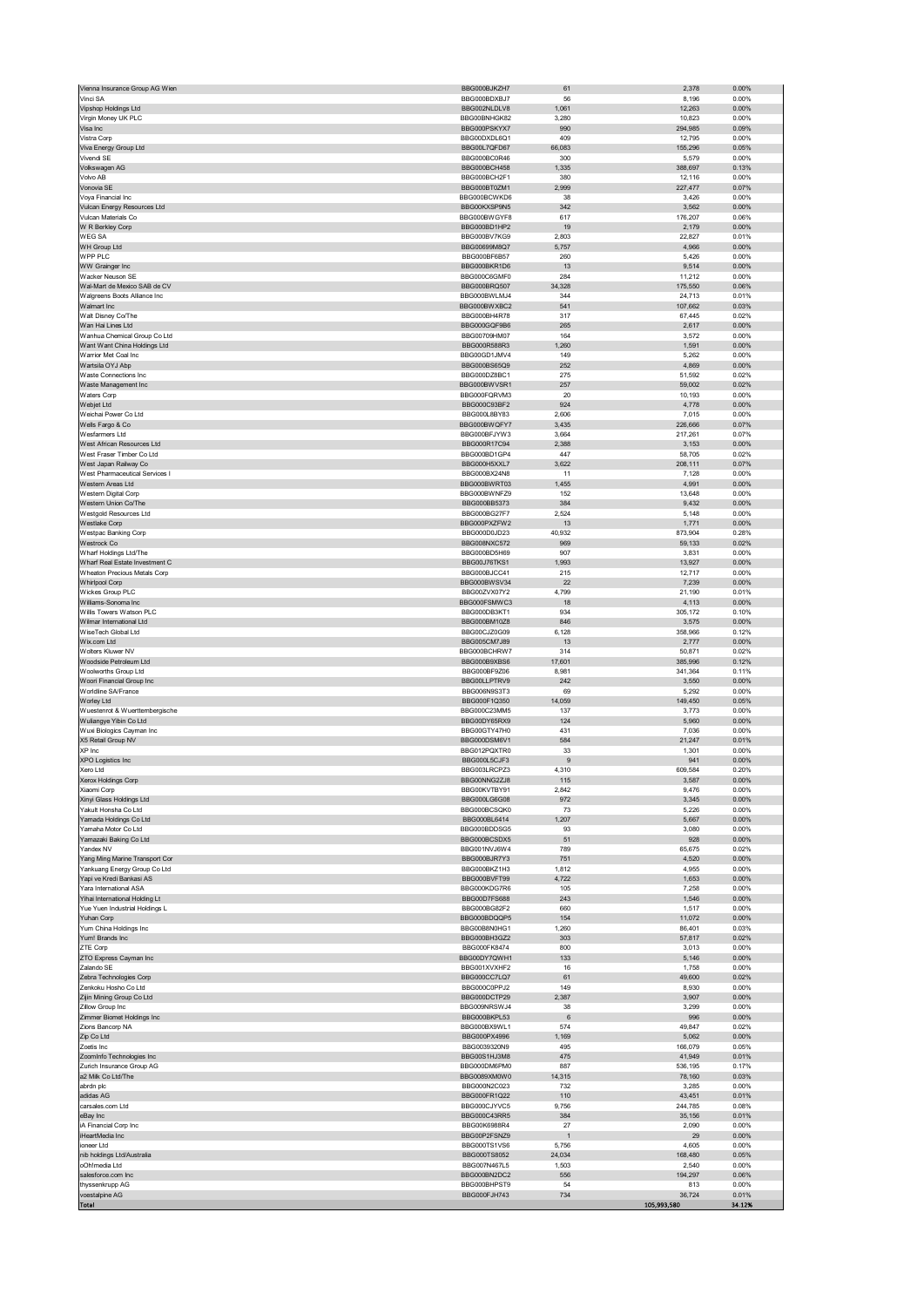| Vienna Insurance Group AG Wien                           | BBG000BJKZH7                 | 61             | 2,378                 | 0.00%          |
|----------------------------------------------------------|------------------------------|----------------|-----------------------|----------------|
| Vinci SA                                                 | BBG000BDXBJ7                 | 56             | 8,196                 | 0.00%          |
| Vipshop Holdings Ltd                                     | BBG002NLDLV8                 | 1,061          | 12,263                | 0.00%          |
| Virgin Money UK PLC<br>Visa Inc                          | BBG00BNHGK82<br>BBG000PSKYX7 | 3,280<br>990   | 10,823                | 0.00%          |
| Vistra Corp                                              | BBG00DXDL6Q1                 | 409            | 294,985<br>12,795     | 0.09%<br>0.00% |
| Viva Energy Group Ltd                                    | BBG00L7QFD67                 | 66,083         | 155,296               | 0.05%          |
| Vivendi SE                                               | BBG000BC0R46                 | 300            | 5,579                 | 0.00%          |
| Volkswagen AG                                            | BBG000BCH458                 | 1,335          | 388,697               | 0.13%          |
| Volvo AB                                                 | BBG000BCH2F1                 | 380            | 12,116                | 0.00%          |
| Vonovia SE                                               | BBG000BT0ZM1                 | 2,999          | 227,477               | 0.07%          |
| Voya Financial Inc                                       | BBG000BCWKD6                 | 38             | 3,426                 | 0.00%          |
| Vulcan Energy Resources Ltd<br>Vulcan Materials Co       | BBG00KXSP9N5<br>BBG000BWGYF8 | 342<br>617     | 3,562                 | 0.00%<br>0.06% |
| W R Berkley Corp                                         | BBG000BD1HP2                 | 19             | 176,207<br>2,179      | 0.00%          |
| <b>WEGSA</b>                                             | BBG000BV7KG9                 | 2,803          | 22,827                | 0.01%          |
| WH Group Ltd                                             | BBG00699M8O7                 | 5,757          | 4,966                 | 0.00%          |
| WPP PLC                                                  | BBG000BF6B57                 | 260            | 5,426                 | 0.00%          |
| WW Grainger Inc                                          | BBG000BKR1D6                 | 13             | 9,514                 | 0.00%          |
| Wacker Neuson SE                                         | BBG000C6GMF0                 | 284            | 11,212                | 0.00%          |
| Wal-Mart de Mexico SAB de CV                             | BBG000BRQ507                 | 34,328         | 175,550               | 0.06%          |
| Walgreens Boots Alliance Inc<br>Walmart Inc              | BBG000BWLMJ4                 | 344<br>541     | 24,713                | 0.01%<br>0.03% |
| Walt Disney Co/The                                       | BBG000BWXBC2<br>BBG000BH4R78 | 317            | 107,662<br>67,445     | 0.02%          |
| Wan Hai Lines Ltd                                        | BBG000GQF9B6                 | 265            | 2,617                 | 0.00%          |
| Wanhua Chemical Group Co Ltd                             | BBG00709HM07                 | 164            | 3,572                 | 0.00%          |
| Want Want China Holdings Ltd                             | BBG000R588R3                 | 1,260          | 1,591                 | 0.00%          |
| Warrior Met Coal Inc                                     | BBG00GD1JMV4                 | 149            | 5,262                 | 0.00%          |
| Wartsila OYJ Abp                                         | BBG000BS65Q9                 | 252            | 4,869                 | 0.00%          |
| Waste Connections Inc                                    | BBG000DZ8BC1                 | 275            | 51,592                | 0.02%          |
| Waste Management Inc                                     | BBG000BWVSR1                 | 257            | 59,002                | 0.02%          |
| Waters Corp                                              | BBG000FQRVM3                 | 20             | 10,193                | 0.00%          |
| Webjet Ltd                                               | BBG000C93BF2                 | 924            | 4,778                 | 0.00%          |
| Weichai Power Co Ltd                                     | BBG000L8BY83                 | 2,606          | 7,015                 | 0.00%          |
| Wells Fargo & Co<br>Wesfarmers Ltd                       | BBG000BWQFY7<br>BBG000BFJYW3 | 3,435<br>3,664 | 226,666<br>217,261    | 0.07%<br>0.07% |
| West African Resources Ltd                               | BBG000R17C94                 | 2,388          | 3,153                 | 0.00%          |
| West Fraser Timber Co Ltd                                | BBG000BD1GP4                 | 447            | 58,705                | 0.02%          |
| West Japan Railway Co                                    | BBG000H5XXL7                 | 3,622          | 208,111               | 0.07%          |
| West Pharmaceutical Services I                           | BBG000BX24N8                 | 11             | 7,128                 | 0.00%          |
| Western Areas Ltd                                        | BBG000BWRT03                 | 1,455          | 4,991                 | 0.00%          |
| Western Digital Corp                                     | BBG000BWNFZ9                 | 152            | 13,648                | 0.00%          |
| Western Union Co/The                                     | BBG000BB5373                 | 384            | 9,432                 | 0.00%          |
| Westgold Resources Ltd                                   | BBG000BG27F7                 | 2,524          | 5,148                 | 0.00%          |
| Westlake Corp                                            | BBG000PXZFW2                 | 13             | 1,771                 | 0.00%          |
| Westpac Banking Corp                                     | BBG000D0JD23                 | 40,932         | 873,904               | 0.28%          |
| Westrock Co                                              | BBG008NXC572                 | 969            | 59,133                | 0.02%          |
| Wharf Holdings Ltd/The<br>Wharf Real Estate Investment C | BBG000BD5H69<br>BBG00J76TKS1 | 907<br>1,993   | 3,831<br>13,927       | 0.00%<br>0.00% |
| Wheaton Precious Metals Corp                             | BBG000BJCC41                 | 215            | 12,717                | 0.00%          |
| <b>Whirlpool Corp</b>                                    | BBG000BWSV34                 | 22             | 7,239                 | 0.00%          |
| Wickes Group PLC                                         | BBG00ZVX07Y2                 | 4,799          | 21,190                | 0.01%          |
| Williams-Sonoma Inc                                      | BBG000FSMWC3                 | 18             | 4,113                 | 0.00%          |
| Willis Towers Watson PLC                                 | BBG000DB3KT1                 | 934            | 305,172               | 0.10%          |
| Wilmar International Ltd                                 | BBG000BM10Z8                 | 846            | 3,575                 | 0.00%          |
| WiseTech Global Ltd                                      | BBG00CJZ0G09                 | 6,128          | 358,966               | 0.12%          |
| Wix.com Ltd                                              | BBG005CM7J89                 | 13             | 2,777                 | 0.00%          |
| Wolters Kluwer NV                                        | BBG000BCHRW7                 | 314            | 50,871                | 0.02%          |
| Woodside Petroleum Ltd                                   | BBG000B9XBS6                 | 17,601         | 385,996               | 0.12%          |
| Woolworths Group Ltd<br>Woori Financial Group Inc        | BBG000BF9Z06<br>BBG00LLPTRV9 | 8,981<br>242   | 341,364<br>3,550      | 0.11%<br>0.00% |
| Worldline SA/France                                      | BBG006N9S3T3                 | 69             | 5,292                 | 0.00%          |
| Worley Ltd                                               | BBG000F1Q350                 | 14,059         | 149,450               | 0.05%          |
| Wuestenrot & Wuerttembergische                           | BBG000C23MM5                 | 137            | 3,773                 | 0.00%          |
| Wuliangye Yibin Co Ltd                                   | BBG00DY65RX9                 | 124            | 5,960                 | 0.00%          |
| Wuxi Biologics Cayman Inc                                | BBG00GTY47H0                 | 431            | 7,036                 | 0.00%          |
| X5 Retail Group NV                                       | BBG000DSM6V1                 | 584            | 21,247                | 0.01%          |
| XP Inc                                                   | BBG012PQXTR0                 | 33             | 1,301                 | 0.00%          |
| XPO Logistics Inc                                        | BBG000L5CJF3                 | 9              | 941                   | 0.00%          |
| Xero Ltd<br>$\mathsf{x}$                                 | BBG003LRCPZ3<br>BBG00NNG2ZJ8 | 4,310          | 609,584<br>3.587      | 0.20%<br>0.00% |
| erox Holdinas Corp                                       |                              | 115            |                       |                |
| Xiaomi Corp<br>Xinyi Glass Holdings Ltd                  | BBG00KVTBY91<br>BBG000LG6G08 | 2,842<br>972   | 9,476<br>3,345        | 0.00%<br>0.00% |
| Yakult Honsha Co Ltd                                     | BBG000BCSQK0                 | 73             | 5,226                 | 0.00%          |
| Yamada Holdings Co Ltd                                   | BBG000BL6414                 | 1,207          | 5,667                 | 0.00%          |
| Yamaha Motor Co Ltd                                      | BBG000BDDSG5                 | 93             | 3,080                 | 0.00%          |
| Yamazaki Baking Co Ltd                                   | BBG000BCSDX5                 | 51             | 928                   | 0.00%          |
| Yandex NV                                                | BBG001NVJ6W4                 | 789            | 65,675                | 0.02%          |
| Yang Ming Marine Transport Cor                           | BBG000BJR7Y3                 | 751            | 4,520                 | 0.00%          |
| Yankuang Energy Group Co Ltd                             | BBG000BKZ1H3                 | 1,812          | 4,955                 | 0.00%          |
| Yapi ve Kredi Bankasi AS                                 | BBG000BVFT99                 | 4,722          | 1,653                 | 0.00%          |
| Yara International ASA<br>Yihai International Holding Lt | BBG000KDG7R6<br>BBG00D7FS688 | 105<br>243     | 7,258<br>1,546        | 0.00%<br>0.00% |
| Yue Yuen Industrial Holdings L                           | BBG000BG82F2                 | 660            | 1,517                 | 0.00%          |
| Yuhan Corp                                               | BBG000BDQQP5                 | 154            | 11,072                | 0.00%          |
| Yum China Holdings Inc                                   | BBG00B8N0HG1                 | 1,260          | 86,401                | 0.03%          |
| Yum! Brands Inc                                          | BBG000BH3GZ2                 | 303            | 57,817                | 0.02%          |
| ZTE Corp                                                 | BBG000FK8474                 | 800            | 3,013                 | 0.00%          |
| ZTO Express Cayman Inc                                   | BBG00DY7QWH1                 | 133            | 5,146                 | 0.00%          |
| Zalando SE                                               | BBG001XVXHF2                 | 16             | 1,758                 | 0.00%          |
| Zebra Technologies Corp<br>Zenkoku Hosho Co Ltd          | BBG000CC7LQ7<br>BBG000C0PPJ2 | 61<br>149      | 49,600<br>8,930       | 0.02%<br>0.00% |
| Zijin Mining Group Co Ltd                                | BBG000DCTP29                 | 2,387          | 3,907                 | 0.00%          |
| Zillow Group Inc                                         | BBG009NRSWJ4                 | 38             | 3,299                 | 0.00%          |
| Zimmer Biomet Holdings Inc                               | BBG000BKPL53                 | 6              | 996                   | 0.00%          |
| Zions Bancorp NA                                         | BBG000BX9WL1                 | 574            | 49,847                | 0.02%          |
| Zip Co Ltd                                               | BBG000PX4996                 | 1,169          | 5,062                 | 0.00%          |
| Zoetis Inc                                               | BBG0039320N9                 | 495            | 166,079               | 0.05%          |
| ZoomInfo Technologies Inc                                | BBG00S1HJ3M8                 | 475            | 41,949                | 0.01%          |
| Zurich Insurance Group AG                                | BBG000DM6PM0                 | 887            | 536,195               | 0.17%          |
| a2 Milk Co Ltd/The                                       | BBG0089XM0W0                 | 14,315         | 78,160                | 0.03%          |
| abrdn plc<br>adidas AG                                   | BBG000N2C023<br>BBG000FR1Q22 | 732<br>110     | 3,285<br>43,451       | 0.00%<br>0.01% |
| carsales.com Ltd                                         | BBG000CJYVC5                 | 9,756          | 244,785               | 0.08%          |
| eBay Inc                                                 | BBG000C43RR5                 | 384            | 35,156                | 0.01%          |
| iA Financial Corp Inc                                    |                              | 27             | 2,090                 | 0.00%          |
| iHeartMedia Inc                                          | BBG00K6988R4                 |                |                       |                |
|                                                          | BBG00P2FSNZ9                 | $\mathbf{1}$   | 29                    | 0.00%          |
| ioneer Ltd                                               | BBG000TS1VS6                 | 5,756          | 4,605                 | 0.00%          |
| nib holdings Ltd/Australia                               | BBG000TS8052                 | 24,034         | 168,480               | 0.05%          |
| oOh!media Ltd                                            | BBG007N467L5                 | 1,503          | 2,540                 | 0.00%          |
| salesforce.com Inc                                       | BBG000BN2DC2                 | 556            | 194,297               | 0.06%          |
| thyssenkrupp AG                                          | BBG000BHPST9<br>BBG000FJH743 | 54<br>734      | 813                   | 0.00%<br>0.01% |
| voestalpine AG<br>Total                                  |                              |                | 36,724<br>105,993,580 | 34.12%         |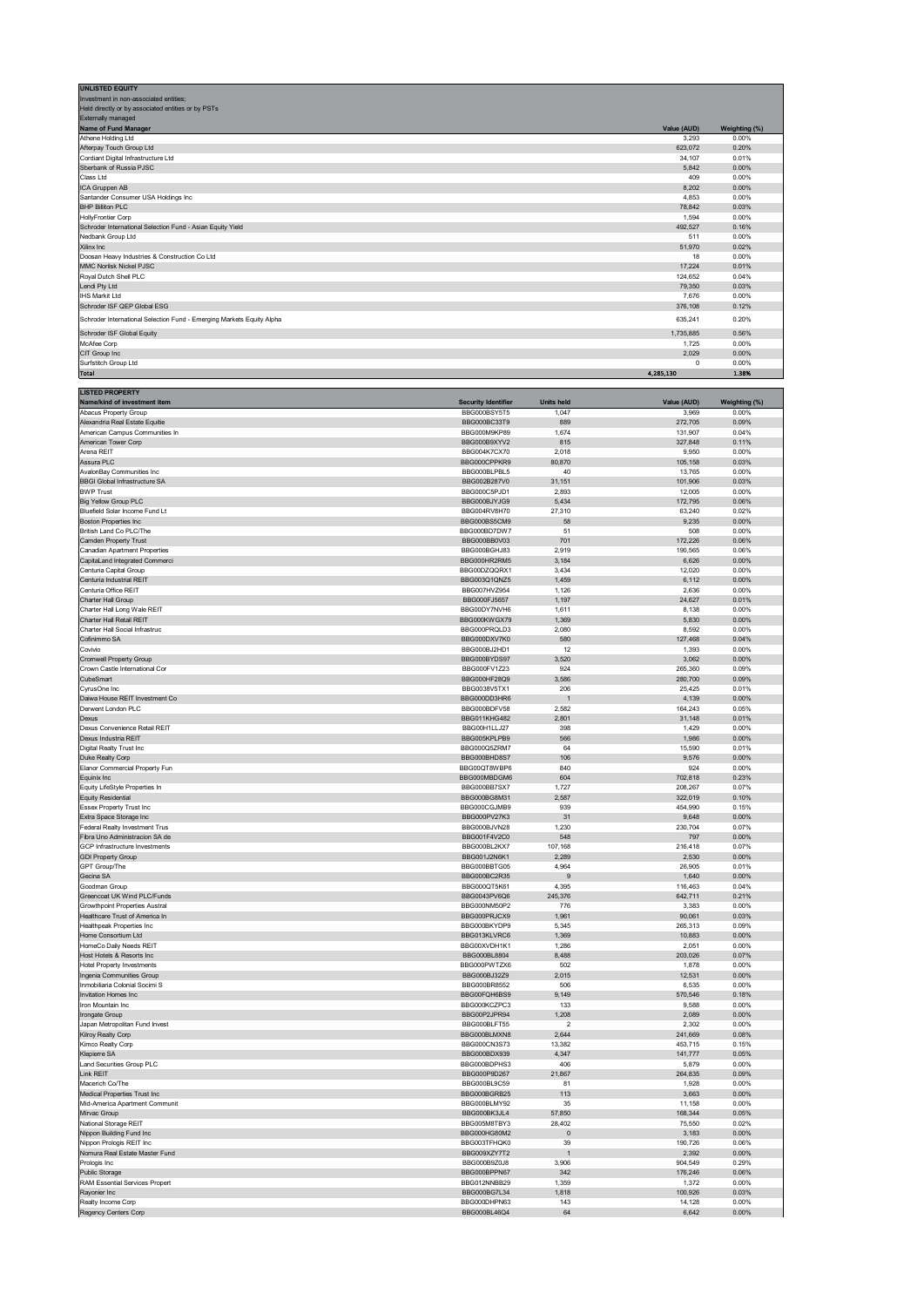| <b>UNLISTED EQUITY</b>                                                |             |               |
|-----------------------------------------------------------------------|-------------|---------------|
| Investment in non-associated entities;                                |             |               |
| Held directly or by associated entities or by PSTs                    |             |               |
| <b>Externally managed</b>                                             |             |               |
| Name of Fund Manager                                                  | Value (AUD) | Weighting (%) |
| Athene Holding Ltd                                                    | 3,293       | 0.00%         |
| Afterpay Touch Group Ltd                                              | 623,072     | 0.20%         |
| Cordiant Digital Infrastructure Ltd                                   | 34,107      | 0.01%         |
| Sberbank of Russia PJSC                                               | 5.842       | 0.00%         |
| Class Ltd                                                             | 409         | 0.00%         |
| ICA Gruppen AB                                                        | 8,202       | 0.00%         |
| Santander Consumer USA Holdings Inc                                   | 4,853       | 0.00%         |
| <b>BHP Billiton PLC</b>                                               | 78,842      | 0.03%         |
| <b>HollyFrontier Corp</b>                                             | 1.594       | 0.00%         |
| Schroder International Selection Fund - Asian Equity Yield            | 492,527     | 0.16%         |
| Nedbank Group Ltd                                                     | 511         | 0.00%         |
| Xilinx Inc                                                            | 51,970      | 0.02%         |
| Doosan Heavy Industries & Construction Co Ltd                         | 18          | 0.00%         |
| <b>MMC Norilsk Nickel PJSC</b>                                        | 17.224      | 0.01%         |
| Royal Dutch Shell PLC                                                 | 124,652     | 0.04%         |
| Lendi Pty Ltd                                                         | 79,350      | 0.03%         |
| <b>IHS Markit Ltd</b>                                                 | 7,676       | 0.00%         |
| Schroder ISF QEP Global ESG                                           | 376,108     | 0.12%         |
| Schroder International Selection Fund - Emerging Markets Equity Alpha | 635,241     | 0.20%         |
| Schroder ISF Global Equity                                            | 1,735,885   | 0.56%         |
| McAfee Corp                                                           | 1,725       | 0.00%         |
| CIT Group Inc                                                         | 2,029       | 0.00%         |
| Surfstitch Group Ltd                                                  | $^{\circ}$  | 0.00%         |
| <b>Total</b>                                                          | 4,285,130   | 1.38%         |

| <b>LISTED PROPERTY</b>                                     |                              |                         |                   |                |
|------------------------------------------------------------|------------------------------|-------------------------|-------------------|----------------|
| Name/kind of investment item                               | <b>Security Identifier</b>   | <b>Units held</b>       | Value (AUD)       | Weighting (%)  |
| Abacus Property Group                                      | BBG000BSY5T5                 | 1,047                   | 3,969             | 0.00%          |
| Alexandria Real Estate Equitie                             | BBG000BC33T9                 | 889                     | 272,705           | 0.09%          |
| American Campus Communities In                             | BBG000M9KP89                 | 1,674                   | 131,907           | 0.04%          |
| American Tower Corp                                        | BBG000B9XYV2                 | 815                     | 327,848           | 0.11%          |
| Arena REIT                                                 | BBG004K7CX70                 | 2,018                   | 9,950             | 0.00%          |
| Assura PLC                                                 | BBG000CPPKR9                 | 80,870                  | 105,158           | 0.03%          |
| AvalonBay Communities Inc                                  | BBG000BLPBL5                 | 40                      | 13,765            | 0.00%          |
| <b>BBGI Global Infrastructure SA</b>                       | BBG002B287V0                 | 31,151                  | 101,906           | 0.03%          |
| <b>BWP Trust</b>                                           | BBG000C5PJD1                 | 2,893                   | 12,005            | 0.00%          |
| <b>Big Yellow Group PLC</b>                                | BBG000BJYJG9                 | 5,434                   | 172,795           | 0.06%          |
| Bluefield Solar Income Fund Lt                             | BBG004RV8H70                 | 27,310                  | 63,240            | 0.02%          |
| <b>Boston Properties Inc</b>                               | BBG000BS5CM9                 | 58                      | 9,235             | 0.00%          |
| British Land Co PLC/The                                    | BBG000BD7DW7                 | 51                      | 508               | 0.00%          |
| Camden Property Trust                                      | BBG000BB0V03                 | 701                     | 172,226           | 0.06%          |
| <b>Canadian Apartment Properties</b>                       | BBG000BGHJ83                 | 2,919                   | 190,565           | 0.06%          |
| CapitaLand Integrated Commerci                             | BBG000HR2RM5                 | 3,184                   | 6,626             | 0.00%          |
| Centuria Capital Group                                     | BBG00DZQQRX1                 | 3,434                   | 12,020            | 0.00%          |
| Centuria Industrial REIT                                   | BBG003Q1QNZ5                 | 1,459                   | 6,112             | 0.00%          |
| Centuria Office REIT                                       | BBG007HVZ954                 | 1.126                   | 2,636             | 0.00%          |
| Charter Hall Group                                         | BBG000FJ5657                 | 1,197                   | 24,627            | 0.01%          |
| Charter Hall Long Wale REIT                                | BBG00DY7NVH6                 | 1,611                   | 8,138             | 0.00%          |
| Charter Hall Retail REIT                                   | BBG000KWGX79                 | 1,369                   | 5,830             | 0.00%          |
| Charter Hall Social Infrastruc                             | BBG000PRQLD3                 | 2,080                   | 8,592             | 0.00%          |
| Cofinimmo SA                                               | BBG000DXV7K0                 | 580                     | 127,468           | 0.04%          |
| Covivio                                                    | BBG000BJ2HD1                 | 12                      | 1,393             | 0.00%          |
| <b>Cromwell Property Group</b>                             | BBG000BYDS97                 | 3,520                   | 3,062             | 0.00%          |
| Crown Castle International Cor                             | BBG000FV1Z23                 | 924                     | 265,360           | 0.09%          |
| CubeSmart                                                  | BBG000HF28Q9                 | 3,586                   | 280,700           | 0.09%          |
| CyrusOne Inc                                               | BBG0038V5TX1                 | 206                     | 25,425            | 0.01%          |
| Daiwa House REIT Investment Co                             | BBG000DD3HR6                 |                         | 4,139             | 0.00%          |
| Derwent London PLC                                         | BBG000BDFV58                 | 2,582                   | 164,243           | 0.05%          |
| Dexus                                                      | <b>BBG011KHG482</b>          | 2,801                   | 31,148            | 0.01%          |
| Dexus Convenience Retail REIT                              | BBG00H1LLJ27                 | 398                     | 1,429             | 0.00%          |
| Dexus Industria REIT                                       | BBG005KPLPB9                 | 566                     | 1,986             | 0.00%          |
| Digital Realty Trust Inc                                   | BBG000Q5ZRM7                 | 64                      | 15,590            | 0.01%          |
| Duke Realty Corp                                           | BBG000BHD8S7                 | 106                     | 9,576             | 0.00%          |
| Elanor Commercial Property Fun                             | BBG00QT8WBP6                 | 840                     | 924               | 0.00%          |
| Equinix Inc                                                | BBG000MBDGM6                 | 604                     | 702,818           | 0.23%          |
| Equity LifeStyle Properties In                             | BBG000BB7SX7                 | 1,727                   | 208,267           | 0.07%          |
| <b>Equity Residential</b>                                  | BBG000BG8M31                 | 2,587                   | 322,019           | 0.10%          |
| Essex Property Trust Inc                                   | BBG000CGJMB9                 | 939                     | 454,990           | 0.15%          |
| Extra Space Storage Inc                                    | BBG000PV27K3                 | 31                      | 9,648             | 0.00%          |
| Federal Realty Investment Trus                             | BBG000BJVN28                 | 1,230                   | 230,704           | 0.07%          |
| Fibra Uno Administracion SA de                             | BBG001F4V2C0                 | 548                     | 797               | 0.00%          |
| GCP Infrastructure Investments                             | BBG000BL2KX7                 | 107,168                 | 216,418           | 0.07%          |
| <b>GDI Property Group</b>                                  | BBG001J2N6K1                 | 2,289                   | 2,530             | 0.00%          |
| GPT Group/The                                              | BBG000BBTG05                 | 4,964                   | 26,905            | 0.01%          |
| Gecina SA                                                  | BBG000BC2R35                 | 9                       | 1,640             | 0.00%          |
| Goodman Group                                              | BBG000QT5K61                 | 4,395                   | 116,463           | 0.04%          |
| Greencoat UK Wind PLC/Funds                                | BBG0043PV6Q6                 | 245,376                 | 642,711           | 0.21%          |
| <b>Growthpoint Properties Austral</b>                      | BBG000NM50P2                 | 776                     | 3,383             | 0.00%          |
| Healthcare Trust of America In                             | BBG000PRJCX9                 | 1,961                   | 90,061            | 0.03%          |
| Healthpeak Properties Inc                                  | BBG000BKYDP9                 | 5,345                   | 265,313           | 0.09%          |
| Home Consortium Ltd                                        | BBG013KLVRC6                 | 1,369                   | 10,883            | 0.00%          |
| HomeCo Daily Needs REIT                                    | BBG00XVDH1K1                 | 1,286                   | 2,051             | 0.00%          |
| Host Hotels & Resorts Inc                                  | BBG000BL8804                 | 8,488                   | 203,026           | 0.07%          |
| <b>Hotel Property Investments</b>                          | BBG000PWTZX6                 | 502                     | 1,878             | 0.00%          |
| Ingenia Communities Group                                  | BBG000BJ32Z9                 | 2,015                   | 12,531            | 0.00%          |
| Inmobiliaria Colonial Socimi S                             | BBG000BR8552                 | 506                     | 6,535             | 0.00%          |
| Invitation Homes Inc                                       | BBG00FQH6BS9                 | 9,149                   | 570,546           | 0.18%          |
| Iron Mountain Inc                                          | BBG000KCZPC3                 | 133                     | 9,588             | 0.00%          |
| Irongate Group                                             | BBG00P2JPR94                 | 1,208                   | 2,089             | 0.00%          |
| Japan Metropolitan Fund Invest                             | BBG000BLFT55                 | $\overline{\mathbf{c}}$ | 2,302             | 0.00%          |
| Kilroy Realty Corp                                         | BBG000BLMXN8                 | 2,644                   | 241,669           | 0.08%          |
| Kimco Realty Corp                                          | BBG000CN3S73                 | 13.382                  | 453,715           | 0.15%          |
| Klepierre SA                                               | BBG000BDX939                 | 4.347                   | 141,777           | 0.05%          |
| Land Securities Group PLC                                  | BBG000BDPHS3                 | 406                     | 5,879             | 0.00%          |
| Link REIT                                                  | BBG000P9D267                 | 21,867                  | 264,835           | 0.09%          |
|                                                            |                              | 81                      | 1.928             | 0.00%          |
| Macerich Co/The                                            | RRG000RE8C28                 |                         |                   |                |
| Medical Properties Trust Inc                               | BBG000BGRB25<br>BBG000BLMY92 | 113<br>35               | 3,663             | 0.00%<br>0.00% |
| Mid-America Apartment Communit<br>Mirvac Group             | BBG000BK3JL4                 | 57,850                  | 11,158<br>168,344 | 0.05%          |
| National Storage REIT                                      | BBG005M8TBY3                 | 28,402                  | 75,550            | 0.02%          |
|                                                            |                              |                         |                   |                |
| Nippon Building Fund Inc                                   | BBG000HG80M2                 | $\mathbf 0$             | 3,183             | 0.00%          |
| Nippon Prologis REIT Inc<br>Nomura Real Estate Master Fund | BBG003TFHQK0                 | 39<br>$\overline{1}$    | 190,726           | 0.06%<br>0.00% |
|                                                            | BBG009XZY7T2<br>BBG000B9Z0J8 | 3,906                   | 2,392             | 0.29%          |
| Prologis Inc                                               |                              |                         | 904,549           |                |
| Public Storage                                             | BBG000BPPN67                 | 342                     | 176,246           | 0.06%          |
| RAM Essential Services Propert                             | BBG012NNBB29                 | 1,359                   | 1,372             | 0.00%          |
| Rayonier Inc                                               | BBG000BG7L34                 | 1,818                   | 100,926           | 0.03%          |
| Realty Income Corp                                         | BBG000DHPN63                 | 143                     | 14,128            | 0.00%          |
| Regency Centers Corp                                       | BBG000BL46Q4                 | 64                      | 6,642             | 0.00%          |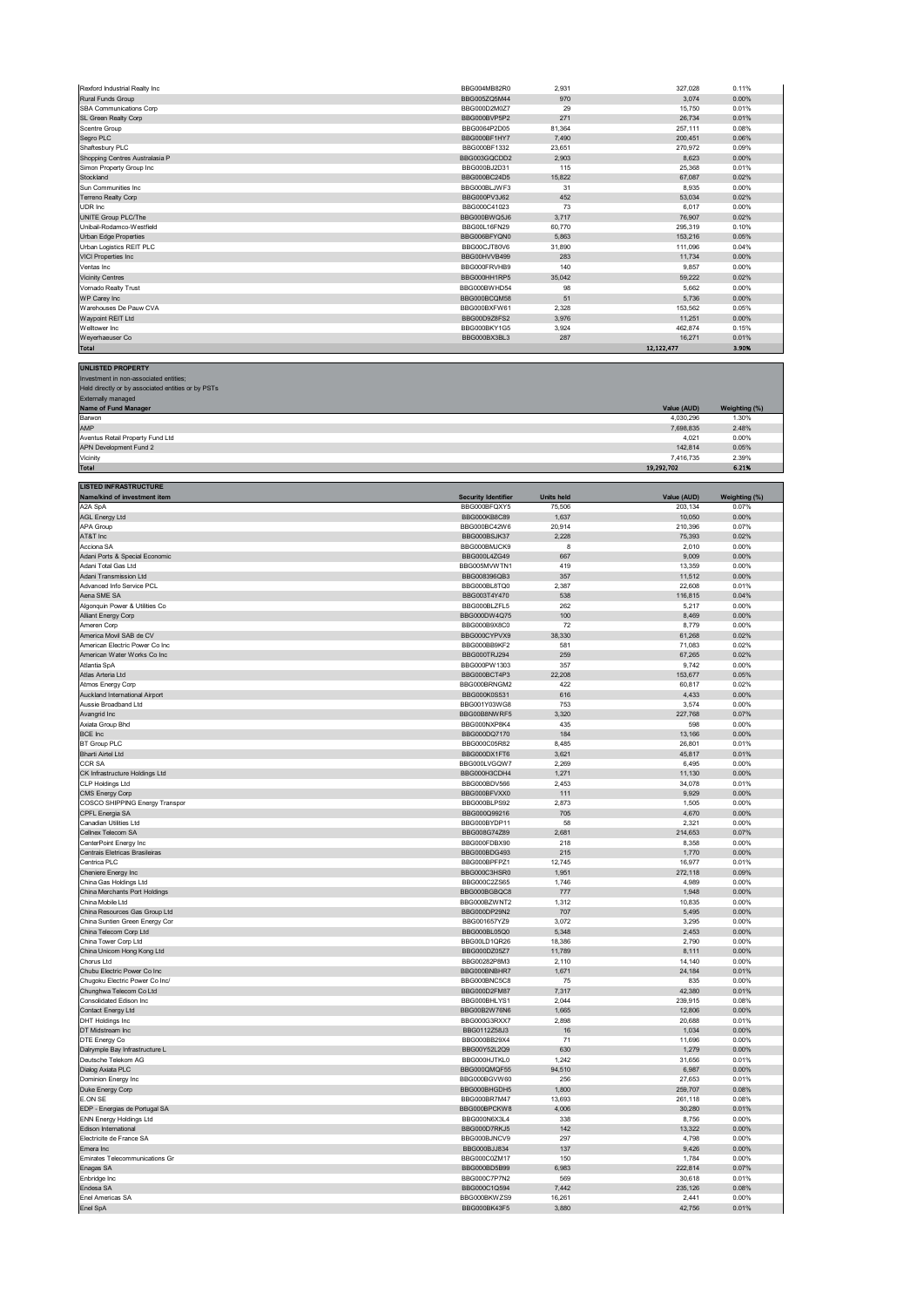| Rexford Industrial Realty Inc                                 | BBG004MB82R0                 | 2,931             | 327,028            | 0.11%          |
|---------------------------------------------------------------|------------------------------|-------------------|--------------------|----------------|
| Rural Funds Group                                             | BBG005ZQ5M44                 | 970               | 3,074              | 0.00%          |
| SBA Communications Corp                                       | BBG000D2M0Z7                 | 29                | 15,750             | 0.01%          |
| SL Green Realty Corp                                          | BBG000BVP5P2                 | 271               | 26,734             | 0.01%          |
| Scentre Group<br>Segro PLC                                    | BBG0064P2D05<br>BBG000BF1HY7 | 81,364<br>7,490   | 257,111<br>200,451 | 0.08%<br>0.06% |
| Shaftesbury PLC                                               | BBG000BF1332                 | 23,651            | 270,972            | 0.09%          |
| Shopping Centres Australasia P                                | BBG003GQCDD2                 | 2,903             | 8,623              | 0.00%          |
| Simon Property Group Inc                                      | BBG000BJ2D31                 | 115               | 25,368             | 0.01%          |
| Stockland<br>Sun Communities Inc                              | BBG000BC24D5<br>BBG000BLJWF3 | 15,822<br>31      | 67,087<br>8,935    | 0.02%<br>0.00% |
| Terreno Realty Corp                                           | BBG000PV3J62                 | 452               | 53,034             | 0.02%          |
| UDR Inc                                                       | BBG000C41023                 | 73                | 6,017              | 0.00%          |
| UNITE Group PLC/The                                           | BBG000BWQ5J6                 | 3,717             | 76,907             | 0.02%          |
| Unibail-Rodamco-Westfield                                     | BBG00L16FN29<br>BBG006BFYQN0 | 60,770            | 295,319            | 0.10%<br>0.05% |
| Urban Edge Properties<br>Urban Logistics REIT PLC             | BBG00CJT80V6                 | 5,863<br>31,890   | 153,216<br>111,096 | 0.04%          |
| <b>VICI Properties Inc</b>                                    | BBG00HVVB499                 | 283               | 11,734             | 0.00%          |
| Ventas Inc                                                    | BBG000FRVHB9                 | 140               | 9,857              | 0.00%          |
| <b>Vicinity Centres</b>                                       | BBG000HH1RP5                 | 35,042            | 59,222             | 0.02%          |
| Vornado Realty Trust                                          | BBG000BWHD54                 | 98                | 5,662              | 0.00%          |
| WP Carey Inc<br>Warehouses De Pauw CVA                        | BBG000BCQM58<br>BBG000BXFW61 | 51<br>2,328       | 5,736<br>153,562   | 0.00%<br>0.05% |
| Waypoint REIT Ltd                                             | BBG00D9Z8FS2                 | 3,976             | 11,251             | 0.00%          |
| Welltower Inc                                                 | BBG000BKY1G5                 | 3,924             | 462,874            | 0.15%          |
| Weyerhaeuser Co                                               | BBG000BX3BL3                 | 287               | 16,271             | 0.01%          |
| Total                                                         |                              |                   | 12,122,477         | 3.90%          |
| <b>UNLISTED PROPERTY</b>                                      |                              |                   |                    |                |
| Investment in non-associated entities;                        |                              |                   |                    |                |
| Held directly or by associated entities or by PSTs            |                              |                   |                    |                |
| Externally managed                                            |                              |                   |                    |                |
| Name of Fund Manager                                          |                              |                   | Value (AUD)        | Weighting (%)  |
| Barwon                                                        |                              |                   | 4.030.296          | 1.30%          |
| AMP<br>Aventus Retail Property Fund Ltd                       |                              |                   | 7,698,835<br>4,021 | 2.48%<br>0.00% |
| APN Development Fund 2                                        |                              |                   | 142,814            | 0.05%          |
| Vicinity                                                      |                              |                   | 7,416,735          | 2.39%          |
| <b>Total</b>                                                  |                              |                   | 19,292,702         | 6.21%          |
| <b>LISTED INFRASTRUCTURE</b>                                  |                              |                   |                    |                |
| Name/kind of investment item                                  | <b>Security Identifier</b>   | <b>Units held</b> | Value (AUD)        | Weighting (%)  |
| A2A SpA                                                       | BBG000BFQXY5                 | 75,506            | 203,134            | 0.07%          |
| <b>AGL Energy Ltd</b><br><b>APA Group</b>                     | BBG000KB8C89<br>BBG000BC42W6 | 1,637<br>20,914   | 10,050<br>210,396  | 0.00%<br>0.07% |
| AT&T Inc                                                      | BBG000BSJK37                 | 2,228             | 75,393             | 0.02%          |
| Acciona SA                                                    | BBG000BMJCK9                 | 8                 | 2,010              | 0.00%          |
| Adani Ports & Special Economic                                | BBG000L4ZG49                 | 667               | 9,009              | 0.00%          |
| Adani Total Gas Ltd                                           | BBG005MVWTN1                 | 419               | 13,359             | 0.00%          |
| Adani Transmission Ltd<br>Advanced Info Service PCL           | BBG008396QB3<br>BBG000BL8TQ0 | 357<br>2,387      | 11,512<br>22,608   | 0.00%<br>0.01% |
| Aena SME SA                                                   | BBG003T4Y470                 | 538               | 116,815            | 0.04%          |
| Algonquin Power & Utilities Co                                | BBG000BLZFL5                 | 262               | 5,217              | 0.00%          |
| Alliant Energy Corp                                           | BBG000DW4Q75                 | 100               | 8,469              | 0.00%          |
| Ameren Corp                                                   | BBG000B9X8C0                 | 72                | 8,779              | 0.00%          |
|                                                               |                              |                   |                    |                |
| America Movil SAB de CV                                       | BBG000CYPVX9                 | 38,330            | 61,268             | 0.02%          |
| American Electric Power Co Inc                                | BBG000BB9KF2                 | 581               | 71,083             | 0.02%          |
| American Water Works Co Inc<br>Atlantia SpA                   | BBG000TRJ294<br>BBG000PW1303 | 259<br>357        | 67,265<br>9,742    | 0.02%<br>0.00% |
| Atlas Arteria Ltd                                             | BBG000BCT4P3                 | 22,208            | 153,677            | 0.05%          |
| Atmos Energy Corp                                             | BBG000BRNGM2                 | 422               | 60,817             | 0.02%          |
| Auckland International Airport                                | BBG000K0S531                 | 616               | 4,433              | 0.00%          |
| Aussie Broadband Ltd                                          | BBG001Y03WG8                 | 753               | 3,574              | 0.00%          |
| Avangrid Inc<br>Axiata Group Bhd                              | BBG00B8NWRF5<br>BBG000NXP8K4 | 3,320<br>435      | 227,768<br>598     | 0.07%<br>0.00% |
| <b>BCE Inc</b>                                                | BBG000DQ7170                 | 184               | 13,166             | 0.00%          |
| <b>BT Group PLC</b>                                           | BBG000C05R82                 | 8,485             | 26,801             | 0.01%          |
| <b>Bharti Airtel Ltd</b>                                      | BBG000DX1FT6                 | 3,621             | 45,817             | 0.01%          |
| <b>CCR SA</b>                                                 | BBG000LVGQW7                 | 2,269             | 6,495              | 0.00%          |
| CK Infrastructure Holdings Ltd<br>CLP Holdings Ltd            | BBG000H3CDH4<br>BBG000BDV566 | 1,271<br>2,453    | 11,130<br>34,078   | 0.00%<br>0.01% |
| CMS Energy Corp                                               | BBG000BFVXX0                 | 111               | 9,929              | 0.00%          |
| COSCO SHIPPING Energy Transpor                                | BBG000BLPS92                 | 2,873             | 1,505              | 0.00%          |
| CPFL Energia SA<br>Canadian Utilities Ltd                     | BBG000Q99216<br>BBG000BYDP11 | 705<br>58         | 4,670              | 0.00%<br>0.00% |
| Cellnex Telecom SA                                            | BBG008G74Z89                 | 2,681             | 2,321<br>214,653   | 0.07%          |
| CenterPoint Energy Inc                                        | BBG000FDBX90                 | 218               | 8,358              | 0.00%          |
| Centrais Eletricas Brasileiras                                | BBG000BDG493                 | 215               | 1,770              | 0.00%          |
| Centrica PLC                                                  | BBG000BPFPZ1<br>BBG000C3HSR0 | 12,745<br>1,951   | 16,977             | 0.01%<br>0.09% |
| Cheniere Energy Inc<br>China Gas Holdings Ltd                 | BBG000C2ZS65                 | 1,746             | 272,118<br>4,989   | 0.00%          |
| China Merchants Port Holdings                                 | BBG000BGBQC8                 | 777               | 1,948              | 0.00%          |
| China Mobile Ltd                                              | BBG000BZWNT2                 | 1,312             | 10,835             | 0.00%          |
| China Resources Gas Group Ltd                                 | BBG000DP29N2                 | 707               | 5,495              | 0.00%          |
| China Suntien Green Energy Cor                                | BBG001657YZ9<br>BBG000BL05Q0 | 3,072             | 3,295              | 0.00%          |
| China Telecom Corp Ltd<br>China Tower Corp Ltd                | BBG00LD1QR26                 | 5,348<br>18,386   | 2,453<br>2,790     | 0.00%<br>0.00% |
| China Unicom Hong Kong Ltd                                    | BBG000DZ05Z7                 | 11,789            | 8,111              | 0.00%          |
| Chorus Ltd                                                    | BBG00282P8M3                 | 2,110             | 14,140             | 0.00%          |
| Chubu Electric Power Co Inc<br>Chugoku Electric Power Co Inc/ | BBG000BNBHR7<br>BBG000BNC5C8 | 1,671<br>75       | 24,184<br>835      | 0.01%<br>0.00% |
| Chunghwa Telecom Co Ltd                                       | BBG000D2FM87                 | 7,317             | 42,380             | 0.01%          |
| Consolidated Edison Inc                                       | BBG000BHLYS1                 | 2,044             | 239,915            | 0.08%          |
| Contact Energy Ltd                                            | BBG00B2W76N6                 | 1,665             | 12,806             | 0.00%          |
| <b>DHT Holdings Inc</b>                                       | BBG000G3RXX7<br>BBG0112Z58J3 | 2,898             | 20,688             | 0.01%          |
| DT Midstream Inc<br>DTE Energy Co                             | BBG000BB29X4                 | 16<br>71          | 1,034<br>11,696    | 0.00%<br>0.00% |
| Dalrymple Bay Infrastructure L                                | BBG00Y52L2Q9                 | 630               | 1,279              | 0.00%          |
| Deutsche Telekom AG                                           | BBG000HJTKL0                 | 1,242             | 31,656             | 0.01%          |
| Dialog Axiata PLC                                             | BBG000QMQF55                 | 94,510            | 6,987              | 0.00%          |
| Dominion Energy Inc                                           | BBG000BGVW60                 | 256               | 27,653             | 0.01%          |
| Duke Energy Corp<br>E.ON SE                                   | BBG000BHGDH5<br>BBG000BR7M47 | 1,800<br>13,693   | 259,707<br>261,118 | 0.08%<br>0.08% |
| EDP - Energias de Portugal SA                                 | BBG000BPCKW8                 | 4,006             | 30,280             | 0.01%          |
| <b>ENN Energy Holdings Ltd</b>                                | BBG000N6X3L4                 | 338               | 8,756              | 0.00%          |
| Edison International                                          | BBG000D7RKJ5                 | 142               | 13,322             | 0.00%          |
| Electricite de France SA                                      | BBG000BJNCV9                 | 297               | 4,798              | 0.00%          |
| Emera Inc<br>Emirates Telecommunications Gr                   | BBG000BJJ834<br>BBG000C0ZM17 | 137<br>150        | 9,426<br>1,784     | 0.00%<br>0.00% |
| Enagas SA                                                     | BBG000BD5B99                 | 6,983             | 222,814            | 0.07%          |
| Enbridge Inc                                                  | BBG000C7P7N2                 | 569               | 30,618             | 0.01%          |
| Endesa SA<br><b>Enel Americas SA</b>                          | BBG000C1Q594<br>BBG000BKWZS9 | 7,442<br>16,261   | 235,126<br>2,441   | 0.08%<br>0.00% |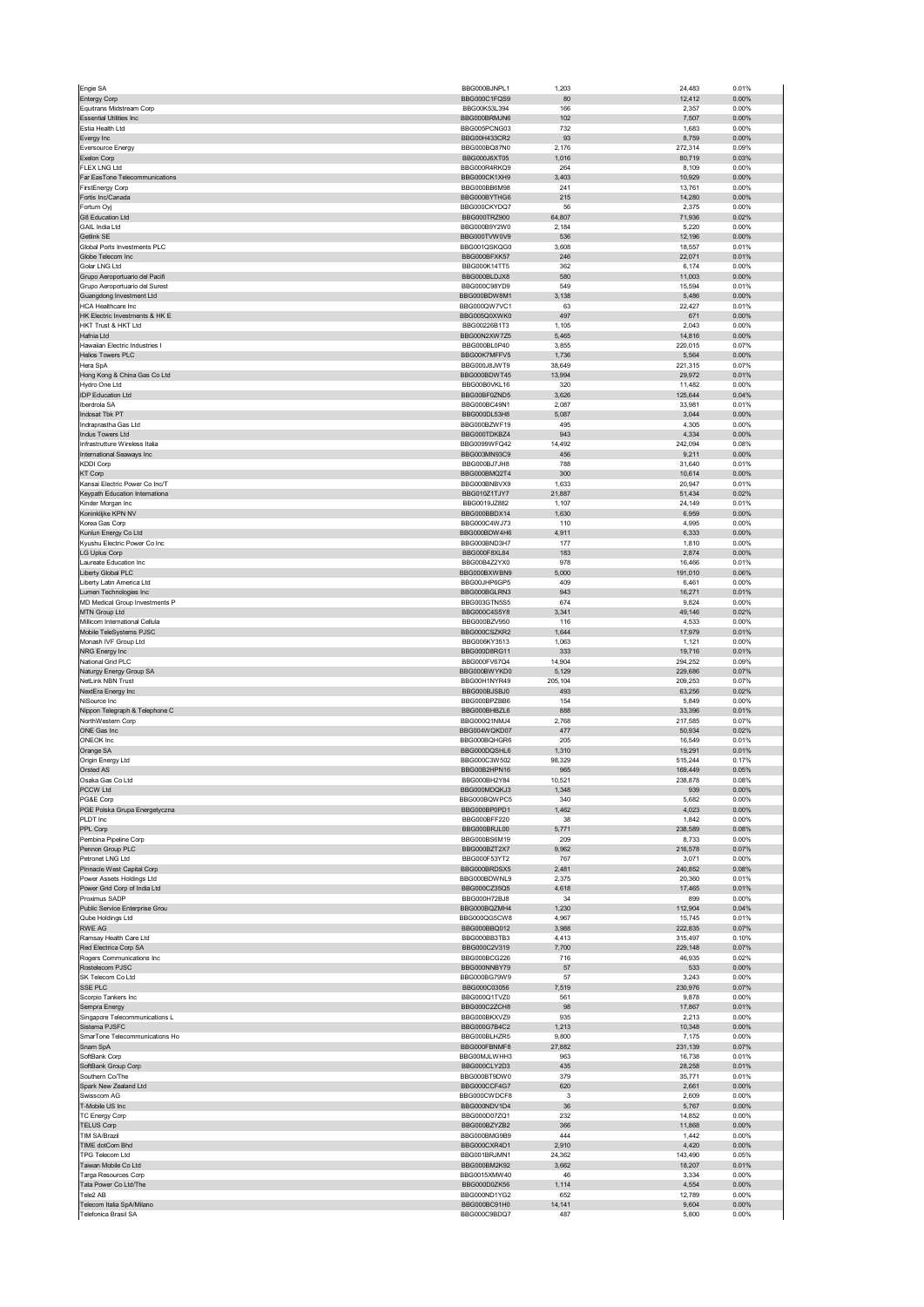| Engie SA                                                   | BBG000BJNPL1                 | 1,203            | 24,483             | 0.01%             |
|------------------------------------------------------------|------------------------------|------------------|--------------------|-------------------|
| <b>Entergy Corp</b>                                        | BBG000C1FQS9                 | 80               | 12,412             | 0.00%             |
| Equitrans Midstream Corp<br><b>Essential Utilities Inc</b> | BBG00K53L394<br>BBG000BRMJN6 | 166<br>102       | 2,357<br>7,507     | 0.00%<br>0.00%    |
| Estia Health Ltd                                           | BBG005PCNG03                 | 732              | 1,683              | 0.00%             |
| Evergy Inc                                                 | BBG00H433CR2                 | 93               | 8,759              | 0.00%             |
| <b>Eversource Energy</b>                                   | BBG000BQ87N0                 | 2,176            | 272,314            | 0.09%             |
| Exelon Corp<br><b>FLEX LNG Ltd</b>                         | BBG000J6XT05<br>BBG000R4RKQ9 | 1,016<br>264     | 80,719<br>8,109    | 0.03%<br>0.00%    |
| Far EasTone Telecommunications                             | BBG000CK1XH9                 | 3,403            | 10,929             | 0.00%             |
| <b>FirstEnergy Corp</b>                                    | BBG000BB6M98                 | 241              | 13,761             | 0.00%             |
| Fortis Inc/Canada                                          | BBG000BYTHG6                 | 215              | 14,280             | 0.00%             |
| Fortum Oyj<br>G8 Education Ltd                             | BBG000CKYDQ7<br>BBG000TRZ900 | 56<br>64,807     | 2,375<br>71,936    | 0.00%<br>0.02%    |
| GAIL India Ltd                                             | BBG000B9Y2W0                 | 2,184            | 5,220              | 0.00%             |
| Getlink SE                                                 | BBG000TVW0V9                 | 536              | 12,196             | 0.00%             |
| Global Ports Investments PLC                               | BBG001QSKQG0                 | 3,608            | 18,557             | 0.01%             |
| Globe Telecom Inc<br>Golar LNG Ltd                         | BBG000BFXK57<br>BBG000K14TT5 | 246<br>362       | 22,071<br>6,174    | 0.01%<br>0.00%    |
| Grupo Aeroportuario del Pacifi                             | BBG000BLDJX8                 | 580              | 11,003             | 0.00%             |
| Grupo Aeroportuario del Surest                             | BBG000C98YD9                 | 549              | 15,594             | 0.01%             |
| Guangdong Investment Ltd                                   | BBG000BDW8M1                 | 3,138            | 5,486              | 0.00%             |
| HCA Healthcare Inc                                         | BBG000QW7VC1<br>BBG005Q0XWK0 | 63<br>497        | 22,427<br>671      | 0.01%<br>0.00%    |
| HK Electric Investments & HK E<br>HKT Trust & HKT Ltd      | BBG00226B1T3                 | 1,105            | 2,043              | 0.00%             |
| Hafnia Ltd                                                 | BBG00N2XW7Z5                 | 5,465            | 14,816             | 0.00%             |
| Hawaiian Electric Industries I                             | BBG000BL0P40                 | 3,855            | 220,015            | 0.07%             |
| <b>Helios Towers PLC</b>                                   | BBG00K7MFFV5                 | 1,736            | 5,564              | 0.00%             |
| Hera SpA<br>Hong Kong & China Gas Co Ltd                   | BBG000J8JWT9<br>BBG000BDWT45 | 38,649<br>13,994 | 221,315<br>29,972  | 0.07%<br>0.01%    |
| Hydro One Ltd                                              | BBG00B0VKL16                 | 320              | 11,482             | 0.00%             |
| IDP Education Ltd                                          | BBG00BF0ZND5                 | 3,626            | 125,644            | 0.04%             |
| Iberdrola SA                                               | BBG000BC49N1                 | 2,087            | 33,981             | 0.01%             |
| Indosat Tbk PT<br>Indraprastha Gas Ltd                     | BBG000DL53H8<br>BBG000BZWF19 | 5,087<br>495     | 3,044<br>4,305     | 0.00%<br>0.00%    |
| Indus Towers Ltd                                           | BBG000TDKBZ4                 | 943              | 4,334              | 0.00%             |
| Infrastrutture Wireless Italia                             | BBG0099WFQ42                 | 14,492           | 242,094            | 0.08%             |
| International Seaways Inc                                  | BBG003MN93C9                 | 456              | 9,211              | 0.00%             |
| <b>KDDI Corp</b>                                           | BBG000BJ7JH8<br>BBG000BMQ2T4 | 788<br>300       | 31,640             | 0.01%<br>0.00%    |
| <b>KT Corp</b><br>Kansai Electric Power Co Inc/T           | BBG000BNBVX9                 | 1,633            | 10,614<br>20,947   | 0.01%             |
| Keypath Education Internationa                             | BBG010Z1TJY7                 | 21,887           | 51,434             | 0.02%             |
| Kinder Morgan Inc                                          | BBG0019JZ882                 | 1,107            | 24,149             | 0.01%             |
| Koninklijke KPN NV                                         | BBG000BBDX14                 | 1,630            | 6,959              | 0.00%             |
| Korea Gas Corp<br>Kunlun Energy Co Ltd                     | BBG000C4WJ73<br>BBG000BDW4H6 | 110<br>4,911     | 4,995<br>6,333     | 0.00%<br>0.00%    |
| Kyushu Electric Power Co Inc                               | BBG000BND3H7                 | 177              | 1,810              | 0.00%             |
| LG Uplus Corp                                              | BBG000F8XL84                 | 183              | 2,874              | 0.00%             |
| Laureate Education Inc                                     | BBG00B4Z2YX0                 | 978              | 16,466             | 0.01%             |
| Liberty Global PLC<br>Liberty Latin America Ltd            | BBG000BXWBN9<br>BBG00JHP6GP5 | 5,000<br>409     | 191,010<br>6,461   | 0.06%<br>0.00%    |
| Lumen Technologies Inc                                     | BBG000BGLRN3                 | 943              | 16,271             | 0.01%             |
| MD Medical Group Investments P                             | BBG003GTN5S5                 | 674              | 9,824              | 0.00%             |
| MTN Group Ltd                                              | BBG000C4S5Y8                 | 3,341            | 49,146             | 0.02%             |
| Millicom International Cellula<br>Mobile TeleSystems PJSC  | BBG000BZV950<br>BBG000CSZKR2 | 116<br>1,644     | 4,533<br>17,979    | 0.00%<br>0.01%    |
| Monash IVF Group Ltd                                       | BBG006KY3513                 | 1,063            | 1,121              | 0.00%             |
| NRG Energy Inc                                             | BBG000D8RG11                 | 333              | 19,716             | 0.01%             |
| National Grid PLC                                          | BBG000FV67Q4                 | 14,904           | 294,252            | 0.09%             |
| Naturgy Energy Group SA                                    | BBG000BWYKD0                 | 5,129            | 229,686            | 0.07%             |
|                                                            |                              |                  |                    |                   |
| NetLink NBN Trust                                          | BBG00H1NYR49                 | 205,104          | 209,253            | 0.07%             |
| NextEra Energy Inc                                         | BBG000BJSBJ0                 | 493              | 63,256             | 0.02%             |
| NiSource Inc                                               | BBG000BPZBB6<br>BBG000BHBZL6 | 154<br>888       | 5,849<br>33,396    | 0.00%<br>0.01%    |
| Nippon Telegraph & Telephone C<br>NorthWestern Corp        | BBG000Q1NM.I4                | 2,768            | 217,585            | 0.07%             |
| ONE Gas Inc                                                | BBG004WQKD07                 | 477              | 50,934             | 0.02%             |
| ONEOK Inc                                                  | BBG000BQHGR6                 | 205              | 16,549             | 0.01%             |
| Orange SA                                                  | BBG000DOSHL6                 | 1,310            | 19,291             | 0.01%<br>0.17%    |
| Origin Energy Ltd<br>Orsted AS                             | BBG000C3W502<br>BBG00B2HPN16 | 98,329<br>965    | 515,244<br>169,449 | 0.05%             |
| ∪saka Gas Co Lto                                           | BBG000BHZY84                 | 10,521           | 236,676            | U.U8%             |
| PCCW Ltd                                                   | BBG000MDQKJ3                 | 1,348            | 939                | 0.00%             |
| PG&E Corp                                                  | BBG000BQWPC5                 | 340              | 5,682              | 0.00%             |
| PGE Polska Grupa Energetyczna                              | BBG000BP0PD1                 | 1,462            | 4,023              | 0.00%             |
| PLDT Inc<br>PPL Corp                                       | BBG000BFF220<br>BBG000BRJL00 | 38<br>5,771      | 1,842<br>238,589   | 0.00%<br>0.08%    |
| Pembina Pipeline Corp                                      | BBG000BS6M19                 | 209              | 8,733              | 0.00%             |
| Pennon Group PLC                                           | BBG000BZT2X7                 | 9,962            | 216,578            | 0.07%             |
| Petronet LNG Ltd                                           | BBG000F53YT2<br>BBG000BRDSX5 | 767<br>2,481     | 3,071              | 0.00%<br>0.08%    |
| Pinnacle West Capital Corp<br>Power Assets Holdings Ltd    | BBG000BDWNL9                 | 2,375            | 240,852<br>20,360  | 0.01%             |
| Power Grid Corp of India Ltd                               | BBG000CZ35Q5                 | 4,618            | 17,465             | 0.01%             |
| Proximus SADP                                              | BBG000H72BJ8                 | 34               | 899                | 0.00%             |
| Public Service Enterprise Grou                             | BBG000BQZMH4<br>BBG000QG5CW8 | 1,230            | 112,904            | 0.04%             |
| Qube Holdings Ltd<br>RWE AG                                | BBG000BBQ012                 | 4,967<br>3,988   | 15,745<br>222,835  | 0.01%<br>0.07%    |
| Ramsay Health Care Ltd                                     | BBG000BB3TB3                 | 4,413            | 315,497            | 0.10%             |
| Red Electrica Corp SA                                      | BBG000C2V319                 | 7,700            | 229,148            | 0.07%             |
| Rogers Communications Inc                                  | BBG000BCG226                 | 716              | 46,935             | 0.02%             |
| Rostelecom PJSC<br>SK Telecom Co Ltd                       | BBG000NNBY79<br>BBG000BG79W9 | 57<br>57         | 533                | 0.00%<br>0.00%    |
| SSE PLC                                                    | BBG000C03056                 | 7,519            | 3,243<br>230,976   | 0.07%             |
| Scorpio Tankers Inc                                        | BBG000Q1TVZ0                 | 561              | 9,878              | 0.00%             |
| Sempra Energy                                              | BBG000C2ZCH8                 | 98               | 17,867             | 0.01%             |
| Singapore Telecommunications L<br>Sistema PJSFC            | BBG000BKXVZ9<br>BBG000G7B4C2 | 935<br>1,213     | 2,213<br>10,348    | 0.00%<br>$0.00\%$ |
| SmarTone Telecommunications Ho                             | BBG000BLHZR5                 | 9,800            | 7,175              | 0.00%             |
| Snam SpA                                                   | BBG000FBNMF8                 | 27,882           | 231,139            | 0.07%             |
| SoftBank Corp                                              | BBG00MJLWHH3                 | 963              | 16,738             | 0.01%             |
| SoftBank Group Corp<br>Southern Co/The                     | BBG000CLY2D3<br>BBG000BT9DW0 | 435<br>379       | 28,258             | 0.01%<br>0.01%    |
| Spark New Zealand Ltd                                      | BBG000CCF4G7                 | 620              | 35,771<br>2,661    | 0.00%             |
| Swisscom AG                                                | BBG000CWDCF8                 | 3                | 2,609              | 0.00%             |
| T-Mobile US Inc                                            | BBG000NDV1D4                 | 36               | 5,767              | $0.00\%$          |
| TC Energy Corp                                             | BBG000D07ZQ1                 | 232              | 14,852             | 0.00%             |
| <b>TELUS Corp</b><br><b>TIM SA/Brazil</b>                  | BBG000BZYZB2<br>BBG000BMG9B9 | 366<br>444       | 11,868<br>1,442    | 0.00%<br>0.00%    |
| TIME dotCom Bhd                                            | BBG000CXR4D1                 | 2,910            | 4,420              | 0.00%             |
| TPG Telecom Ltd                                            | BBG001BRJMN1                 | 24,362           | 143,490            | 0.05%             |
| Taiwan Mobile Co Ltd                                       | BBG000BM2K92                 | 3,662            | 18,207             | 0.01%             |
| Targa Resources Corp                                       | BBG0015XMW40                 | 46               | 3,334              | 0.00%             |
| Tata Power Co Ltd/The<br>Tele2 AB                          | BBG000D0ZK56<br>BBG000ND1YG2 | 1,114<br>652     | 4,554<br>12,789    | $0.00\%$<br>0.00% |
| Telecom Italia SpA/Milano<br>Telefonica Brasil SA          | BBG000BC91H0<br>BBG000C9BDQ7 | 14,141<br>487    | 9,604<br>5,800     | $0.00\%$<br>0.00% |